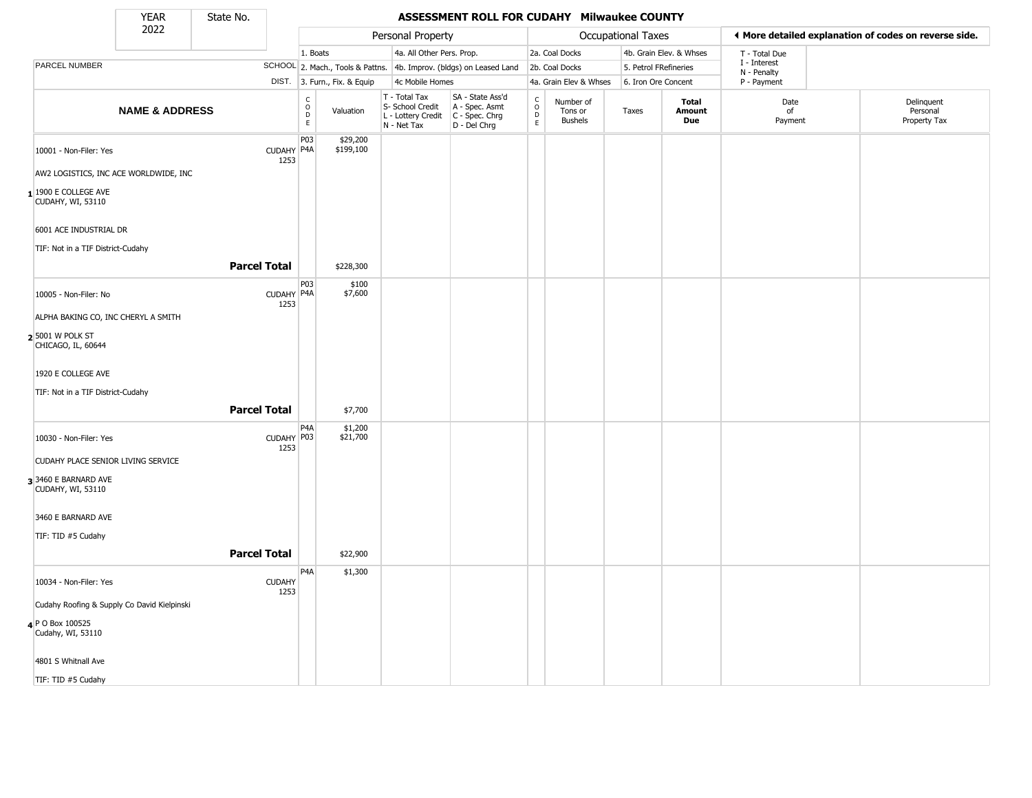State No.

÷

## **YEAR** State No. **ASSESSMENT ROLL FOR CUDAHY Milwaukee COUNTY**

|                                                        | 2022                      |                       |                                               |                              | Personal Property                                                      |                                                                      |                                |                                        | Occupational Taxes    |                         |                             | ◀ More detailed explanation of codes on reverse side. |
|--------------------------------------------------------|---------------------------|-----------------------|-----------------------------------------------|------------------------------|------------------------------------------------------------------------|----------------------------------------------------------------------|--------------------------------|----------------------------------------|-----------------------|-------------------------|-----------------------------|-------------------------------------------------------|
|                                                        |                           |                       | 1. Boats                                      |                              | 4a. All Other Pers. Prop.                                              |                                                                      |                                | 2a. Coal Docks                         |                       | 4b. Grain Elev. & Whses | T - Total Due               |                                                       |
| PARCEL NUMBER                                          |                           |                       |                                               |                              |                                                                        | SCHOOL 2. Mach., Tools & Pattns. 4b. Improv. (bldgs) on Leased Land  |                                | 2b. Coal Docks                         | 5. Petrol FRefineries |                         | I - Interest<br>N - Penalty |                                                       |
|                                                        |                           |                       |                                               | DIST. 3. Furn., Fix. & Equip | 4c Mobile Homes                                                        |                                                                      |                                | 4a. Grain Elev & Whses                 | 6. Iron Ore Concent   |                         | P - Payment                 |                                                       |
|                                                        | <b>NAME &amp; ADDRESS</b> |                       | $\mathsf{C}$<br>$\circ$<br>$_{\rm E}^{\rm D}$ | Valuation                    | T - Total Tax<br>S- School Credit<br>L - Lottery Credit<br>N - Net Tax | SA - State Ass'd<br>A - Spec. Asmt<br>C - Spec. Chrg<br>D - Del Chrg | $\rm _o^C$<br>D<br>$\mathsf E$ | Number of<br>Tons or<br><b>Bushels</b> | Taxes                 | Total<br>Amount<br>Due  | Date<br>of<br>Payment       | Delinquent<br>Personal<br>Property Tax                |
| 10001 - Non-Filer: Yes                                 |                           | CUDAHY P4A<br>1253    | P03                                           | \$29,200<br>\$199,100        |                                                                        |                                                                      |                                |                                        |                       |                         |                             |                                                       |
| AW2 LOGISTICS, INC ACE WORLDWIDE, INC                  |                           |                       |                                               |                              |                                                                        |                                                                      |                                |                                        |                       |                         |                             |                                                       |
| $1$ <sup>1900</sup> E COLLEGE AVE<br>CUDAHY, WI, 53110 |                           |                       |                                               |                              |                                                                        |                                                                      |                                |                                        |                       |                         |                             |                                                       |
| 6001 ACE INDUSTRIAL DR                                 |                           |                       |                                               |                              |                                                                        |                                                                      |                                |                                        |                       |                         |                             |                                                       |
| TIF: Not in a TIF District-Cudahy                      |                           |                       |                                               |                              |                                                                        |                                                                      |                                |                                        |                       |                         |                             |                                                       |
|                                                        |                           | <b>Parcel Total</b>   |                                               | \$228,300                    |                                                                        |                                                                      |                                |                                        |                       |                         |                             |                                                       |
| 10005 - Non-Filer: No                                  |                           | CUDAHY P4A<br>1253    | P03                                           | \$100<br>\$7,600             |                                                                        |                                                                      |                                |                                        |                       |                         |                             |                                                       |
| ALPHA BAKING CO, INC CHERYL A SMITH                    |                           |                       |                                               |                              |                                                                        |                                                                      |                                |                                        |                       |                         |                             |                                                       |
| 25001 W POLK ST<br>CHICAGO, IL, 60644                  |                           |                       |                                               |                              |                                                                        |                                                                      |                                |                                        |                       |                         |                             |                                                       |
| 1920 E COLLEGE AVE                                     |                           |                       |                                               |                              |                                                                        |                                                                      |                                |                                        |                       |                         |                             |                                                       |
| TIF: Not in a TIF District-Cudahy                      |                           |                       |                                               |                              |                                                                        |                                                                      |                                |                                        |                       |                         |                             |                                                       |
|                                                        |                           | <b>Parcel Total</b>   |                                               | \$7,700                      |                                                                        |                                                                      |                                |                                        |                       |                         |                             |                                                       |
| 10030 - Non-Filer: Yes                                 |                           | CUDAHY P03<br>1253    | P <sub>4</sub> A                              | \$1,200<br>\$21,700          |                                                                        |                                                                      |                                |                                        |                       |                         |                             |                                                       |
| CUDAHY PLACE SENIOR LIVING SERVICE                     |                           |                       |                                               |                              |                                                                        |                                                                      |                                |                                        |                       |                         |                             |                                                       |
| 33460 E BARNARD AVE<br>CUDAHY, WI, 53110               |                           |                       |                                               |                              |                                                                        |                                                                      |                                |                                        |                       |                         |                             |                                                       |
| 3460 E BARNARD AVE                                     |                           |                       |                                               |                              |                                                                        |                                                                      |                                |                                        |                       |                         |                             |                                                       |
| TIF: TID #5 Cudahy                                     |                           |                       |                                               |                              |                                                                        |                                                                      |                                |                                        |                       |                         |                             |                                                       |
|                                                        |                           | <b>Parcel Total</b>   |                                               | \$22,900                     |                                                                        |                                                                      |                                |                                        |                       |                         |                             |                                                       |
| 10034 - Non-Filer: Yes                                 |                           | <b>CUDAHY</b><br>1253 | P <sub>4</sub> A                              | \$1,300                      |                                                                        |                                                                      |                                |                                        |                       |                         |                             |                                                       |
| Cudahy Roofing & Supply Co David Kielpinski            |                           |                       |                                               |                              |                                                                        |                                                                      |                                |                                        |                       |                         |                             |                                                       |
| 4 P O Box 100525<br>Cudahy, WI, 53110                  |                           |                       |                                               |                              |                                                                        |                                                                      |                                |                                        |                       |                         |                             |                                                       |
| 4801 S Whitnall Ave                                    |                           |                       |                                               |                              |                                                                        |                                                                      |                                |                                        |                       |                         |                             |                                                       |
| TIF: TID #5 Cudahy                                     |                           |                       |                                               |                              |                                                                        |                                                                      |                                |                                        |                       |                         |                             |                                                       |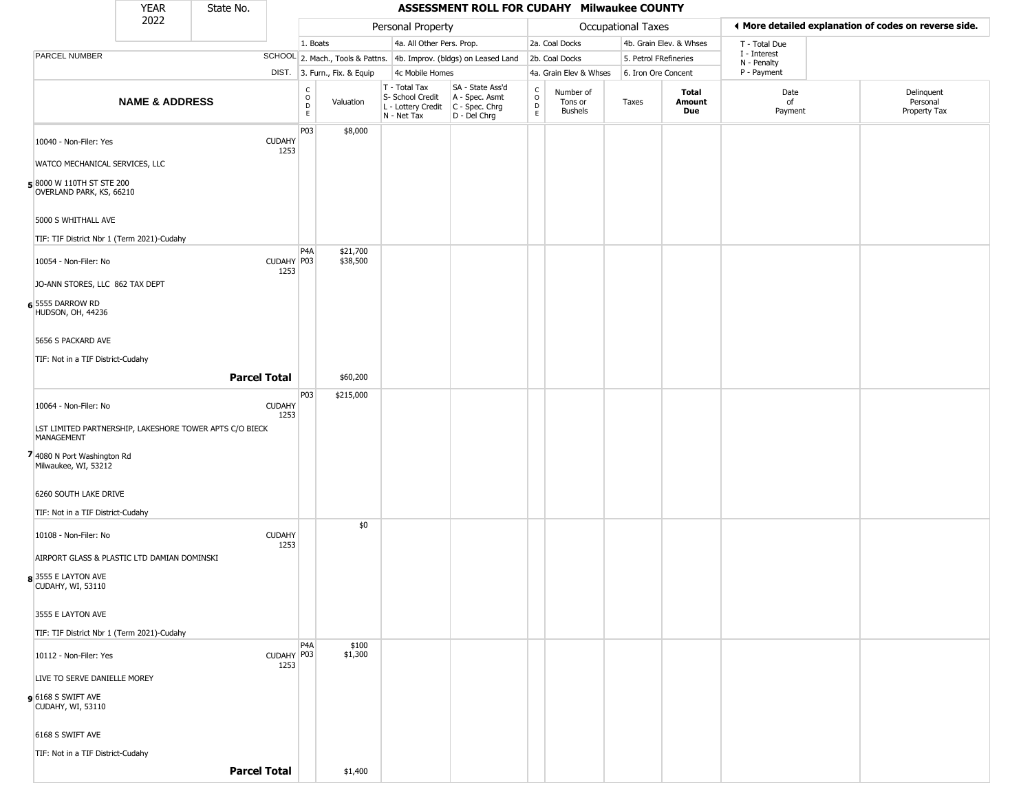|                                                      | <b>YEAR</b>               | State No.                                               |                       |                            |                              |                                                                                         | ASSESSMENT ROLL FOR CUDAHY Milwaukee COUNTY                         |                                                          |                                        |                       |                         |                             |                                                       |
|------------------------------------------------------|---------------------------|---------------------------------------------------------|-----------------------|----------------------------|------------------------------|-----------------------------------------------------------------------------------------|---------------------------------------------------------------------|----------------------------------------------------------|----------------------------------------|-----------------------|-------------------------|-----------------------------|-------------------------------------------------------|
|                                                      | 2022                      |                                                         |                       |                            |                              | Personal Property                                                                       |                                                                     |                                                          |                                        | Occupational Taxes    |                         |                             | ♦ More detailed explanation of codes on reverse side. |
|                                                      |                           |                                                         |                       | 1. Boats                   |                              | 4a. All Other Pers. Prop.                                                               |                                                                     |                                                          | 2a. Coal Docks                         |                       | 4b. Grain Elev. & Whses | T - Total Due               |                                                       |
| <b>PARCEL NUMBER</b>                                 |                           |                                                         |                       |                            |                              |                                                                                         | SCHOOL 2. Mach., Tools & Pattns. 4b. Improv. (bldgs) on Leased Land |                                                          | 2b. Coal Docks                         | 5. Petrol FRefineries |                         | I - Interest<br>N - Penalty |                                                       |
|                                                      |                           |                                                         |                       |                            | DIST. 3. Furn., Fix. & Equip | 4c Mobile Homes                                                                         |                                                                     |                                                          | 4a. Grain Elev & Whses                 | 6. Iron Ore Concent   |                         | P - Payment                 |                                                       |
|                                                      | <b>NAME &amp; ADDRESS</b> |                                                         |                       | C<br>$\mathsf O$<br>D<br>E | Valuation                    | T - Total Tax<br>S- School Credit<br>L - Lottery Credit   C - Spec. Chrg<br>N - Net Tax | SA - State Ass'd<br>A - Spec. Asmt<br>D - Del Chrg                  | $\begin{smallmatrix} C \\ 0 \\ D \end{smallmatrix}$<br>E | Number of<br>Tons or<br><b>Bushels</b> | Taxes                 | Total<br>Amount<br>Due  | Date<br>of<br>Payment       | Delinquent<br>Personal<br>Property Tax                |
| 10040 - Non-Filer: Yes                               |                           |                                                         | <b>CUDAHY</b><br>1253 | P03                        | \$8,000                      |                                                                                         |                                                                     |                                                          |                                        |                       |                         |                             |                                                       |
| WATCO MECHANICAL SERVICES, LLC                       |                           |                                                         |                       |                            |                              |                                                                                         |                                                                     |                                                          |                                        |                       |                         |                             |                                                       |
| 58000 W 110TH ST STE 200<br>OVERLAND PARK, KS, 66210 |                           |                                                         |                       |                            |                              |                                                                                         |                                                                     |                                                          |                                        |                       |                         |                             |                                                       |
| 5000 S WHITHALL AVE                                  |                           |                                                         |                       |                            |                              |                                                                                         |                                                                     |                                                          |                                        |                       |                         |                             |                                                       |
| TIF: TIF District Nbr 1 (Term 2021)-Cudahy           |                           |                                                         |                       |                            |                              |                                                                                         |                                                                     |                                                          |                                        |                       |                         |                             |                                                       |
| 10054 - Non-Filer: No                                |                           |                                                         | CUDAHY P03<br>1253    | P4A                        | \$21,700<br>\$38,500         |                                                                                         |                                                                     |                                                          |                                        |                       |                         |                             |                                                       |
| JO-ANN STORES, LLC 862 TAX DEPT                      |                           |                                                         |                       |                            |                              |                                                                                         |                                                                     |                                                          |                                        |                       |                         |                             |                                                       |
| 6 5555 DARROW RD<br>HUDSON, OH, 44236                |                           |                                                         |                       |                            |                              |                                                                                         |                                                                     |                                                          |                                        |                       |                         |                             |                                                       |
| 5656 S PACKARD AVE                                   |                           |                                                         |                       |                            |                              |                                                                                         |                                                                     |                                                          |                                        |                       |                         |                             |                                                       |
| TIF: Not in a TIF District-Cudahy                    |                           |                                                         |                       |                            |                              |                                                                                         |                                                                     |                                                          |                                        |                       |                         |                             |                                                       |
|                                                      |                           | <b>Parcel Total</b>                                     |                       |                            | \$60,200                     |                                                                                         |                                                                     |                                                          |                                        |                       |                         |                             |                                                       |
| 10064 - Non-Filer: No                                |                           |                                                         | <b>CUDAHY</b><br>1253 | P03                        | \$215,000                    |                                                                                         |                                                                     |                                                          |                                        |                       |                         |                             |                                                       |
| MANAGEMENT                                           |                           | LST LIMITED PARTNERSHIP, LAKESHORE TOWER APTS C/O BIECK |                       |                            |                              |                                                                                         |                                                                     |                                                          |                                        |                       |                         |                             |                                                       |
| 7 4080 N Port Washington Rd<br>Milwaukee, WI, 53212  |                           |                                                         |                       |                            |                              |                                                                                         |                                                                     |                                                          |                                        |                       |                         |                             |                                                       |
| 6260 SOUTH LAKE DRIVE                                |                           |                                                         |                       |                            |                              |                                                                                         |                                                                     |                                                          |                                        |                       |                         |                             |                                                       |
| TIF: Not in a TIF District-Cudahy                    |                           |                                                         |                       |                            |                              |                                                                                         |                                                                     |                                                          |                                        |                       |                         |                             |                                                       |
| 10108 - Non-Filer: No                                |                           |                                                         | <b>CUDAHY</b><br>1253 |                            | \$0                          |                                                                                         |                                                                     |                                                          |                                        |                       |                         |                             |                                                       |
| AIRPORT GLASS & PLASTIC LTD DAMIAN DOMINSKI          |                           |                                                         |                       |                            |                              |                                                                                         |                                                                     |                                                          |                                        |                       |                         |                             |                                                       |
| 83555 E LAYTON AVE<br>CUDAHY, WI, 53110              |                           |                                                         |                       |                            |                              |                                                                                         |                                                                     |                                                          |                                        |                       |                         |                             |                                                       |
| 3555 E LAYTON AVE                                    |                           |                                                         |                       |                            |                              |                                                                                         |                                                                     |                                                          |                                        |                       |                         |                             |                                                       |
| TIF: TIF District Nbr 1 (Term 2021)-Cudahy           |                           |                                                         |                       |                            |                              |                                                                                         |                                                                     |                                                          |                                        |                       |                         |                             |                                                       |
| 10112 - Non-Filer: Yes                               |                           |                                                         | CUDAHY P03            | P4A                        | \$100<br>\$1,300             |                                                                                         |                                                                     |                                                          |                                        |                       |                         |                             |                                                       |
| LIVE TO SERVE DANIELLE MOREY                         |                           |                                                         | 1253                  |                            |                              |                                                                                         |                                                                     |                                                          |                                        |                       |                         |                             |                                                       |
| $9$ 6168 S SWIFT AVE<br>CUDAHY, WI, 53110            |                           |                                                         |                       |                            |                              |                                                                                         |                                                                     |                                                          |                                        |                       |                         |                             |                                                       |
| 6168 S SWIFT AVE                                     |                           |                                                         |                       |                            |                              |                                                                                         |                                                                     |                                                          |                                        |                       |                         |                             |                                                       |
| TIF: Not in a TIF District-Cudahy                    |                           |                                                         |                       |                            |                              |                                                                                         |                                                                     |                                                          |                                        |                       |                         |                             |                                                       |
|                                                      |                           | <b>Parcel Total</b>                                     |                       |                            | \$1,400                      |                                                                                         |                                                                     |                                                          |                                        |                       |                         |                             |                                                       |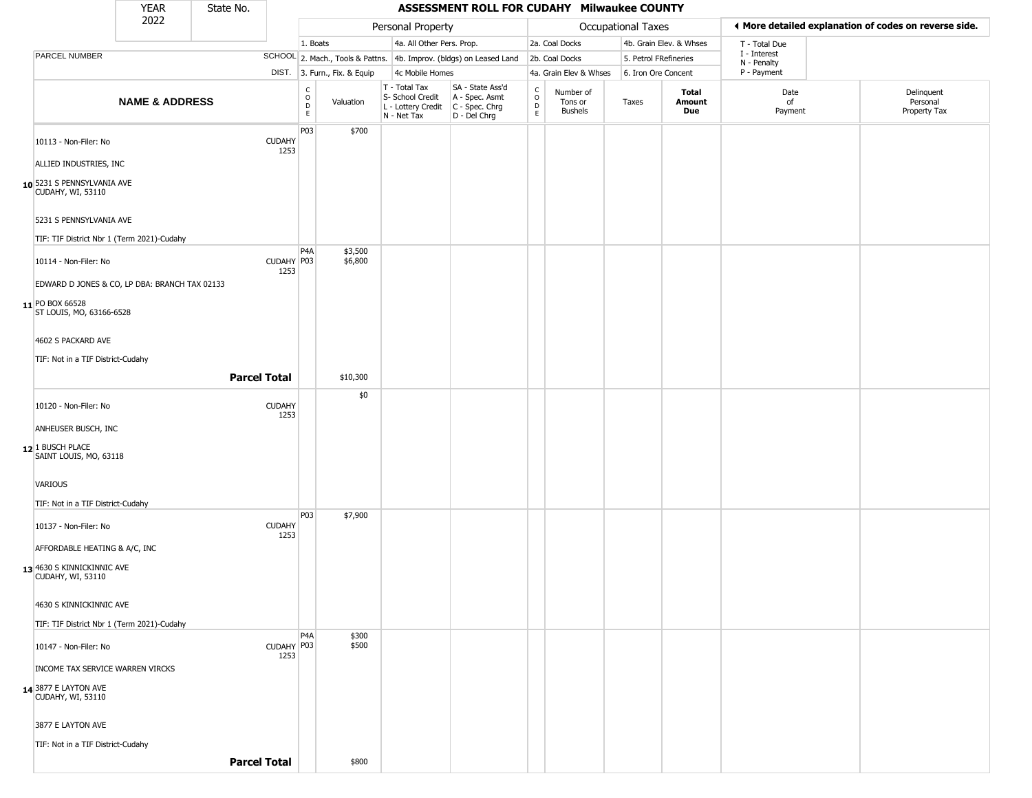|                                                       | <b>YEAR</b>                                   | State No. |                       |                            |                              |                                                                        | ASSESSMENT ROLL FOR CUDAHY Milwaukee COUNTY                          |                                   |                                        |                           |                         |                             |                                                       |
|-------------------------------------------------------|-----------------------------------------------|-----------|-----------------------|----------------------------|------------------------------|------------------------------------------------------------------------|----------------------------------------------------------------------|-----------------------------------|----------------------------------------|---------------------------|-------------------------|-----------------------------|-------------------------------------------------------|
|                                                       | 2022                                          |           |                       |                            |                              | Personal Property                                                      |                                                                      |                                   |                                        | <b>Occupational Taxes</b> |                         |                             | I More detailed explanation of codes on reverse side. |
|                                                       |                                               |           |                       | 1. Boats                   |                              | 4a. All Other Pers. Prop.                                              |                                                                      |                                   | 2a. Coal Docks                         |                           | 4b. Grain Elev. & Whses | T - Total Due               |                                                       |
| PARCEL NUMBER                                         |                                               |           |                       |                            |                              |                                                                        | SCHOOL 2. Mach., Tools & Pattns. 4b. Improv. (bldgs) on Leased Land  |                                   | 2b. Coal Docks                         | 5. Petrol FRefineries     |                         | I - Interest<br>N - Penalty |                                                       |
|                                                       |                                               |           |                       |                            | DIST. 3. Furn., Fix. & Equip | 4c Mobile Homes                                                        |                                                                      |                                   | 4a. Grain Elev & Whses                 | 6. Iron Ore Concent       |                         | P - Payment                 |                                                       |
|                                                       | <b>NAME &amp; ADDRESS</b>                     |           |                       | C<br>$\mathsf O$<br>D<br>E | Valuation                    | T - Total Tax<br>S- School Credit<br>L - Lottery Credit<br>N - Net Tax | SA - State Ass'd<br>A - Spec. Asmt<br>C - Spec. Chrg<br>D - Del Chrg | C<br>$\circ$<br>$\mathsf{D}$<br>E | Number of<br>Tons or<br><b>Bushels</b> | Taxes                     | Total<br>Amount<br>Due  | Date<br>of<br>Payment       | Delinquent<br>Personal<br>Property Tax                |
| 10113 - Non-Filer: No                                 |                                               |           | <b>CUDAHY</b><br>1253 | P03                        | \$700                        |                                                                        |                                                                      |                                   |                                        |                           |                         |                             |                                                       |
| ALLIED INDUSTRIES, INC                                |                                               |           |                       |                            |                              |                                                                        |                                                                      |                                   |                                        |                           |                         |                             |                                                       |
| 10 5231 S PENNSYLVANIA AVE<br>CUDAHY, WI, 53110       |                                               |           |                       |                            |                              |                                                                        |                                                                      |                                   |                                        |                           |                         |                             |                                                       |
| 5231 S PENNSYLVANIA AVE                               |                                               |           |                       |                            |                              |                                                                        |                                                                      |                                   |                                        |                           |                         |                             |                                                       |
|                                                       | TIF: TIF District Nbr 1 (Term 2021)-Cudahy    |           |                       | P <sub>4</sub> A           | \$3,500                      |                                                                        |                                                                      |                                   |                                        |                           |                         |                             |                                                       |
| 10114 - Non-Filer: No                                 | EDWARD D JONES & CO, LP DBA: BRANCH TAX 02133 |           | CUDAHY P03<br>1253    |                            | \$6,800                      |                                                                        |                                                                      |                                   |                                        |                           |                         |                             |                                                       |
| 11 PO BOX 66528<br>ST LOUIS, MO, 63166-6528           |                                               |           |                       |                            |                              |                                                                        |                                                                      |                                   |                                        |                           |                         |                             |                                                       |
| 4602 S PACKARD AVE                                    |                                               |           |                       |                            |                              |                                                                        |                                                                      |                                   |                                        |                           |                         |                             |                                                       |
| TIF: Not in a TIF District-Cudahy                     |                                               |           |                       |                            |                              |                                                                        |                                                                      |                                   |                                        |                           |                         |                             |                                                       |
|                                                       |                                               |           | <b>Parcel Total</b>   |                            | \$10,300                     |                                                                        |                                                                      |                                   |                                        |                           |                         |                             |                                                       |
| 10120 - Non-Filer: No                                 |                                               |           | <b>CUDAHY</b><br>1253 |                            | \$0                          |                                                                        |                                                                      |                                   |                                        |                           |                         |                             |                                                       |
| ANHEUSER BUSCH, INC                                   |                                               |           |                       |                            |                              |                                                                        |                                                                      |                                   |                                        |                           |                         |                             |                                                       |
| 12 <sup>1</sup> BUSCH PLACE<br>SAINT LOUIS, MO, 63118 |                                               |           |                       |                            |                              |                                                                        |                                                                      |                                   |                                        |                           |                         |                             |                                                       |
| VARIOUS                                               |                                               |           |                       |                            |                              |                                                                        |                                                                      |                                   |                                        |                           |                         |                             |                                                       |
| TIF: Not in a TIF District-Cudahy                     |                                               |           |                       |                            |                              |                                                                        |                                                                      |                                   |                                        |                           |                         |                             |                                                       |
| 10137 - Non-Filer: No                                 |                                               |           | <b>CUDAHY</b><br>1253 | P03                        | \$7,900                      |                                                                        |                                                                      |                                   |                                        |                           |                         |                             |                                                       |
| AFFORDABLE HEATING & A/C, INC                         |                                               |           |                       |                            |                              |                                                                        |                                                                      |                                   |                                        |                           |                         |                             |                                                       |
| 13 4630 S KINNICKINNIC AVE<br>CUDAHY, WI, 53110       |                                               |           |                       |                            |                              |                                                                        |                                                                      |                                   |                                        |                           |                         |                             |                                                       |
| 4630 S KINNICKINNIC AVE                               |                                               |           |                       |                            |                              |                                                                        |                                                                      |                                   |                                        |                           |                         |                             |                                                       |
|                                                       | TIF: TIF District Nbr 1 (Term 2021)-Cudahy    |           |                       |                            |                              |                                                                        |                                                                      |                                   |                                        |                           |                         |                             |                                                       |
| 10147 - Non-Filer: No                                 |                                               |           | CUDAHY P03<br>1253    | P <sub>4</sub> A           | \$300<br>\$500               |                                                                        |                                                                      |                                   |                                        |                           |                         |                             |                                                       |
| INCOME TAX SERVICE WARREN VIRCKS                      |                                               |           |                       |                            |                              |                                                                        |                                                                      |                                   |                                        |                           |                         |                             |                                                       |
| 14 3877 E LAYTON AVE<br>CUDAHY, WI, 53110             |                                               |           |                       |                            |                              |                                                                        |                                                                      |                                   |                                        |                           |                         |                             |                                                       |
| 3877 E LAYTON AVE                                     |                                               |           |                       |                            |                              |                                                                        |                                                                      |                                   |                                        |                           |                         |                             |                                                       |
| TIF: Not in a TIF District-Cudahy                     |                                               |           |                       |                            |                              |                                                                        |                                                                      |                                   |                                        |                           |                         |                             |                                                       |
|                                                       |                                               |           | <b>Parcel Total</b>   |                            | \$800                        |                                                                        |                                                                      |                                   |                                        |                           |                         |                             |                                                       |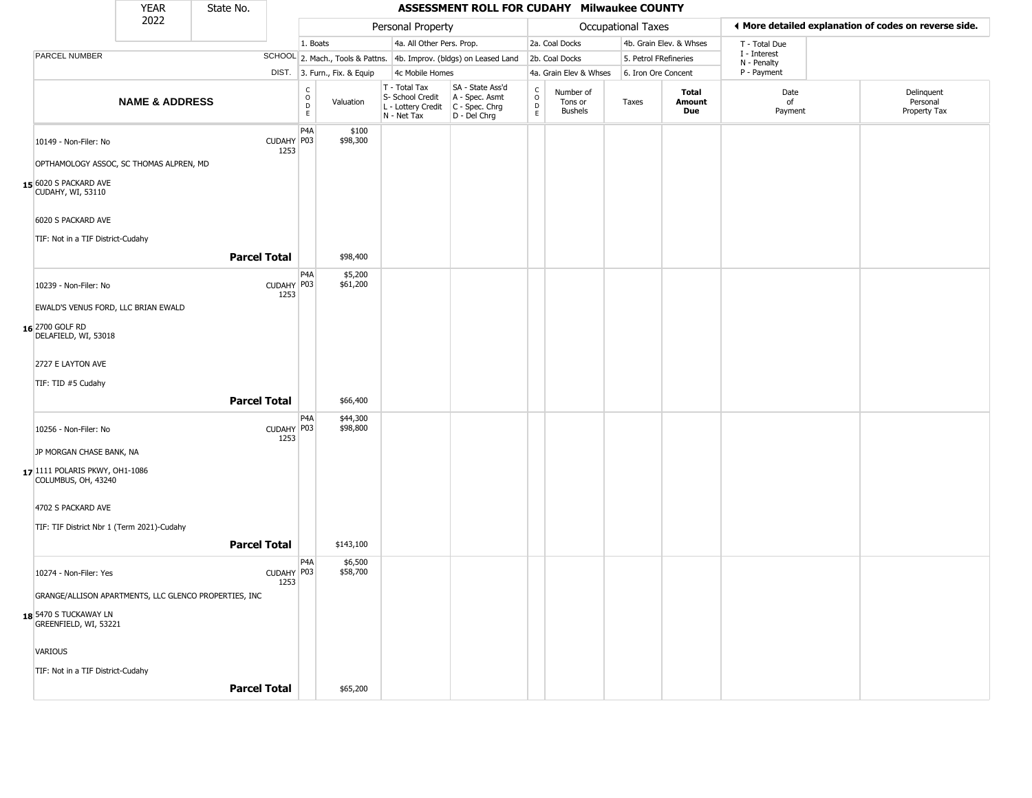|                                                                                              | <b>YEAR</b>               | State No.           |                    |                   |                              |                                                                        | ASSESSMENT ROLL FOR CUDAHY Milwaukee COUNTY                          |                                   |                                        |                       |                         |                            |                                                       |
|----------------------------------------------------------------------------------------------|---------------------------|---------------------|--------------------|-------------------|------------------------------|------------------------------------------------------------------------|----------------------------------------------------------------------|-----------------------------------|----------------------------------------|-----------------------|-------------------------|----------------------------|-------------------------------------------------------|
|                                                                                              | 2022                      |                     |                    |                   |                              | Personal Property                                                      |                                                                      |                                   |                                        | Occupational Taxes    |                         |                            | ♦ More detailed explanation of codes on reverse side. |
|                                                                                              |                           |                     |                    | 1. Boats          |                              | 4a. All Other Pers. Prop.                                              |                                                                      |                                   | 2a. Coal Docks                         |                       | 4b. Grain Elev. & Whses | T - Total Due              |                                                       |
| PARCEL NUMBER                                                                                |                           |                     |                    |                   |                              |                                                                        | SCHOOL 2. Mach., Tools & Pattns. 4b. Improv. (bldgs) on Leased Land  |                                   | 2b. Coal Docks                         | 5. Petrol FRefineries |                         | I - Interest               |                                                       |
|                                                                                              |                           |                     |                    |                   | DIST. 3. Furn., Fix. & Equip | 4c Mobile Homes                                                        |                                                                      |                                   | 4a. Grain Elev & Whses                 | 6. Iron Ore Concent   |                         | N - Penalty<br>P - Payment |                                                       |
|                                                                                              | <b>NAME &amp; ADDRESS</b> |                     |                    | C<br>0<br>D<br>E. | Valuation                    | T - Total Tax<br>S- School Credit<br>L - Lottery Credit<br>N - Net Tax | SA - State Ass'd<br>A - Spec. Asmt<br>C - Spec. Chrg<br>D - Del Chrg | $\mathsf{C}$<br>$\circ$<br>D<br>E | Number of<br>Tons or<br><b>Bushels</b> | Taxes                 | Total<br>Amount<br>Due  | Date<br>of<br>Payment      | Delinquent<br>Personal<br>Property Tax                |
| 10149 - Non-Filer: No                                                                        |                           |                     | CUDAHY P03<br>1253 | P <sub>4</sub> A  | \$100<br>\$98,300            |                                                                        |                                                                      |                                   |                                        |                       |                         |                            |                                                       |
| OPTHAMOLOGY ASSOC, SC THOMAS ALPREN, MD<br>15 6020 S PACKARD AVE<br><b>CUDAHY, WI, 53110</b> |                           |                     |                    |                   |                              |                                                                        |                                                                      |                                   |                                        |                       |                         |                            |                                                       |
| 6020 S PACKARD AVE                                                                           |                           |                     |                    |                   |                              |                                                                        |                                                                      |                                   |                                        |                       |                         |                            |                                                       |
| TIF: Not in a TIF District-Cudahy                                                            |                           | <b>Parcel Total</b> |                    |                   | \$98,400                     |                                                                        |                                                                      |                                   |                                        |                       |                         |                            |                                                       |
| 10239 - Non-Filer: No                                                                        |                           |                     | CUDAHY P03<br>1253 | P4A               | \$5,200<br>\$61,200          |                                                                        |                                                                      |                                   |                                        |                       |                         |                            |                                                       |
| EWALD'S VENUS FORD, LLC BRIAN EWALD                                                          |                           |                     |                    |                   |                              |                                                                        |                                                                      |                                   |                                        |                       |                         |                            |                                                       |
| 16 2700 GOLF RD<br>DELAFIELD, WI, 53018                                                      |                           |                     |                    |                   |                              |                                                                        |                                                                      |                                   |                                        |                       |                         |                            |                                                       |
| 2727 E LAYTON AVE                                                                            |                           |                     |                    |                   |                              |                                                                        |                                                                      |                                   |                                        |                       |                         |                            |                                                       |
| TIF: TID #5 Cudahy                                                                           |                           | <b>Parcel Total</b> |                    |                   | \$66,400                     |                                                                        |                                                                      |                                   |                                        |                       |                         |                            |                                                       |
| 10256 - Non-Filer: No                                                                        |                           |                     | CUDAHY P03<br>1253 | P4A               | \$44,300<br>\$98,800         |                                                                        |                                                                      |                                   |                                        |                       |                         |                            |                                                       |
| JP MORGAN CHASE BANK, NA                                                                     |                           |                     |                    |                   |                              |                                                                        |                                                                      |                                   |                                        |                       |                         |                            |                                                       |
| 17 1111 POLARIS PKWY, OH1-1086<br>COLUMBUS, OH, 43240                                        |                           |                     |                    |                   |                              |                                                                        |                                                                      |                                   |                                        |                       |                         |                            |                                                       |
| 4702 S PACKARD AVE                                                                           |                           |                     |                    |                   |                              |                                                                        |                                                                      |                                   |                                        |                       |                         |                            |                                                       |
| TIF: TIF District Nbr 1 (Term 2021)-Cudahy                                                   |                           | <b>Parcel Total</b> |                    |                   | \$143,100                    |                                                                        |                                                                      |                                   |                                        |                       |                         |                            |                                                       |
| 10274 - Non-Filer: Yes                                                                       |                           |                     | CUDAHY P03         | P4A               | \$6,500<br>\$58,700          |                                                                        |                                                                      |                                   |                                        |                       |                         |                            |                                                       |
| GRANGE/ALLISON APARTMENTS, LLC GLENCO PROPERTIES, INC                                        |                           |                     | 1253               |                   |                              |                                                                        |                                                                      |                                   |                                        |                       |                         |                            |                                                       |
| 18 5470 S TUCKAWAY LN<br>GREENFIELD, WI, 53221                                               |                           |                     |                    |                   |                              |                                                                        |                                                                      |                                   |                                        |                       |                         |                            |                                                       |
| VARIOUS                                                                                      |                           |                     |                    |                   |                              |                                                                        |                                                                      |                                   |                                        |                       |                         |                            |                                                       |
| TIF: Not in a TIF District-Cudahy                                                            |                           | <b>Parcel Total</b> |                    |                   | \$65,200                     |                                                                        |                                                                      |                                   |                                        |                       |                         |                            |                                                       |
|                                                                                              |                           |                     |                    |                   |                              |                                                                        |                                                                      |                                   |                                        |                       |                         |                            |                                                       |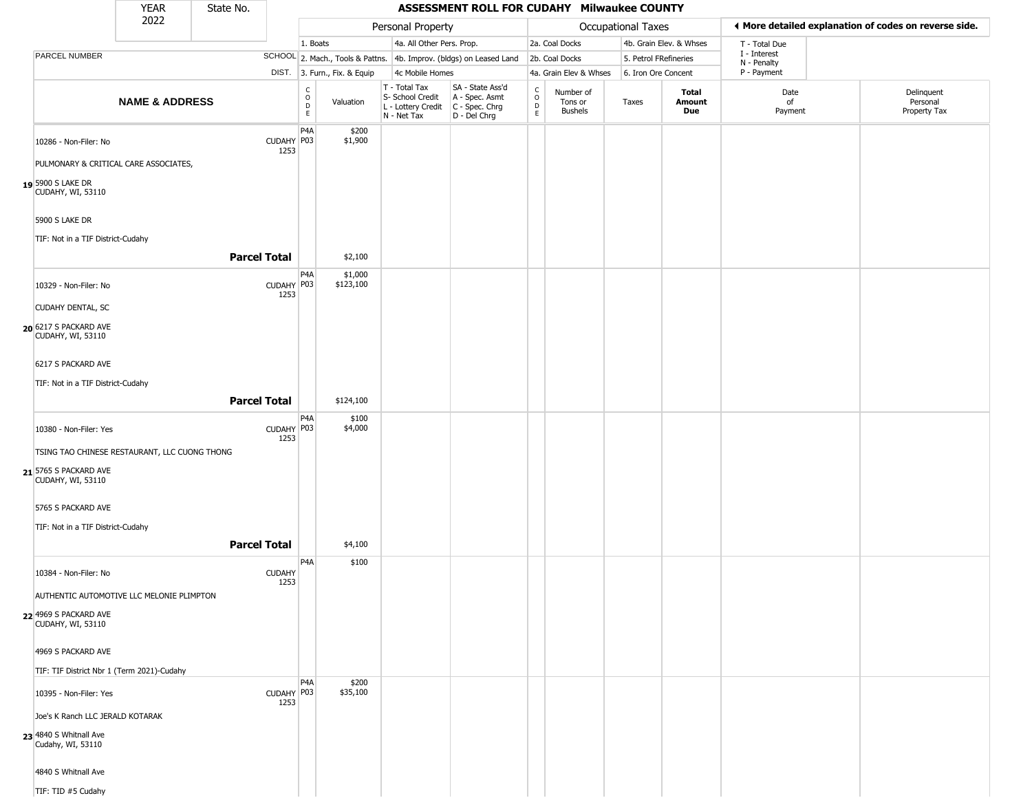|                                             | <b>YEAR</b>                                   | State No.           |                       |                                                 |                              |                                                                                         | ASSESSMENT ROLL FOR CUDAHY Milwaukee COUNTY                         |                                                          |                                 |                       |                         |                             |                                                       |
|---------------------------------------------|-----------------------------------------------|---------------------|-----------------------|-------------------------------------------------|------------------------------|-----------------------------------------------------------------------------------------|---------------------------------------------------------------------|----------------------------------------------------------|---------------------------------|-----------------------|-------------------------|-----------------------------|-------------------------------------------------------|
|                                             | 2022                                          |                     |                       |                                                 |                              | Personal Property                                                                       |                                                                     |                                                          |                                 | Occupational Taxes    |                         |                             | ♦ More detailed explanation of codes on reverse side. |
|                                             |                                               |                     |                       | 1. Boats                                        |                              | 4a. All Other Pers. Prop.                                                               |                                                                     |                                                          | 2a. Coal Docks                  |                       | 4b. Grain Elev. & Whses | T - Total Due               |                                                       |
| PARCEL NUMBER                               |                                               |                     |                       |                                                 |                              |                                                                                         | SCHOOL 2. Mach., Tools & Pattns. 4b. Improv. (bldgs) on Leased Land |                                                          | 2b. Coal Docks                  | 5. Petrol FRefineries |                         | I - Interest<br>N - Penalty |                                                       |
|                                             |                                               |                     |                       |                                                 | DIST. 3. Furn., Fix. & Equip | 4c Mobile Homes                                                                         |                                                                     |                                                          | 4a. Grain Elev & Whses          | 6. Iron Ore Concent   |                         | P - Payment                 |                                                       |
|                                             | <b>NAME &amp; ADDRESS</b>                     |                     |                       | $\begin{array}{c} C \\ O \\ D \\ E \end{array}$ | Valuation                    | T - Total Tax<br>S- School Credit<br>L - Lottery Credit   C - Spec. Chrg<br>N - Net Tax | SA - State Ass'd<br>A - Spec. Asmt<br>D - Del Chrg                  | $\begin{smallmatrix} C \\ O \\ D \end{smallmatrix}$<br>E | Number of<br>Tons or<br>Bushels | Taxes                 | Total<br>Amount<br>Due  | Date<br>of<br>Payment       | Delinquent<br>Personal<br>Property Tax                |
| 10286 - Non-Filer: No                       |                                               |                     | CUDAHY P03<br>1253    | P <sub>4</sub> A                                | \$200<br>\$1,900             |                                                                                         |                                                                     |                                                          |                                 |                       |                         |                             |                                                       |
|                                             | PULMONARY & CRITICAL CARE ASSOCIATES,         |                     |                       |                                                 |                              |                                                                                         |                                                                     |                                                          |                                 |                       |                         |                             |                                                       |
| 19 5900 S LAKE DR<br>CUDAHY, WI, 53110      |                                               |                     |                       |                                                 |                              |                                                                                         |                                                                     |                                                          |                                 |                       |                         |                             |                                                       |
| 5900 S LAKE DR                              |                                               |                     |                       |                                                 |                              |                                                                                         |                                                                     |                                                          |                                 |                       |                         |                             |                                                       |
| TIF: Not in a TIF District-Cudahy           |                                               | <b>Parcel Total</b> |                       |                                                 | \$2,100                      |                                                                                         |                                                                     |                                                          |                                 |                       |                         |                             |                                                       |
| 10329 - Non-Filer: No                       |                                               |                     | CUDAHY P03<br>1253    | P <sub>4</sub> A                                | \$1,000<br>\$123,100         |                                                                                         |                                                                     |                                                          |                                 |                       |                         |                             |                                                       |
| <b>CUDAHY DENTAL, SC</b>                    |                                               |                     |                       |                                                 |                              |                                                                                         |                                                                     |                                                          |                                 |                       |                         |                             |                                                       |
| 20 6217 S PACKARD AVE<br>CUDAHY, WI, 53110  |                                               |                     |                       |                                                 |                              |                                                                                         |                                                                     |                                                          |                                 |                       |                         |                             |                                                       |
| 6217 S PACKARD AVE                          |                                               |                     |                       |                                                 |                              |                                                                                         |                                                                     |                                                          |                                 |                       |                         |                             |                                                       |
| TIF: Not in a TIF District-Cudahy           |                                               |                     |                       |                                                 |                              |                                                                                         |                                                                     |                                                          |                                 |                       |                         |                             |                                                       |
|                                             |                                               | <b>Parcel Total</b> |                       |                                                 | \$124,100                    |                                                                                         |                                                                     |                                                          |                                 |                       |                         |                             |                                                       |
| 10380 - Non-Filer: Yes                      |                                               |                     | CUDAHY P03<br>1253    | P <sub>4</sub> A                                | \$100<br>\$4,000             |                                                                                         |                                                                     |                                                          |                                 |                       |                         |                             |                                                       |
|                                             | TSING TAO CHINESE RESTAURANT, LLC CUONG THONG |                     |                       |                                                 |                              |                                                                                         |                                                                     |                                                          |                                 |                       |                         |                             |                                                       |
| 21 5765 S PACKARD AVE<br>CUDAHY, WI, 53110  |                                               |                     |                       |                                                 |                              |                                                                                         |                                                                     |                                                          |                                 |                       |                         |                             |                                                       |
| 5765 S PACKARD AVE                          |                                               |                     |                       |                                                 |                              |                                                                                         |                                                                     |                                                          |                                 |                       |                         |                             |                                                       |
| TIF: Not in a TIF District-Cudahy           |                                               |                     |                       |                                                 |                              |                                                                                         |                                                                     |                                                          |                                 |                       |                         |                             |                                                       |
|                                             |                                               | <b>Parcel Total</b> |                       |                                                 | \$4,100                      |                                                                                         |                                                                     |                                                          |                                 |                       |                         |                             |                                                       |
| 10384 - Non-Filer: No                       |                                               |                     | <b>CUDAHY</b><br>1253 | P <sub>4</sub> A                                | \$100                        |                                                                                         |                                                                     |                                                          |                                 |                       |                         |                             |                                                       |
|                                             | AUTHENTIC AUTOMOTIVE LLC MELONIE PLIMPTON     |                     |                       |                                                 |                              |                                                                                         |                                                                     |                                                          |                                 |                       |                         |                             |                                                       |
| 22 4969 S PACKARD AVE<br>CUDAHY, WI, 53110  |                                               |                     |                       |                                                 |                              |                                                                                         |                                                                     |                                                          |                                 |                       |                         |                             |                                                       |
| 4969 S PACKARD AVE                          |                                               |                     |                       |                                                 |                              |                                                                                         |                                                                     |                                                          |                                 |                       |                         |                             |                                                       |
| TIF: TIF District Nbr 1 (Term 2021)-Cudahy  |                                               |                     |                       | P <sub>4</sub> A                                | \$200                        |                                                                                         |                                                                     |                                                          |                                 |                       |                         |                             |                                                       |
| 10395 - Non-Filer: Yes                      |                                               |                     | CUDAHY P03<br>1253    |                                                 | \$35,100                     |                                                                                         |                                                                     |                                                          |                                 |                       |                         |                             |                                                       |
| Joe's K Ranch LLC JERALD KOTARAK            |                                               |                     |                       |                                                 |                              |                                                                                         |                                                                     |                                                          |                                 |                       |                         |                             |                                                       |
| 23 4840 S Whitnall Ave<br>Cudahy, WI, 53110 |                                               |                     |                       |                                                 |                              |                                                                                         |                                                                     |                                                          |                                 |                       |                         |                             |                                                       |
| 4840 S Whitnall Ave                         |                                               |                     |                       |                                                 |                              |                                                                                         |                                                                     |                                                          |                                 |                       |                         |                             |                                                       |
| TIF: TID #5 Cudahy                          |                                               |                     |                       |                                                 |                              |                                                                                         |                                                                     |                                                          |                                 |                       |                         |                             |                                                       |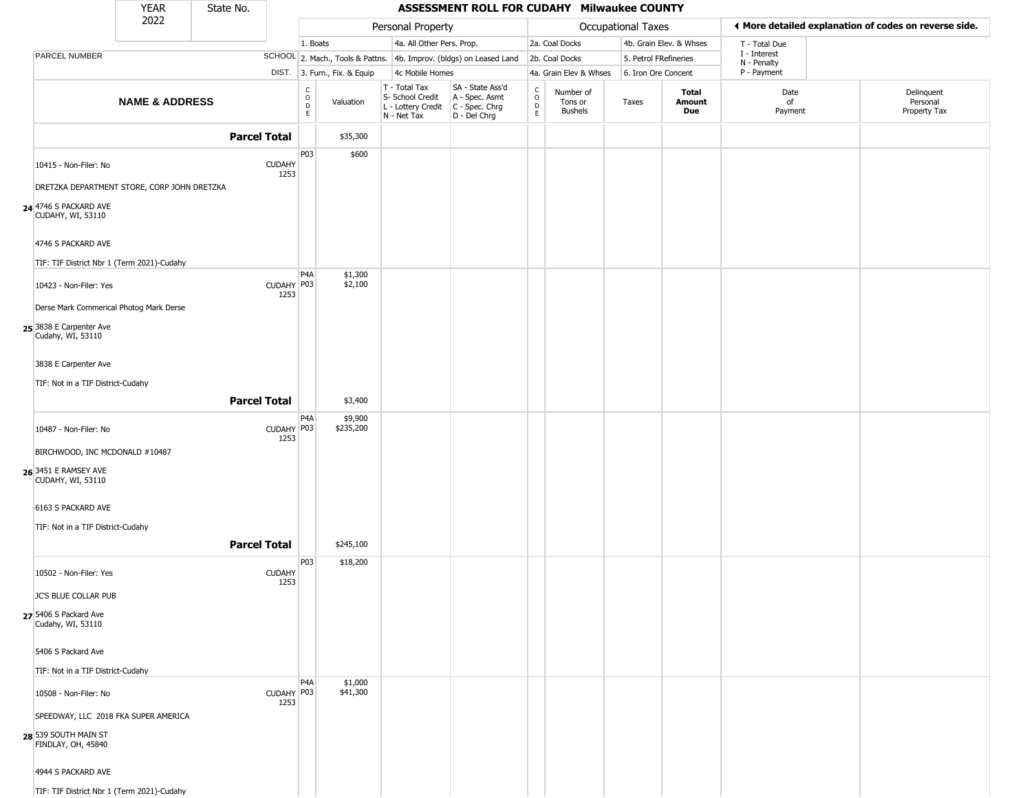|                                              | <b>YEAR</b>               | State No.             |                                                |                              |                                                                                         | ASSESSMENT ROLL FOR CUDAHY Milwaukee COUNTY                         |                         |                                 |                       |                         |                             |                                                        |
|----------------------------------------------|---------------------------|-----------------------|------------------------------------------------|------------------------------|-----------------------------------------------------------------------------------------|---------------------------------------------------------------------|-------------------------|---------------------------------|-----------------------|-------------------------|-----------------------------|--------------------------------------------------------|
|                                              | 2022                      |                       |                                                |                              | Personal Property                                                                       |                                                                     |                         |                                 | Occupational Taxes    |                         |                             | If More detailed explanation of codes on reverse side. |
|                                              |                           |                       | 1. Boats                                       |                              | 4a. All Other Pers. Prop.                                                               |                                                                     |                         | 2a. Coal Docks                  |                       | 4b. Grain Elev. & Whses | T - Total Due               |                                                        |
| PARCEL NUMBER                                |                           |                       |                                                |                              |                                                                                         | SCHOOL 2. Mach., Tools & Pattns. 4b. Improv. (bldgs) on Leased Land |                         | 2b. Coal Docks                  | 5. Petrol FRefineries |                         | I - Interest<br>N - Penalty |                                                        |
|                                              |                           |                       |                                                | DIST. 3. Furn., Fix. & Equip | 4c Mobile Homes                                                                         |                                                                     |                         | 4a. Grain Elev & Whses          | 6. Iron Ore Concent   |                         | P - Payment                 |                                                        |
|                                              | <b>NAME &amp; ADDRESS</b> |                       | $\begin{matrix} 0 \\ 0 \\ D \end{matrix}$<br>E | Valuation                    | T - Total Tax<br>S- School Credit<br>L - Lottery Credit   C - Spec. Chrg<br>N - Net Tax | SA - State Ass'd<br>A - Spec. Asmt<br>D - Del Chrg                  | C<br>$\circ$<br>D<br>E. | Number of<br>Tons or<br>Bushels | Taxes                 | Total<br>Amount<br>Due  | Date<br>of<br>Payment       | Delinquent<br>Personal<br>Property Tax                 |
|                                              |                           | <b>Parcel Total</b>   |                                                | \$35,300                     |                                                                                         |                                                                     |                         |                                 |                       |                         |                             |                                                        |
|                                              |                           |                       | P03                                            | \$600                        |                                                                                         |                                                                     |                         |                                 |                       |                         |                             |                                                        |
| 10415 - Non-Filer: No                        |                           | <b>CUDAHY</b><br>1253 |                                                |                              |                                                                                         |                                                                     |                         |                                 |                       |                         |                             |                                                        |
| DRETZKA DEPARTMENT STORE, CORP JOHN DRETZKA  |                           |                       |                                                |                              |                                                                                         |                                                                     |                         |                                 |                       |                         |                             |                                                        |
| 24 4746 S PACKARD AVE<br>CUDAHY, WI, 53110   |                           |                       |                                                |                              |                                                                                         |                                                                     |                         |                                 |                       |                         |                             |                                                        |
| 4746 S PACKARD AVE                           |                           |                       |                                                |                              |                                                                                         |                                                                     |                         |                                 |                       |                         |                             |                                                        |
| TIF: TIF District Nbr 1 (Term 2021)-Cudahy   |                           |                       |                                                |                              |                                                                                         |                                                                     |                         |                                 |                       |                         |                             |                                                        |
| 10423 - Non-Filer: Yes                       |                           | CUDAHY P03<br>1253    | P <sub>4</sub> A                               | \$1,300<br>\$2,100           |                                                                                         |                                                                     |                         |                                 |                       |                         |                             |                                                        |
| Derse Mark Commerical Photog Mark Derse      |                           |                       |                                                |                              |                                                                                         |                                                                     |                         |                                 |                       |                         |                             |                                                        |
| 25 3838 E Carpenter Ave<br>Cudahy, WI, 53110 |                           |                       |                                                |                              |                                                                                         |                                                                     |                         |                                 |                       |                         |                             |                                                        |
| 3838 E Carpenter Ave                         |                           |                       |                                                |                              |                                                                                         |                                                                     |                         |                                 |                       |                         |                             |                                                        |
| TIF: Not in a TIF District-Cudahy            |                           |                       |                                                |                              |                                                                                         |                                                                     |                         |                                 |                       |                         |                             |                                                        |
|                                              |                           | <b>Parcel Total</b>   |                                                | \$3,400                      |                                                                                         |                                                                     |                         |                                 |                       |                         |                             |                                                        |
|                                              |                           |                       | P <sub>4</sub> A                               | \$9,900                      |                                                                                         |                                                                     |                         |                                 |                       |                         |                             |                                                        |
| 10487 - Non-Filer: No                        |                           | CUDAHY P03<br>1253    |                                                | \$235,200                    |                                                                                         |                                                                     |                         |                                 |                       |                         |                             |                                                        |
| BIRCHWOOD, INC MCDONALD #10487               |                           |                       |                                                |                              |                                                                                         |                                                                     |                         |                                 |                       |                         |                             |                                                        |
| 26 3451 E RAMSEY AVE<br>CUDAHY, WI, 53110    |                           |                       |                                                |                              |                                                                                         |                                                                     |                         |                                 |                       |                         |                             |                                                        |
| 6163 S PACKARD AVE                           |                           |                       |                                                |                              |                                                                                         |                                                                     |                         |                                 |                       |                         |                             |                                                        |
| TIF: Not in a TIF District-Cudahy            |                           |                       |                                                |                              |                                                                                         |                                                                     |                         |                                 |                       |                         |                             |                                                        |
|                                              |                           | <b>Parcel Total</b>   |                                                | \$245,100                    |                                                                                         |                                                                     |                         |                                 |                       |                         |                             |                                                        |
| 10502 - Non-Filer: Yes                       |                           | <b>CUDAHY</b><br>1253 | P03                                            | \$18,200                     |                                                                                         |                                                                     |                         |                                 |                       |                         |                             |                                                        |
| JC'S BLUE COLLAR PUB                         |                           |                       |                                                |                              |                                                                                         |                                                                     |                         |                                 |                       |                         |                             |                                                        |
| 27 5406 S Packard Ave<br>Cudahy, WI, 53110   |                           |                       |                                                |                              |                                                                                         |                                                                     |                         |                                 |                       |                         |                             |                                                        |
| 5406 S Packard Ave                           |                           |                       |                                                |                              |                                                                                         |                                                                     |                         |                                 |                       |                         |                             |                                                        |
| TIF: Not in a TIF District-Cudahy            |                           |                       |                                                |                              |                                                                                         |                                                                     |                         |                                 |                       |                         |                             |                                                        |
| 10508 - Non-Filer: No                        |                           | CUDAHY P03<br>1253    | P <sub>4</sub> A                               | \$1,000<br>\$41,300          |                                                                                         |                                                                     |                         |                                 |                       |                         |                             |                                                        |
| SPEEDWAY, LLC 2018 FKA SUPER AMERICA         |                           |                       |                                                |                              |                                                                                         |                                                                     |                         |                                 |                       |                         |                             |                                                        |
| 28 539 SOUTH MAIN ST<br>FINDLAY, OH, 45840   |                           |                       |                                                |                              |                                                                                         |                                                                     |                         |                                 |                       |                         |                             |                                                        |
| 4944 S PACKARD AVE                           |                           |                       |                                                |                              |                                                                                         |                                                                     |                         |                                 |                       |                         |                             |                                                        |
| TIF: TIF District Nbr 1 (Term 2021)-Cudahy   |                           |                       |                                                |                              |                                                                                         |                                                                     |                         |                                 |                       |                         |                             |                                                        |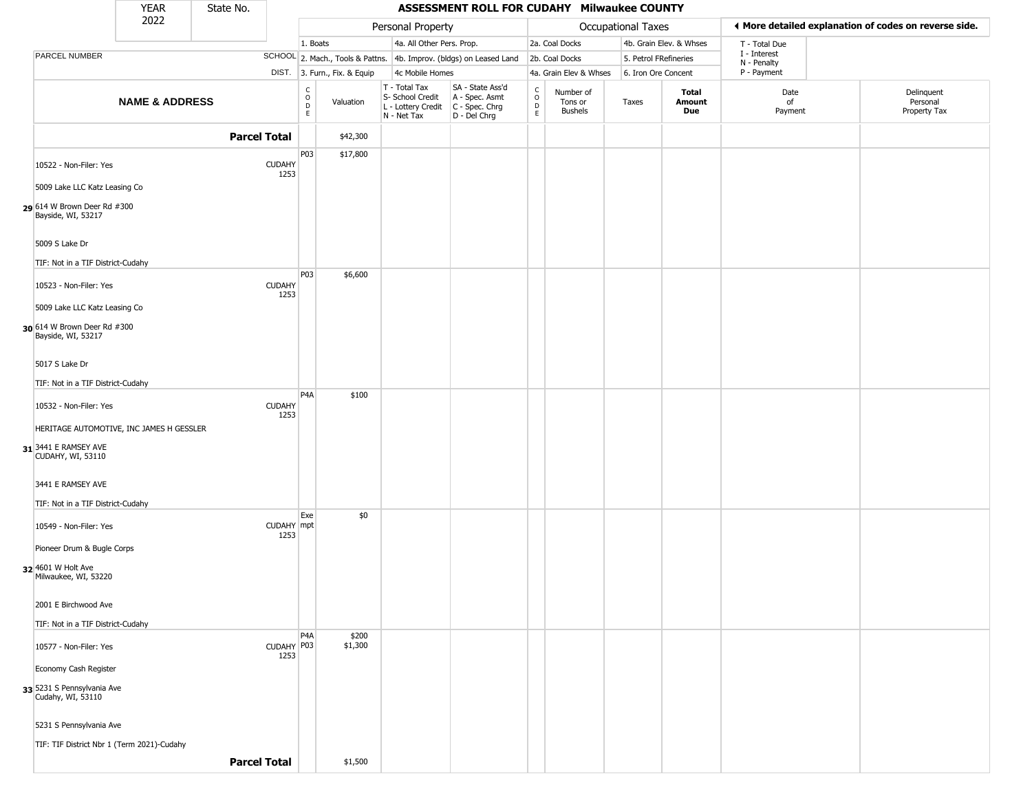|                                                         | <b>YEAR</b>                                | State No.           |                       |                                                          |                              |                                                                        | ASSESSMENT ROLL FOR CUDAHY Milwaukee COUNTY                          |                                                          |                                        |                    |                         |                             |                                                       |
|---------------------------------------------------------|--------------------------------------------|---------------------|-----------------------|----------------------------------------------------------|------------------------------|------------------------------------------------------------------------|----------------------------------------------------------------------|----------------------------------------------------------|----------------------------------------|--------------------|-------------------------|-----------------------------|-------------------------------------------------------|
|                                                         | 2022                                       |                     |                       |                                                          |                              | Personal Property                                                      |                                                                      |                                                          |                                        | Occupational Taxes |                         |                             | ♦ More detailed explanation of codes on reverse side. |
|                                                         |                                            |                     |                       | 1. Boats                                                 |                              | 4a. All Other Pers. Prop.                                              |                                                                      |                                                          | 2a. Coal Docks                         |                    | 4b. Grain Elev. & Whses | T - Total Due               |                                                       |
| PARCEL NUMBER                                           |                                            |                     |                       |                                                          |                              |                                                                        | SCHOOL 2. Mach., Tools & Pattns. 4b. Improv. (bldgs) on Leased Land  |                                                          | 2b. Coal Docks                         |                    | 5. Petrol FRefineries   | I - Interest<br>N - Penalty |                                                       |
|                                                         |                                            |                     |                       |                                                          | DIST. 3. Furn., Fix. & Equip | 4c Mobile Homes                                                        |                                                                      |                                                          | 4a. Grain Elev & Whses                 |                    | 6. Iron Ore Concent     | P - Payment                 |                                                       |
|                                                         | <b>NAME &amp; ADDRESS</b>                  |                     |                       | $\begin{matrix} 0 \\ 0 \\ D \end{matrix}$<br>$\mathsf E$ | Valuation                    | T - Total Tax<br>S- School Credit<br>L - Lottery Credit<br>N - Net Tax | SA - State Ass'd<br>A - Spec. Asmt<br>C - Spec. Chrg<br>D - Del Chrg | $\begin{matrix} 0 \\ 0 \\ D \end{matrix}$<br>$\mathsf E$ | Number of<br>Tons or<br><b>Bushels</b> | Taxes              | Total<br>Amount<br>Due  | Date<br>of<br>Payment       | Delinquent<br>Personal<br>Property Tax                |
|                                                         |                                            | <b>Parcel Total</b> |                       |                                                          | \$42,300                     |                                                                        |                                                                      |                                                          |                                        |                    |                         |                             |                                                       |
| 10522 - Non-Filer: Yes                                  |                                            |                     | <b>CUDAHY</b><br>1253 | P03                                                      | \$17,800                     |                                                                        |                                                                      |                                                          |                                        |                    |                         |                             |                                                       |
| 5009 Lake LLC Katz Leasing Co                           |                                            |                     |                       |                                                          |                              |                                                                        |                                                                      |                                                          |                                        |                    |                         |                             |                                                       |
| 29 614 W Brown Deer Rd #300<br>Bayside, WI, 53217       |                                            |                     |                       |                                                          |                              |                                                                        |                                                                      |                                                          |                                        |                    |                         |                             |                                                       |
| 5009 S Lake Dr<br>TIF: Not in a TIF District-Cudahy     |                                            |                     |                       |                                                          |                              |                                                                        |                                                                      |                                                          |                                        |                    |                         |                             |                                                       |
|                                                         |                                            |                     |                       | P03                                                      | \$6,600                      |                                                                        |                                                                      |                                                          |                                        |                    |                         |                             |                                                       |
| 10523 - Non-Filer: Yes<br>5009 Lake LLC Katz Leasing Co |                                            |                     | <b>CUDAHY</b><br>1253 |                                                          |                              |                                                                        |                                                                      |                                                          |                                        |                    |                         |                             |                                                       |
| 30 614 W Brown Deer Rd #300<br>Bayside, WI, 53217       |                                            |                     |                       |                                                          |                              |                                                                        |                                                                      |                                                          |                                        |                    |                         |                             |                                                       |
| 5017 S Lake Dr                                          |                                            |                     |                       |                                                          |                              |                                                                        |                                                                      |                                                          |                                        |                    |                         |                             |                                                       |
| TIF: Not in a TIF District-Cudahy                       |                                            |                     |                       |                                                          |                              |                                                                        |                                                                      |                                                          |                                        |                    |                         |                             |                                                       |
| 10532 - Non-Filer: Yes                                  |                                            |                     | <b>CUDAHY</b><br>1253 | P <sub>4</sub> A                                         | \$100                        |                                                                        |                                                                      |                                                          |                                        |                    |                         |                             |                                                       |
|                                                         | HERITAGE AUTOMOTIVE, INC JAMES H GESSLER   |                     |                       |                                                          |                              |                                                                        |                                                                      |                                                          |                                        |                    |                         |                             |                                                       |
| 31 3441 E RAMSEY AVE<br>CUDAHY, WI, 53110               |                                            |                     |                       |                                                          |                              |                                                                        |                                                                      |                                                          |                                        |                    |                         |                             |                                                       |
| 3441 E RAMSEY AVE                                       |                                            |                     |                       |                                                          |                              |                                                                        |                                                                      |                                                          |                                        |                    |                         |                             |                                                       |
| TIF: Not in a TIF District-Cudahy                       |                                            |                     |                       |                                                          |                              |                                                                        |                                                                      |                                                          |                                        |                    |                         |                             |                                                       |
| 10549 - Non-Filer: Yes                                  |                                            |                     | CUDAHY mpt<br>1253    | Exe                                                      | \$0                          |                                                                        |                                                                      |                                                          |                                        |                    |                         |                             |                                                       |
| Pioneer Drum & Bugle Corps                              |                                            |                     |                       |                                                          |                              |                                                                        |                                                                      |                                                          |                                        |                    |                         |                             |                                                       |
| 32 4601 W Holt Ave<br>Milwaukee, WI, 53220              |                                            |                     |                       |                                                          |                              |                                                                        |                                                                      |                                                          |                                        |                    |                         |                             |                                                       |
| 2001 E Birchwood Ave                                    |                                            |                     |                       |                                                          |                              |                                                                        |                                                                      |                                                          |                                        |                    |                         |                             |                                                       |
| TIF: Not in a TIF District-Cudahy                       |                                            |                     |                       |                                                          |                              |                                                                        |                                                                      |                                                          |                                        |                    |                         |                             |                                                       |
| 10577 - Non-Filer: Yes                                  |                                            |                     | CUDAHY P03<br>1253    | P <sub>4</sub> A                                         | \$200<br>\$1,300             |                                                                        |                                                                      |                                                          |                                        |                    |                         |                             |                                                       |
| Economy Cash Register                                   |                                            |                     |                       |                                                          |                              |                                                                        |                                                                      |                                                          |                                        |                    |                         |                             |                                                       |
| 33 5231 S Pennsylvania Ave<br>Cudahy, WI, 53110         |                                            |                     |                       |                                                          |                              |                                                                        |                                                                      |                                                          |                                        |                    |                         |                             |                                                       |
| 5231 S Pennsylvania Ave                                 |                                            |                     |                       |                                                          |                              |                                                                        |                                                                      |                                                          |                                        |                    |                         |                             |                                                       |
|                                                         | TIF: TIF District Nbr 1 (Term 2021)-Cudahy |                     |                       |                                                          |                              |                                                                        |                                                                      |                                                          |                                        |                    |                         |                             |                                                       |
|                                                         |                                            | <b>Parcel Total</b> |                       |                                                          | \$1,500                      |                                                                        |                                                                      |                                                          |                                        |                    |                         |                             |                                                       |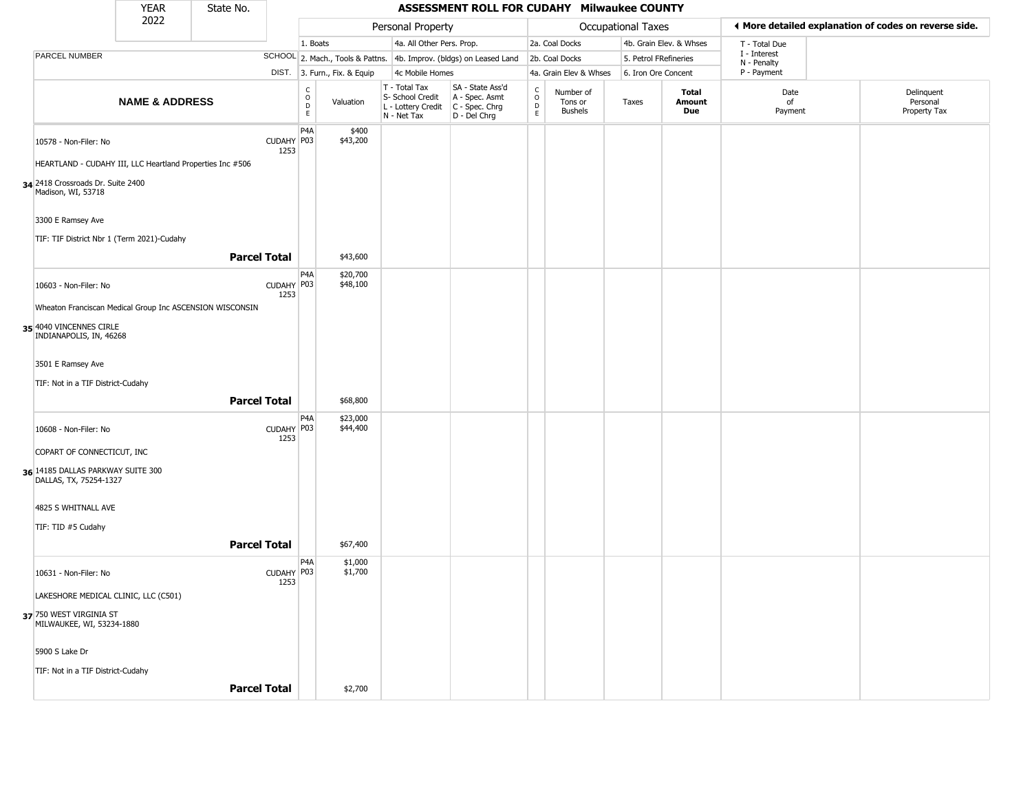|                                                             | <b>YEAR</b>                                               | State No. |                     |                                   |                              |                                                                        | ASSESSMENT ROLL FOR CUDAHY Milwaukee COUNTY                            |                                    |                                        |                    |                         |                             |                                                       |
|-------------------------------------------------------------|-----------------------------------------------------------|-----------|---------------------|-----------------------------------|------------------------------|------------------------------------------------------------------------|------------------------------------------------------------------------|------------------------------------|----------------------------------------|--------------------|-------------------------|-----------------------------|-------------------------------------------------------|
|                                                             | 2022                                                      |           |                     |                                   |                              | Personal Property                                                      |                                                                        |                                    |                                        | Occupational Taxes |                         |                             | ◀ More detailed explanation of codes on reverse side. |
|                                                             |                                                           |           |                     | 1. Boats                          |                              | 4a. All Other Pers. Prop.                                              |                                                                        |                                    | 2a. Coal Docks                         |                    | 4b. Grain Elev. & Whses | T - Total Due               |                                                       |
| PARCEL NUMBER                                               |                                                           |           |                     |                                   |                              |                                                                        | SCHOOL 2. Mach., Tools & Pattns. 4b. Improv. (bldgs) on Leased Land    |                                    | 2b. Coal Docks                         |                    | 5. Petrol FRefineries   | I - Interest<br>N - Penalty |                                                       |
|                                                             |                                                           |           |                     |                                   | DIST. 3. Furn., Fix. & Equip | 4c Mobile Homes                                                        |                                                                        |                                    | 4a. Grain Elev & Whses                 |                    | 6. Iron Ore Concent     | P - Payment                 |                                                       |
|                                                             | <b>NAME &amp; ADDRESS</b>                                 |           |                     | $\frac{c}{0}$<br>$\mathsf D$<br>E | Valuation                    | T - Total Tax<br>S- School Credit<br>L - Lottery Credit<br>N - Net Tax | SA - State Ass'd<br>A - Spec. Asmt<br>$C - Spec. Chrg$<br>D - Del Chrg | $\int_{0}^{c}$<br>$\mathsf D$<br>E | Number of<br>Tons or<br><b>Bushels</b> | Taxes              | Total<br>Amount<br>Due  | Date<br>of<br>Payment       | Delinquent<br>Personal<br>Property Tax                |
| 10578 - Non-Filer: No                                       |                                                           |           | CUDAHY P03<br>1253  | P <sub>4</sub> A                  | \$400<br>\$43,200            |                                                                        |                                                                        |                                    |                                        |                    |                         |                             |                                                       |
|                                                             | HEARTLAND - CUDAHY III, LLC Heartland Properties Inc #506 |           |                     |                                   |                              |                                                                        |                                                                        |                                    |                                        |                    |                         |                             |                                                       |
| 34 2418 Crossroads Dr. Suite 2400<br>Madison, WI, 53718     |                                                           |           |                     |                                   |                              |                                                                        |                                                                        |                                    |                                        |                    |                         |                             |                                                       |
| 3300 E Ramsey Ave                                           |                                                           |           |                     |                                   |                              |                                                                        |                                                                        |                                    |                                        |                    |                         |                             |                                                       |
|                                                             | TIF: TIF District Nbr 1 (Term 2021)-Cudahy                |           |                     |                                   |                              |                                                                        |                                                                        |                                    |                                        |                    |                         |                             |                                                       |
|                                                             |                                                           |           | <b>Parcel Total</b> |                                   | \$43,600                     |                                                                        |                                                                        |                                    |                                        |                    |                         |                             |                                                       |
| 10603 - Non-Filer: No                                       |                                                           |           | CUDAHY P03<br>1253  | P4A                               | \$20,700<br>\$48,100         |                                                                        |                                                                        |                                    |                                        |                    |                         |                             |                                                       |
|                                                             | Wheaton Franciscan Medical Group Inc ASCENSION WISCONSIN  |           |                     |                                   |                              |                                                                        |                                                                        |                                    |                                        |                    |                         |                             |                                                       |
| 35 4040 VINCENNES CIRLE<br>INDIANAPOLIS, IN, 46268          |                                                           |           |                     |                                   |                              |                                                                        |                                                                        |                                    |                                        |                    |                         |                             |                                                       |
| 3501 E Ramsey Ave                                           |                                                           |           |                     |                                   |                              |                                                                        |                                                                        |                                    |                                        |                    |                         |                             |                                                       |
| TIF: Not in a TIF District-Cudahy                           |                                                           |           |                     |                                   |                              |                                                                        |                                                                        |                                    |                                        |                    |                         |                             |                                                       |
|                                                             |                                                           |           | <b>Parcel Total</b> |                                   | \$68,800                     |                                                                        |                                                                        |                                    |                                        |                    |                         |                             |                                                       |
| 10608 - Non-Filer: No                                       |                                                           |           | CUDAHY P03<br>1253  | P4A                               | \$23,000<br>\$44,400         |                                                                        |                                                                        |                                    |                                        |                    |                         |                             |                                                       |
| COPART OF CONNECTICUT, INC                                  |                                                           |           |                     |                                   |                              |                                                                        |                                                                        |                                    |                                        |                    |                         |                             |                                                       |
| 36 14185 DALLAS PARKWAY SUITE 300<br>DALLAS, TX, 75254-1327 |                                                           |           |                     |                                   |                              |                                                                        |                                                                        |                                    |                                        |                    |                         |                             |                                                       |
| 4825 S WHITNALL AVE                                         |                                                           |           |                     |                                   |                              |                                                                        |                                                                        |                                    |                                        |                    |                         |                             |                                                       |
| TIF: TID #5 Cudahy                                          |                                                           |           |                     |                                   |                              |                                                                        |                                                                        |                                    |                                        |                    |                         |                             |                                                       |
|                                                             |                                                           |           | <b>Parcel Total</b> |                                   | \$67,400                     |                                                                        |                                                                        |                                    |                                        |                    |                         |                             |                                                       |
|                                                             |                                                           |           |                     | P4A                               | \$1,000                      |                                                                        |                                                                        |                                    |                                        |                    |                         |                             |                                                       |
| 10631 - Non-Filer: No                                       |                                                           |           | CUDAHY P03<br>1253  |                                   | \$1,700                      |                                                                        |                                                                        |                                    |                                        |                    |                         |                             |                                                       |
|                                                             | LAKESHORE MEDICAL CLINIC, LLC (C501)                      |           |                     |                                   |                              |                                                                        |                                                                        |                                    |                                        |                    |                         |                             |                                                       |
| 37 750 WEST VIRGINIA ST<br>MILWAUKEE, WI, 53234-1880        |                                                           |           |                     |                                   |                              |                                                                        |                                                                        |                                    |                                        |                    |                         |                             |                                                       |
| 5900 S Lake Dr                                              |                                                           |           |                     |                                   |                              |                                                                        |                                                                        |                                    |                                        |                    |                         |                             |                                                       |
| TIF: Not in a TIF District-Cudahy                           |                                                           |           |                     |                                   |                              |                                                                        |                                                                        |                                    |                                        |                    |                         |                             |                                                       |
|                                                             |                                                           |           | <b>Parcel Total</b> |                                   | \$2,700                      |                                                                        |                                                                        |                                    |                                        |                    |                         |                             |                                                       |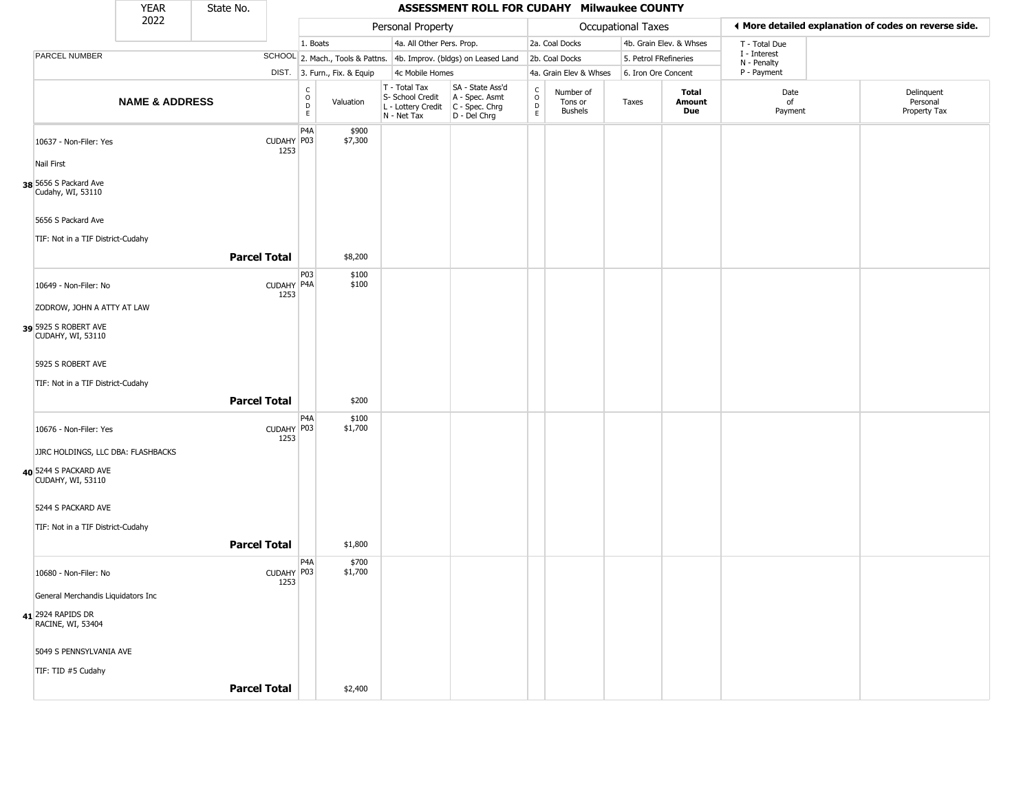|                                            | <b>YEAR</b>               | State No.           |                    |                                                |                              |                                                                                         | ASSESSMENT ROLL FOR CUDAHY Milwaukee COUNTY                         |                                        |                                 |                       |                         |                             |                                                       |  |
|--------------------------------------------|---------------------------|---------------------|--------------------|------------------------------------------------|------------------------------|-----------------------------------------------------------------------------------------|---------------------------------------------------------------------|----------------------------------------|---------------------------------|-----------------------|-------------------------|-----------------------------|-------------------------------------------------------|--|
|                                            | 2022                      |                     |                    |                                                |                              | Personal Property                                                                       |                                                                     |                                        |                                 | Occupational Taxes    |                         |                             | ◀ More detailed explanation of codes on reverse side. |  |
|                                            |                           |                     |                    | 1. Boats                                       |                              | 4a. All Other Pers. Prop.                                                               |                                                                     |                                        | 2a. Coal Docks                  |                       | 4b. Grain Elev. & Whses | T - Total Due               |                                                       |  |
| PARCEL NUMBER                              |                           |                     |                    |                                                |                              |                                                                                         | SCHOOL 2. Mach., Tools & Pattns. 4b. Improv. (bldgs) on Leased Land |                                        | 2b. Coal Docks                  | 5. Petrol FRefineries |                         | I - Interest<br>N - Penalty |                                                       |  |
|                                            |                           |                     |                    |                                                | DIST. 3. Furn., Fix. & Equip | 4c Mobile Homes                                                                         |                                                                     |                                        | 4a. Grain Elev & Whses          | 6. Iron Ore Concent   |                         | P - Payment                 |                                                       |  |
|                                            | <b>NAME &amp; ADDRESS</b> |                     |                    | $\begin{matrix} 0 \\ 0 \\ D \end{matrix}$<br>E | Valuation                    | T - Total Tax<br>S- School Credit<br>L - Lottery Credit   C - Spec. Chrg<br>N - Net Tax | SA - State Ass'd<br>A - Spec. Asmt<br>D - Del Chrg                  | $_{\rm o}^{\rm c}$<br>$\mathsf D$<br>E | Number of<br>Tons or<br>Bushels | Taxes                 | Total<br>Amount<br>Due  | Date<br>of<br>Payment       | Delinquent<br>Personal<br>Property Tax                |  |
| 10637 - Non-Filer: Yes                     |                           |                     | CUDAHY P03<br>1253 | P <sub>4</sub> A                               | \$900<br>\$7,300             |                                                                                         |                                                                     |                                        |                                 |                       |                         |                             |                                                       |  |
| Nail First                                 |                           |                     |                    |                                                |                              |                                                                                         |                                                                     |                                        |                                 |                       |                         |                             |                                                       |  |
| 38 5656 S Packard Ave<br>Cudahy, WI, 53110 |                           |                     |                    |                                                |                              |                                                                                         |                                                                     |                                        |                                 |                       |                         |                             |                                                       |  |
| 5656 S Packard Ave                         |                           |                     |                    |                                                |                              |                                                                                         |                                                                     |                                        |                                 |                       |                         |                             |                                                       |  |
| TIF: Not in a TIF District-Cudahy          |                           |                     |                    |                                                |                              |                                                                                         |                                                                     |                                        |                                 |                       |                         |                             |                                                       |  |
|                                            |                           | <b>Parcel Total</b> |                    |                                                | \$8,200                      |                                                                                         |                                                                     |                                        |                                 |                       |                         |                             |                                                       |  |
| 10649 - Non-Filer: No                      |                           |                     | CUDAHY P4A<br>1253 | P03                                            | \$100<br>\$100               |                                                                                         |                                                                     |                                        |                                 |                       |                         |                             |                                                       |  |
| ZODROW, JOHN A ATTY AT LAW                 |                           |                     |                    |                                                |                              |                                                                                         |                                                                     |                                        |                                 |                       |                         |                             |                                                       |  |
| 39 5925 S ROBERT AVE<br>CUDAHY, WI, 53110  |                           |                     |                    |                                                |                              |                                                                                         |                                                                     |                                        |                                 |                       |                         |                             |                                                       |  |
| 5925 S ROBERT AVE                          |                           |                     |                    |                                                |                              |                                                                                         |                                                                     |                                        |                                 |                       |                         |                             |                                                       |  |
| TIF: Not in a TIF District-Cudahy          |                           | <b>Parcel Total</b> |                    |                                                | \$200                        |                                                                                         |                                                                     |                                        |                                 |                       |                         |                             |                                                       |  |
|                                            |                           |                     |                    | P4A                                            | \$100                        |                                                                                         |                                                                     |                                        |                                 |                       |                         |                             |                                                       |  |
| 10676 - Non-Filer: Yes                     |                           |                     | CUDAHY P03<br>1253 |                                                | \$1,700                      |                                                                                         |                                                                     |                                        |                                 |                       |                         |                             |                                                       |  |
| JJRC HOLDINGS, LLC DBA: FLASHBACKS         |                           |                     |                    |                                                |                              |                                                                                         |                                                                     |                                        |                                 |                       |                         |                             |                                                       |  |
| 40 5244 S PACKARD AVE<br>CUDAHY, WI, 53110 |                           |                     |                    |                                                |                              |                                                                                         |                                                                     |                                        |                                 |                       |                         |                             |                                                       |  |
| 5244 S PACKARD AVE                         |                           |                     |                    |                                                |                              |                                                                                         |                                                                     |                                        |                                 |                       |                         |                             |                                                       |  |
| TIF: Not in a TIF District-Cudahy          |                           |                     |                    |                                                |                              |                                                                                         |                                                                     |                                        |                                 |                       |                         |                             |                                                       |  |
|                                            |                           |                     |                    |                                                |                              |                                                                                         |                                                                     |                                        |                                 |                       |                         |                             |                                                       |  |
|                                            |                           | <b>Parcel Total</b> |                    |                                                | \$1,800                      |                                                                                         |                                                                     |                                        |                                 |                       |                         |                             |                                                       |  |
| 10680 - Non-Filer: No                      |                           |                     | CUDAHY P03<br>1253 | P <sub>4</sub> A                               | \$700<br>\$1,700             |                                                                                         |                                                                     |                                        |                                 |                       |                         |                             |                                                       |  |
| General Merchandis Liquidators Inc         |                           |                     |                    |                                                |                              |                                                                                         |                                                                     |                                        |                                 |                       |                         |                             |                                                       |  |
| 41 2924 RAPIDS DR<br>RACINE, WI, 53404     |                           |                     |                    |                                                |                              |                                                                                         |                                                                     |                                        |                                 |                       |                         |                             |                                                       |  |
| 5049 S PENNSYLVANIA AVE                    |                           |                     |                    |                                                |                              |                                                                                         |                                                                     |                                        |                                 |                       |                         |                             |                                                       |  |
| TIF: TID #5 Cudahy                         |                           |                     |                    |                                                |                              |                                                                                         |                                                                     |                                        |                                 |                       |                         |                             |                                                       |  |
|                                            |                           | <b>Parcel Total</b> |                    |                                                | \$2,400                      |                                                                                         |                                                                     |                                        |                                 |                       |                         |                             |                                                       |  |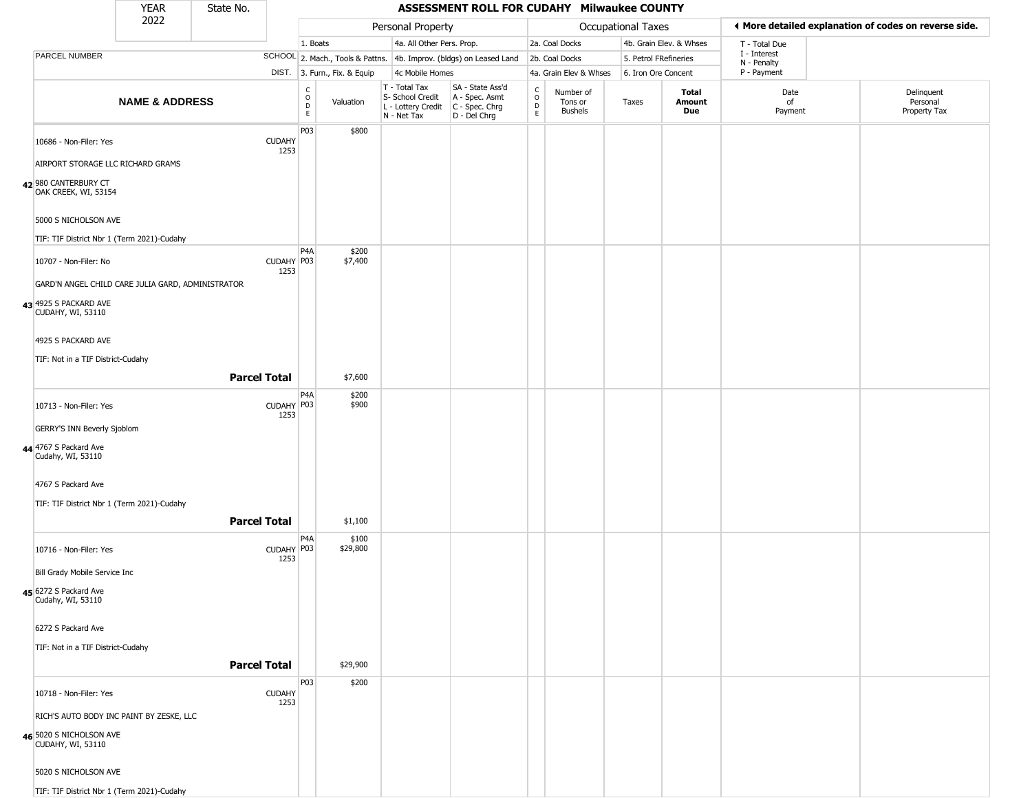|                                                                            | <b>YEAR</b>               | State No.           |                       |                                                          |                              |                                                                                         | ASSESSMENT ROLL FOR CUDAHY Milwaukee COUNTY                         |                         |                                 |                       |                         |                             |                                                       |
|----------------------------------------------------------------------------|---------------------------|---------------------|-----------------------|----------------------------------------------------------|------------------------------|-----------------------------------------------------------------------------------------|---------------------------------------------------------------------|-------------------------|---------------------------------|-----------------------|-------------------------|-----------------------------|-------------------------------------------------------|
|                                                                            | 2022                      |                     |                       |                                                          |                              | Personal Property                                                                       |                                                                     |                         |                                 | Occupational Taxes    |                         |                             | ◀ More detailed explanation of codes on reverse side. |
|                                                                            |                           |                     |                       | 1. Boats                                                 |                              | 4a. All Other Pers. Prop.                                                               |                                                                     |                         | 2a. Coal Docks                  |                       | 4b. Grain Elev. & Whses | T - Total Due               |                                                       |
| PARCEL NUMBER                                                              |                           |                     |                       |                                                          |                              |                                                                                         | SCHOOL 2. Mach., Tools & Pattns. 4b. Improv. (bldgs) on Leased Land |                         | 2b. Coal Docks                  | 5. Petrol FRefineries |                         | I - Interest<br>N - Penalty |                                                       |
|                                                                            |                           |                     |                       |                                                          | DIST. 3. Furn., Fix. & Equip | 4c Mobile Homes                                                                         |                                                                     |                         | 4a. Grain Elev & Whses          | 6. Iron Ore Concent   |                         | P - Payment                 |                                                       |
|                                                                            | <b>NAME &amp; ADDRESS</b> |                     |                       | $\begin{smallmatrix} C \\ O \\ D \end{smallmatrix}$<br>E | Valuation                    | T - Total Tax<br>S- School Credit<br>L - Lottery Credit   C - Spec. Chrg<br>N - Net Tax | SA - State Ass'd<br>A - Spec. Asmt<br>D - Del Chrg                  | C<br>$\circ$<br>D<br>E. | Number of<br>Tons or<br>Bushels | Taxes                 | Total<br>Amount<br>Due  | Date<br>of<br>Payment       | Delinquent<br>Personal<br>Property Tax                |
| 10686 - Non-Filer: Yes                                                     |                           |                     | <b>CUDAHY</b><br>1253 | P03                                                      | \$800                        |                                                                                         |                                                                     |                         |                                 |                       |                         |                             |                                                       |
| AIRPORT STORAGE LLC RICHARD GRAMS                                          |                           |                     |                       |                                                          |                              |                                                                                         |                                                                     |                         |                                 |                       |                         |                             |                                                       |
| 42 980 CANTERBURY CT<br>OAK CREEK, WI, 53154                               |                           |                     |                       |                                                          |                              |                                                                                         |                                                                     |                         |                                 |                       |                         |                             |                                                       |
| 5000 S NICHOLSON AVE                                                       |                           |                     |                       |                                                          |                              |                                                                                         |                                                                     |                         |                                 |                       |                         |                             |                                                       |
| TIF: TIF District Nbr 1 (Term 2021)-Cudahy                                 |                           |                     |                       | P <sub>4</sub> A                                         | \$200                        |                                                                                         |                                                                     |                         |                                 |                       |                         |                             |                                                       |
| 10707 - Non-Filer: No<br>GARD'N ANGEL CHILD CARE JULIA GARD, ADMINISTRATOR |                           |                     | CUDAHY P03<br>1253    |                                                          | \$7,400                      |                                                                                         |                                                                     |                         |                                 |                       |                         |                             |                                                       |
| 43 4925 S PACKARD AVE<br>CUDAHY, WI, 53110                                 |                           |                     |                       |                                                          |                              |                                                                                         |                                                                     |                         |                                 |                       |                         |                             |                                                       |
| 4925 S PACKARD AVE                                                         |                           |                     |                       |                                                          |                              |                                                                                         |                                                                     |                         |                                 |                       |                         |                             |                                                       |
| TIF: Not in a TIF District-Cudahy                                          |                           |                     |                       |                                                          |                              |                                                                                         |                                                                     |                         |                                 |                       |                         |                             |                                                       |
|                                                                            |                           | <b>Parcel Total</b> |                       |                                                          | \$7,600                      |                                                                                         |                                                                     |                         |                                 |                       |                         |                             |                                                       |
| 10713 - Non-Filer: Yes                                                     |                           |                     | CUDAHY P03<br>1253    | P <sub>4</sub> A                                         | \$200<br>\$900               |                                                                                         |                                                                     |                         |                                 |                       |                         |                             |                                                       |
| GERRY'S INN Beverly Sjoblom                                                |                           |                     |                       |                                                          |                              |                                                                                         |                                                                     |                         |                                 |                       |                         |                             |                                                       |
| 44 4767 S Packard Ave<br>Cudahy, WI, 53110                                 |                           |                     |                       |                                                          |                              |                                                                                         |                                                                     |                         |                                 |                       |                         |                             |                                                       |
| 4767 S Packard Ave                                                         |                           |                     |                       |                                                          |                              |                                                                                         |                                                                     |                         |                                 |                       |                         |                             |                                                       |
| TIF: TIF District Nbr 1 (Term 2021)-Cudahy                                 |                           | <b>Parcel Total</b> |                       |                                                          | \$1,100                      |                                                                                         |                                                                     |                         |                                 |                       |                         |                             |                                                       |
| 10716 - Non-Filer: Yes                                                     |                           |                     | CUDAHY P03<br>1253    | P <sub>4</sub> A                                         | \$100<br>\$29,800            |                                                                                         |                                                                     |                         |                                 |                       |                         |                             |                                                       |
| Bill Grady Mobile Service Inc                                              |                           |                     |                       |                                                          |                              |                                                                                         |                                                                     |                         |                                 |                       |                         |                             |                                                       |
| 45 6272 S Packard Ave<br>Cudahy, WI, 53110                                 |                           |                     |                       |                                                          |                              |                                                                                         |                                                                     |                         |                                 |                       |                         |                             |                                                       |
| 6272 S Packard Ave                                                         |                           |                     |                       |                                                          |                              |                                                                                         |                                                                     |                         |                                 |                       |                         |                             |                                                       |
| TIF: Not in a TIF District-Cudahy                                          |                           | <b>Parcel Total</b> |                       |                                                          | \$29,900                     |                                                                                         |                                                                     |                         |                                 |                       |                         |                             |                                                       |
|                                                                            |                           |                     |                       | P03                                                      | \$200                        |                                                                                         |                                                                     |                         |                                 |                       |                         |                             |                                                       |
| 10718 - Non-Filer: Yes                                                     |                           |                     | <b>CUDAHY</b><br>1253 |                                                          |                              |                                                                                         |                                                                     |                         |                                 |                       |                         |                             |                                                       |
| RICH'S AUTO BODY INC PAINT BY ZESKE, LLC                                   |                           |                     |                       |                                                          |                              |                                                                                         |                                                                     |                         |                                 |                       |                         |                             |                                                       |
| 46 5020 S NICHOLSON AVE<br><b>CUDAHY, WI, 53110</b>                        |                           |                     |                       |                                                          |                              |                                                                                         |                                                                     |                         |                                 |                       |                         |                             |                                                       |
| 5020 S NICHOLSON AVE                                                       |                           |                     |                       |                                                          |                              |                                                                                         |                                                                     |                         |                                 |                       |                         |                             |                                                       |
| TIF: TIF District Nbr 1 (Term 2021)-Cudahy                                 |                           |                     |                       |                                                          |                              |                                                                                         |                                                                     |                         |                                 |                       |                         |                             |                                                       |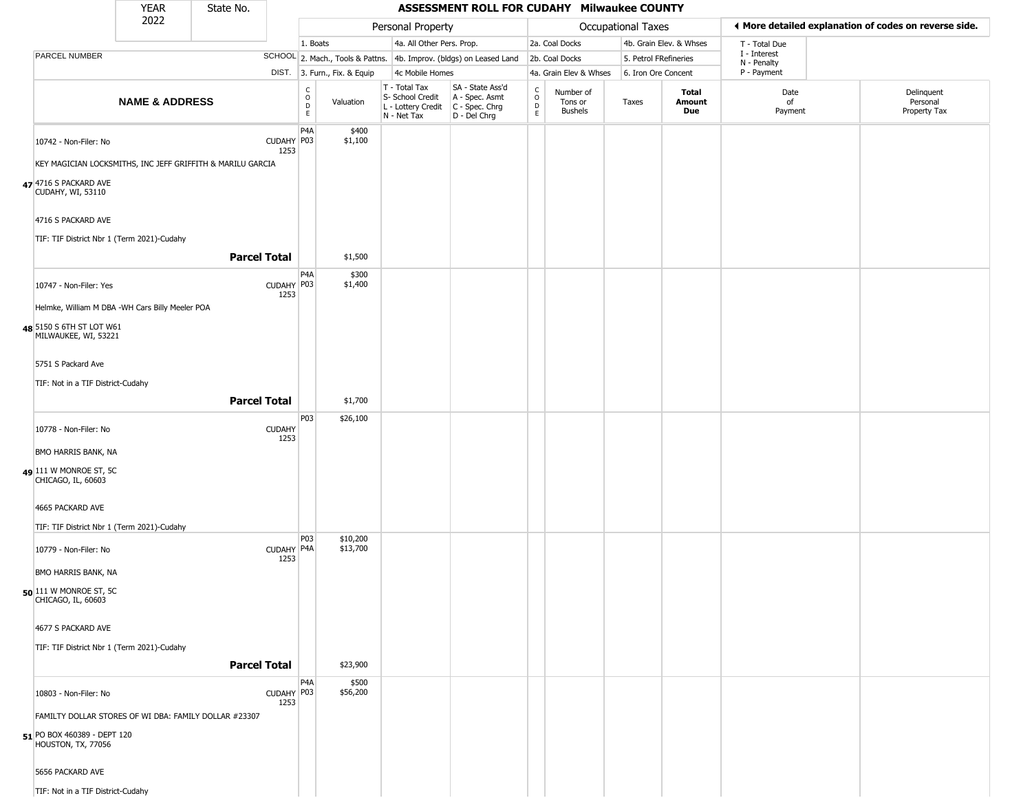|                                                            | <b>YEAR</b>               | State No.           |                    |                                                                    |                              |                                                                                         | ASSESSMENT ROLL FOR CUDAHY Milwaukee COUNTY                         |                                                          |                                        |                       |                         |                             |                                                       |
|------------------------------------------------------------|---------------------------|---------------------|--------------------|--------------------------------------------------------------------|------------------------------|-----------------------------------------------------------------------------------------|---------------------------------------------------------------------|----------------------------------------------------------|----------------------------------------|-----------------------|-------------------------|-----------------------------|-------------------------------------------------------|
|                                                            | 2022                      |                     |                    |                                                                    |                              | Personal Property                                                                       |                                                                     |                                                          |                                        | Occupational Taxes    |                         |                             | ◀ More detailed explanation of codes on reverse side. |
|                                                            |                           |                     |                    | 1. Boats                                                           |                              | 4a. All Other Pers. Prop.                                                               |                                                                     |                                                          | 2a. Coal Docks                         |                       | 4b. Grain Elev. & Whses | T - Total Due               |                                                       |
| PARCEL NUMBER                                              |                           |                     |                    |                                                                    |                              |                                                                                         | SCHOOL 2. Mach., Tools & Pattns. 4b. Improv. (bldgs) on Leased Land |                                                          | 2b. Coal Docks                         | 5. Petrol FRefineries |                         | I - Interest<br>N - Penalty |                                                       |
|                                                            |                           |                     |                    |                                                                    | DIST. 3. Furn., Fix. & Equip | 4c Mobile Homes                                                                         |                                                                     |                                                          | 4a. Grain Elev & Whses                 | 6. Iron Ore Concent   |                         | P - Payment                 |                                                       |
|                                                            | <b>NAME &amp; ADDRESS</b> |                     |                    | $\begin{smallmatrix} C \\ O \\ D \end{smallmatrix}$<br>$\mathsf E$ | Valuation                    | T - Total Tax<br>S- School Credit<br>L - Lottery Credit   C - Spec. Chrg<br>N - Net Tax | SA - State Ass'd<br>A - Spec. Asmt<br>D - Del Chrg                  | $\begin{smallmatrix} C \\ O \\ D \end{smallmatrix}$<br>E | Number of<br>Tons or<br><b>Bushels</b> | Taxes                 | Total<br>Amount<br>Due  | Date<br>of<br>Payment       | Delinquent<br>Personal<br>Property Tax                |
| 10742 - Non-Filer: No                                      |                           |                     | CUDAHY P03         | P <sub>4</sub> A                                                   | \$400<br>\$1,100             |                                                                                         |                                                                     |                                                          |                                        |                       |                         |                             |                                                       |
| KEY MAGICIAN LOCKSMITHS, INC JEFF GRIFFITH & MARILU GARCIA |                           |                     | 1253               |                                                                    |                              |                                                                                         |                                                                     |                                                          |                                        |                       |                         |                             |                                                       |
| 47 4716 S PACKARD AVE<br>CUDAHY, WI, 53110                 |                           |                     |                    |                                                                    |                              |                                                                                         |                                                                     |                                                          |                                        |                       |                         |                             |                                                       |
| 4716 S PACKARD AVE                                         |                           |                     |                    |                                                                    |                              |                                                                                         |                                                                     |                                                          |                                        |                       |                         |                             |                                                       |
| TIF: TIF District Nbr 1 (Term 2021)-Cudahy                 |                           | <b>Parcel Total</b> |                    |                                                                    | \$1,500                      |                                                                                         |                                                                     |                                                          |                                        |                       |                         |                             |                                                       |
| 10747 - Non-Filer: Yes                                     |                           |                     | CUDAHY P03<br>1253 | P4A                                                                | \$300<br>\$1,400             |                                                                                         |                                                                     |                                                          |                                        |                       |                         |                             |                                                       |
| Helmke, William M DBA -WH Cars Billy Meeler POA            |                           |                     |                    |                                                                    |                              |                                                                                         |                                                                     |                                                          |                                        |                       |                         |                             |                                                       |
| 48 5150 S 6TH ST LOT W61<br>MILWAUKEE, WI, 53221           |                           |                     |                    |                                                                    |                              |                                                                                         |                                                                     |                                                          |                                        |                       |                         |                             |                                                       |
| 5751 S Packard Ave                                         |                           |                     |                    |                                                                    |                              |                                                                                         |                                                                     |                                                          |                                        |                       |                         |                             |                                                       |
| TIF: Not in a TIF District-Cudahy                          |                           |                     |                    |                                                                    |                              |                                                                                         |                                                                     |                                                          |                                        |                       |                         |                             |                                                       |
|                                                            |                           | <b>Parcel Total</b> |                    |                                                                    | \$1,700                      |                                                                                         |                                                                     |                                                          |                                        |                       |                         |                             |                                                       |
| 10778 - Non-Filer: No                                      |                           |                     | <b>CUDAHY</b>      | P03                                                                | \$26,100                     |                                                                                         |                                                                     |                                                          |                                        |                       |                         |                             |                                                       |
| BMO HARRIS BANK, NA                                        |                           |                     | 1253               |                                                                    |                              |                                                                                         |                                                                     |                                                          |                                        |                       |                         |                             |                                                       |
| 49 111 W MONROE ST, 5C<br>CHICAGO, IL, 60603               |                           |                     |                    |                                                                    |                              |                                                                                         |                                                                     |                                                          |                                        |                       |                         |                             |                                                       |
| 4665 PACKARD AVE                                           |                           |                     |                    |                                                                    |                              |                                                                                         |                                                                     |                                                          |                                        |                       |                         |                             |                                                       |
| TIF: TIF District Nbr 1 (Term 2021)-Cudahy                 |                           |                     |                    |                                                                    |                              |                                                                                         |                                                                     |                                                          |                                        |                       |                         |                             |                                                       |
| 10779 - Non-Filer: No                                      |                           |                     | CUDAHY P4A<br>1253 | P03                                                                | \$10,200<br>\$13,700         |                                                                                         |                                                                     |                                                          |                                        |                       |                         |                             |                                                       |
| BMO HARRIS BANK, NA                                        |                           |                     |                    |                                                                    |                              |                                                                                         |                                                                     |                                                          |                                        |                       |                         |                             |                                                       |
| $50$ 111 W MONROE ST, 5C<br>CHICAGO, IL, 60603             |                           |                     |                    |                                                                    |                              |                                                                                         |                                                                     |                                                          |                                        |                       |                         |                             |                                                       |
| 4677 S PACKARD AVE                                         |                           |                     |                    |                                                                    |                              |                                                                                         |                                                                     |                                                          |                                        |                       |                         |                             |                                                       |
| TIF: TIF District Nbr 1 (Term 2021)-Cudahy                 |                           |                     |                    |                                                                    |                              |                                                                                         |                                                                     |                                                          |                                        |                       |                         |                             |                                                       |
|                                                            |                           | <b>Parcel Total</b> |                    |                                                                    | \$23,900                     |                                                                                         |                                                                     |                                                          |                                        |                       |                         |                             |                                                       |
| 10803 - Non-Filer: No                                      |                           |                     | CUDAHY P03<br>1253 | P <sub>4</sub> A                                                   | \$500<br>\$56,200            |                                                                                         |                                                                     |                                                          |                                        |                       |                         |                             |                                                       |
| FAMILTY DOLLAR STORES OF WI DBA: FAMILY DOLLAR #23307      |                           |                     |                    |                                                                    |                              |                                                                                         |                                                                     |                                                          |                                        |                       |                         |                             |                                                       |
| 51 PO BOX 460389 - DEPT 120<br>HOUSTON, TX, 77056          |                           |                     |                    |                                                                    |                              |                                                                                         |                                                                     |                                                          |                                        |                       |                         |                             |                                                       |
| 5656 PACKARD AVE                                           |                           |                     |                    |                                                                    |                              |                                                                                         |                                                                     |                                                          |                                        |                       |                         |                             |                                                       |
| TIF: Not in a TIF District-Cudahy                          |                           |                     |                    |                                                                    |                              |                                                                                         |                                                                     |                                                          |                                        |                       |                         |                             |                                                       |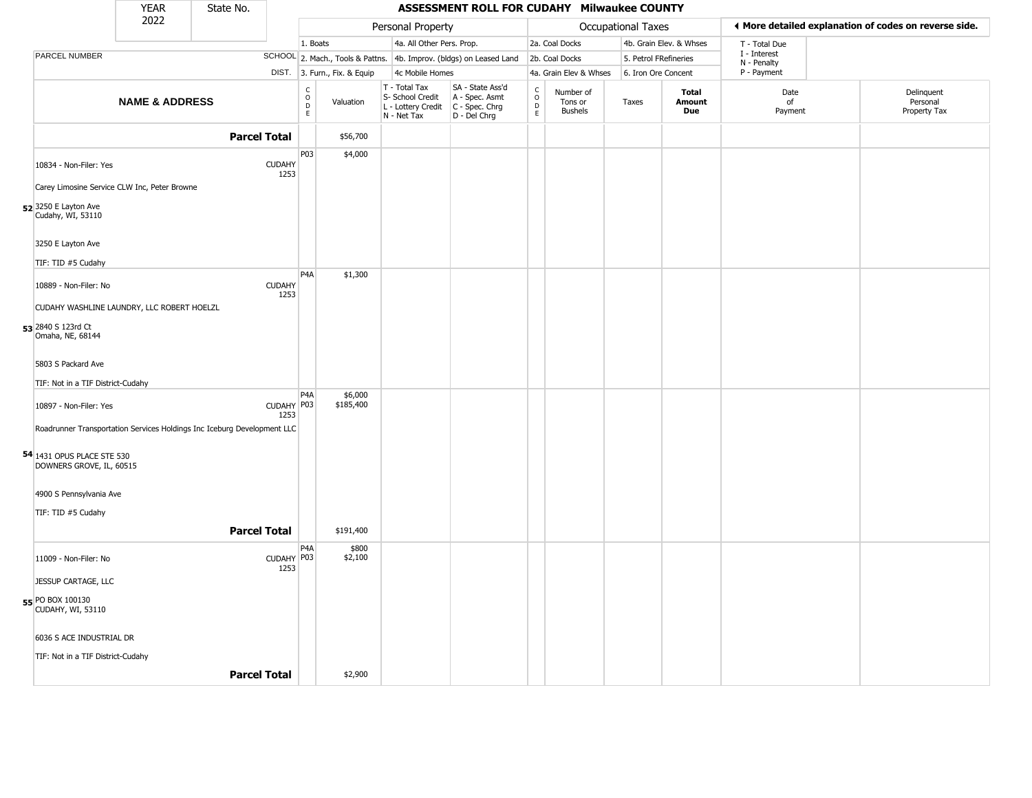|                                                                         | <b>YEAR</b>               | State No.           |                       |                                                          |                              |                                                                                         | ASSESSMENT ROLL FOR CUDAHY Milwaukee COUNTY                         |                                              |                                        |                       |                         |                             |                                                       |
|-------------------------------------------------------------------------|---------------------------|---------------------|-----------------------|----------------------------------------------------------|------------------------------|-----------------------------------------------------------------------------------------|---------------------------------------------------------------------|----------------------------------------------|----------------------------------------|-----------------------|-------------------------|-----------------------------|-------------------------------------------------------|
|                                                                         | 2022                      |                     |                       |                                                          |                              | Personal Property                                                                       |                                                                     |                                              |                                        | Occupational Taxes    |                         |                             | ◀ More detailed explanation of codes on reverse side. |
|                                                                         |                           |                     |                       | 1. Boats                                                 |                              | 4a. All Other Pers. Prop.                                                               |                                                                     |                                              | 2a. Coal Docks                         |                       | 4b. Grain Elev. & Whses | T - Total Due               |                                                       |
| PARCEL NUMBER                                                           |                           |                     |                       |                                                          |                              |                                                                                         | SCHOOL 2. Mach., Tools & Pattns. 4b. Improv. (bldgs) on Leased Land |                                              | 2b. Coal Docks                         | 5. Petrol FRefineries |                         | I - Interest<br>N - Penalty |                                                       |
|                                                                         |                           |                     |                       |                                                          | DIST. 3. Furn., Fix. & Equip | 4c Mobile Homes                                                                         |                                                                     |                                              | 4a. Grain Elev & Whses                 | 6. Iron Ore Concent   |                         | P - Payment                 |                                                       |
|                                                                         | <b>NAME &amp; ADDRESS</b> |                     |                       | $\begin{smallmatrix} C \\ O \\ D \end{smallmatrix}$<br>E | Valuation                    | T - Total Tax<br>S- School Credit<br>L - Lottery Credit   C - Spec. Chrg<br>N - Net Tax | SA - State Ass'd<br>A - Spec. Asmt<br>D - Del Chrg                  | $\begin{array}{c}\nC \\ O \\ D\n\end{array}$ | Number of<br>Tons or<br><b>Bushels</b> | Taxes                 | Total<br>Amount<br>Due  | Date<br>of<br>Payment       | Delinquent<br>Personal<br>Property Tax                |
|                                                                         |                           | <b>Parcel Total</b> |                       |                                                          | \$56,700                     |                                                                                         |                                                                     |                                              |                                        |                       |                         |                             |                                                       |
| 10834 - Non-Filer: Yes                                                  |                           |                     | <b>CUDAHY</b><br>1253 | P03                                                      | \$4,000                      |                                                                                         |                                                                     |                                              |                                        |                       |                         |                             |                                                       |
| Carey Limosine Service CLW Inc, Peter Browne                            |                           |                     |                       |                                                          |                              |                                                                                         |                                                                     |                                              |                                        |                       |                         |                             |                                                       |
| 52 3250 E Layton Ave<br>Cudahy, WI, 53110                               |                           |                     |                       |                                                          |                              |                                                                                         |                                                                     |                                              |                                        |                       |                         |                             |                                                       |
| 3250 E Layton Ave                                                       |                           |                     |                       |                                                          |                              |                                                                                         |                                                                     |                                              |                                        |                       |                         |                             |                                                       |
| TIF: TID #5 Cudahy                                                      |                           |                     |                       |                                                          |                              |                                                                                         |                                                                     |                                              |                                        |                       |                         |                             |                                                       |
| 10889 - Non-Filer: No                                                   |                           |                     | <b>CUDAHY</b><br>1253 | P <sub>4</sub> A                                         | \$1,300                      |                                                                                         |                                                                     |                                              |                                        |                       |                         |                             |                                                       |
| CUDAHY WASHLINE LAUNDRY, LLC ROBERT HOELZL                              |                           |                     |                       |                                                          |                              |                                                                                         |                                                                     |                                              |                                        |                       |                         |                             |                                                       |
| 53 2840 S 123rd Ct<br>Omaha, NE, 68144                                  |                           |                     |                       |                                                          |                              |                                                                                         |                                                                     |                                              |                                        |                       |                         |                             |                                                       |
| 5803 S Packard Ave                                                      |                           |                     |                       |                                                          |                              |                                                                                         |                                                                     |                                              |                                        |                       |                         |                             |                                                       |
| TIF: Not in a TIF District-Cudahy                                       |                           |                     |                       |                                                          |                              |                                                                                         |                                                                     |                                              |                                        |                       |                         |                             |                                                       |
| 10897 - Non-Filer: Yes                                                  |                           |                     | CUDAHY P03<br>1253    | P4A                                                      | \$6,000<br>\$185,400         |                                                                                         |                                                                     |                                              |                                        |                       |                         |                             |                                                       |
| Roadrunner Transportation Services Holdings Inc Iceburg Development LLC |                           |                     |                       |                                                          |                              |                                                                                         |                                                                     |                                              |                                        |                       |                         |                             |                                                       |
| <b>54</b> 1431 OPUS PLACE STE 530<br>DOWNERS GROVE, IL, 60515           |                           |                     |                       |                                                          |                              |                                                                                         |                                                                     |                                              |                                        |                       |                         |                             |                                                       |
| 4900 S Pennsylvania Ave                                                 |                           |                     |                       |                                                          |                              |                                                                                         |                                                                     |                                              |                                        |                       |                         |                             |                                                       |
| TIF: TID #5 Cudahy                                                      |                           |                     |                       |                                                          |                              |                                                                                         |                                                                     |                                              |                                        |                       |                         |                             |                                                       |
|                                                                         |                           | <b>Parcel Total</b> |                       |                                                          | \$191,400                    |                                                                                         |                                                                     |                                              |                                        |                       |                         |                             |                                                       |
|                                                                         |                           |                     |                       | P4A                                                      | \$800                        |                                                                                         |                                                                     |                                              |                                        |                       |                         |                             |                                                       |
| 11009 - Non-Filer: No                                                   |                           |                     | CUDAHY P03<br>1253    |                                                          | \$2,100                      |                                                                                         |                                                                     |                                              |                                        |                       |                         |                             |                                                       |
| JESSUP CARTAGE, LLC                                                     |                           |                     |                       |                                                          |                              |                                                                                         |                                                                     |                                              |                                        |                       |                         |                             |                                                       |
| 55 PO BOX 100130<br>CUDAHY, WI, 53110                                   |                           |                     |                       |                                                          |                              |                                                                                         |                                                                     |                                              |                                        |                       |                         |                             |                                                       |
| 6036 S ACE INDUSTRIAL DR                                                |                           |                     |                       |                                                          |                              |                                                                                         |                                                                     |                                              |                                        |                       |                         |                             |                                                       |
| TIF: Not in a TIF District-Cudahy                                       |                           |                     |                       |                                                          |                              |                                                                                         |                                                                     |                                              |                                        |                       |                         |                             |                                                       |
|                                                                         |                           | <b>Parcel Total</b> |                       |                                                          | \$2,900                      |                                                                                         |                                                                     |                                              |                                        |                       |                         |                             |                                                       |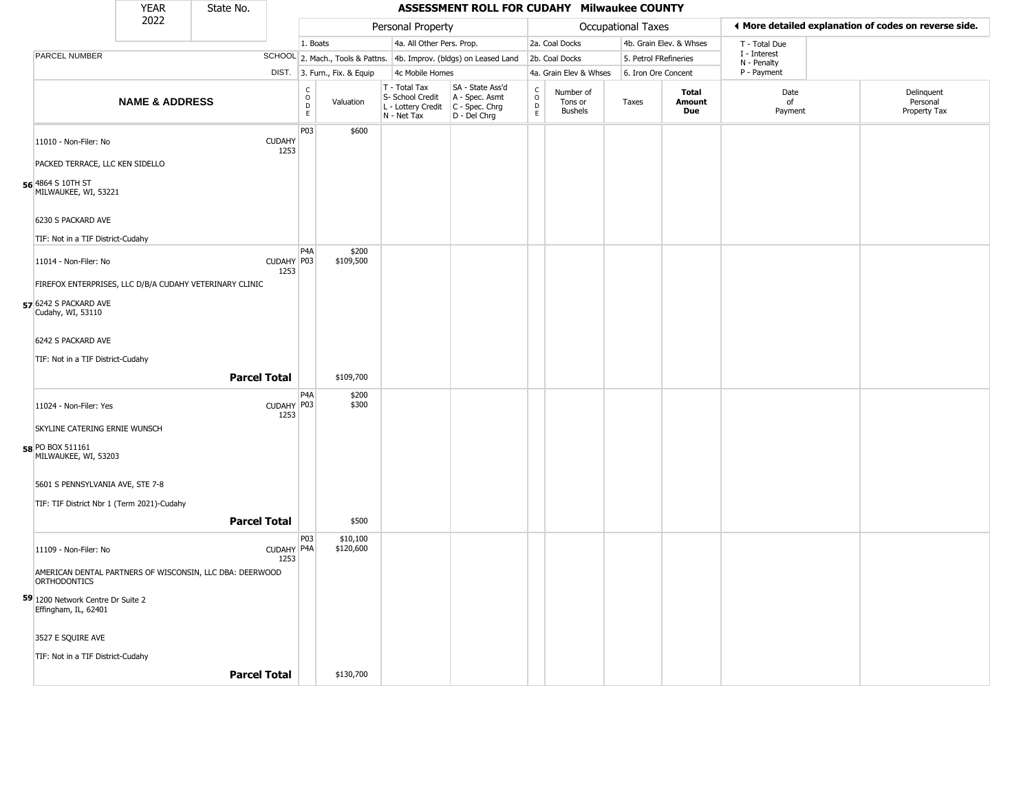|                                            | <b>YEAR</b>                                              | State No.           |                       |                                                 |                              |                                                                        | ASSESSMENT ROLL FOR CUDAHY Milwaukee COUNTY                          |                                   |                                        |                     |                         |                             |                                                       |
|--------------------------------------------|----------------------------------------------------------|---------------------|-----------------------|-------------------------------------------------|------------------------------|------------------------------------------------------------------------|----------------------------------------------------------------------|-----------------------------------|----------------------------------------|---------------------|-------------------------|-----------------------------|-------------------------------------------------------|
|                                            | 2022                                                     |                     |                       |                                                 |                              | Personal Property                                                      |                                                                      |                                   |                                        | Occupational Taxes  |                         |                             | ◀ More detailed explanation of codes on reverse side. |
|                                            |                                                          |                     |                       | 1. Boats                                        |                              | 4a. All Other Pers. Prop.                                              |                                                                      |                                   | 2a. Coal Docks                         |                     | 4b. Grain Elev. & Whses | T - Total Due               |                                                       |
| <b>PARCEL NUMBER</b>                       |                                                          |                     |                       |                                                 |                              |                                                                        | SCHOOL 2. Mach., Tools & Pattns. 4b. Improv. (bldgs) on Leased Land  |                                   | 2b. Coal Docks                         |                     | 5. Petrol FRefineries   | I - Interest<br>N - Penalty |                                                       |
|                                            |                                                          |                     |                       |                                                 | DIST. 3. Furn., Fix. & Equip | 4c Mobile Homes                                                        |                                                                      |                                   | 4a. Grain Elev & Whses                 | 6. Iron Ore Concent |                         | P - Payment                 |                                                       |
|                                            | <b>NAME &amp; ADDRESS</b>                                |                     |                       | $\begin{array}{c} C \\ O \\ D \\ E \end{array}$ | Valuation                    | T - Total Tax<br>S- School Credit<br>L - Lottery Credit<br>N - Net Tax | SA - State Ass'd<br>A - Spec. Asmt<br>C - Spec. Chrg<br>D - Del Chrg | $\mathsf{C}$<br>$\circ$<br>D<br>E | Number of<br>Tons or<br><b>Bushels</b> | Taxes               | Total<br>Amount<br>Due  | Date<br>of<br>Payment       | Delinquent<br>Personal<br>Property Tax                |
| 11010 - Non-Filer: No                      |                                                          |                     | <b>CUDAHY</b><br>1253 | P03                                             | \$600                        |                                                                        |                                                                      |                                   |                                        |                     |                         |                             |                                                       |
|                                            | PACKED TERRACE, LLC KEN SIDELLO                          |                     |                       |                                                 |                              |                                                                        |                                                                      |                                   |                                        |                     |                         |                             |                                                       |
| 56 4864 S 10TH ST<br>MILWAUKEE, WI, 53221  |                                                          |                     |                       |                                                 |                              |                                                                        |                                                                      |                                   |                                        |                     |                         |                             |                                                       |
| 6230 S PACKARD AVE                         |                                                          |                     |                       |                                                 |                              |                                                                        |                                                                      |                                   |                                        |                     |                         |                             |                                                       |
|                                            | TIF: Not in a TIF District-Cudahy                        |                     |                       |                                                 |                              |                                                                        |                                                                      |                                   |                                        |                     |                         |                             |                                                       |
| 11014 - Non-Filer: No                      |                                                          |                     | CUDAHY P03<br>1253    | P <sub>4</sub> A                                | \$200<br>\$109,500           |                                                                        |                                                                      |                                   |                                        |                     |                         |                             |                                                       |
|                                            | FIREFOX ENTERPRISES, LLC D/B/A CUDAHY VETERINARY CLINIC  |                     |                       |                                                 |                              |                                                                        |                                                                      |                                   |                                        |                     |                         |                             |                                                       |
| 57 6242 S PACKARD AVE<br>Cudahy, WI, 53110 |                                                          |                     |                       |                                                 |                              |                                                                        |                                                                      |                                   |                                        |                     |                         |                             |                                                       |
| 6242 S PACKARD AVE                         |                                                          |                     |                       |                                                 |                              |                                                                        |                                                                      |                                   |                                        |                     |                         |                             |                                                       |
|                                            | TIF: Not in a TIF District-Cudahy                        |                     |                       |                                                 |                              |                                                                        |                                                                      |                                   |                                        |                     |                         |                             |                                                       |
|                                            |                                                          | <b>Parcel Total</b> |                       |                                                 | \$109,700                    |                                                                        |                                                                      |                                   |                                        |                     |                         |                             |                                                       |
| 11024 - Non-Filer: Yes                     |                                                          |                     | CUDAHY P03<br>1253    | P <sub>4</sub> A                                | \$200<br>\$300               |                                                                        |                                                                      |                                   |                                        |                     |                         |                             |                                                       |
|                                            | SKYLINE CATERING ERNIE WUNSCH                            |                     |                       |                                                 |                              |                                                                        |                                                                      |                                   |                                        |                     |                         |                             |                                                       |
| 58 PO BOX 511161<br>MILWAUKEE, WI, 53203   |                                                          |                     |                       |                                                 |                              |                                                                        |                                                                      |                                   |                                        |                     |                         |                             |                                                       |
|                                            | 5601 S PENNSYLVANIA AVE, STE 7-8                         |                     |                       |                                                 |                              |                                                                        |                                                                      |                                   |                                        |                     |                         |                             |                                                       |
|                                            | TIF: TIF District Nbr 1 (Term 2021)-Cudahy               |                     |                       |                                                 |                              |                                                                        |                                                                      |                                   |                                        |                     |                         |                             |                                                       |
|                                            |                                                          | <b>Parcel Total</b> |                       |                                                 | \$500                        |                                                                        |                                                                      |                                   |                                        |                     |                         |                             |                                                       |
| 11109 - Non-Filer: No                      |                                                          |                     | CUDAHY P4A<br>1253    | P03                                             | \$10,100<br>\$120,600        |                                                                        |                                                                      |                                   |                                        |                     |                         |                             |                                                       |
| ORTHODONTICS                               | AMERICAN DENTAL PARTNERS OF WISCONSIN, LLC DBA: DEERWOOD |                     |                       |                                                 |                              |                                                                        |                                                                      |                                   |                                        |                     |                         |                             |                                                       |
| Effingham, IL, 62401                       | 59 1200 Network Centre Dr Suite 2                        |                     |                       |                                                 |                              |                                                                        |                                                                      |                                   |                                        |                     |                         |                             |                                                       |
| 3527 E SQUIRE AVE                          |                                                          |                     |                       |                                                 |                              |                                                                        |                                                                      |                                   |                                        |                     |                         |                             |                                                       |
|                                            | TIF: Not in a TIF District-Cudahy                        |                     |                       |                                                 |                              |                                                                        |                                                                      |                                   |                                        |                     |                         |                             |                                                       |
|                                            |                                                          | <b>Parcel Total</b> |                       |                                                 | \$130,700                    |                                                                        |                                                                      |                                   |                                        |                     |                         |                             |                                                       |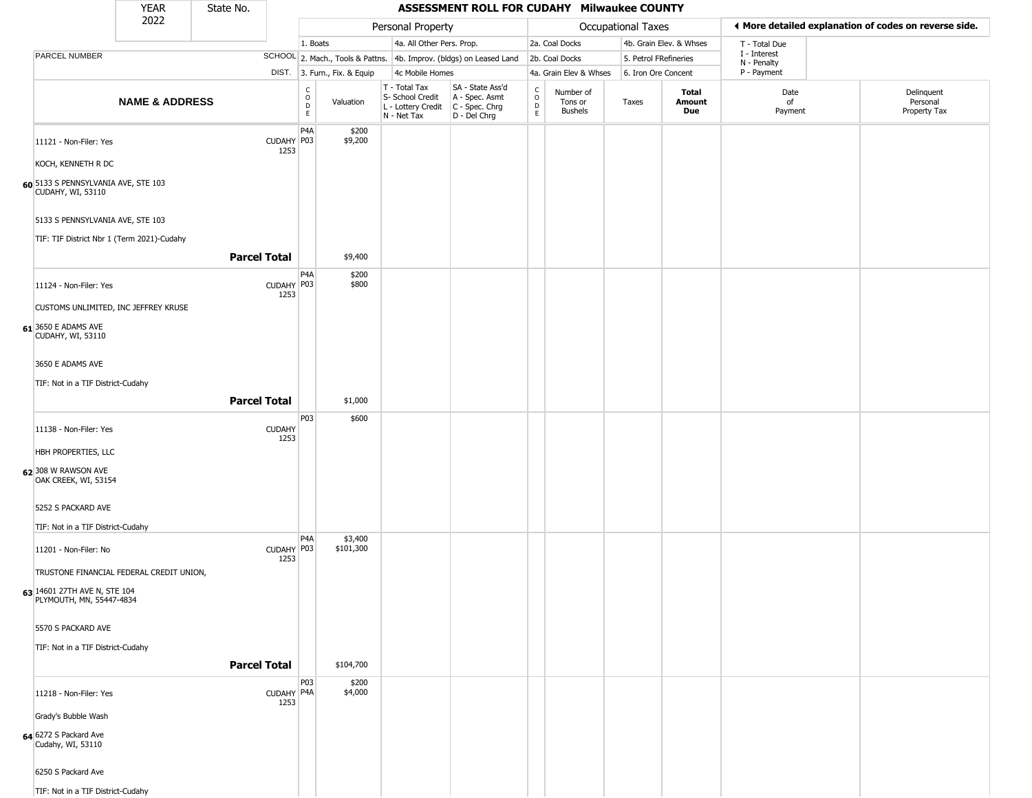|                                                                | YEAR                      | State No.           |                       |                             |                              |                                                                                       | ASSESSMENT ROLL FOR CUDAHY Milwaukee COUNTY                                        |                                   |                                        |                           |                               |                             |                                                       |
|----------------------------------------------------------------|---------------------------|---------------------|-----------------------|-----------------------------|------------------------------|---------------------------------------------------------------------------------------|------------------------------------------------------------------------------------|-----------------------------------|----------------------------------------|---------------------------|-------------------------------|-----------------------------|-------------------------------------------------------|
|                                                                | 2022                      |                     |                       |                             |                              | Personal Property                                                                     |                                                                                    |                                   |                                        | <b>Occupational Taxes</b> |                               |                             | ◀ More detailed explanation of codes on reverse side. |
|                                                                |                           |                     |                       | 1. Boats                    |                              | 4a. All Other Pers. Prop.                                                             |                                                                                    |                                   | 2a. Coal Docks                         |                           | 4b. Grain Elev. & Whses       | T - Total Due               |                                                       |
| PARCEL NUMBER                                                  |                           |                     |                       |                             |                              |                                                                                       | SCHOOL 2. Mach., Tools & Pattns. 4b. Improv. (bldgs) on Leased Land 2b. Coal Docks |                                   |                                        | 5. Petrol FRefineries     |                               | I - Interest<br>N - Penalty |                                                       |
|                                                                |                           |                     |                       |                             | DIST. 3. Furn., Fix. & Equip | 4c Mobile Homes                                                                       |                                                                                    |                                   | 4a. Grain Elev & Whses                 | 6. Iron Ore Concent       |                               | P - Payment                 |                                                       |
|                                                                | <b>NAME &amp; ADDRESS</b> |                     |                       | $\rm _o^C$<br>$\frac{D}{E}$ | Valuation                    | T - Total Tax<br>S- School Credit<br>L - Lottery Credit C - Spec. Chrg<br>N - Net Tax | SA - State Ass'd<br>A - Spec. Asmt<br>D - Del Chrg                                 | $\frac{c}{0}$<br>$\mathsf D$<br>E | Number of<br>Tons or<br><b>Bushels</b> | Taxes                     | <b>Total</b><br>Amount<br>Due | Date<br>of<br>Payment       | Delinquent<br>Personal<br>Property Tax                |
| 11121 - Non-Filer: Yes                                         |                           |                     | CUDAHY P03<br>1253    | P4A                         | \$200<br>\$9,200             |                                                                                       |                                                                                    |                                   |                                        |                           |                               |                             |                                                       |
| KOCH, KENNETH R DC                                             |                           |                     |                       |                             |                              |                                                                                       |                                                                                    |                                   |                                        |                           |                               |                             |                                                       |
| 60 5133 S PENNSYLVANIA AVE, STE 103<br>CUDAHY, WI, 53110       |                           |                     |                       |                             |                              |                                                                                       |                                                                                    |                                   |                                        |                           |                               |                             |                                                       |
| 5133 S PENNSYLVANIA AVE, STE 103                               |                           |                     |                       |                             |                              |                                                                                       |                                                                                    |                                   |                                        |                           |                               |                             |                                                       |
| TIF: TIF District Nbr 1 (Term 2021)-Cudahy                     |                           | <b>Parcel Total</b> |                       |                             | \$9,400                      |                                                                                       |                                                                                    |                                   |                                        |                           |                               |                             |                                                       |
|                                                                |                           |                     |                       | P4A                         | \$200                        |                                                                                       |                                                                                    |                                   |                                        |                           |                               |                             |                                                       |
| 11124 - Non-Filer: Yes<br>CUSTOMS UNLIMITED, INC JEFFREY KRUSE |                           |                     | CUDAHY P03<br>1253    |                             | \$800                        |                                                                                       |                                                                                    |                                   |                                        |                           |                               |                             |                                                       |
| $61$ 3650 E ADAMS AVE<br>CUDAHY, WI, 53110                     |                           |                     |                       |                             |                              |                                                                                       |                                                                                    |                                   |                                        |                           |                               |                             |                                                       |
| 3650 E ADAMS AVE                                               |                           |                     |                       |                             |                              |                                                                                       |                                                                                    |                                   |                                        |                           |                               |                             |                                                       |
| TIF: Not in a TIF District-Cudahy                              |                           |                     |                       |                             |                              |                                                                                       |                                                                                    |                                   |                                        |                           |                               |                             |                                                       |
|                                                                |                           | <b>Parcel Total</b> |                       |                             | \$1,000                      |                                                                                       |                                                                                    |                                   |                                        |                           |                               |                             |                                                       |
| 11138 - Non-Filer: Yes                                         |                           |                     | <b>CUDAHY</b><br>1253 | P03                         | \$600                        |                                                                                       |                                                                                    |                                   |                                        |                           |                               |                             |                                                       |
| HBH PROPERTIES, LLC                                            |                           |                     |                       |                             |                              |                                                                                       |                                                                                    |                                   |                                        |                           |                               |                             |                                                       |
| 62 308 W RAWSON AVE<br>OAK CREEK, WI, 53154                    |                           |                     |                       |                             |                              |                                                                                       |                                                                                    |                                   |                                        |                           |                               |                             |                                                       |
| 5252 S PACKARD AVE                                             |                           |                     |                       |                             |                              |                                                                                       |                                                                                    |                                   |                                        |                           |                               |                             |                                                       |
| TIF: Not in a TIF District-Cudahy                              |                           |                     |                       |                             |                              |                                                                                       |                                                                                    |                                   |                                        |                           |                               |                             |                                                       |
| 11201 - Non-Filer: No                                          |                           |                     | CUDAHY P03<br>1253    | P4A                         | \$3,400<br>\$101,300         |                                                                                       |                                                                                    |                                   |                                        |                           |                               |                             |                                                       |
| TRUSTONE FINANCIAL FEDERAL CREDIT UNION,                       |                           |                     |                       |                             |                              |                                                                                       |                                                                                    |                                   |                                        |                           |                               |                             |                                                       |
| 63 14601 27TH AVE N, STE 104<br>PLYMOUTH, MN, 55447-4834       |                           |                     |                       |                             |                              |                                                                                       |                                                                                    |                                   |                                        |                           |                               |                             |                                                       |
| 5570 S PACKARD AVE                                             |                           |                     |                       |                             |                              |                                                                                       |                                                                                    |                                   |                                        |                           |                               |                             |                                                       |
| TIF: Not in a TIF District-Cudahy                              |                           | <b>Parcel Total</b> |                       |                             | \$104,700                    |                                                                                       |                                                                                    |                                   |                                        |                           |                               |                             |                                                       |
|                                                                |                           |                     |                       | P03                         |                              |                                                                                       |                                                                                    |                                   |                                        |                           |                               |                             |                                                       |
| 11218 - Non-Filer: Yes                                         |                           |                     | CUDAHY P4A<br>1253    |                             | \$200<br>\$4,000             |                                                                                       |                                                                                    |                                   |                                        |                           |                               |                             |                                                       |
| Grady's Bubble Wash                                            |                           |                     |                       |                             |                              |                                                                                       |                                                                                    |                                   |                                        |                           |                               |                             |                                                       |
| 64 6272 S Packard Ave<br>Cudahy, WI, 53110                     |                           |                     |                       |                             |                              |                                                                                       |                                                                                    |                                   |                                        |                           |                               |                             |                                                       |
| 6250 S Packard Ave                                             |                           |                     |                       |                             |                              |                                                                                       |                                                                                    |                                   |                                        |                           |                               |                             |                                                       |
| TIF: Not in a TIF District-Cudahy                              |                           |                     |                       |                             |                              |                                                                                       |                                                                                    |                                   |                                        |                           |                               |                             |                                                       |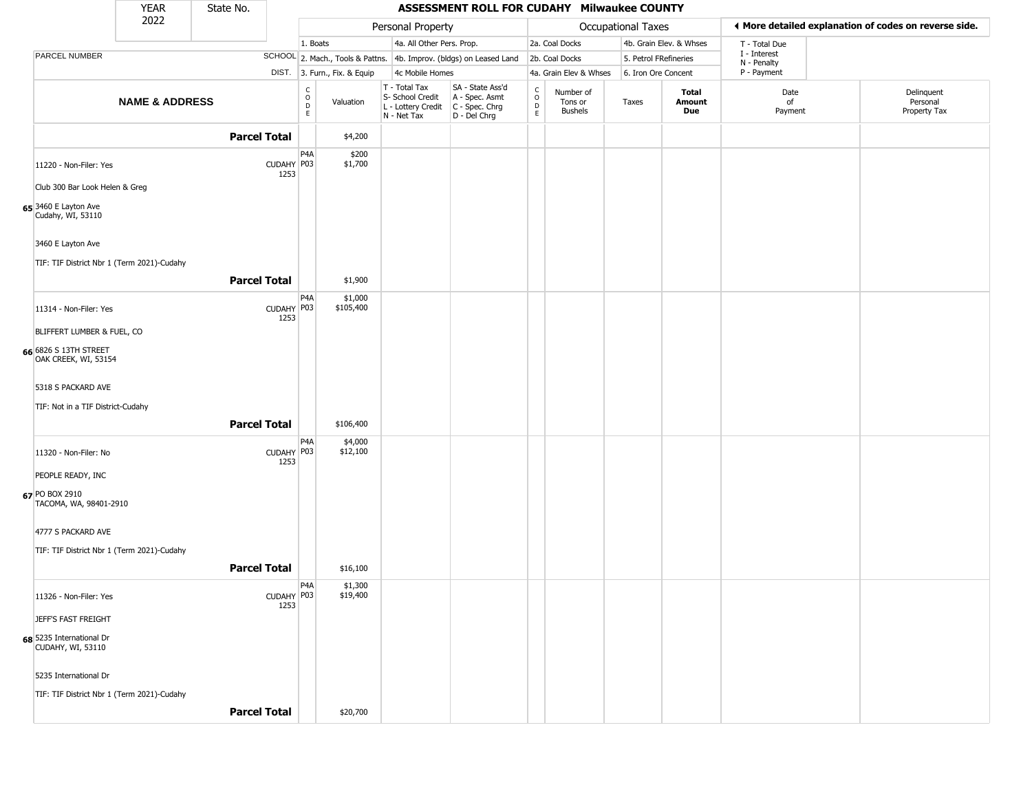|                                               | <b>YEAR</b>               | State No.           |                    |                                                                    |                              |                                                                        | ASSESSMENT ROLL FOR CUDAHY Milwaukee COUNTY                            |                                              |                                        |                    |                         |                             |                                                       |  |
|-----------------------------------------------|---------------------------|---------------------|--------------------|--------------------------------------------------------------------|------------------------------|------------------------------------------------------------------------|------------------------------------------------------------------------|----------------------------------------------|----------------------------------------|--------------------|-------------------------|-----------------------------|-------------------------------------------------------|--|
|                                               | 2022                      |                     |                    |                                                                    |                              | Personal Property                                                      |                                                                        |                                              |                                        | Occupational Taxes |                         |                             | ◀ More detailed explanation of codes on reverse side. |  |
|                                               |                           |                     |                    | 1. Boats                                                           |                              | 4a. All Other Pers. Prop.                                              |                                                                        |                                              | 2a. Coal Docks                         |                    | 4b. Grain Elev. & Whses | T - Total Due               |                                                       |  |
| PARCEL NUMBER                                 |                           |                     |                    |                                                                    |                              |                                                                        | SCHOOL 2. Mach., Tools & Pattns. 4b. Improv. (bldgs) on Leased Land    |                                              | 2b. Coal Docks                         |                    | 5. Petrol FRefineries   | I - Interest<br>N - Penalty |                                                       |  |
|                                               |                           |                     |                    |                                                                    | DIST. 3. Furn., Fix. & Equip | 4c Mobile Homes                                                        |                                                                        |                                              | 4a. Grain Elev & Whses                 |                    | 6. Iron Ore Concent     | P - Payment                 |                                                       |  |
|                                               | <b>NAME &amp; ADDRESS</b> |                     |                    | $\begin{smallmatrix} C \\ O \\ D \end{smallmatrix}$<br>$\mathsf E$ | Valuation                    | T - Total Tax<br>S- School Credit<br>L - Lottery Credit<br>N - Net Tax | SA - State Ass'd<br>A - Spec. Asmt<br>$C - Spec. Chrg$<br>D - Del Chrg | $\begin{array}{c}\nC \\ O \\ D\n\end{array}$ | Number of<br>Tons or<br><b>Bushels</b> | Taxes              | Total<br>Amount<br>Due  | Date<br>of<br>Payment       | Delinquent<br>Personal<br>Property Tax                |  |
|                                               |                           | <b>Parcel Total</b> |                    |                                                                    | \$4,200                      |                                                                        |                                                                        |                                              |                                        |                    |                         |                             |                                                       |  |
| 11220 - Non-Filer: Yes                        |                           |                     | CUDAHY P03<br>1253 | P4A                                                                | \$200<br>\$1,700             |                                                                        |                                                                        |                                              |                                        |                    |                         |                             |                                                       |  |
| Club 300 Bar Look Helen & Greg                |                           |                     |                    |                                                                    |                              |                                                                        |                                                                        |                                              |                                        |                    |                         |                             |                                                       |  |
| 65 3460 E Layton Ave<br>Cudahy, WI, 53110     |                           |                     |                    |                                                                    |                              |                                                                        |                                                                        |                                              |                                        |                    |                         |                             |                                                       |  |
| 3460 E Layton Ave                             |                           |                     |                    |                                                                    |                              |                                                                        |                                                                        |                                              |                                        |                    |                         |                             |                                                       |  |
| TIF: TIF District Nbr 1 (Term 2021)-Cudahy    |                           |                     |                    |                                                                    |                              |                                                                        |                                                                        |                                              |                                        |                    |                         |                             |                                                       |  |
|                                               |                           | <b>Parcel Total</b> |                    |                                                                    | \$1,900                      |                                                                        |                                                                        |                                              |                                        |                    |                         |                             |                                                       |  |
| 11314 - Non-Filer: Yes                        |                           |                     | CUDAHY P03         | P4A                                                                | \$1,000<br>\$105,400         |                                                                        |                                                                        |                                              |                                        |                    |                         |                             |                                                       |  |
| BLIFFERT LUMBER & FUEL, CO                    |                           |                     | 1253               |                                                                    |                              |                                                                        |                                                                        |                                              |                                        |                    |                         |                             |                                                       |  |
| 66 6826 S 13TH STREET                         |                           |                     |                    |                                                                    |                              |                                                                        |                                                                        |                                              |                                        |                    |                         |                             |                                                       |  |
| OAK CREEK, WI, 53154                          |                           |                     |                    |                                                                    |                              |                                                                        |                                                                        |                                              |                                        |                    |                         |                             |                                                       |  |
| 5318 S PACKARD AVE                            |                           |                     |                    |                                                                    |                              |                                                                        |                                                                        |                                              |                                        |                    |                         |                             |                                                       |  |
| TIF: Not in a TIF District-Cudahy             |                           |                     |                    |                                                                    |                              |                                                                        |                                                                        |                                              |                                        |                    |                         |                             |                                                       |  |
|                                               |                           | <b>Parcel Total</b> |                    |                                                                    | \$106,400                    |                                                                        |                                                                        |                                              |                                        |                    |                         |                             |                                                       |  |
|                                               |                           |                     |                    | P4A                                                                | \$4,000                      |                                                                        |                                                                        |                                              |                                        |                    |                         |                             |                                                       |  |
| 11320 - Non-Filer: No                         |                           |                     | CUDAHY P03<br>1253 |                                                                    | \$12,100                     |                                                                        |                                                                        |                                              |                                        |                    |                         |                             |                                                       |  |
| PEOPLE READY, INC                             |                           |                     |                    |                                                                    |                              |                                                                        |                                                                        |                                              |                                        |                    |                         |                             |                                                       |  |
| 67 PO BOX 2910<br>TACOMA, WA, 98401-2910      |                           |                     |                    |                                                                    |                              |                                                                        |                                                                        |                                              |                                        |                    |                         |                             |                                                       |  |
| 4777 S PACKARD AVE                            |                           |                     |                    |                                                                    |                              |                                                                        |                                                                        |                                              |                                        |                    |                         |                             |                                                       |  |
| TIF: TIF District Nbr 1 (Term 2021)-Cudahy    |                           |                     |                    |                                                                    |                              |                                                                        |                                                                        |                                              |                                        |                    |                         |                             |                                                       |  |
|                                               |                           | <b>Parcel Total</b> |                    |                                                                    | \$16,100                     |                                                                        |                                                                        |                                              |                                        |                    |                         |                             |                                                       |  |
|                                               |                           |                     |                    | P4A                                                                | \$1,300                      |                                                                        |                                                                        |                                              |                                        |                    |                         |                             |                                                       |  |
| 11326 - Non-Filer: Yes                        |                           |                     | CUDAHY P03<br>1253 |                                                                    | \$19,400                     |                                                                        |                                                                        |                                              |                                        |                    |                         |                             |                                                       |  |
| JEFF'S FAST FREIGHT                           |                           |                     |                    |                                                                    |                              |                                                                        |                                                                        |                                              |                                        |                    |                         |                             |                                                       |  |
| 68 5235 International Dr<br>CUDAHY, WI, 53110 |                           |                     |                    |                                                                    |                              |                                                                        |                                                                        |                                              |                                        |                    |                         |                             |                                                       |  |
| 5235 International Dr                         |                           |                     |                    |                                                                    |                              |                                                                        |                                                                        |                                              |                                        |                    |                         |                             |                                                       |  |
| TIF: TIF District Nbr 1 (Term 2021)-Cudahy    |                           |                     |                    |                                                                    |                              |                                                                        |                                                                        |                                              |                                        |                    |                         |                             |                                                       |  |
|                                               |                           | <b>Parcel Total</b> |                    |                                                                    | \$20,700                     |                                                                        |                                                                        |                                              |                                        |                    |                         |                             |                                                       |  |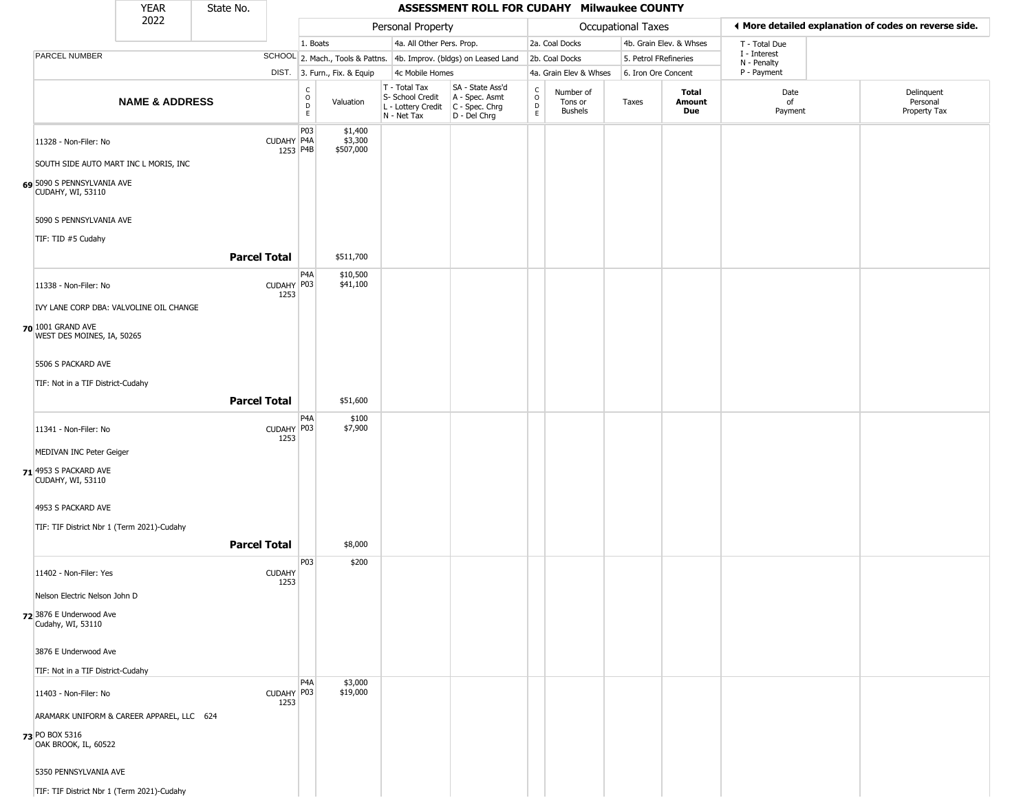|                                                   | <b>YEAR</b>                               | State No.           |                        |                                                          |                                 |                                                                                         | ASSESSMENT ROLL FOR CUDAHY Milwaukee COUNTY                         |                                                          |                                        |                       |                         |                             |                                                       |
|---------------------------------------------------|-------------------------------------------|---------------------|------------------------|----------------------------------------------------------|---------------------------------|-----------------------------------------------------------------------------------------|---------------------------------------------------------------------|----------------------------------------------------------|----------------------------------------|-----------------------|-------------------------|-----------------------------|-------------------------------------------------------|
|                                                   | 2022                                      |                     |                        |                                                          |                                 | Personal Property                                                                       |                                                                     |                                                          |                                        | Occupational Taxes    |                         |                             | ◀ More detailed explanation of codes on reverse side. |
|                                                   |                                           |                     |                        | 1. Boats                                                 |                                 | 4a. All Other Pers. Prop.                                                               |                                                                     |                                                          | 2a. Coal Docks                         |                       | 4b. Grain Elev. & Whses | T - Total Due               |                                                       |
| PARCEL NUMBER                                     |                                           |                     |                        |                                                          |                                 |                                                                                         | SCHOOL 2. Mach., Tools & Pattns. 4b. Improv. (bldgs) on Leased Land |                                                          | 2b. Coal Docks                         | 5. Petrol FRefineries |                         | I - Interest<br>N - Penalty |                                                       |
|                                                   |                                           |                     |                        |                                                          | DIST. 3. Furn., Fix. & Equip    | 4c Mobile Homes                                                                         |                                                                     |                                                          | 4a. Grain Elev & Whses                 | 6. Iron Ore Concent   |                         | P - Payment                 |                                                       |
|                                                   | <b>NAME &amp; ADDRESS</b>                 |                     |                        | $\begin{matrix} 0 \\ 0 \\ D \end{matrix}$<br>$\mathsf E$ | Valuation                       | T - Total Tax<br>S- School Credit<br>L - Lottery Credit   C - Spec. Chrg<br>N - Net Tax | SA - State Ass'd<br>A - Spec. Asmt<br>D - Del Chrg                  | $\begin{smallmatrix} C \\ O \\ D \end{smallmatrix}$<br>E | Number of<br>Tons or<br><b>Bushels</b> | Taxes                 | Total<br>Amount<br>Due  | Date<br>of<br>Payment       | Delinquent<br>Personal<br>Property Tax                |
| 11328 - Non-Filer: No                             |                                           |                     | CUDAHY P4A<br>1253 P4B | P03                                                      | \$1,400<br>\$3,300<br>\$507,000 |                                                                                         |                                                                     |                                                          |                                        |                       |                         |                             |                                                       |
|                                                   | SOUTH SIDE AUTO MART INC L MORIS, INC     |                     |                        |                                                          |                                 |                                                                                         |                                                                     |                                                          |                                        |                       |                         |                             |                                                       |
| 69 5090 S PENNSYLVANIA AVE<br>CUDAHY, WI, 53110   |                                           |                     |                        |                                                          |                                 |                                                                                         |                                                                     |                                                          |                                        |                       |                         |                             |                                                       |
| 5090 S PENNSYLVANIA AVE                           |                                           |                     |                        |                                                          |                                 |                                                                                         |                                                                     |                                                          |                                        |                       |                         |                             |                                                       |
| TIF: TID #5 Cudahy                                |                                           | <b>Parcel Total</b> |                        |                                                          | \$511,700                       |                                                                                         |                                                                     |                                                          |                                        |                       |                         |                             |                                                       |
| 11338 - Non-Filer: No                             |                                           |                     | CUDAHY P03<br>1253     | P <sub>4</sub> A                                         | \$10,500<br>\$41,100            |                                                                                         |                                                                     |                                                          |                                        |                       |                         |                             |                                                       |
|                                                   | IVY LANE CORP DBA: VALVOLINE OIL CHANGE   |                     |                        |                                                          |                                 |                                                                                         |                                                                     |                                                          |                                        |                       |                         |                             |                                                       |
| 70 1001 GRAND AVE<br>WEST DES MOINES, IA, 50265   |                                           |                     |                        |                                                          |                                 |                                                                                         |                                                                     |                                                          |                                        |                       |                         |                             |                                                       |
| 5506 S PACKARD AVE                                |                                           |                     |                        |                                                          |                                 |                                                                                         |                                                                     |                                                          |                                        |                       |                         |                             |                                                       |
| TIF: Not in a TIF District-Cudahy                 |                                           | <b>Parcel Total</b> |                        |                                                          | \$51,600                        |                                                                                         |                                                                     |                                                          |                                        |                       |                         |                             |                                                       |
| 11341 - Non-Filer: No                             |                                           |                     | CUDAHY P03             | P4A                                                      | \$100<br>\$7,900                |                                                                                         |                                                                     |                                                          |                                        |                       |                         |                             |                                                       |
| MEDIVAN INC Peter Geiger                          |                                           |                     | 1253                   |                                                          |                                 |                                                                                         |                                                                     |                                                          |                                        |                       |                         |                             |                                                       |
| 71 4953 S PACKARD AVE<br><b>CUDAHY, WI, 53110</b> |                                           |                     |                        |                                                          |                                 |                                                                                         |                                                                     |                                                          |                                        |                       |                         |                             |                                                       |
| 4953 S PACKARD AVE                                |                                           |                     |                        |                                                          |                                 |                                                                                         |                                                                     |                                                          |                                        |                       |                         |                             |                                                       |
| TIF: TIF District Nbr 1 (Term 2021)-Cudahy        |                                           | <b>Parcel Total</b> |                        |                                                          | \$8,000                         |                                                                                         |                                                                     |                                                          |                                        |                       |                         |                             |                                                       |
|                                                   |                                           |                     |                        | P03                                                      | \$200                           |                                                                                         |                                                                     |                                                          |                                        |                       |                         |                             |                                                       |
| 11402 - Non-Filer: Yes                            |                                           |                     | <b>CUDAHY</b><br>1253  |                                                          |                                 |                                                                                         |                                                                     |                                                          |                                        |                       |                         |                             |                                                       |
| Nelson Electric Nelson John D                     |                                           |                     |                        |                                                          |                                 |                                                                                         |                                                                     |                                                          |                                        |                       |                         |                             |                                                       |
| 72 3876 E Underwood Ave<br>Cudahy, WI, 53110      |                                           |                     |                        |                                                          |                                 |                                                                                         |                                                                     |                                                          |                                        |                       |                         |                             |                                                       |
| 3876 E Underwood Ave                              |                                           |                     |                        |                                                          |                                 |                                                                                         |                                                                     |                                                          |                                        |                       |                         |                             |                                                       |
| TIF: Not in a TIF District-Cudahy                 |                                           |                     |                        |                                                          |                                 |                                                                                         |                                                                     |                                                          |                                        |                       |                         |                             |                                                       |
| 11403 - Non-Filer: No                             |                                           |                     | CUDAHY P03<br>1253     | P <sub>4</sub> A                                         | \$3,000<br>\$19,000             |                                                                                         |                                                                     |                                                          |                                        |                       |                         |                             |                                                       |
| 73 PO BOX 5316                                    | ARAMARK UNIFORM & CAREER APPAREL, LLC 624 |                     |                        |                                                          |                                 |                                                                                         |                                                                     |                                                          |                                        |                       |                         |                             |                                                       |
| OAK BROOK, IL, 60522                              |                                           |                     |                        |                                                          |                                 |                                                                                         |                                                                     |                                                          |                                        |                       |                         |                             |                                                       |
| 5350 PENNSYLVANIA AVE                             |                                           |                     |                        |                                                          |                                 |                                                                                         |                                                                     |                                                          |                                        |                       |                         |                             |                                                       |
| TIF: TIF District Nbr 1 (Term 2021)-Cudahy        |                                           |                     |                        |                                                          |                                 |                                                                                         |                                                                     |                                                          |                                        |                       |                         |                             |                                                       |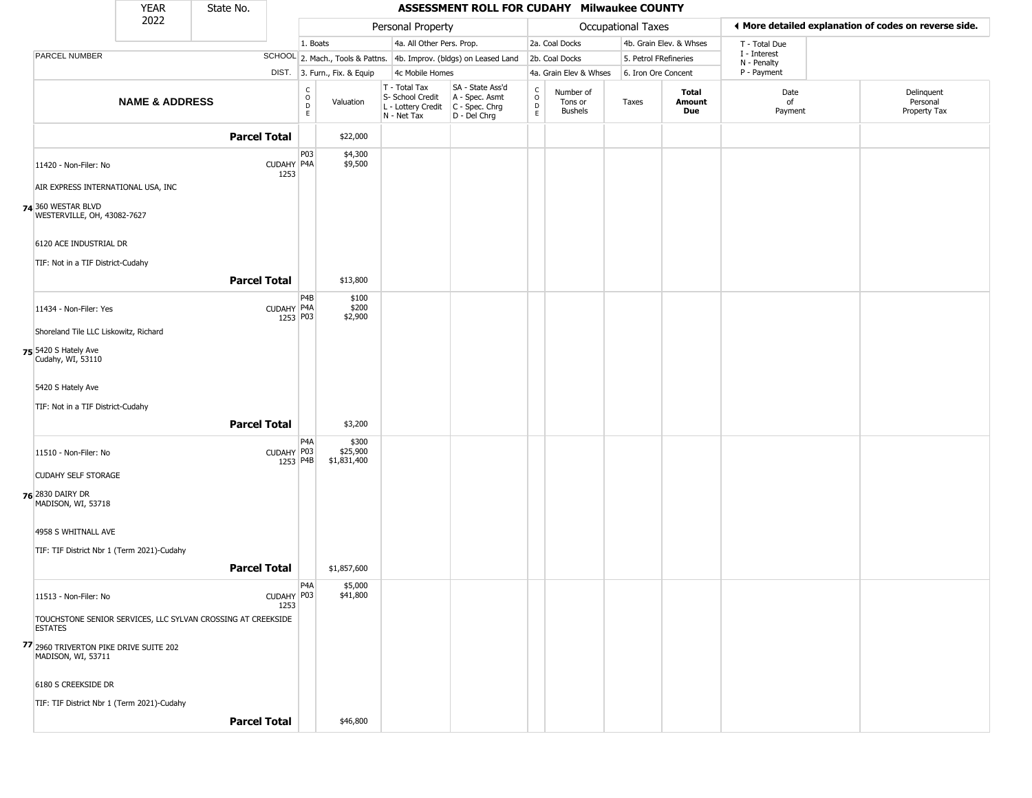|                                                   | <b>YEAR</b>                                | State No.                                                    |                                      |                              |                                                                        | <b>ASSESSMENT ROLL FOR CUDAHY Milwaukee COUNTY</b>                     |                                                  |                                        |                       |                         |                             |                                                       |
|---------------------------------------------------|--------------------------------------------|--------------------------------------------------------------|--------------------------------------|------------------------------|------------------------------------------------------------------------|------------------------------------------------------------------------|--------------------------------------------------|----------------------------------------|-----------------------|-------------------------|-----------------------------|-------------------------------------------------------|
|                                                   | 2022                                       |                                                              |                                      |                              | Personal Property                                                      |                                                                        |                                                  |                                        | Occupational Taxes    |                         |                             | ♦ More detailed explanation of codes on reverse side. |
|                                                   |                                            |                                                              | 1. Boats                             |                              | 4a. All Other Pers. Prop.                                              |                                                                        |                                                  | 2a. Coal Docks                         |                       | 4b. Grain Elev. & Whses | T - Total Due               |                                                       |
| <b>PARCEL NUMBER</b>                              |                                            |                                                              |                                      |                              |                                                                        | SCHOOL 2. Mach., Tools & Pattns. 4b. Improv. (bldgs) on Leased Land    |                                                  | 2b. Coal Docks                         | 5. Petrol FRefineries |                         | I - Interest<br>N - Penalty |                                                       |
|                                                   |                                            |                                                              |                                      | DIST. 3. Furn., Fix. & Equip | 4c Mobile Homes                                                        |                                                                        |                                                  | 4a. Grain Elev & Whses                 | 6. Iron Ore Concent   |                         | P - Payment                 |                                                       |
|                                                   | <b>NAME &amp; ADDRESS</b>                  |                                                              | C<br>$\mathsf O$<br>$\mathsf D$<br>E | Valuation                    | T - Total Tax<br>S- School Credit<br>L - Lottery Credit<br>N - Net Tax | SA - State Ass'd<br>A - Spec. Asmt<br>$C - Spec. Chrg$<br>D - Del Chrg | $_{\rm o}^{\rm c}$<br>$\mathsf D$<br>$\mathsf E$ | Number of<br>Tons or<br><b>Bushels</b> | Taxes                 | Total<br>Amount<br>Due  | Date<br>of<br>Payment       | Delinquent<br>Personal<br>Property Tax                |
|                                                   |                                            | <b>Parcel Total</b>                                          |                                      | \$22,000                     |                                                                        |                                                                        |                                                  |                                        |                       |                         |                             |                                                       |
| 11420 - Non-Filer: No                             |                                            | CUDAHY P4A<br>1253                                           | P03                                  | \$4,300<br>\$9,500           |                                                                        |                                                                        |                                                  |                                        |                       |                         |                             |                                                       |
|                                                   | AIR EXPRESS INTERNATIONAL USA, INC         |                                                              |                                      |                              |                                                                        |                                                                        |                                                  |                                        |                       |                         |                             |                                                       |
| 74 360 WESTAR BLVD<br>WESTERVILLE, OH, 43082-7627 |                                            |                                                              |                                      |                              |                                                                        |                                                                        |                                                  |                                        |                       |                         |                             |                                                       |
| 6120 ACE INDUSTRIAL DR                            |                                            |                                                              |                                      |                              |                                                                        |                                                                        |                                                  |                                        |                       |                         |                             |                                                       |
| TIF: Not in a TIF District-Cudahy                 |                                            |                                                              |                                      |                              |                                                                        |                                                                        |                                                  |                                        |                       |                         |                             |                                                       |
|                                                   |                                            | <b>Parcel Total</b>                                          |                                      | \$13,800                     |                                                                        |                                                                        |                                                  |                                        |                       |                         |                             |                                                       |
| 11434 - Non-Filer: Yes                            |                                            | CUDAHY P4A                                                   | P4B<br>1253 P03                      | \$100<br>\$200<br>\$2,900    |                                                                        |                                                                        |                                                  |                                        |                       |                         |                             |                                                       |
|                                                   | Shoreland Tile LLC Liskowitz, Richard      |                                                              |                                      |                              |                                                                        |                                                                        |                                                  |                                        |                       |                         |                             |                                                       |
| 75 5420 S Hately Ave<br>Cudahy, WI, 53110         |                                            |                                                              |                                      |                              |                                                                        |                                                                        |                                                  |                                        |                       |                         |                             |                                                       |
| 5420 S Hately Ave                                 |                                            |                                                              |                                      |                              |                                                                        |                                                                        |                                                  |                                        |                       |                         |                             |                                                       |
| TIF: Not in a TIF District-Cudahy                 |                                            |                                                              |                                      |                              |                                                                        |                                                                        |                                                  |                                        |                       |                         |                             |                                                       |
|                                                   |                                            | <b>Parcel Total</b>                                          |                                      | \$3,200                      |                                                                        |                                                                        |                                                  |                                        |                       |                         |                             |                                                       |
| 11510 - Non-Filer: No                             |                                            | CUDAHY P03                                                   | P4A                                  | \$300<br>\$25,900            |                                                                        |                                                                        |                                                  |                                        |                       |                         |                             |                                                       |
|                                                   |                                            |                                                              | 1253 P4B                             | \$1,831,400                  |                                                                        |                                                                        |                                                  |                                        |                       |                         |                             |                                                       |
| <b>CUDAHY SELF STORAGE</b>                        |                                            |                                                              |                                      |                              |                                                                        |                                                                        |                                                  |                                        |                       |                         |                             |                                                       |
| 76 2830 DAIRY DR<br>MADISON, WI, 53718            |                                            |                                                              |                                      |                              |                                                                        |                                                                        |                                                  |                                        |                       |                         |                             |                                                       |
| 4958 S WHITNALL AVE                               |                                            |                                                              |                                      |                              |                                                                        |                                                                        |                                                  |                                        |                       |                         |                             |                                                       |
|                                                   | TIF: TIF District Nbr 1 (Term 2021)-Cudahy |                                                              |                                      |                              |                                                                        |                                                                        |                                                  |                                        |                       |                         |                             |                                                       |
|                                                   |                                            | <b>Parcel Total</b>                                          |                                      | \$1,857,600                  |                                                                        |                                                                        |                                                  |                                        |                       |                         |                             |                                                       |
| 11513 - Non-Filer: No                             |                                            | CUDAHY P03<br>1253                                           | P4A                                  | \$5,000<br>\$41,800          |                                                                        |                                                                        |                                                  |                                        |                       |                         |                             |                                                       |
| <b>ESTATES</b>                                    |                                            | TOUCHSTONE SENIOR SERVICES, LLC SYLVAN CROSSING AT CREEKSIDE |                                      |                              |                                                                        |                                                                        |                                                  |                                        |                       |                         |                             |                                                       |
| MADISON, WI, 53711                                | 77 2960 TRIVERTON PIKE DRIVE SUITE 202     |                                                              |                                      |                              |                                                                        |                                                                        |                                                  |                                        |                       |                         |                             |                                                       |
| 6180 S CREEKSIDE DR                               |                                            |                                                              |                                      |                              |                                                                        |                                                                        |                                                  |                                        |                       |                         |                             |                                                       |
|                                                   | TIF: TIF District Nbr 1 (Term 2021)-Cudahy |                                                              |                                      |                              |                                                                        |                                                                        |                                                  |                                        |                       |                         |                             |                                                       |
|                                                   |                                            | <b>Parcel Total</b>                                          |                                      | \$46,800                     |                                                                        |                                                                        |                                                  |                                        |                       |                         |                             |                                                       |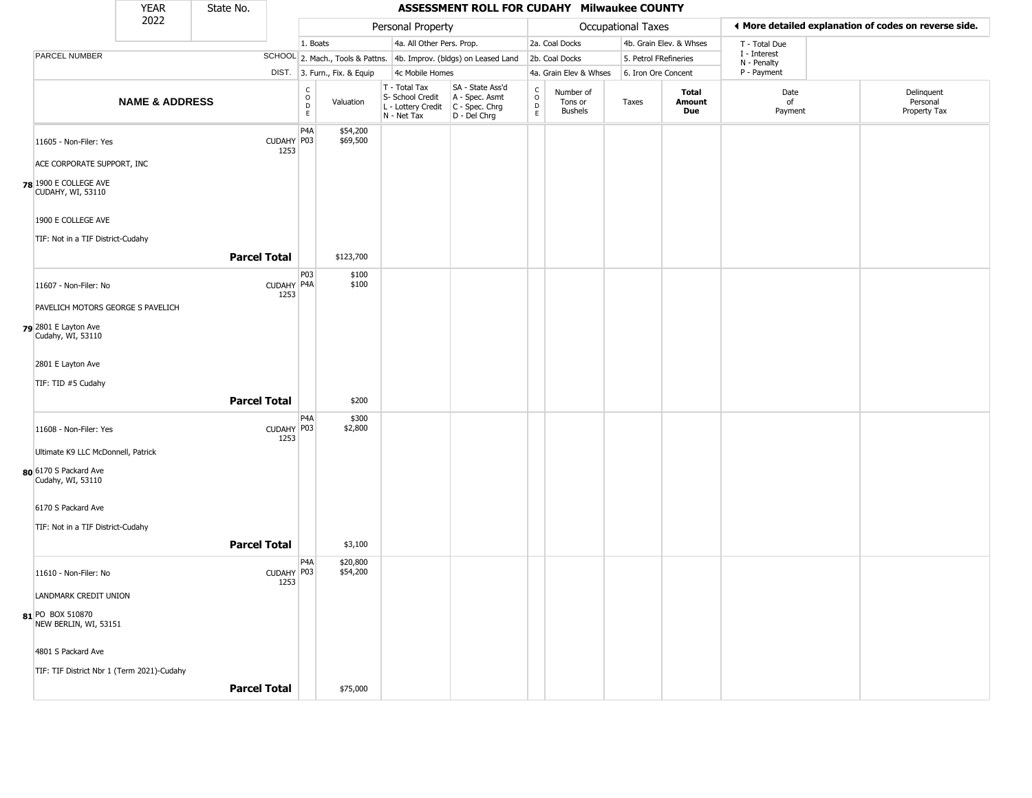|                                             | <b>YEAR</b>               | State No.           |                    |                         |                              |                                                                        | ASSESSMENT ROLL FOR CUDAHY Milwaukee COUNTY                              |                                |                                        |                           |                               |                             |                                                       |
|---------------------------------------------|---------------------------|---------------------|--------------------|-------------------------|------------------------------|------------------------------------------------------------------------|--------------------------------------------------------------------------|--------------------------------|----------------------------------------|---------------------------|-------------------------------|-----------------------------|-------------------------------------------------------|
|                                             | 2022                      |                     |                    |                         |                              | Personal Property                                                      |                                                                          |                                |                                        | <b>Occupational Taxes</b> |                               |                             | ♦ More detailed explanation of codes on reverse side. |
|                                             |                           |                     |                    | 1. Boats                |                              | 4a. All Other Pers. Prop.                                              |                                                                          |                                | 2a. Coal Docks                         |                           | 4b. Grain Elev. & Whses       | T - Total Due               |                                                       |
| PARCEL NUMBER                               |                           |                     |                    |                         |                              |                                                                        | SCHOOL 2. Mach., Tools & Pattns. 4b. Improv. (bldgs) on Leased Land      |                                | 2b. Coal Docks                         |                           | 5. Petrol FRefineries         | I - Interest<br>N - Penalty |                                                       |
|                                             |                           |                     |                    |                         | DIST. 3. Furn., Fix. & Equip | 4c Mobile Homes                                                        |                                                                          |                                | 4a. Grain Elev & Whses                 |                           | 6. Iron Ore Concent           | P - Payment                 |                                                       |
|                                             | <b>NAME &amp; ADDRESS</b> |                     |                    | $\frac{c}{0}$<br>D<br>E | Valuation                    | T - Total Tax<br>S- School Credit<br>L - Lottery Credit<br>N - Net Tax | SA - State Ass'd<br>A - Spec. Asmt<br>$C - Spec. Chrg$<br>$D - Del Chrg$ | $\frac{c}{0}$<br>$\frac{D}{E}$ | Number of<br>Tons or<br><b>Bushels</b> | Taxes                     | <b>Total</b><br>Amount<br>Due | Date<br>of<br>Payment       | Delinquent<br>Personal<br>Property Tax                |
| 11605 - Non-Filer: Yes                      |                           |                     | CUDAHY P03<br>1253 | P4A                     | \$54,200<br>\$69,500         |                                                                        |                                                                          |                                |                                        |                           |                               |                             |                                                       |
| ACE CORPORATE SUPPORT, INC                  |                           |                     |                    |                         |                              |                                                                        |                                                                          |                                |                                        |                           |                               |                             |                                                       |
| 78 1900 E COLLEGE AVE<br>CUDAHY, WI, 53110  |                           |                     |                    |                         |                              |                                                                        |                                                                          |                                |                                        |                           |                               |                             |                                                       |
| 1900 E COLLEGE AVE                          |                           |                     |                    |                         |                              |                                                                        |                                                                          |                                |                                        |                           |                               |                             |                                                       |
| TIF: Not in a TIF District-Cudahy           |                           | <b>Parcel Total</b> |                    |                         | \$123,700                    |                                                                        |                                                                          |                                |                                        |                           |                               |                             |                                                       |
|                                             |                           |                     |                    |                         |                              |                                                                        |                                                                          |                                |                                        |                           |                               |                             |                                                       |
| 11607 - Non-Filer: No                       |                           |                     | CUDAHY P4A<br>1253 | P03                     | \$100<br>\$100               |                                                                        |                                                                          |                                |                                        |                           |                               |                             |                                                       |
| PAVELICH MOTORS GEORGE S PAVELICH           |                           |                     |                    |                         |                              |                                                                        |                                                                          |                                |                                        |                           |                               |                             |                                                       |
| $79$ 2801 E Layton Ave<br>Cudahy, WI, 53110 |                           |                     |                    |                         |                              |                                                                        |                                                                          |                                |                                        |                           |                               |                             |                                                       |
| 2801 E Layton Ave                           |                           |                     |                    |                         |                              |                                                                        |                                                                          |                                |                                        |                           |                               |                             |                                                       |
| TIF: TID #5 Cudahy                          |                           |                     |                    |                         |                              |                                                                        |                                                                          |                                |                                        |                           |                               |                             |                                                       |
|                                             |                           |                     |                    |                         |                              |                                                                        |                                                                          |                                |                                        |                           |                               |                             |                                                       |
|                                             |                           | <b>Parcel Total</b> |                    |                         | \$200                        |                                                                        |                                                                          |                                |                                        |                           |                               |                             |                                                       |
| 11608 - Non-Filer: Yes                      |                           |                     | CUDAHY P03<br>1253 | P4A                     | \$300<br>\$2,800             |                                                                        |                                                                          |                                |                                        |                           |                               |                             |                                                       |
| Ultimate K9 LLC McDonnell, Patrick          |                           |                     |                    |                         |                              |                                                                        |                                                                          |                                |                                        |                           |                               |                             |                                                       |
| 80 6170 S Packard Ave<br>Cudahy, WI, 53110  |                           |                     |                    |                         |                              |                                                                        |                                                                          |                                |                                        |                           |                               |                             |                                                       |
| 6170 S Packard Ave                          |                           |                     |                    |                         |                              |                                                                        |                                                                          |                                |                                        |                           |                               |                             |                                                       |
| TIF: Not in a TIF District-Cudahy           |                           |                     |                    |                         |                              |                                                                        |                                                                          |                                |                                        |                           |                               |                             |                                                       |
|                                             |                           | <b>Parcel Total</b> |                    |                         | \$3,100                      |                                                                        |                                                                          |                                |                                        |                           |                               |                             |                                                       |
|                                             |                           |                     |                    |                         |                              |                                                                        |                                                                          |                                |                                        |                           |                               |                             |                                                       |
| 11610 - Non-Filer: No                       |                           |                     | CUDAHY P03<br>1253 | P4A                     | \$20,800<br>\$54,200         |                                                                        |                                                                          |                                |                                        |                           |                               |                             |                                                       |
| LANDMARK CREDIT UNION                       |                           |                     |                    |                         |                              |                                                                        |                                                                          |                                |                                        |                           |                               |                             |                                                       |
| 81 PO BOX 510870<br>NEW BERLIN, WI, 53151   |                           |                     |                    |                         |                              |                                                                        |                                                                          |                                |                                        |                           |                               |                             |                                                       |
| 4801 S Packard Ave                          |                           |                     |                    |                         |                              |                                                                        |                                                                          |                                |                                        |                           |                               |                             |                                                       |
| TIF: TIF District Nbr 1 (Term 2021)-Cudahy  |                           |                     |                    |                         |                              |                                                                        |                                                                          |                                |                                        |                           |                               |                             |                                                       |
|                                             |                           | <b>Parcel Total</b> |                    |                         | \$75,000                     |                                                                        |                                                                          |                                |                                        |                           |                               |                             |                                                       |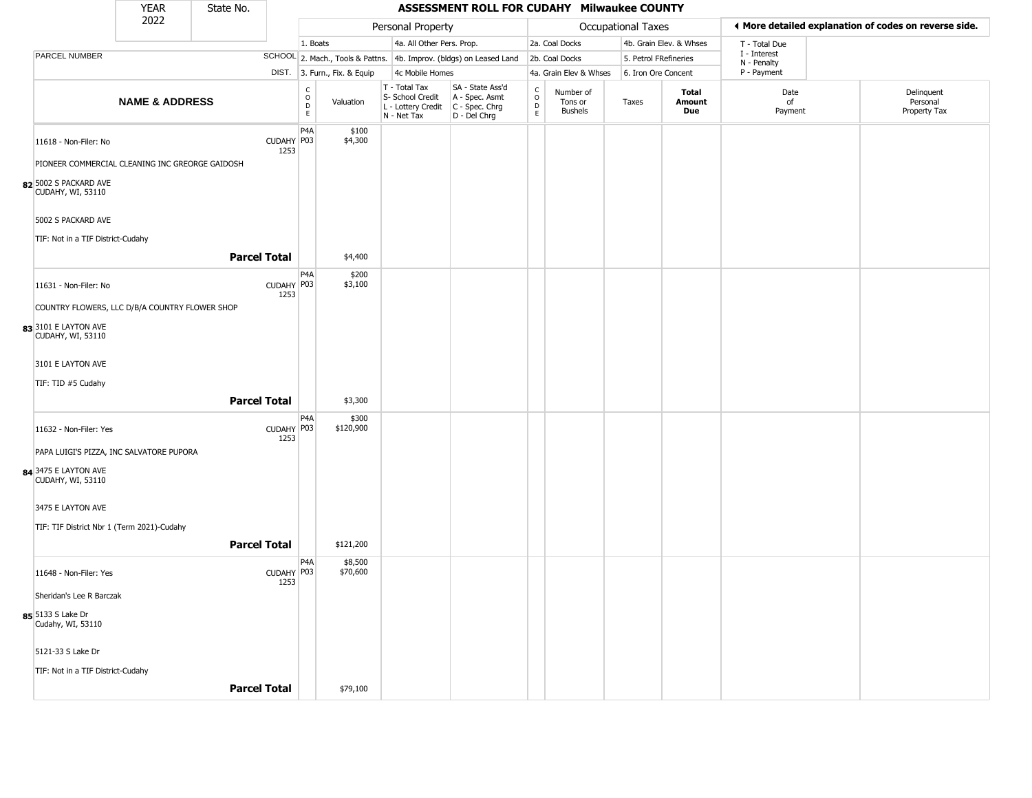|                                                 | <b>YEAR</b>               | State No. |                     |                                   |                              |                                                                                         | ASSESSMENT ROLL FOR CUDAHY Milwaukee COUNTY                         |                                                          |                                        |                    |                         |                            |                                                       |
|-------------------------------------------------|---------------------------|-----------|---------------------|-----------------------------------|------------------------------|-----------------------------------------------------------------------------------------|---------------------------------------------------------------------|----------------------------------------------------------|----------------------------------------|--------------------|-------------------------|----------------------------|-------------------------------------------------------|
|                                                 | 2022                      |           |                     |                                   |                              | Personal Property                                                                       |                                                                     |                                                          |                                        | Occupational Taxes |                         |                            | ◀ More detailed explanation of codes on reverse side. |
|                                                 |                           |           |                     | 1. Boats                          |                              | 4a. All Other Pers. Prop.                                                               |                                                                     |                                                          | 2a. Coal Docks                         |                    | 4b. Grain Elev. & Whses | T - Total Due              |                                                       |
| <b>PARCEL NUMBER</b>                            |                           |           |                     |                                   |                              |                                                                                         | SCHOOL 2. Mach., Tools & Pattns. 4b. Improv. (bldgs) on Leased Land |                                                          | 2b. Coal Docks                         |                    | 5. Petrol FRefineries   | I - Interest               |                                                       |
|                                                 |                           |           |                     |                                   | DIST. 3. Furn., Fix. & Equip | 4c Mobile Homes                                                                         |                                                                     |                                                          | 4a. Grain Elev & Whses                 |                    | 6. Iron Ore Concent     | N - Penalty<br>P - Payment |                                                       |
|                                                 | <b>NAME &amp; ADDRESS</b> |           |                     | $\frac{c}{0}$<br>$\mathsf D$<br>E | Valuation                    | T - Total Tax<br>S- School Credit<br>L - Lottery Credit   C - Spec. Chrg<br>N - Net Tax | SA - State Ass'd<br>A - Spec. Asmt<br>D - Del Chrg                  | $\begin{matrix} 0 \\ 0 \\ D \end{matrix}$<br>$\mathsf E$ | Number of<br>Tons or<br><b>Bushels</b> | Taxes              | Total<br>Amount<br>Due  | Date<br>of<br>Payment      | Delinquent<br>Personal<br>Property Tax                |
| 11618 - Non-Filer: No                           |                           |           | CUDAHY P03<br>1253  | P <sub>4</sub> A                  | \$100<br>\$4,300             |                                                                                         |                                                                     |                                                          |                                        |                    |                         |                            |                                                       |
| PIONEER COMMERCIAL CLEANING INC GREORGE GAIDOSH |                           |           |                     |                                   |                              |                                                                                         |                                                                     |                                                          |                                        |                    |                         |                            |                                                       |
| 82 5002 S PACKARD AVE<br>CUDAHY, WI, 53110      |                           |           |                     |                                   |                              |                                                                                         |                                                                     |                                                          |                                        |                    |                         |                            |                                                       |
| 5002 S PACKARD AVE                              |                           |           |                     |                                   |                              |                                                                                         |                                                                     |                                                          |                                        |                    |                         |                            |                                                       |
| TIF: Not in a TIF District-Cudahy               |                           |           |                     |                                   |                              |                                                                                         |                                                                     |                                                          |                                        |                    |                         |                            |                                                       |
|                                                 |                           |           | <b>Parcel Total</b> |                                   | \$4,400                      |                                                                                         |                                                                     |                                                          |                                        |                    |                         |                            |                                                       |
| 11631 - Non-Filer: No                           |                           |           | CUDAHY P03<br>1253  | P <sub>4</sub> A                  | \$200<br>\$3,100             |                                                                                         |                                                                     |                                                          |                                        |                    |                         |                            |                                                       |
| COUNTRY FLOWERS, LLC D/B/A COUNTRY FLOWER SHOP  |                           |           |                     |                                   |                              |                                                                                         |                                                                     |                                                          |                                        |                    |                         |                            |                                                       |
| 83 3101 E LAYTON AVE<br>CUDAHY, WI, 53110       |                           |           |                     |                                   |                              |                                                                                         |                                                                     |                                                          |                                        |                    |                         |                            |                                                       |
| 3101 E LAYTON AVE                               |                           |           |                     |                                   |                              |                                                                                         |                                                                     |                                                          |                                        |                    |                         |                            |                                                       |
| TIF: TID #5 Cudahy                              |                           |           |                     |                                   |                              |                                                                                         |                                                                     |                                                          |                                        |                    |                         |                            |                                                       |
|                                                 |                           |           | <b>Parcel Total</b> |                                   | \$3,300                      |                                                                                         |                                                                     |                                                          |                                        |                    |                         |                            |                                                       |
| 11632 - Non-Filer: Yes                          |                           |           | CUDAHY P03<br>1253  | P <sub>4</sub> A                  | \$300<br>\$120,900           |                                                                                         |                                                                     |                                                          |                                        |                    |                         |                            |                                                       |
| PAPA LUIGI'S PIZZA, INC SALVATORE PUPORA        |                           |           |                     |                                   |                              |                                                                                         |                                                                     |                                                          |                                        |                    |                         |                            |                                                       |
| 84 3475 E LAYTON AVE<br>CUDAHY, WI, 53110       |                           |           |                     |                                   |                              |                                                                                         |                                                                     |                                                          |                                        |                    |                         |                            |                                                       |
| 3475 E LAYTON AVE                               |                           |           |                     |                                   |                              |                                                                                         |                                                                     |                                                          |                                        |                    |                         |                            |                                                       |
| TIF: TIF District Nbr 1 (Term 2021)-Cudahy      |                           |           |                     |                                   |                              |                                                                                         |                                                                     |                                                          |                                        |                    |                         |                            |                                                       |
|                                                 |                           |           | <b>Parcel Total</b> |                                   | \$121,200                    |                                                                                         |                                                                     |                                                          |                                        |                    |                         |                            |                                                       |
| 11648 - Non-Filer: Yes                          |                           |           | CUDAHY P03<br>1253  | P <sub>4</sub> A                  | \$8,500<br>\$70,600          |                                                                                         |                                                                     |                                                          |                                        |                    |                         |                            |                                                       |
| Sheridan's Lee R Barczak                        |                           |           |                     |                                   |                              |                                                                                         |                                                                     |                                                          |                                        |                    |                         |                            |                                                       |
| 85 5133 S Lake Dr<br>Cudahy, WI, 53110          |                           |           |                     |                                   |                              |                                                                                         |                                                                     |                                                          |                                        |                    |                         |                            |                                                       |
| 5121-33 S Lake Dr                               |                           |           |                     |                                   |                              |                                                                                         |                                                                     |                                                          |                                        |                    |                         |                            |                                                       |
| TIF: Not in a TIF District-Cudahy               |                           |           |                     |                                   |                              |                                                                                         |                                                                     |                                                          |                                        |                    |                         |                            |                                                       |
|                                                 |                           |           | <b>Parcel Total</b> |                                   | \$79,100                     |                                                                                         |                                                                     |                                                          |                                        |                    |                         |                            |                                                       |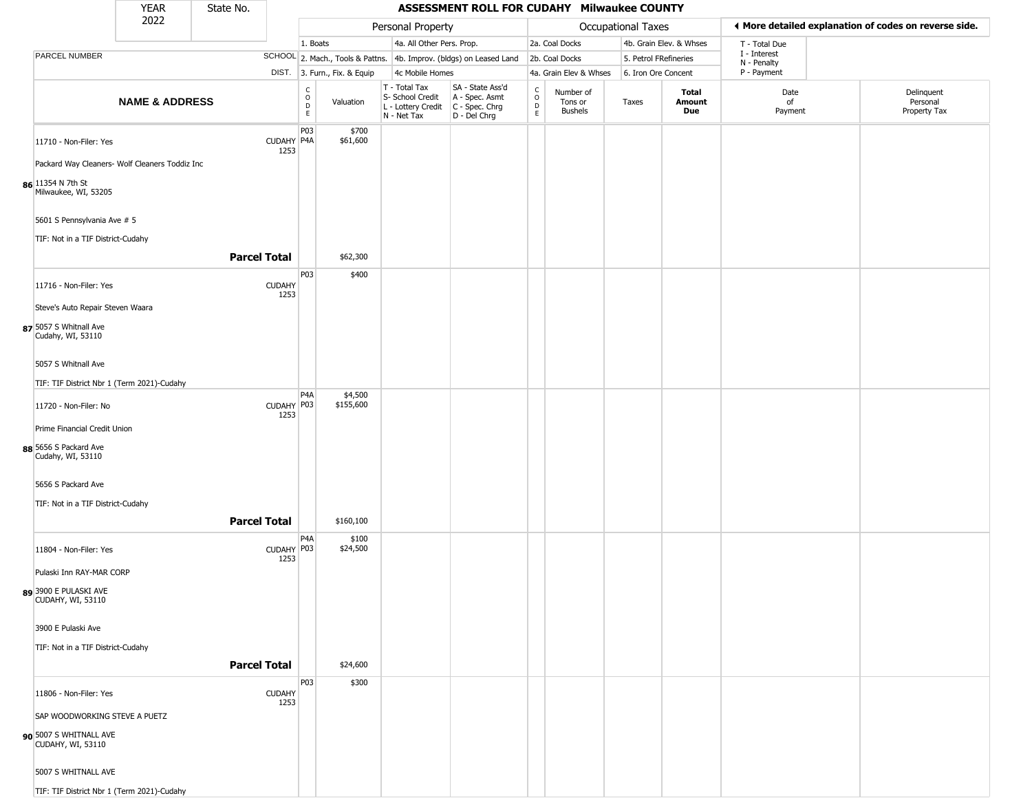|                                                   | YEAR                      | State No.           |                       |                                    |                              |                                                                                       | ASSESSMENT ROLL FOR CUDAHY Milwaukee COUNTY                         |                        |                                        |                       |                         |                             |                                                       |
|---------------------------------------------------|---------------------------|---------------------|-----------------------|------------------------------------|------------------------------|---------------------------------------------------------------------------------------|---------------------------------------------------------------------|------------------------|----------------------------------------|-----------------------|-------------------------|-----------------------------|-------------------------------------------------------|
|                                                   | 2022                      |                     |                       |                                    |                              | Personal Property                                                                     |                                                                     |                        |                                        | Occupational Taxes    |                         |                             | ♦ More detailed explanation of codes on reverse side. |
|                                                   |                           |                     |                       | 1. Boats                           |                              | 4a. All Other Pers. Prop.                                                             |                                                                     |                        | 2a. Coal Docks                         |                       | 4b. Grain Elev. & Whses | T - Total Due               |                                                       |
| PARCEL NUMBER                                     |                           |                     |                       |                                    |                              |                                                                                       | SCHOOL 2. Mach., Tools & Pattns. 4b. Improv. (bldgs) on Leased Land |                        | 2b. Coal Docks                         | 5. Petrol FRefineries |                         | I - Interest<br>N - Penalty |                                                       |
|                                                   |                           |                     |                       |                                    | DIST. 3. Furn., Fix. & Equip | 4c Mobile Homes                                                                       |                                                                     |                        | 4a. Grain Elev & Whses                 | 6. Iron Ore Concent   |                         | P - Payment                 |                                                       |
|                                                   | <b>NAME &amp; ADDRESS</b> |                     |                       | $\frac{C}{O}$<br>$\mathsf D$<br>E. | Valuation                    | T - Total Tax<br>S- School Credit<br>L - Lottery Credit C - Spec. Chrg<br>N - Net Tax | SA - State Ass'd<br>A - Spec. Asmt<br>D - Del Chrg                  | C<br>$\circ$<br>D<br>E | Number of<br>Tons or<br><b>Bushels</b> | Taxes                 | Total<br>Amount<br>Due  | Date<br>of<br>Payment       | Delinquent<br>Personal<br>Property Tax                |
| 11710 - Non-Filer: Yes                            |                           |                     | CUDAHY P4A<br>1253    | P03                                | \$700<br>\$61,600            |                                                                                       |                                                                     |                        |                                        |                       |                         |                             |                                                       |
| Packard Way Cleaners- Wolf Cleaners Toddiz Inc    |                           |                     |                       |                                    |                              |                                                                                       |                                                                     |                        |                                        |                       |                         |                             |                                                       |
| 86 11354 N 7th St<br>Milwaukee, WI, 53205         |                           |                     |                       |                                    |                              |                                                                                       |                                                                     |                        |                                        |                       |                         |                             |                                                       |
| 5601 S Pennsylvania Ave # 5                       |                           |                     |                       |                                    |                              |                                                                                       |                                                                     |                        |                                        |                       |                         |                             |                                                       |
| TIF: Not in a TIF District-Cudahy                 |                           | <b>Parcel Total</b> |                       |                                    | \$62,300                     |                                                                                       |                                                                     |                        |                                        |                       |                         |                             |                                                       |
| 11716 - Non-Filer: Yes                            |                           |                     | <b>CUDAHY</b><br>1253 | P03                                | \$400                        |                                                                                       |                                                                     |                        |                                        |                       |                         |                             |                                                       |
| Steve's Auto Repair Steven Waara                  |                           |                     |                       |                                    |                              |                                                                                       |                                                                     |                        |                                        |                       |                         |                             |                                                       |
| 87 5057 S Whitnall Ave<br>Cudahy, WI, 53110       |                           |                     |                       |                                    |                              |                                                                                       |                                                                     |                        |                                        |                       |                         |                             |                                                       |
| 5057 S Whitnall Ave                               |                           |                     |                       |                                    |                              |                                                                                       |                                                                     |                        |                                        |                       |                         |                             |                                                       |
| TIF: TIF District Nbr 1 (Term 2021)-Cudahy        |                           |                     |                       | P <sub>4</sub> A                   |                              |                                                                                       |                                                                     |                        |                                        |                       |                         |                             |                                                       |
| 11720 - Non-Filer: No                             |                           |                     | CUDAHY P03<br>1253    |                                    | \$4,500<br>\$155,600         |                                                                                       |                                                                     |                        |                                        |                       |                         |                             |                                                       |
| Prime Financial Credit Union                      |                           |                     |                       |                                    |                              |                                                                                       |                                                                     |                        |                                        |                       |                         |                             |                                                       |
| 88 5656 S Packard Ave<br>Cudahy, WI, 53110        |                           |                     |                       |                                    |                              |                                                                                       |                                                                     |                        |                                        |                       |                         |                             |                                                       |
| 5656 S Packard Ave                                |                           |                     |                       |                                    |                              |                                                                                       |                                                                     |                        |                                        |                       |                         |                             |                                                       |
| TIF: Not in a TIF District-Cudahy                 |                           |                     |                       |                                    |                              |                                                                                       |                                                                     |                        |                                        |                       |                         |                             |                                                       |
|                                                   |                           | <b>Parcel Total</b> |                       |                                    | \$160,100                    |                                                                                       |                                                                     |                        |                                        |                       |                         |                             |                                                       |
| 11804 - Non-Filer: Yes                            |                           |                     | CUDAHY P03<br>1253    | P <sub>4</sub> A                   | \$100<br>\$24,500            |                                                                                       |                                                                     |                        |                                        |                       |                         |                             |                                                       |
| Pulaski Inn RAY-MAR CORP                          |                           |                     |                       |                                    |                              |                                                                                       |                                                                     |                        |                                        |                       |                         |                             |                                                       |
| 89 3900 E PULASKI AVE<br><b>CUDAHY, WI, 53110</b> |                           |                     |                       |                                    |                              |                                                                                       |                                                                     |                        |                                        |                       |                         |                             |                                                       |
| 3900 E Pulaski Ave                                |                           |                     |                       |                                    |                              |                                                                                       |                                                                     |                        |                                        |                       |                         |                             |                                                       |
| TIF: Not in a TIF District-Cudahy                 |                           |                     |                       |                                    |                              |                                                                                       |                                                                     |                        |                                        |                       |                         |                             |                                                       |
|                                                   |                           | <b>Parcel Total</b> |                       |                                    | \$24,600                     |                                                                                       |                                                                     |                        |                                        |                       |                         |                             |                                                       |
| 11806 - Non-Filer: Yes                            |                           |                     | <b>CUDAHY</b><br>1253 | P03                                | \$300                        |                                                                                       |                                                                     |                        |                                        |                       |                         |                             |                                                       |
| SAP WOODWORKING STEVE A PUETZ                     |                           |                     |                       |                                    |                              |                                                                                       |                                                                     |                        |                                        |                       |                         |                             |                                                       |
| 90 5007 S WHITNALL AVE<br>CUDAHY, WI, 53110       |                           |                     |                       |                                    |                              |                                                                                       |                                                                     |                        |                                        |                       |                         |                             |                                                       |
| 5007 S WHITNALL AVE                               |                           |                     |                       |                                    |                              |                                                                                       |                                                                     |                        |                                        |                       |                         |                             |                                                       |
| TIF: TIF District Nbr 1 (Term 2021)-Cudahy        |                           |                     |                       |                                    |                              |                                                                                       |                                                                     |                        |                                        |                       |                         |                             |                                                       |

\_\_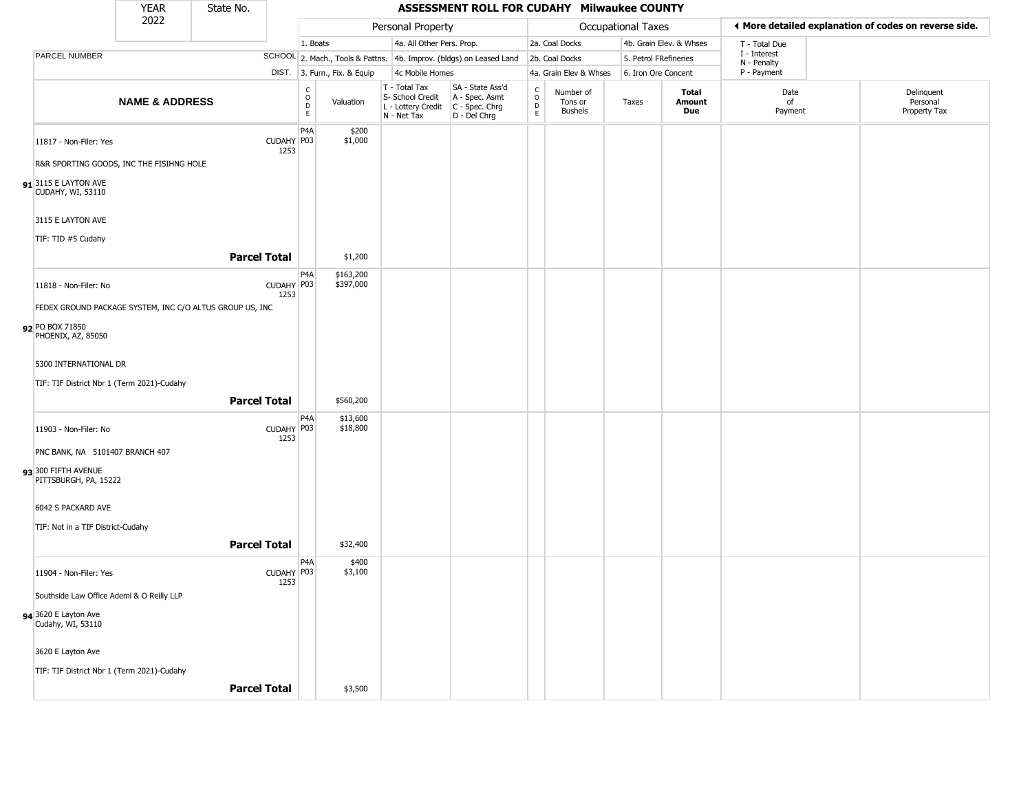|                                                          | <b>YEAR</b>               | State No. |                     |                                                 |                              |                                                                                             | ASSESSMENT ROLL FOR CUDAHY Milwaukee COUNTY                         |                                              |                                        |                           |                         |                        |                            |                                                       |
|----------------------------------------------------------|---------------------------|-----------|---------------------|-------------------------------------------------|------------------------------|---------------------------------------------------------------------------------------------|---------------------------------------------------------------------|----------------------------------------------|----------------------------------------|---------------------------|-------------------------|------------------------|----------------------------|-------------------------------------------------------|
|                                                          | 2022                      |           |                     |                                                 |                              | Personal Property                                                                           |                                                                     |                                              |                                        | <b>Occupational Taxes</b> |                         |                        |                            | ♦ More detailed explanation of codes on reverse side. |
|                                                          |                           |           |                     | 1. Boats                                        |                              | 4a. All Other Pers. Prop.                                                                   |                                                                     |                                              | 2a. Coal Docks                         |                           | 4b. Grain Elev. & Whses |                        | T - Total Due              |                                                       |
| PARCEL NUMBER                                            |                           |           |                     |                                                 |                              |                                                                                             | SCHOOL 2. Mach., Tools & Pattns. 4b. Improv. (bldgs) on Leased Land |                                              | 2b. Coal Docks                         |                           | 5. Petrol FRefineries   |                        | I - Interest               |                                                       |
|                                                          |                           |           |                     |                                                 | DIST. 3. Furn., Fix. & Equip | 4c Mobile Homes                                                                             |                                                                     |                                              | 4a. Grain Elev & Whses                 |                           | 6. Iron Ore Concent     |                        | N - Penalty<br>P - Payment |                                                       |
|                                                          | <b>NAME &amp; ADDRESS</b> |           |                     | $\begin{array}{c} C \\ O \\ D \\ E \end{array}$ | Valuation                    | $T - Total Tax$<br>S- School Credit<br>L - Lottery Credit   C - Spec. Chrg<br>$N - Net Tax$ | SA - State Ass'd<br>A - Spec. Asmt<br>$D - Del Chrg$                | $\begin{array}{c}\nC \\ O \\ D\n\end{array}$ | Number of<br>Tons or<br><b>Bushels</b> | Taxes                     |                         | Total<br>Amount<br>Due | Date<br>of<br>Payment      | Delinquent<br>Personal<br>Property Tax                |
| 11817 - Non-Filer: Yes                                   |                           |           | CUDAHY P03<br>1253  | P <sub>4</sub> A                                | \$200<br>\$1,000             |                                                                                             |                                                                     |                                              |                                        |                           |                         |                        |                            |                                                       |
| R&R SPORTING GOODS, INC THE FISIHNG HOLE                 |                           |           |                     |                                                 |                              |                                                                                             |                                                                     |                                              |                                        |                           |                         |                        |                            |                                                       |
| $91$ <sup>3115</sup> E LAYTON AVE<br>CUDAHY, WI, 53110   |                           |           |                     |                                                 |                              |                                                                                             |                                                                     |                                              |                                        |                           |                         |                        |                            |                                                       |
| 3115 E LAYTON AVE                                        |                           |           |                     |                                                 |                              |                                                                                             |                                                                     |                                              |                                        |                           |                         |                        |                            |                                                       |
| TIF: TID #5 Cudahy                                       |                           |           |                     |                                                 |                              |                                                                                             |                                                                     |                                              |                                        |                           |                         |                        |                            |                                                       |
|                                                          |                           |           | <b>Parcel Total</b> |                                                 | \$1,200                      |                                                                                             |                                                                     |                                              |                                        |                           |                         |                        |                            |                                                       |
| 11818 - Non-Filer: No                                    |                           |           | CUDAHY P03<br>1253  | P <sub>4</sub> A                                | \$163,200<br>\$397,000       |                                                                                             |                                                                     |                                              |                                        |                           |                         |                        |                            |                                                       |
| FEDEX GROUND PACKAGE SYSTEM, INC C/O ALTUS GROUP US, INC |                           |           |                     |                                                 |                              |                                                                                             |                                                                     |                                              |                                        |                           |                         |                        |                            |                                                       |
| 92 PO BOX 71850<br>PHOENIX, AZ, 85050                    |                           |           |                     |                                                 |                              |                                                                                             |                                                                     |                                              |                                        |                           |                         |                        |                            |                                                       |
| 5300 INTERNATIONAL DR                                    |                           |           |                     |                                                 |                              |                                                                                             |                                                                     |                                              |                                        |                           |                         |                        |                            |                                                       |
| TIF: TIF District Nbr 1 (Term 2021)-Cudahy               |                           |           |                     |                                                 |                              |                                                                                             |                                                                     |                                              |                                        |                           |                         |                        |                            |                                                       |
|                                                          |                           |           | <b>Parcel Total</b> |                                                 | \$560,200                    |                                                                                             |                                                                     |                                              |                                        |                           |                         |                        |                            |                                                       |
| 11903 - Non-Filer: No                                    |                           |           | CUDAHY P03<br>1253  | P4A                                             | \$13,600<br>\$18,800         |                                                                                             |                                                                     |                                              |                                        |                           |                         |                        |                            |                                                       |
| PNC BANK, NA 5101407 BRANCH 407                          |                           |           |                     |                                                 |                              |                                                                                             |                                                                     |                                              |                                        |                           |                         |                        |                            |                                                       |
| 93 300 FIFTH AVENUE<br>PITTSBURGH, PA, 15222             |                           |           |                     |                                                 |                              |                                                                                             |                                                                     |                                              |                                        |                           |                         |                        |                            |                                                       |
| 6042 S PACKARD AVE                                       |                           |           |                     |                                                 |                              |                                                                                             |                                                                     |                                              |                                        |                           |                         |                        |                            |                                                       |
| TIF: Not in a TIF District-Cudahy                        |                           |           |                     |                                                 |                              |                                                                                             |                                                                     |                                              |                                        |                           |                         |                        |                            |                                                       |
|                                                          |                           |           | <b>Parcel Total</b> |                                                 | \$32,400                     |                                                                                             |                                                                     |                                              |                                        |                           |                         |                        |                            |                                                       |
| 11904 - Non-Filer: Yes                                   |                           |           | CUDAHY P03          | P <sub>4</sub> A                                | \$400<br>\$3,100             |                                                                                             |                                                                     |                                              |                                        |                           |                         |                        |                            |                                                       |
| Southside Law Office Ademi & O Reilly LLP                |                           |           | 1253                |                                                 |                              |                                                                                             |                                                                     |                                              |                                        |                           |                         |                        |                            |                                                       |
| 94 3620 E Layton Ave<br>Cudahy, WI, 53110                |                           |           |                     |                                                 |                              |                                                                                             |                                                                     |                                              |                                        |                           |                         |                        |                            |                                                       |
|                                                          |                           |           |                     |                                                 |                              |                                                                                             |                                                                     |                                              |                                        |                           |                         |                        |                            |                                                       |
| 3620 E Layton Ave                                        |                           |           |                     |                                                 |                              |                                                                                             |                                                                     |                                              |                                        |                           |                         |                        |                            |                                                       |
| TIF: TIF District Nbr 1 (Term 2021)-Cudahy               |                           |           |                     |                                                 |                              |                                                                                             |                                                                     |                                              |                                        |                           |                         |                        |                            |                                                       |
|                                                          |                           |           | <b>Parcel Total</b> |                                                 | \$3,500                      |                                                                                             |                                                                     |                                              |                                        |                           |                         |                        |                            |                                                       |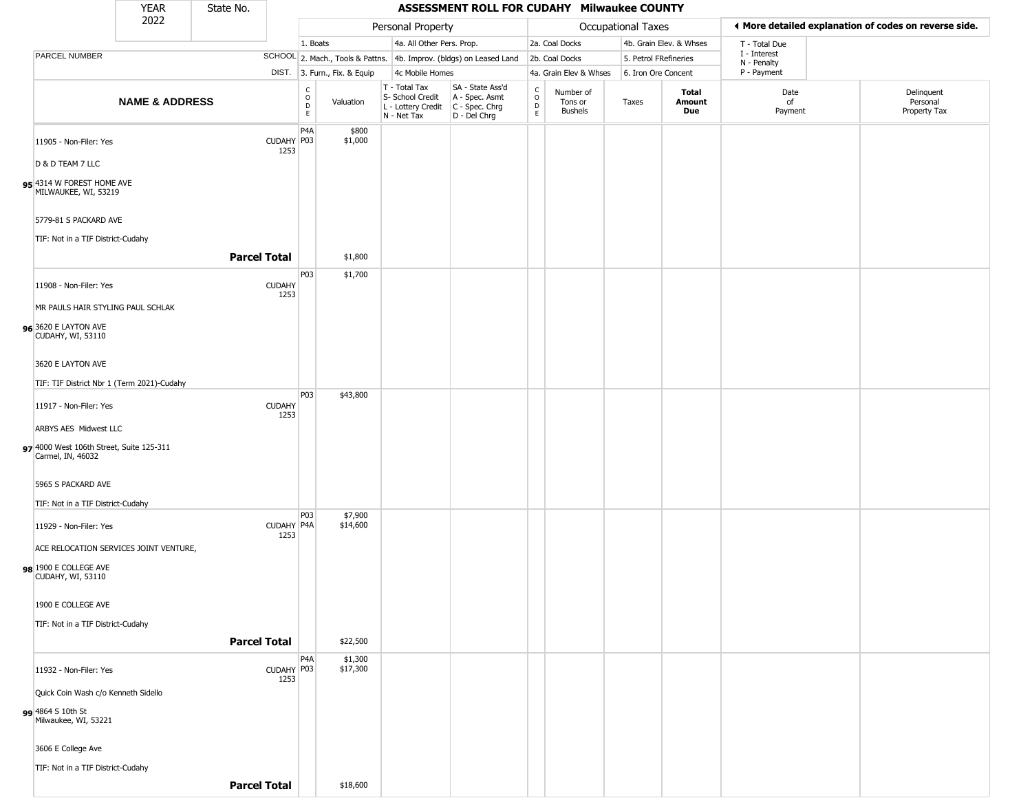|                                                                 | <b>YEAR</b>               | State No.           |                       |                                             |                              |                                                  | ASSESSMENT ROLL FOR CUDAHY Milwaukee COUNTY                                               |                        |                                        |                       |                         |                             |                                                       |
|-----------------------------------------------------------------|---------------------------|---------------------|-----------------------|---------------------------------------------|------------------------------|--------------------------------------------------|-------------------------------------------------------------------------------------------|------------------------|----------------------------------------|-----------------------|-------------------------|-----------------------------|-------------------------------------------------------|
|                                                                 | 2022                      |                     |                       |                                             |                              | Personal Property                                |                                                                                           |                        |                                        | Occupational Taxes    |                         |                             | ♦ More detailed explanation of codes on reverse side. |
|                                                                 |                           |                     |                       | 1. Boats                                    |                              | 4a. All Other Pers. Prop.                        |                                                                                           |                        | 2a. Coal Docks                         |                       | 4b. Grain Elev. & Whses | T - Total Due               |                                                       |
| PARCEL NUMBER                                                   |                           |                     |                       |                                             |                              |                                                  | SCHOOL 2. Mach., Tools & Pattns. 4b. Improv. (bldgs) on Leased Land                       |                        | 2b. Coal Docks                         | 5. Petrol FRefineries |                         | I - Interest<br>N - Penalty |                                                       |
|                                                                 |                           |                     |                       |                                             | DIST. 3. Furn., Fix. & Equip | 4c Mobile Homes                                  |                                                                                           |                        | 4a. Grain Elev & Whses                 | 6. Iron Ore Concent   |                         | P - Payment                 |                                                       |
|                                                                 | <b>NAME &amp; ADDRESS</b> |                     |                       | $\frac{C}{O}$<br>$\mathsf D$<br>$\mathsf E$ | Valuation                    | T - Total Tax<br>S- School Credit<br>N - Net Tax | SA - State Ass'd<br>A - Spec. Asmt<br>L - Lottery Credit   C - Spec. Chrg<br>D - Del Chrg | C<br>$\circ$<br>D<br>E | Number of<br>Tons or<br><b>Bushels</b> | Taxes                 | Total<br>Amount<br>Due  | Date<br>of<br>Payment       | Delinquent<br>Personal<br>Property Tax                |
| 11905 - Non-Filer: Yes                                          |                           |                     | CUDAHY P03            | P <sub>4</sub> A                            | \$800<br>\$1,000             |                                                  |                                                                                           |                        |                                        |                       |                         |                             |                                                       |
| D & D TEAM 7 LLC                                                |                           |                     | 1253                  |                                             |                              |                                                  |                                                                                           |                        |                                        |                       |                         |                             |                                                       |
| 95 4314 W FOREST HOME AVE<br>MILWAUKEE, WI, 53219               |                           |                     |                       |                                             |                              |                                                  |                                                                                           |                        |                                        |                       |                         |                             |                                                       |
| 5779-81 S PACKARD AVE                                           |                           |                     |                       |                                             |                              |                                                  |                                                                                           |                        |                                        |                       |                         |                             |                                                       |
| TIF: Not in a TIF District-Cudahy                               |                           | <b>Parcel Total</b> |                       |                                             | \$1,800                      |                                                  |                                                                                           |                        |                                        |                       |                         |                             |                                                       |
| 11908 - Non-Filer: Yes                                          |                           |                     | <b>CUDAHY</b><br>1253 | P03                                         | \$1,700                      |                                                  |                                                                                           |                        |                                        |                       |                         |                             |                                                       |
| MR PAULS HAIR STYLING PAUL SCHLAK                               |                           |                     |                       |                                             |                              |                                                  |                                                                                           |                        |                                        |                       |                         |                             |                                                       |
| 96 3620 E LAYTON AVE<br>CUDAHY, WI, 53110                       |                           |                     |                       |                                             |                              |                                                  |                                                                                           |                        |                                        |                       |                         |                             |                                                       |
| 3620 E LAYTON AVE                                               |                           |                     |                       |                                             |                              |                                                  |                                                                                           |                        |                                        |                       |                         |                             |                                                       |
| TIF: TIF District Nbr 1 (Term 2021)-Cudahy                      |                           |                     |                       |                                             |                              |                                                  |                                                                                           |                        |                                        |                       |                         |                             |                                                       |
| 11917 - Non-Filer: Yes                                          |                           |                     | <b>CUDAHY</b><br>1253 | P03                                         | \$43,800                     |                                                  |                                                                                           |                        |                                        |                       |                         |                             |                                                       |
| ARBYS AES Midwest LLC                                           |                           |                     |                       |                                             |                              |                                                  |                                                                                           |                        |                                        |                       |                         |                             |                                                       |
| 97 4000 West 106th Street, Suite 125-311<br>Carmel, IN, 46032   |                           |                     |                       |                                             |                              |                                                  |                                                                                           |                        |                                        |                       |                         |                             |                                                       |
| 5965 S PACKARD AVE                                              |                           |                     |                       |                                             |                              |                                                  |                                                                                           |                        |                                        |                       |                         |                             |                                                       |
| TIF: Not in a TIF District-Cudahy                               |                           |                     |                       |                                             |                              |                                                  |                                                                                           |                        |                                        |                       |                         |                             |                                                       |
| 11929 - Non-Filer: Yes                                          |                           |                     | CUDAHY   P4A<br>1253  | P03                                         | \$7,900<br>\$14,600          |                                                  |                                                                                           |                        |                                        |                       |                         |                             |                                                       |
| ACE RELOCATION SERVICES JOINT VENTURE,<br>98 1900 E COLLEGE AVE |                           |                     |                       |                                             |                              |                                                  |                                                                                           |                        |                                        |                       |                         |                             |                                                       |
| CUDAHY, WI, 53110                                               |                           |                     |                       |                                             |                              |                                                  |                                                                                           |                        |                                        |                       |                         |                             |                                                       |
| 1900 E COLLEGE AVE                                              |                           |                     |                       |                                             |                              |                                                  |                                                                                           |                        |                                        |                       |                         |                             |                                                       |
| TIF: Not in a TIF District-Cudahy                               |                           |                     |                       |                                             |                              |                                                  |                                                                                           |                        |                                        |                       |                         |                             |                                                       |
|                                                                 |                           | <b>Parcel Total</b> |                       |                                             | \$22,500                     |                                                  |                                                                                           |                        |                                        |                       |                         |                             |                                                       |
| 11932 - Non-Filer: Yes                                          |                           |                     | CUDAHY P03<br>1253    | P4A                                         | \$1,300<br>\$17,300          |                                                  |                                                                                           |                        |                                        |                       |                         |                             |                                                       |
| Quick Coin Wash c/o Kenneth Sidello                             |                           |                     |                       |                                             |                              |                                                  |                                                                                           |                        |                                        |                       |                         |                             |                                                       |
| 99 4864 S 10th St<br>Milwaukee, WI, 53221                       |                           |                     |                       |                                             |                              |                                                  |                                                                                           |                        |                                        |                       |                         |                             |                                                       |
| 3606 E College Ave                                              |                           |                     |                       |                                             |                              |                                                  |                                                                                           |                        |                                        |                       |                         |                             |                                                       |
| TIF: Not in a TIF District-Cudahy                               |                           |                     |                       |                                             |                              |                                                  |                                                                                           |                        |                                        |                       |                         |                             |                                                       |
|                                                                 |                           | <b>Parcel Total</b> |                       |                                             | \$18,600                     |                                                  |                                                                                           |                        |                                        |                       |                         |                             |                                                       |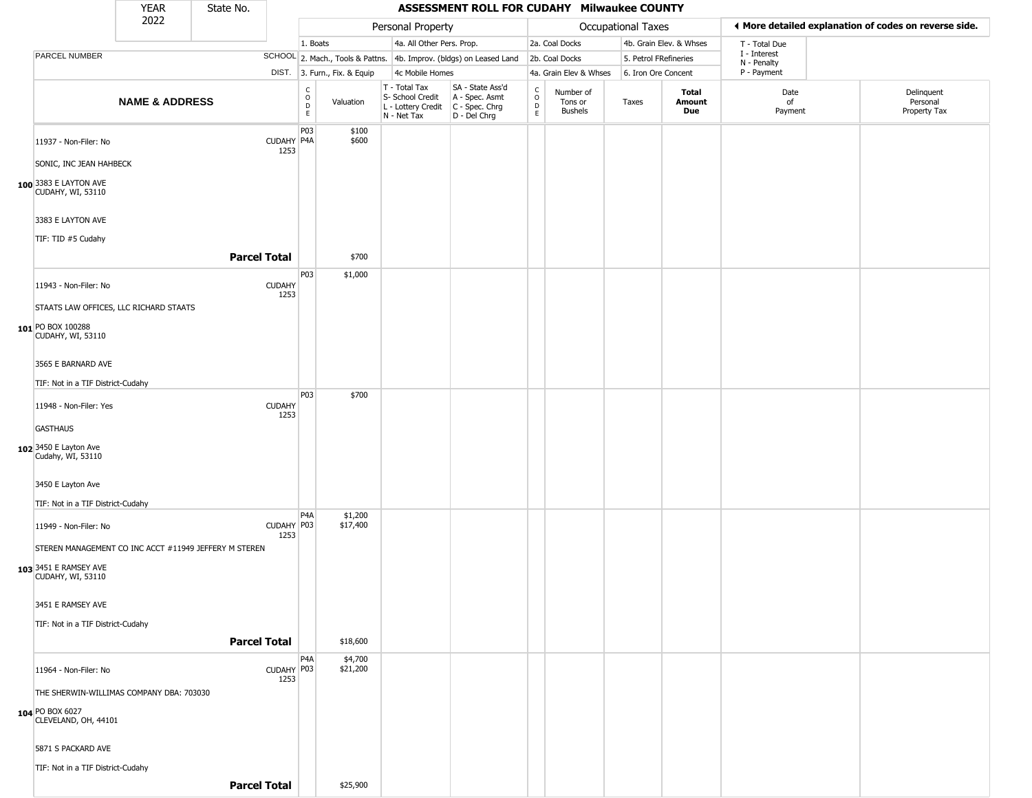|                                                   | <b>YEAR</b>               | State No.                                             |                       |                                       |                              |                                                                        | ASSESSMENT ROLL FOR CUDAHY Milwaukee COUNTY                          |                                                           |                                        |                       |                         |                             |                                                       |
|---------------------------------------------------|---------------------------|-------------------------------------------------------|-----------------------|---------------------------------------|------------------------------|------------------------------------------------------------------------|----------------------------------------------------------------------|-----------------------------------------------------------|----------------------------------------|-----------------------|-------------------------|-----------------------------|-------------------------------------------------------|
|                                                   | 2022                      |                                                       |                       |                                       |                              | Personal Property                                                      |                                                                      |                                                           |                                        | Occupational Taxes    |                         |                             | ◀ More detailed explanation of codes on reverse side. |
|                                                   |                           |                                                       |                       | 1. Boats                              |                              | 4a. All Other Pers. Prop.                                              |                                                                      |                                                           | 2a. Coal Docks                         |                       | 4b. Grain Elev. & Whses | T - Total Due               |                                                       |
| PARCEL NUMBER                                     |                           |                                                       |                       |                                       |                              |                                                                        | SCHOOL 2. Mach., Tools & Pattns. 4b. Improv. (bldgs) on Leased Land  |                                                           | 2b. Coal Docks                         | 5. Petrol FRefineries |                         | I - Interest<br>N - Penalty |                                                       |
|                                                   |                           |                                                       |                       |                                       | DIST. 3. Furn., Fix. & Equip | 4c Mobile Homes                                                        |                                                                      |                                                           | 4a. Grain Elev & Whses                 | 6. Iron Ore Concent   |                         | P - Payment                 |                                                       |
|                                                   | <b>NAME &amp; ADDRESS</b> |                                                       |                       | $\mathsf{C}$<br>$\mathsf O$<br>D<br>E | Valuation                    | T - Total Tax<br>S- School Credit<br>L - Lottery Credit<br>N - Net Tax | SA - State Ass'd<br>A - Spec. Asmt<br>C - Spec. Chrg<br>D - Del Chrg | $_{\rm o}^{\rm c}$<br>$\mathrel{\mathsf{D}}_{\mathsf{E}}$ | Number of<br>Tons or<br><b>Bushels</b> | Taxes                 | Total<br>Amount<br>Due  | Date<br>of<br>Payment       | Delinquent<br>Personal<br>Property Tax                |
| 11937 - Non-Filer: No                             |                           |                                                       | CUDAHY P4A<br>1253    | P03                                   | \$100<br>\$600               |                                                                        |                                                                      |                                                           |                                        |                       |                         |                             |                                                       |
| SONIC, INC JEAN HAHBECK                           |                           |                                                       |                       |                                       |                              |                                                                        |                                                                      |                                                           |                                        |                       |                         |                             |                                                       |
| 100 3383 E LAYTON AVE<br><b>CUDAHY, WI, 53110</b> |                           |                                                       |                       |                                       |                              |                                                                        |                                                                      |                                                           |                                        |                       |                         |                             |                                                       |
| 3383 E LAYTON AVE                                 |                           |                                                       |                       |                                       |                              |                                                                        |                                                                      |                                                           |                                        |                       |                         |                             |                                                       |
| TIF: TID #5 Cudahy                                |                           | <b>Parcel Total</b>                                   |                       |                                       | \$700                        |                                                                        |                                                                      |                                                           |                                        |                       |                         |                             |                                                       |
| 11943 - Non-Filer: No                             |                           |                                                       | <b>CUDAHY</b>         | P03                                   | \$1,000                      |                                                                        |                                                                      |                                                           |                                        |                       |                         |                             |                                                       |
| STAATS LAW OFFICES, LLC RICHARD STAATS            |                           |                                                       | 1253                  |                                       |                              |                                                                        |                                                                      |                                                           |                                        |                       |                         |                             |                                                       |
| 101 PO BOX 100288<br>CUDAHY, WI, 53110            |                           |                                                       |                       |                                       |                              |                                                                        |                                                                      |                                                           |                                        |                       |                         |                             |                                                       |
| 3565 E BARNARD AVE                                |                           |                                                       |                       |                                       |                              |                                                                        |                                                                      |                                                           |                                        |                       |                         |                             |                                                       |
| TIF: Not in a TIF District-Cudahy                 |                           |                                                       |                       |                                       |                              |                                                                        |                                                                      |                                                           |                                        |                       |                         |                             |                                                       |
|                                                   |                           |                                                       |                       | P03                                   | \$700                        |                                                                        |                                                                      |                                                           |                                        |                       |                         |                             |                                                       |
| 11948 - Non-Filer: Yes                            |                           |                                                       | <b>CUDAHY</b><br>1253 |                                       |                              |                                                                        |                                                                      |                                                           |                                        |                       |                         |                             |                                                       |
| <b>GASTHAUS</b>                                   |                           |                                                       |                       |                                       |                              |                                                                        |                                                                      |                                                           |                                        |                       |                         |                             |                                                       |
| 102 3450 E Layton Ave<br>Cudahy, WI, 53110        |                           |                                                       |                       |                                       |                              |                                                                        |                                                                      |                                                           |                                        |                       |                         |                             |                                                       |
| 3450 E Layton Ave                                 |                           |                                                       |                       |                                       |                              |                                                                        |                                                                      |                                                           |                                        |                       |                         |                             |                                                       |
| TIF: Not in a TIF District-Cudahy                 |                           |                                                       |                       |                                       |                              |                                                                        |                                                                      |                                                           |                                        |                       |                         |                             |                                                       |
| 11949 - Non-Filer: No                             |                           |                                                       | CUDAHY P03<br>1253    | P <sub>4</sub> A                      | \$1,200<br>\$17,400          |                                                                        |                                                                      |                                                           |                                        |                       |                         |                             |                                                       |
|                                                   |                           | STEREN MANAGEMENT CO INC ACCT #11949 JEFFERY M STEREN |                       |                                       |                              |                                                                        |                                                                      |                                                           |                                        |                       |                         |                             |                                                       |
| 103 3451 E RAMSEY AVE<br><b>CUDAHY, WI, 53110</b> |                           |                                                       |                       |                                       |                              |                                                                        |                                                                      |                                                           |                                        |                       |                         |                             |                                                       |
| 3451 E RAMSEY AVE                                 |                           |                                                       |                       |                                       |                              |                                                                        |                                                                      |                                                           |                                        |                       |                         |                             |                                                       |
| TIF: Not in a TIF District-Cudahy                 |                           |                                                       |                       |                                       |                              |                                                                        |                                                                      |                                                           |                                        |                       |                         |                             |                                                       |
|                                                   |                           |                                                       | <b>Parcel Total</b>   |                                       | \$18,600                     |                                                                        |                                                                      |                                                           |                                        |                       |                         |                             |                                                       |
| 11964 - Non-Filer: No                             |                           |                                                       | CUDAHY P03<br>1253    | P4A                                   | \$4,700<br>\$21,200          |                                                                        |                                                                      |                                                           |                                        |                       |                         |                             |                                                       |
| THE SHERWIN-WILLIMAS COMPANY DBA: 703030          |                           |                                                       |                       |                                       |                              |                                                                        |                                                                      |                                                           |                                        |                       |                         |                             |                                                       |
| 104 PO BOX 6027<br>CLEVELAND, OH, 44101           |                           |                                                       |                       |                                       |                              |                                                                        |                                                                      |                                                           |                                        |                       |                         |                             |                                                       |
| 5871 S PACKARD AVE                                |                           |                                                       |                       |                                       |                              |                                                                        |                                                                      |                                                           |                                        |                       |                         |                             |                                                       |
| TIF: Not in a TIF District-Cudahy                 |                           |                                                       |                       |                                       |                              |                                                                        |                                                                      |                                                           |                                        |                       |                         |                             |                                                       |
|                                                   |                           |                                                       | <b>Parcel Total</b>   |                                       | \$25,900                     |                                                                        |                                                                      |                                                           |                                        |                       |                         |                             |                                                       |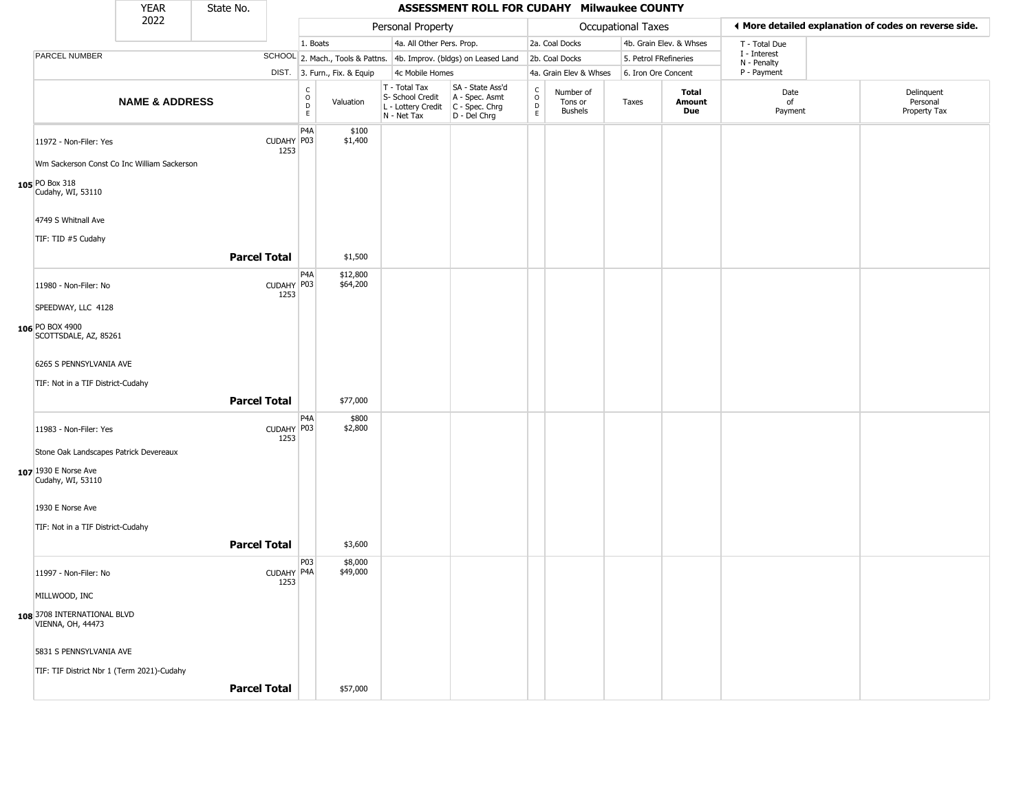|                                                  | <b>YEAR</b>               | State No.           |                    |                                          |                              |                                                                        | ASSESSMENT ROLL FOR CUDAHY Milwaukee COUNTY                          |                                                 |                                        |                       |                               |                             |                                                       |
|--------------------------------------------------|---------------------------|---------------------|--------------------|------------------------------------------|------------------------------|------------------------------------------------------------------------|----------------------------------------------------------------------|-------------------------------------------------|----------------------------------------|-----------------------|-------------------------------|-----------------------------|-------------------------------------------------------|
|                                                  | 2022                      |                     |                    |                                          |                              | Personal Property                                                      |                                                                      |                                                 |                                        | Occupational Taxes    |                               |                             | ♦ More detailed explanation of codes on reverse side. |
|                                                  |                           |                     |                    | 1. Boats                                 |                              | 4a. All Other Pers. Prop.                                              |                                                                      |                                                 | 2a. Coal Docks                         |                       | 4b. Grain Elev. & Whses       | T - Total Due               |                                                       |
| PARCEL NUMBER                                    |                           |                     |                    |                                          |                              |                                                                        | SCHOOL 2. Mach., Tools & Pattns. 4b. Improv. (bldgs) on Leased Land  |                                                 | 2b. Coal Docks                         | 5. Petrol FRefineries |                               | I - Interest<br>N - Penalty |                                                       |
|                                                  |                           |                     |                    |                                          | DIST. 3. Furn., Fix. & Equip | 4c Mobile Homes                                                        |                                                                      |                                                 | 4a. Grain Elev & Whses                 | 6. Iron Ore Concent   |                               | P - Payment                 |                                                       |
|                                                  | <b>NAME &amp; ADDRESS</b> |                     |                    | $\rm _o^C$<br>$\mathsf D$<br>$\mathsf E$ | Valuation                    | T - Total Tax<br>S- School Credit<br>L - Lottery Credit<br>N - Net Tax | SA - State Ass'd<br>A - Spec. Asmt<br>C - Spec. Chrg<br>D - Del Chrg | $\begin{array}{c} C \\ O \\ D \\ E \end{array}$ | Number of<br>Tons or<br><b>Bushels</b> | Taxes                 | Total<br><b>Amount</b><br>Due | Date<br>of<br>Payment       | Delinquent<br>Personal<br>Property Tax                |
| 11972 - Non-Filer: Yes                           |                           |                     | CUDAHY P03<br>1253 | P4A                                      | \$100<br>\$1,400             |                                                                        |                                                                      |                                                 |                                        |                       |                               |                             |                                                       |
| Wm Sackerson Const Co Inc William Sackerson      |                           |                     |                    |                                          |                              |                                                                        |                                                                      |                                                 |                                        |                       |                               |                             |                                                       |
| 105 PO Box 318<br>Cudahy, WI, 53110              |                           |                     |                    |                                          |                              |                                                                        |                                                                      |                                                 |                                        |                       |                               |                             |                                                       |
| 4749 S Whitnall Ave                              |                           |                     |                    |                                          |                              |                                                                        |                                                                      |                                                 |                                        |                       |                               |                             |                                                       |
| TIF: TID #5 Cudahy                               |                           |                     |                    |                                          |                              |                                                                        |                                                                      |                                                 |                                        |                       |                               |                             |                                                       |
|                                                  |                           | <b>Parcel Total</b> |                    |                                          | \$1,500                      |                                                                        |                                                                      |                                                 |                                        |                       |                               |                             |                                                       |
| 11980 - Non-Filer: No                            |                           |                     | CUDAHY P03<br>1253 | P4A                                      | \$12,800<br>\$64,200         |                                                                        |                                                                      |                                                 |                                        |                       |                               |                             |                                                       |
| SPEEDWAY, LLC 4128                               |                           |                     |                    |                                          |                              |                                                                        |                                                                      |                                                 |                                        |                       |                               |                             |                                                       |
| 106 PO BOX 4900<br>SCOTTSDALE, AZ, 85261         |                           |                     |                    |                                          |                              |                                                                        |                                                                      |                                                 |                                        |                       |                               |                             |                                                       |
| 6265 S PENNSYLVANIA AVE                          |                           |                     |                    |                                          |                              |                                                                        |                                                                      |                                                 |                                        |                       |                               |                             |                                                       |
| TIF: Not in a TIF District-Cudahy                |                           |                     |                    |                                          |                              |                                                                        |                                                                      |                                                 |                                        |                       |                               |                             |                                                       |
|                                                  |                           | <b>Parcel Total</b> |                    |                                          | \$77,000                     |                                                                        |                                                                      |                                                 |                                        |                       |                               |                             |                                                       |
| 11983 - Non-Filer: Yes                           |                           |                     | CUDAHY P03<br>1253 | P <sub>4</sub> A                         | \$800<br>\$2,800             |                                                                        |                                                                      |                                                 |                                        |                       |                               |                             |                                                       |
| Stone Oak Landscapes Patrick Devereaux           |                           |                     |                    |                                          |                              |                                                                        |                                                                      |                                                 |                                        |                       |                               |                             |                                                       |
| 107 1930 E Norse Ave<br>Cudahy, WI, 53110        |                           |                     |                    |                                          |                              |                                                                        |                                                                      |                                                 |                                        |                       |                               |                             |                                                       |
| 1930 E Norse Ave                                 |                           |                     |                    |                                          |                              |                                                                        |                                                                      |                                                 |                                        |                       |                               |                             |                                                       |
| TIF: Not in a TIF District-Cudahy                |                           |                     |                    |                                          |                              |                                                                        |                                                                      |                                                 |                                        |                       |                               |                             |                                                       |
|                                                  |                           | <b>Parcel Total</b> |                    |                                          | \$3,600                      |                                                                        |                                                                      |                                                 |                                        |                       |                               |                             |                                                       |
| 11997 - Non-Filer: No                            |                           |                     | CUDAHY P4A<br>1253 | P03                                      | \$8,000<br>\$49,000          |                                                                        |                                                                      |                                                 |                                        |                       |                               |                             |                                                       |
| MILLWOOD, INC                                    |                           |                     |                    |                                          |                              |                                                                        |                                                                      |                                                 |                                        |                       |                               |                             |                                                       |
| 108 3708 INTERNATIONAL BLVD<br>VIENNA, OH, 44473 |                           |                     |                    |                                          |                              |                                                                        |                                                                      |                                                 |                                        |                       |                               |                             |                                                       |
| 5831 S PENNSYLVANIA AVE                          |                           |                     |                    |                                          |                              |                                                                        |                                                                      |                                                 |                                        |                       |                               |                             |                                                       |
| TIF: TIF District Nbr 1 (Term 2021)-Cudahy       |                           |                     |                    |                                          |                              |                                                                        |                                                                      |                                                 |                                        |                       |                               |                             |                                                       |
|                                                  |                           | <b>Parcel Total</b> |                    |                                          | \$57,000                     |                                                                        |                                                                      |                                                 |                                        |                       |                               |                             |                                                       |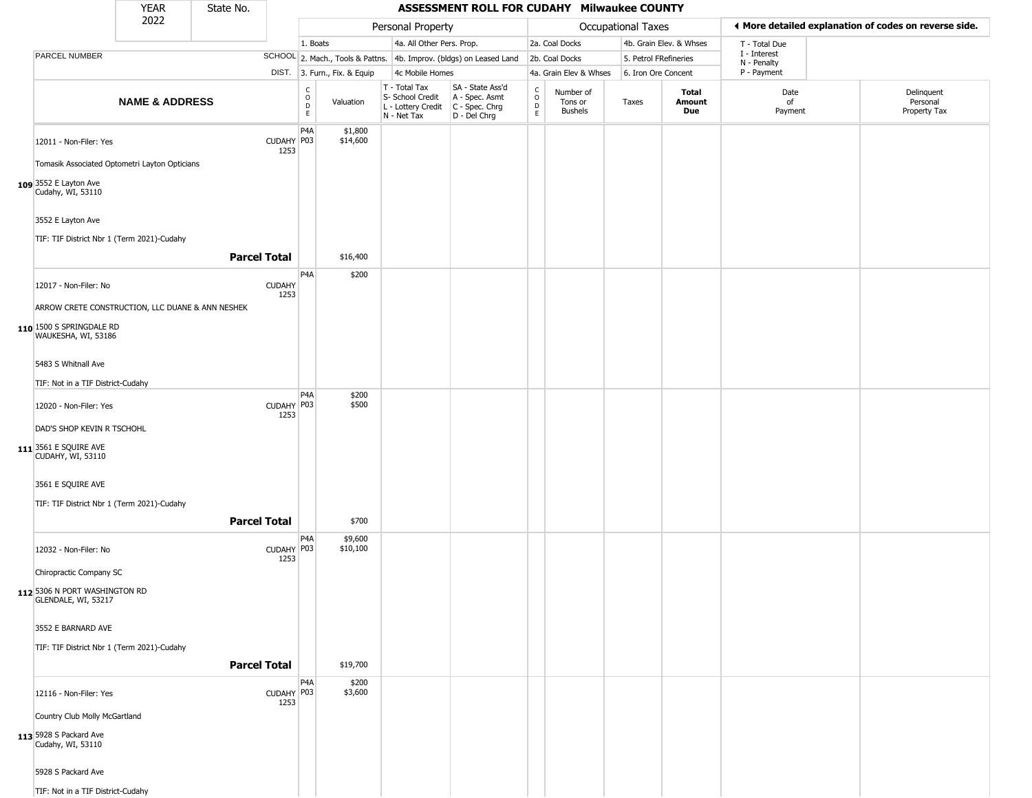|                                                                                             | <b>YEAR</b>               | State No.           |                       |                                                           |                              |                                                                          | ASSESSMENT ROLL FOR CUDAHY Milwaukee COUNTY                          |                                                          |                                 |                       |                         |                             |                                                       |
|---------------------------------------------------------------------------------------------|---------------------------|---------------------|-----------------------|-----------------------------------------------------------|------------------------------|--------------------------------------------------------------------------|----------------------------------------------------------------------|----------------------------------------------------------|---------------------------------|-----------------------|-------------------------|-----------------------------|-------------------------------------------------------|
|                                                                                             | 2022                      |                     |                       |                                                           |                              | Personal Property                                                        |                                                                      |                                                          |                                 | Occupational Taxes    |                         |                             | ◀ More detailed explanation of codes on reverse side. |
|                                                                                             |                           |                     |                       | 1. Boats                                                  |                              | 4a. All Other Pers. Prop.                                                |                                                                      |                                                          | 2a. Coal Docks                  |                       | 4b. Grain Elev. & Whses | T - Total Due               |                                                       |
| PARCEL NUMBER                                                                               |                           |                     |                       |                                                           |                              |                                                                          | SCHOOL 2. Mach., Tools & Pattns. 4b. Improv. (bldgs) on Leased Land  |                                                          | 2b. Coal Docks                  | 5. Petrol FRefineries |                         | I - Interest<br>N - Penalty |                                                       |
|                                                                                             |                           |                     |                       |                                                           | DIST. 3. Furn., Fix. & Equip | 4c Mobile Homes                                                          |                                                                      |                                                          | 4a. Grain Elev & Whses          | 6. Iron Ore Concent   |                         | P - Payment                 |                                                       |
|                                                                                             | <b>NAME &amp; ADDRESS</b> |                     |                       | $\overset{\mathsf{C}}{\underset{\mathsf{D}}{\circ}}$<br>E | Valuation                    | $T - Total Tax$<br>S- School Credit<br>L - Lottery Credit<br>N - Net Tax | SA - State Ass'd<br>A - Spec. Asmt<br>C - Spec. Chrg<br>D - Del Chrg | $\begin{matrix} 0 \\ 0 \\ D \end{matrix}$<br>$\mathsf E$ | Number of<br>Tons or<br>Bushels | Taxes                 | Total<br>Amount<br>Due  | Date<br>of<br>Payment       | Delinquent<br>Personal<br>Property Tax                |
| 12011 - Non-Filer: Yes                                                                      |                           |                     | CUDAHY P03<br>1253    | P <sub>4</sub> A                                          | \$1,800<br>\$14,600          |                                                                          |                                                                      |                                                          |                                 |                       |                         |                             |                                                       |
| Tomasik Associated Optometri Layton Opticians<br>109 3552 E Layton Ave<br>Cudahy, WI, 53110 |                           |                     |                       |                                                           |                              |                                                                          |                                                                      |                                                          |                                 |                       |                         |                             |                                                       |
| 3552 E Layton Ave                                                                           |                           |                     |                       |                                                           |                              |                                                                          |                                                                      |                                                          |                                 |                       |                         |                             |                                                       |
| TIF: TIF District Nbr 1 (Term 2021)-Cudahy                                                  |                           | <b>Parcel Total</b> |                       |                                                           | \$16,400                     |                                                                          |                                                                      |                                                          |                                 |                       |                         |                             |                                                       |
| 12017 - Non-Filer: No                                                                       |                           |                     | <b>CUDAHY</b><br>1253 | P4A                                                       | \$200                        |                                                                          |                                                                      |                                                          |                                 |                       |                         |                             |                                                       |
| ARROW CRETE CONSTRUCTION, LLC DUANE & ANN NESHEK                                            |                           |                     |                       |                                                           |                              |                                                                          |                                                                      |                                                          |                                 |                       |                         |                             |                                                       |
| 110 1500 S SPRINGDALE RD<br>WAUKESHA, WI, 53186                                             |                           |                     |                       |                                                           |                              |                                                                          |                                                                      |                                                          |                                 |                       |                         |                             |                                                       |
| 5483 S Whitnall Ave                                                                         |                           |                     |                       |                                                           |                              |                                                                          |                                                                      |                                                          |                                 |                       |                         |                             |                                                       |
| TIF: Not in a TIF District-Cudahy                                                           |                           |                     |                       | P <sub>4</sub> A                                          | \$200                        |                                                                          |                                                                      |                                                          |                                 |                       |                         |                             |                                                       |
| 12020 - Non-Filer: Yes                                                                      |                           |                     | CUDAHY P03<br>1253    |                                                           | \$500                        |                                                                          |                                                                      |                                                          |                                 |                       |                         |                             |                                                       |
| DAD'S SHOP KEVIN R TSCHOHL                                                                  |                           |                     |                       |                                                           |                              |                                                                          |                                                                      |                                                          |                                 |                       |                         |                             |                                                       |
| 111 3561 E SQUIRE AVE<br>CUDAHY, WI, 53110                                                  |                           |                     |                       |                                                           |                              |                                                                          |                                                                      |                                                          |                                 |                       |                         |                             |                                                       |
| 3561 E SQUIRE AVE                                                                           |                           |                     |                       |                                                           |                              |                                                                          |                                                                      |                                                          |                                 |                       |                         |                             |                                                       |
| TIF: TIF District Nbr 1 (Term 2021)-Cudahy                                                  |                           |                     |                       |                                                           |                              |                                                                          |                                                                      |                                                          |                                 |                       |                         |                             |                                                       |
|                                                                                             |                           | <b>Parcel Total</b> |                       |                                                           | \$700                        |                                                                          |                                                                      |                                                          |                                 |                       |                         |                             |                                                       |
| 12032 - Non-Filer: No                                                                       |                           |                     | CUDAHY P03<br>1253    | P4A                                                       | \$9,600<br>\$10,100          |                                                                          |                                                                      |                                                          |                                 |                       |                         |                             |                                                       |
| Chiropractic Company SC<br>112 5306 N PORT WASHINGTON RD                                    |                           |                     |                       |                                                           |                              |                                                                          |                                                                      |                                                          |                                 |                       |                         |                             |                                                       |
| GLENDALE, WI, 53217                                                                         |                           |                     |                       |                                                           |                              |                                                                          |                                                                      |                                                          |                                 |                       |                         |                             |                                                       |
| 3552 E BARNARD AVE                                                                          |                           |                     |                       |                                                           |                              |                                                                          |                                                                      |                                                          |                                 |                       |                         |                             |                                                       |
| TIF: TIF District Nbr 1 (Term 2021)-Cudahy                                                  |                           |                     |                       |                                                           |                              |                                                                          |                                                                      |                                                          |                                 |                       |                         |                             |                                                       |
|                                                                                             |                           | <b>Parcel Total</b> |                       |                                                           | \$19,700                     |                                                                          |                                                                      |                                                          |                                 |                       |                         |                             |                                                       |
| 12116 - Non-Filer: Yes                                                                      |                           |                     | CUDAHY P03<br>1253    | P4A                                                       | \$200<br>\$3,600             |                                                                          |                                                                      |                                                          |                                 |                       |                         |                             |                                                       |
| Country Club Molly McGartland                                                               |                           |                     |                       |                                                           |                              |                                                                          |                                                                      |                                                          |                                 |                       |                         |                             |                                                       |
| 113 5928 S Packard Ave<br>Cudahy, WI, 53110                                                 |                           |                     |                       |                                                           |                              |                                                                          |                                                                      |                                                          |                                 |                       |                         |                             |                                                       |
| 5928 S Packard Ave                                                                          |                           |                     |                       |                                                           |                              |                                                                          |                                                                      |                                                          |                                 |                       |                         |                             |                                                       |
| TIF: Not in a TIF District-Cudahy                                                           |                           |                     |                       |                                                           |                              |                                                                          |                                                                      |                                                          |                                 |                       |                         |                             |                                                       |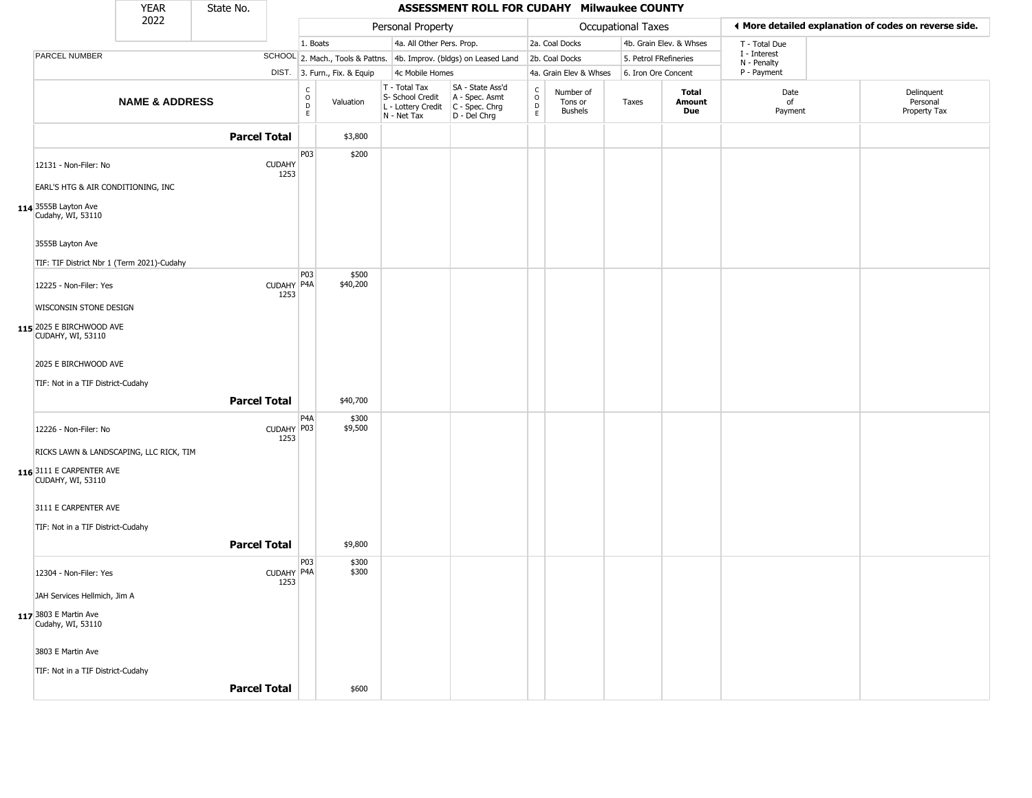|                                                             | <b>YEAR</b>               | State No.           |                       |                                   |                              |                                                                        | ASSESSMENT ROLL FOR CUDAHY Milwaukee COUNTY                          |                                              |                                        |                       |                         |                             |                                                       |
|-------------------------------------------------------------|---------------------------|---------------------|-----------------------|-----------------------------------|------------------------------|------------------------------------------------------------------------|----------------------------------------------------------------------|----------------------------------------------|----------------------------------------|-----------------------|-------------------------|-----------------------------|-------------------------------------------------------|
|                                                             | 2022                      |                     |                       |                                   |                              | Personal Property                                                      |                                                                      |                                              |                                        | Occupational Taxes    |                         |                             | ◀ More detailed explanation of codes on reverse side. |
|                                                             |                           |                     |                       | 1. Boats                          |                              | 4a. All Other Pers. Prop.                                              |                                                                      |                                              | 2a. Coal Docks                         |                       | 4b. Grain Elev. & Whses | T - Total Due               |                                                       |
| PARCEL NUMBER                                               |                           |                     |                       |                                   |                              |                                                                        | SCHOOL 2. Mach., Tools & Pattns. 4b. Improv. (bldgs) on Leased Land  |                                              | 2b. Coal Docks                         | 5. Petrol FRefineries |                         | I - Interest<br>N - Penalty |                                                       |
|                                                             |                           |                     |                       |                                   | DIST. 3. Furn., Fix. & Equip | 4c Mobile Homes                                                        |                                                                      |                                              | 4a. Grain Elev & Whses                 | 6. Iron Ore Concent   |                         | P - Payment                 |                                                       |
|                                                             | <b>NAME &amp; ADDRESS</b> |                     |                       | $\frac{C}{O}$<br>D<br>$\mathsf E$ | Valuation                    | T - Total Tax<br>S- School Credit<br>L - Lottery Credit<br>N - Net Tax | SA - State Ass'd<br>A - Spec. Asmt<br>C - Spec. Chrg<br>D - Del Chrg | $\int_{0}^{c}$<br>$\mathsf D$<br>$\mathsf E$ | Number of<br>Tons or<br><b>Bushels</b> | Taxes                 | Total<br>Amount<br>Due  | Date<br>of<br>Payment       | Delinquent<br>Personal<br>Property Tax                |
|                                                             |                           | <b>Parcel Total</b> |                       |                                   | \$3,800                      |                                                                        |                                                                      |                                              |                                        |                       |                         |                             |                                                       |
| 12131 - Non-Filer: No<br>EARL'S HTG & AIR CONDITIONING, INC |                           |                     | <b>CUDAHY</b><br>1253 | P <sub>03</sub>                   | \$200                        |                                                                        |                                                                      |                                              |                                        |                       |                         |                             |                                                       |
| 114 3555B Layton Ave<br>Cudahy, WI, 53110                   |                           |                     |                       |                                   |                              |                                                                        |                                                                      |                                              |                                        |                       |                         |                             |                                                       |
| 3555B Layton Ave                                            |                           |                     |                       |                                   |                              |                                                                        |                                                                      |                                              |                                        |                       |                         |                             |                                                       |
| TIF: TIF District Nbr 1 (Term 2021)-Cudahy                  |                           |                     |                       | P03                               |                              |                                                                        |                                                                      |                                              |                                        |                       |                         |                             |                                                       |
| 12225 - Non-Filer: Yes                                      |                           |                     | CUDAHY P4A<br>1253    |                                   | \$500<br>\$40,200            |                                                                        |                                                                      |                                              |                                        |                       |                         |                             |                                                       |
| WISCONSIN STONE DESIGN                                      |                           |                     |                       |                                   |                              |                                                                        |                                                                      |                                              |                                        |                       |                         |                             |                                                       |
| 115 2025 E BIRCHWOOD AVE<br>CUDAHY, WI, 53110               |                           |                     |                       |                                   |                              |                                                                        |                                                                      |                                              |                                        |                       |                         |                             |                                                       |
| 2025 E BIRCHWOOD AVE                                        |                           |                     |                       |                                   |                              |                                                                        |                                                                      |                                              |                                        |                       |                         |                             |                                                       |
| TIF: Not in a TIF District-Cudahy                           |                           |                     |                       |                                   |                              |                                                                        |                                                                      |                                              |                                        |                       |                         |                             |                                                       |
|                                                             |                           | <b>Parcel Total</b> |                       |                                   | \$40,700                     |                                                                        |                                                                      |                                              |                                        |                       |                         |                             |                                                       |
| 12226 - Non-Filer: No                                       |                           |                     | CUDAHY P03<br>1253    | P4A                               | \$300<br>\$9,500             |                                                                        |                                                                      |                                              |                                        |                       |                         |                             |                                                       |
| RICKS LAWN & LANDSCAPING, LLC RICK, TIM                     |                           |                     |                       |                                   |                              |                                                                        |                                                                      |                                              |                                        |                       |                         |                             |                                                       |
| 116 3111 E CARPENTER AVE<br>CUDAHY, WI, 53110               |                           |                     |                       |                                   |                              |                                                                        |                                                                      |                                              |                                        |                       |                         |                             |                                                       |
| 3111 E CARPENTER AVE                                        |                           |                     |                       |                                   |                              |                                                                        |                                                                      |                                              |                                        |                       |                         |                             |                                                       |
| TIF: Not in a TIF District-Cudahy                           |                           |                     |                       |                                   |                              |                                                                        |                                                                      |                                              |                                        |                       |                         |                             |                                                       |
|                                                             |                           | <b>Parcel Total</b> |                       |                                   | \$9,800                      |                                                                        |                                                                      |                                              |                                        |                       |                         |                             |                                                       |
| 12304 - Non-Filer: Yes                                      |                           |                     | CUDAHY P4A<br>1253    | P03                               | \$300<br>\$300               |                                                                        |                                                                      |                                              |                                        |                       |                         |                             |                                                       |
| JAH Services Hellmich, Jim A                                |                           |                     |                       |                                   |                              |                                                                        |                                                                      |                                              |                                        |                       |                         |                             |                                                       |
| 117 3803 E Martin Ave<br>Cudahy, WI, 53110                  |                           |                     |                       |                                   |                              |                                                                        |                                                                      |                                              |                                        |                       |                         |                             |                                                       |
| 3803 E Martin Ave                                           |                           |                     |                       |                                   |                              |                                                                        |                                                                      |                                              |                                        |                       |                         |                             |                                                       |
| TIF: Not in a TIF District-Cudahy                           |                           |                     |                       |                                   |                              |                                                                        |                                                                      |                                              |                                        |                       |                         |                             |                                                       |
|                                                             |                           | <b>Parcel Total</b> |                       |                                   | \$600                        |                                                                        |                                                                      |                                              |                                        |                       |                         |                             |                                                       |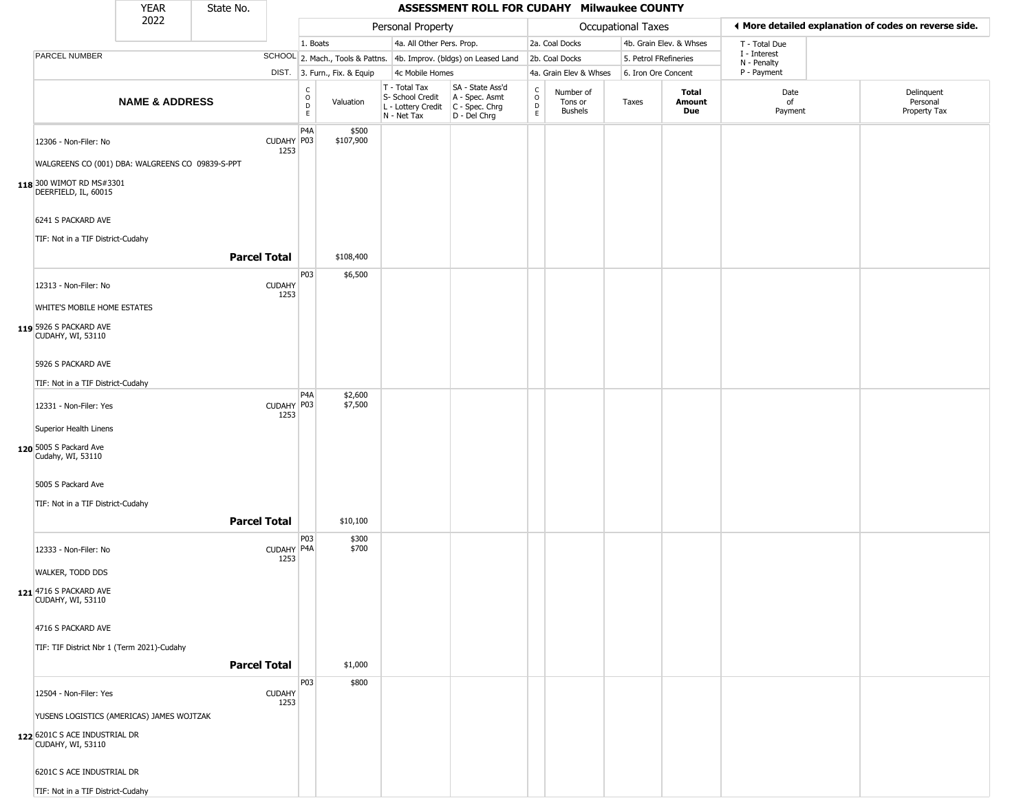|                                                    | <b>YEAR</b>               | State No.           |                       |                              |                              |                                                                                         | ASSESSMENT ROLL FOR CUDAHY Milwaukee COUNTY                         |                                                 |                                 |                       |                         |                             |                                                       |
|----------------------------------------------------|---------------------------|---------------------|-----------------------|------------------------------|------------------------------|-----------------------------------------------------------------------------------------|---------------------------------------------------------------------|-------------------------------------------------|---------------------------------|-----------------------|-------------------------|-----------------------------|-------------------------------------------------------|
|                                                    | 2022                      |                     |                       |                              |                              | Personal Property                                                                       |                                                                     |                                                 |                                 | Occupational Taxes    |                         |                             | ♦ More detailed explanation of codes on reverse side. |
|                                                    |                           |                     |                       | 1. Boats                     |                              | 4a. All Other Pers. Prop.                                                               |                                                                     |                                                 | 2a. Coal Docks                  |                       | 4b. Grain Elev. & Whses | T - Total Due               |                                                       |
| PARCEL NUMBER                                      |                           |                     |                       |                              |                              |                                                                                         | SCHOOL 2. Mach., Tools & Pattns. 4b. Improv. (bldgs) on Leased Land |                                                 | 2b. Coal Docks                  | 5. Petrol FRefineries |                         | I - Interest<br>N - Penalty |                                                       |
|                                                    |                           |                     |                       |                              | DIST. 3. Furn., Fix. & Equip | 4c Mobile Homes                                                                         |                                                                     |                                                 | 4a. Grain Elev & Whses          | 6. Iron Ore Concent   |                         | P - Payment                 |                                                       |
|                                                    | <b>NAME &amp; ADDRESS</b> |                     |                       | $_{\rm o}^{\rm c}$<br>D<br>E | Valuation                    | T - Total Tax<br>S- School Credit<br>L - Lottery Credit   C - Spec. Chrg<br>N - Net Tax | SA - State Ass'd<br>A - Spec. Asmt<br>D - Del Chrg                  | $\begin{array}{c} C \\ O \\ D \\ E \end{array}$ | Number of<br>Tons or<br>Bushels | Taxes                 | Total<br>Amount<br>Due  | Date<br>of<br>Payment       | Delinquent<br>Personal<br>Property Tax                |
| 12306 - Non-Filer: No                              |                           |                     | CUDAHY P03<br>1253    | P <sub>4</sub> A             | \$500<br>\$107,900           |                                                                                         |                                                                     |                                                 |                                 |                       |                         |                             |                                                       |
| WALGREENS CO (001) DBA: WALGREENS CO 09839-S-PPT   |                           |                     |                       |                              |                              |                                                                                         |                                                                     |                                                 |                                 |                       |                         |                             |                                                       |
| 118 300 WIMOT RD MS#3301<br>DEERFIELD, IL, 60015   |                           |                     |                       |                              |                              |                                                                                         |                                                                     |                                                 |                                 |                       |                         |                             |                                                       |
| 6241 S PACKARD AVE                                 |                           |                     |                       |                              |                              |                                                                                         |                                                                     |                                                 |                                 |                       |                         |                             |                                                       |
| TIF: Not in a TIF District-Cudahy                  |                           | <b>Parcel Total</b> |                       |                              | \$108,400                    |                                                                                         |                                                                     |                                                 |                                 |                       |                         |                             |                                                       |
|                                                    |                           |                     |                       | P03                          | \$6,500                      |                                                                                         |                                                                     |                                                 |                                 |                       |                         |                             |                                                       |
| 12313 - Non-Filer: No                              |                           |                     | <b>CUDAHY</b><br>1253 |                              |                              |                                                                                         |                                                                     |                                                 |                                 |                       |                         |                             |                                                       |
| WHITE'S MOBILE HOME ESTATES                        |                           |                     |                       |                              |                              |                                                                                         |                                                                     |                                                 |                                 |                       |                         |                             |                                                       |
| 119 5926 S PACKARD AVE<br>CUDAHY, WI, 53110        |                           |                     |                       |                              |                              |                                                                                         |                                                                     |                                                 |                                 |                       |                         |                             |                                                       |
| 5926 S PACKARD AVE                                 |                           |                     |                       |                              |                              |                                                                                         |                                                                     |                                                 |                                 |                       |                         |                             |                                                       |
| TIF: Not in a TIF District-Cudahy                  |                           |                     |                       |                              |                              |                                                                                         |                                                                     |                                                 |                                 |                       |                         |                             |                                                       |
| 12331 - Non-Filer: Yes                             |                           |                     | CUDAHY P03<br>1253    | P <sub>4</sub> A             | \$2,600<br>\$7,500           |                                                                                         |                                                                     |                                                 |                                 |                       |                         |                             |                                                       |
| Superior Health Linens                             |                           |                     |                       |                              |                              |                                                                                         |                                                                     |                                                 |                                 |                       |                         |                             |                                                       |
| 120 5005 S Packard Ave<br>Cudahy, WI, 53110        |                           |                     |                       |                              |                              |                                                                                         |                                                                     |                                                 |                                 |                       |                         |                             |                                                       |
| 5005 S Packard Ave                                 |                           |                     |                       |                              |                              |                                                                                         |                                                                     |                                                 |                                 |                       |                         |                             |                                                       |
| TIF: Not in a TIF District-Cudahy                  |                           |                     |                       |                              |                              |                                                                                         |                                                                     |                                                 |                                 |                       |                         |                             |                                                       |
|                                                    |                           | <b>Parcel Total</b> |                       |                              | \$10,100                     |                                                                                         |                                                                     |                                                 |                                 |                       |                         |                             |                                                       |
| 12333 - Non-Filer: No                              |                           |                     | CUDAHY P4A<br>1253    | P03                          | \$300<br>\$700               |                                                                                         |                                                                     |                                                 |                                 |                       |                         |                             |                                                       |
| WALKER, TODD DDS                                   |                           |                     |                       |                              |                              |                                                                                         |                                                                     |                                                 |                                 |                       |                         |                             |                                                       |
| 121 4716 S PACKARD AVE<br>CUDAHY, WI, 53110        |                           |                     |                       |                              |                              |                                                                                         |                                                                     |                                                 |                                 |                       |                         |                             |                                                       |
| 4716 S PACKARD AVE                                 |                           |                     |                       |                              |                              |                                                                                         |                                                                     |                                                 |                                 |                       |                         |                             |                                                       |
| TIF: TIF District Nbr 1 (Term 2021)-Cudahy         |                           |                     |                       |                              |                              |                                                                                         |                                                                     |                                                 |                                 |                       |                         |                             |                                                       |
|                                                    |                           | <b>Parcel Total</b> |                       |                              | \$1,000                      |                                                                                         |                                                                     |                                                 |                                 |                       |                         |                             |                                                       |
|                                                    |                           |                     |                       | P03                          | \$800                        |                                                                                         |                                                                     |                                                 |                                 |                       |                         |                             |                                                       |
| 12504 - Non-Filer: Yes                             |                           |                     | <b>CUDAHY</b><br>1253 |                              |                              |                                                                                         |                                                                     |                                                 |                                 |                       |                         |                             |                                                       |
| YUSENS LOGISTICS (AMERICAS) JAMES WOJTZAK          |                           |                     |                       |                              |                              |                                                                                         |                                                                     |                                                 |                                 |                       |                         |                             |                                                       |
| 122 6201C S ACE INDUSTRIAL DR<br>CUDAHY, WI, 53110 |                           |                     |                       |                              |                              |                                                                                         |                                                                     |                                                 |                                 |                       |                         |                             |                                                       |
| 6201C S ACE INDUSTRIAL DR                          |                           |                     |                       |                              |                              |                                                                                         |                                                                     |                                                 |                                 |                       |                         |                             |                                                       |
| TIF: Not in a TIF District-Cudahy                  |                           |                     |                       |                              |                              |                                                                                         |                                                                     |                                                 |                                 |                       |                         |                             |                                                       |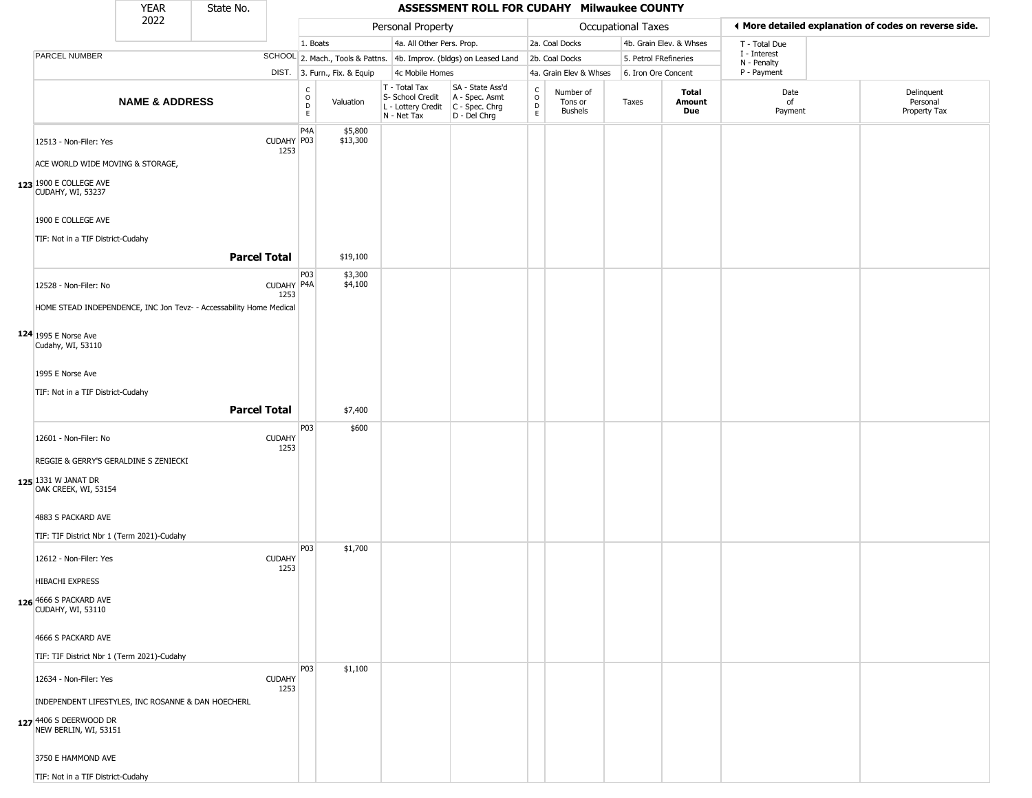|                                                                                                                                                                                                                                          | <b>YEAR</b>               | State No. |                                           |                                        |                               |                                                                        | ASSESSMENT ROLL FOR CUDAHY Milwaukee COUNTY                          |                                         |                                        |                       |                               |                             |                                                       |
|------------------------------------------------------------------------------------------------------------------------------------------------------------------------------------------------------------------------------------------|---------------------------|-----------|-------------------------------------------|----------------------------------------|-------------------------------|------------------------------------------------------------------------|----------------------------------------------------------------------|-----------------------------------------|----------------------------------------|-----------------------|-------------------------------|-----------------------------|-------------------------------------------------------|
|                                                                                                                                                                                                                                          | 2022                      |           |                                           |                                        |                               | Personal Property                                                      |                                                                      |                                         |                                        | Occupational Taxes    |                               |                             | ♦ More detailed explanation of codes on reverse side. |
|                                                                                                                                                                                                                                          |                           |           |                                           | 1. Boats                               |                               | 4a. All Other Pers. Prop.                                              |                                                                      |                                         | 2a. Coal Docks                         |                       | 4b. Grain Elev. & Whses       | T - Total Due               |                                                       |
| PARCEL NUMBER                                                                                                                                                                                                                            |                           |           |                                           |                                        |                               |                                                                        | SCHOOL 2. Mach., Tools & Pattns. 4b. Improv. (bldgs) on Leased Land  |                                         | 2b. Coal Docks                         | 5. Petrol FRefineries |                               | I - Interest<br>N - Penalty |                                                       |
|                                                                                                                                                                                                                                          |                           |           |                                           |                                        | DIST. 3. Furn., Fix. & Equip  | 4c Mobile Homes                                                        |                                                                      |                                         | 4a. Grain Elev & Whses                 | 6. Iron Ore Concent   |                               | P - Payment                 |                                                       |
|                                                                                                                                                                                                                                          | <b>NAME &amp; ADDRESS</b> |           |                                           | $_{\rm o}^{\rm c}$<br>$\mathsf D$<br>E | Valuation                     | T - Total Tax<br>S- School Credit<br>L - Lottery Credit<br>N - Net Tax | SA - State Ass'd<br>A - Spec. Asmt<br>C - Spec. Chrg<br>D - Del Chrg | $_{\rm o}^{\rm c}$<br>$\mathsf{D}$<br>E | Number of<br>Tons or<br><b>Bushels</b> | Taxes                 | <b>Total</b><br>Amount<br>Due | Date<br>of<br>Payment       | Delinquent<br>Personal<br>Property Tax                |
| 12513 - Non-Filer: Yes<br>ACE WORLD WIDE MOVING & STORAGE,<br>123 1900 E COLLEGE AVE<br>CUDAHY, WI, 53237                                                                                                                                |                           |           | CUDAHY P03<br>1253                        | P <sub>4</sub> A                       | \$5,800<br>\$13,300           |                                                                        |                                                                      |                                         |                                        |                       |                               |                             |                                                       |
| 1900 E COLLEGE AVE                                                                                                                                                                                                                       |                           |           |                                           |                                        |                               |                                                                        |                                                                      |                                         |                                        |                       |                               |                             |                                                       |
| TIF: Not in a TIF District-Cudahy                                                                                                                                                                                                        |                           |           | <b>Parcel Total</b>                       |                                        | \$19,100                      |                                                                        |                                                                      |                                         |                                        |                       |                               |                             |                                                       |
| 12528 - Non-Filer: No<br>HOME STEAD INDEPENDENCE, INC Jon Tevz- - Accessability Home Medical<br>$124$ 1995 E Norse Ave<br>Cudahy, WI, 53110<br>1995 E Norse Ave<br>TIF: Not in a TIF District-Cudahy                                     |                           |           | CUDAHY P4A<br>1253<br><b>Parcel Total</b> | P03                                    | \$3,300<br>\$4,100<br>\$7,400 |                                                                        |                                                                      |                                         |                                        |                       |                               |                             |                                                       |
|                                                                                                                                                                                                                                          |                           |           |                                           |                                        |                               |                                                                        |                                                                      |                                         |                                        |                       |                               |                             |                                                       |
| 12601 - Non-Filer: No<br>REGGIE & GERRY'S GERALDINE S ZENIECKI<br>125 1331 W JANAT DR<br>OAK CREEK, WI, 53154<br>4883 S PACKARD AVE<br>TIF: TIF District Nbr 1 (Term 2021)-Cudahy                                                        |                           |           | <b>CUDAHY</b><br>1253                     | P03                                    | \$600                         |                                                                        |                                                                      |                                         |                                        |                       |                               |                             |                                                       |
| 12612 - Non-Filer: Yes<br><b>HIBACHI EXPRESS</b><br>126 4666 S PACKARD AVE<br>CUDAHY, WI, 53110<br>4666 S PACKARD AVE                                                                                                                    |                           |           | <b>CUDAHY</b><br>1253                     | P03                                    | \$1,700                       |                                                                        |                                                                      |                                         |                                        |                       |                               |                             |                                                       |
| TIF: TIF District Nbr 1 (Term 2021)-Cudahy<br>12634 - Non-Filer: Yes<br>INDEPENDENT LIFESTYLES, INC ROSANNE & DAN HOECHERL<br>127 4406 S DEERWOOD DR<br>NEW BERLIN, WI, 53151<br>3750 E HAMMOND AVE<br>TIF: Not in a TIF District-Cudahy |                           |           | <b>CUDAHY</b><br>1253                     | <b>P03</b>                             | \$1,100                       |                                                                        |                                                                      |                                         |                                        |                       |                               |                             |                                                       |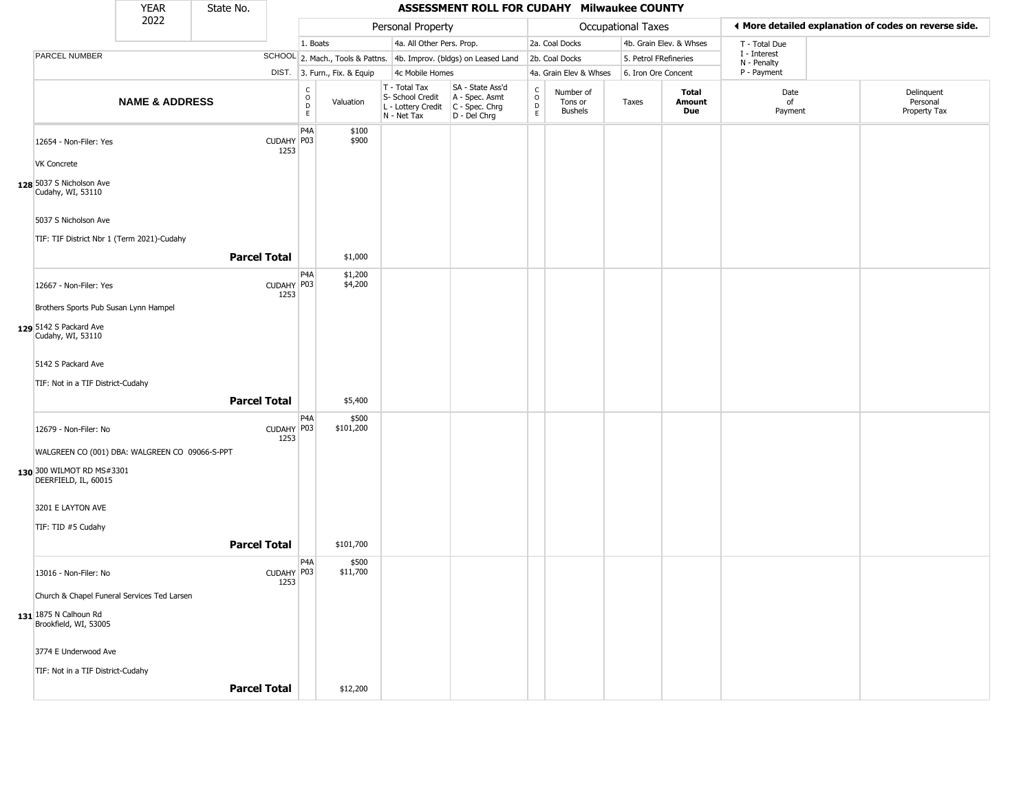|                                                                    | <b>YEAR</b>               | State No.           |                    |                                   |                              |                                                                        | ASSESSMENT ROLL FOR CUDAHY Milwaukee COUNTY                            |                                        |                                        |                       |                         |                             |                                                       |
|--------------------------------------------------------------------|---------------------------|---------------------|--------------------|-----------------------------------|------------------------------|------------------------------------------------------------------------|------------------------------------------------------------------------|----------------------------------------|----------------------------------------|-----------------------|-------------------------|-----------------------------|-------------------------------------------------------|
|                                                                    | 2022                      |                     |                    |                                   |                              | Personal Property                                                      |                                                                        |                                        |                                        | Occupational Taxes    |                         |                             | ◀ More detailed explanation of codes on reverse side. |
|                                                                    |                           |                     |                    | 1. Boats                          |                              | 4a. All Other Pers. Prop.                                              |                                                                        |                                        | 2a. Coal Docks                         |                       | 4b. Grain Elev. & Whses | T - Total Due               |                                                       |
| PARCEL NUMBER                                                      |                           |                     |                    |                                   |                              |                                                                        | SCHOOL 2. Mach., Tools & Pattns. 4b. Improv. (bldgs) on Leased Land    |                                        | 2b. Coal Docks                         | 5. Petrol FRefineries |                         | I - Interest<br>N - Penalty |                                                       |
|                                                                    |                           |                     |                    |                                   | DIST. 3. Furn., Fix. & Equip | 4c Mobile Homes                                                        |                                                                        |                                        | 4a. Grain Elev & Whses                 | 6. Iron Ore Concent   |                         | P - Payment                 |                                                       |
|                                                                    | <b>NAME &amp; ADDRESS</b> |                     |                    | C<br>$\circ$<br>$\mathsf D$<br>E. | Valuation                    | T - Total Tax<br>S- School Credit<br>L - Lottery Credit<br>N - Net Tax | SA - State Ass'd<br>A - Spec. Asmt<br>$C - Spec. Chrg$<br>D - Del Chrg | $_{\rm o}^{\rm c}$<br>D<br>$\mathsf E$ | Number of<br>Tons or<br><b>Bushels</b> | Taxes                 | Total<br>Amount<br>Due  | Date<br>of<br>Payment       | Delinquent<br>Personal<br>Property Tax                |
| 12654 - Non-Filer: Yes                                             |                           |                     | CUDAHY P03<br>1253 | P4A                               | \$100<br>\$900               |                                                                        |                                                                        |                                        |                                        |                       |                         |                             |                                                       |
| <b>VK Concrete</b><br>128 5037 S Nicholson Ave                     |                           |                     |                    |                                   |                              |                                                                        |                                                                        |                                        |                                        |                       |                         |                             |                                                       |
| Cudahy, WI, 53110                                                  |                           |                     |                    |                                   |                              |                                                                        |                                                                        |                                        |                                        |                       |                         |                             |                                                       |
| 5037 S Nicholson Ave<br>TIF: TIF District Nbr 1 (Term 2021)-Cudahy |                           |                     |                    |                                   |                              |                                                                        |                                                                        |                                        |                                        |                       |                         |                             |                                                       |
|                                                                    |                           | <b>Parcel Total</b> |                    |                                   | \$1,000                      |                                                                        |                                                                        |                                        |                                        |                       |                         |                             |                                                       |
| 12667 - Non-Filer: Yes                                             |                           |                     | CUDAHY P03<br>1253 | P4A                               | \$1,200<br>\$4,200           |                                                                        |                                                                        |                                        |                                        |                       |                         |                             |                                                       |
| Brothers Sports Pub Susan Lynn Hampel                              |                           |                     |                    |                                   |                              |                                                                        |                                                                        |                                        |                                        |                       |                         |                             |                                                       |
| 129 5142 S Packard Ave<br>Cudahy, WI, 53110                        |                           |                     |                    |                                   |                              |                                                                        |                                                                        |                                        |                                        |                       |                         |                             |                                                       |
| 5142 S Packard Ave                                                 |                           |                     |                    |                                   |                              |                                                                        |                                                                        |                                        |                                        |                       |                         |                             |                                                       |
| TIF: Not in a TIF District-Cudahy                                  |                           |                     |                    |                                   |                              |                                                                        |                                                                        |                                        |                                        |                       |                         |                             |                                                       |
|                                                                    |                           | <b>Parcel Total</b> |                    |                                   | \$5,400                      |                                                                        |                                                                        |                                        |                                        |                       |                         |                             |                                                       |
| 12679 - Non-Filer: No                                              |                           |                     | CUDAHY P03<br>1253 | P <sub>4</sub> A                  | \$500<br>\$101,200           |                                                                        |                                                                        |                                        |                                        |                       |                         |                             |                                                       |
| WALGREEN CO (001) DBA: WALGREEN CO 09066-S-PPT                     |                           |                     |                    |                                   |                              |                                                                        |                                                                        |                                        |                                        |                       |                         |                             |                                                       |
| 130 300 WILMOT RD MS#3301<br>DEERFIELD, IL, 60015                  |                           |                     |                    |                                   |                              |                                                                        |                                                                        |                                        |                                        |                       |                         |                             |                                                       |
| 3201 E LAYTON AVE                                                  |                           |                     |                    |                                   |                              |                                                                        |                                                                        |                                        |                                        |                       |                         |                             |                                                       |
| TIF: TID #5 Cudahy                                                 |                           |                     |                    |                                   |                              |                                                                        |                                                                        |                                        |                                        |                       |                         |                             |                                                       |
|                                                                    |                           | <b>Parcel Total</b> |                    |                                   | \$101,700                    |                                                                        |                                                                        |                                        |                                        |                       |                         |                             |                                                       |
| 13016 - Non-Filer: No                                              |                           |                     | CUDAHY P03<br>1253 | P <sub>4</sub> A                  | \$500<br>\$11,700            |                                                                        |                                                                        |                                        |                                        |                       |                         |                             |                                                       |
| Church & Chapel Funeral Services Ted Larsen                        |                           |                     |                    |                                   |                              |                                                                        |                                                                        |                                        |                                        |                       |                         |                             |                                                       |
| 131 1875 N Calhoun Rd<br>Brookfield, WI, 53005                     |                           |                     |                    |                                   |                              |                                                                        |                                                                        |                                        |                                        |                       |                         |                             |                                                       |
| 3774 E Underwood Ave                                               |                           |                     |                    |                                   |                              |                                                                        |                                                                        |                                        |                                        |                       |                         |                             |                                                       |
| TIF: Not in a TIF District-Cudahy                                  |                           |                     |                    |                                   |                              |                                                                        |                                                                        |                                        |                                        |                       |                         |                             |                                                       |
|                                                                    |                           | <b>Parcel Total</b> |                    |                                   | \$12,200                     |                                                                        |                                                                        |                                        |                                        |                       |                         |                             |                                                       |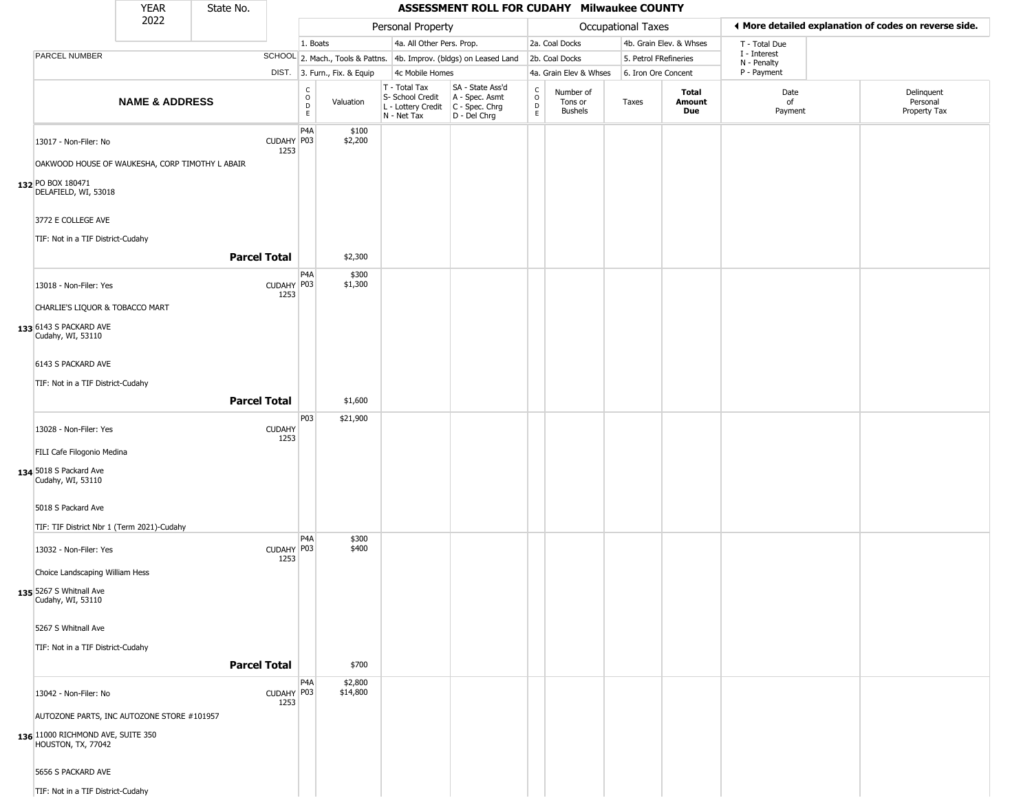|                                                                                              | <b>YEAR</b>               | State No. |                     |                                                |                              |                                                                        | ASSESSMENT ROLL FOR CUDAHY Milwaukee COUNTY                          |                                                            |                                 |                       |                         |                            |                                                       |
|----------------------------------------------------------------------------------------------|---------------------------|-----------|---------------------|------------------------------------------------|------------------------------|------------------------------------------------------------------------|----------------------------------------------------------------------|------------------------------------------------------------|---------------------------------|-----------------------|-------------------------|----------------------------|-------------------------------------------------------|
|                                                                                              | 2022                      |           |                     |                                                |                              | Personal Property                                                      |                                                                      |                                                            |                                 | Occupational Taxes    |                         |                            | ◀ More detailed explanation of codes on reverse side. |
|                                                                                              |                           |           |                     | 1. Boats                                       |                              | 4a. All Other Pers. Prop.                                              |                                                                      |                                                            | 2a. Coal Docks                  |                       | 4b. Grain Elev. & Whses | T - Total Due              |                                                       |
| PARCEL NUMBER                                                                                |                           |           |                     |                                                |                              |                                                                        | SCHOOL 2. Mach., Tools & Pattns. 4b. Improv. (bldgs) on Leased Land  |                                                            | 2b. Coal Docks                  | 5. Petrol FRefineries |                         | I - Interest               |                                                       |
|                                                                                              |                           |           |                     |                                                | DIST. 3. Furn., Fix. & Equip | 4c Mobile Homes                                                        |                                                                      |                                                            | 4a. Grain Elev & Whses          | 6. Iron Ore Concent   |                         | N - Penalty<br>P - Payment |                                                       |
|                                                                                              | <b>NAME &amp; ADDRESS</b> |           |                     | $\begin{matrix} 0 \\ 0 \\ D \end{matrix}$<br>E | Valuation                    | T - Total Tax<br>S- School Credit<br>L - Lottery Credit<br>N - Net Tax | SA - State Ass'd<br>A - Spec. Asmt<br>C - Spec. Chrg<br>D - Del Chrg | $\begin{smallmatrix} C\\ O\\ O\\ D \end{smallmatrix}$<br>E | Number of<br>Tons or<br>Bushels | Taxes                 | Total<br>Amount<br>Due  | Date<br>of<br>Payment      | Delinquent<br>Personal<br>Property Tax                |
| 13017 - Non-Filer: No                                                                        |                           |           | CUDAHY P03<br>1253  | P4A                                            | \$100<br>\$2,200             |                                                                        |                                                                      |                                                            |                                 |                       |                         |                            |                                                       |
| OAKWOOD HOUSE OF WAUKESHA, CORP TIMOTHY L ABAIR<br>132 PO BOX 180471<br>DELAFIELD, WI, 53018 |                           |           |                     |                                                |                              |                                                                        |                                                                      |                                                            |                                 |                       |                         |                            |                                                       |
| 3772 E COLLEGE AVE<br>TIF: Not in a TIF District-Cudahy                                      |                           |           |                     |                                                |                              |                                                                        |                                                                      |                                                            |                                 |                       |                         |                            |                                                       |
|                                                                                              |                           |           | <b>Parcel Total</b> |                                                | \$2,300                      |                                                                        |                                                                      |                                                            |                                 |                       |                         |                            |                                                       |
| 13018 - Non-Filer: Yes                                                                       |                           |           | CUDAHY P03<br>1253  | P4A                                            | \$300<br>\$1,300             |                                                                        |                                                                      |                                                            |                                 |                       |                         |                            |                                                       |
| CHARLIE'S LIQUOR & TOBACCO MART                                                              |                           |           |                     |                                                |                              |                                                                        |                                                                      |                                                            |                                 |                       |                         |                            |                                                       |
| 133 6143 S PACKARD AVE<br>Cudahy, WI, 53110                                                  |                           |           |                     |                                                |                              |                                                                        |                                                                      |                                                            |                                 |                       |                         |                            |                                                       |
| 6143 S PACKARD AVE                                                                           |                           |           |                     |                                                |                              |                                                                        |                                                                      |                                                            |                                 |                       |                         |                            |                                                       |
| TIF: Not in a TIF District-Cudahy                                                            |                           |           | <b>Parcel Total</b> |                                                | \$1,600                      |                                                                        |                                                                      |                                                            |                                 |                       |                         |                            |                                                       |
| 13028 - Non-Filer: Yes                                                                       |                           |           | <b>CUDAHY</b>       | P <sub>0</sub> 3                               | \$21,900                     |                                                                        |                                                                      |                                                            |                                 |                       |                         |                            |                                                       |
| FILI Cafe Filogonio Medina                                                                   |                           |           | 1253                |                                                |                              |                                                                        |                                                                      |                                                            |                                 |                       |                         |                            |                                                       |
| 134 5018 S Packard Ave<br>Cudahy, WI, 53110                                                  |                           |           |                     |                                                |                              |                                                                        |                                                                      |                                                            |                                 |                       |                         |                            |                                                       |
| 5018 S Packard Ave<br>TIF: TIF District Nbr 1 (Term 2021)-Cudahy                             |                           |           |                     |                                                |                              |                                                                        |                                                                      |                                                            |                                 |                       |                         |                            |                                                       |
| 13032 - Non-Filer: Yes                                                                       |                           |           | CUDAHY P03<br>1253  | P4A                                            | \$300<br>\$400               |                                                                        |                                                                      |                                                            |                                 |                       |                         |                            |                                                       |
| Choice Landscaping William Hess                                                              |                           |           |                     |                                                |                              |                                                                        |                                                                      |                                                            |                                 |                       |                         |                            |                                                       |
| 135 5267 S Whitnall Ave<br>Cudahy, WI, 53110                                                 |                           |           |                     |                                                |                              |                                                                        |                                                                      |                                                            |                                 |                       |                         |                            |                                                       |
| 5267 S Whitnall Ave                                                                          |                           |           |                     |                                                |                              |                                                                        |                                                                      |                                                            |                                 |                       |                         |                            |                                                       |
| TIF: Not in a TIF District-Cudahy                                                            |                           |           | <b>Parcel Total</b> |                                                | \$700                        |                                                                        |                                                                      |                                                            |                                 |                       |                         |                            |                                                       |
| 13042 - Non-Filer: No                                                                        |                           |           | CUDAHY P03<br>1253  | P <sub>4</sub> A                               | \$2,800<br>\$14,800          |                                                                        |                                                                      |                                                            |                                 |                       |                         |                            |                                                       |
| AUTOZONE PARTS, INC AUTOZONE STORE #101957                                                   |                           |           |                     |                                                |                              |                                                                        |                                                                      |                                                            |                                 |                       |                         |                            |                                                       |
| 136 11000 RICHMOND AVE, SUITE 350<br>HOUSTON, TX, 77042                                      |                           |           |                     |                                                |                              |                                                                        |                                                                      |                                                            |                                 |                       |                         |                            |                                                       |
| 5656 S PACKARD AVE                                                                           |                           |           |                     |                                                |                              |                                                                        |                                                                      |                                                            |                                 |                       |                         |                            |                                                       |
| TIF: Not in a TIF District-Cudahy                                                            |                           |           |                     |                                                |                              |                                                                        |                                                                      |                                                            |                                 |                       |                         |                            |                                                       |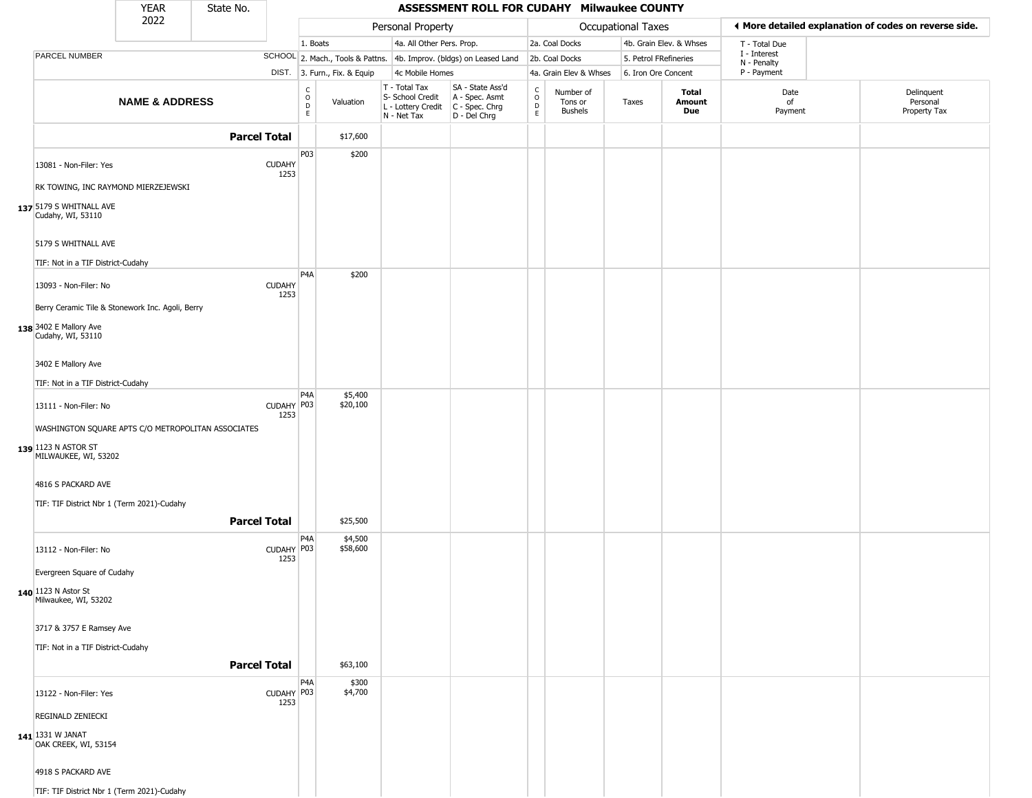|                                                            | <b>YEAR</b>               | State No.           |                       |                         |                              |                                                                        | ASSESSMENT ROLL FOR CUDAHY Milwaukee COUNTY                          |                                            |                                 |                     |                         |                             |                                                       |
|------------------------------------------------------------|---------------------------|---------------------|-----------------------|-------------------------|------------------------------|------------------------------------------------------------------------|----------------------------------------------------------------------|--------------------------------------------|---------------------------------|---------------------|-------------------------|-----------------------------|-------------------------------------------------------|
|                                                            | 2022                      |                     |                       |                         |                              | Personal Property                                                      |                                                                      |                                            |                                 | Occupational Taxes  |                         |                             | ◀ More detailed explanation of codes on reverse side. |
|                                                            |                           |                     |                       | 1. Boats                |                              | 4a. All Other Pers. Prop.                                              |                                                                      |                                            | 2a. Coal Docks                  |                     | 4b. Grain Elev. & Whses | T - Total Due               |                                                       |
| PARCEL NUMBER                                              |                           |                     |                       |                         |                              |                                                                        | SCHOOL 2. Mach., Tools & Pattns. 4b. Improv. (bldgs) on Leased Land  |                                            | 2b. Coal Docks                  |                     | 5. Petrol FRefineries   | I - Interest<br>N - Penalty |                                                       |
|                                                            |                           |                     |                       |                         | DIST. 3. Furn., Fix. & Equip | 4c Mobile Homes                                                        |                                                                      |                                            | 4a. Grain Elev & Whses          | 6. Iron Ore Concent |                         | P - Payment                 |                                                       |
|                                                            | <b>NAME &amp; ADDRESS</b> |                     |                       | С<br>$\circ$<br>D<br>E. | Valuation                    | T - Total Tax<br>S- School Credit<br>L - Lottery Credit<br>N - Net Tax | SA - State Ass'd<br>A - Spec. Asmt<br>C - Spec. Chrg<br>D - Del Chrg | $\begin{array}{c} C \\ 0 \\ E \end{array}$ | Number of<br>Tons or<br>Bushels | Taxes               | Total<br>Amount<br>Due  | Date<br>of<br>Payment       | Delinquent<br>Personal<br>Property Tax                |
|                                                            |                           | <b>Parcel Total</b> |                       |                         | \$17,600                     |                                                                        |                                                                      |                                            |                                 |                     |                         |                             |                                                       |
| 13081 - Non-Filer: Yes                                     |                           |                     | <b>CUDAHY</b><br>1253 | P03                     | \$200                        |                                                                        |                                                                      |                                            |                                 |                     |                         |                             |                                                       |
| RK TOWING, INC RAYMOND MIERZEJEWSKI                        |                           |                     |                       |                         |                              |                                                                        |                                                                      |                                            |                                 |                     |                         |                             |                                                       |
| 137 5179 S WHITNALL AVE<br>Cudahy, WI, 53110               |                           |                     |                       |                         |                              |                                                                        |                                                                      |                                            |                                 |                     |                         |                             |                                                       |
| 5179 S WHITNALL AVE                                        |                           |                     |                       |                         |                              |                                                                        |                                                                      |                                            |                                 |                     |                         |                             |                                                       |
| TIF: Not in a TIF District-Cudahy<br>13093 - Non-Filer: No |                           |                     | <b>CUDAHY</b><br>1253 | P <sub>4</sub> A        | \$200                        |                                                                        |                                                                      |                                            |                                 |                     |                         |                             |                                                       |
| Berry Ceramic Tile & Stonework Inc. Agoli, Berry           |                           |                     |                       |                         |                              |                                                                        |                                                                      |                                            |                                 |                     |                         |                             |                                                       |
| 138 3402 E Mallory Ave<br>Cudahy, WI, 53110                |                           |                     |                       |                         |                              |                                                                        |                                                                      |                                            |                                 |                     |                         |                             |                                                       |
| 3402 E Mallory Ave                                         |                           |                     |                       |                         |                              |                                                                        |                                                                      |                                            |                                 |                     |                         |                             |                                                       |
| TIF: Not in a TIF District-Cudahy                          |                           |                     |                       |                         |                              |                                                                        |                                                                      |                                            |                                 |                     |                         |                             |                                                       |
| 13111 - Non-Filer: No                                      |                           |                     | CUDAHY P03<br>1253    | P <sub>4</sub> A        | \$5,400<br>\$20,100          |                                                                        |                                                                      |                                            |                                 |                     |                         |                             |                                                       |
| WASHINGTON SQUARE APTS C/O METROPOLITAN ASSOCIATES         |                           |                     |                       |                         |                              |                                                                        |                                                                      |                                            |                                 |                     |                         |                             |                                                       |
| 139 1123 N ASTOR ST<br>MILWAUKEE, WI, 53202                |                           |                     |                       |                         |                              |                                                                        |                                                                      |                                            |                                 |                     |                         |                             |                                                       |
| 4816 S PACKARD AVE                                         |                           |                     |                       |                         |                              |                                                                        |                                                                      |                                            |                                 |                     |                         |                             |                                                       |
| TIF: TIF District Nbr 1 (Term 2021)-Cudahy                 |                           |                     |                       |                         |                              |                                                                        |                                                                      |                                            |                                 |                     |                         |                             |                                                       |
|                                                            |                           | <b>Parcel Total</b> |                       |                         | \$25,500                     |                                                                        |                                                                      |                                            |                                 |                     |                         |                             |                                                       |
| 13112 - Non-Filer: No                                      |                           |                     | CUDAHY   P03<br>1253  | P4A                     | \$4,500<br>\$58,600          |                                                                        |                                                                      |                                            |                                 |                     |                         |                             |                                                       |
| Evergreen Square of Cudahy                                 |                           |                     |                       |                         |                              |                                                                        |                                                                      |                                            |                                 |                     |                         |                             |                                                       |
| 140 1123 N Astor St<br>Milwaukee, WI, 53202                |                           |                     |                       |                         |                              |                                                                        |                                                                      |                                            |                                 |                     |                         |                             |                                                       |
| 3717 & 3757 E Ramsey Ave                                   |                           |                     |                       |                         |                              |                                                                        |                                                                      |                                            |                                 |                     |                         |                             |                                                       |
| TIF: Not in a TIF District-Cudahy                          |                           | <b>Parcel Total</b> |                       |                         | \$63,100                     |                                                                        |                                                                      |                                            |                                 |                     |                         |                             |                                                       |
| 13122 - Non-Filer: Yes                                     |                           |                     | CUDAHY P03<br>1253    | P4A                     | \$300<br>\$4,700             |                                                                        |                                                                      |                                            |                                 |                     |                         |                             |                                                       |
| REGINALD ZENIECKI                                          |                           |                     |                       |                         |                              |                                                                        |                                                                      |                                            |                                 |                     |                         |                             |                                                       |
| 141 1331 W JANAT<br>OAK CREEK, WI, 53154                   |                           |                     |                       |                         |                              |                                                                        |                                                                      |                                            |                                 |                     |                         |                             |                                                       |
| 4918 S PACKARD AVE                                         |                           |                     |                       |                         |                              |                                                                        |                                                                      |                                            |                                 |                     |                         |                             |                                                       |
| TIF: TIF District Nbr 1 (Term 2021)-Cudahy                 |                           |                     |                       |                         |                              |                                                                        |                                                                      |                                            |                                 |                     |                         |                             |                                                       |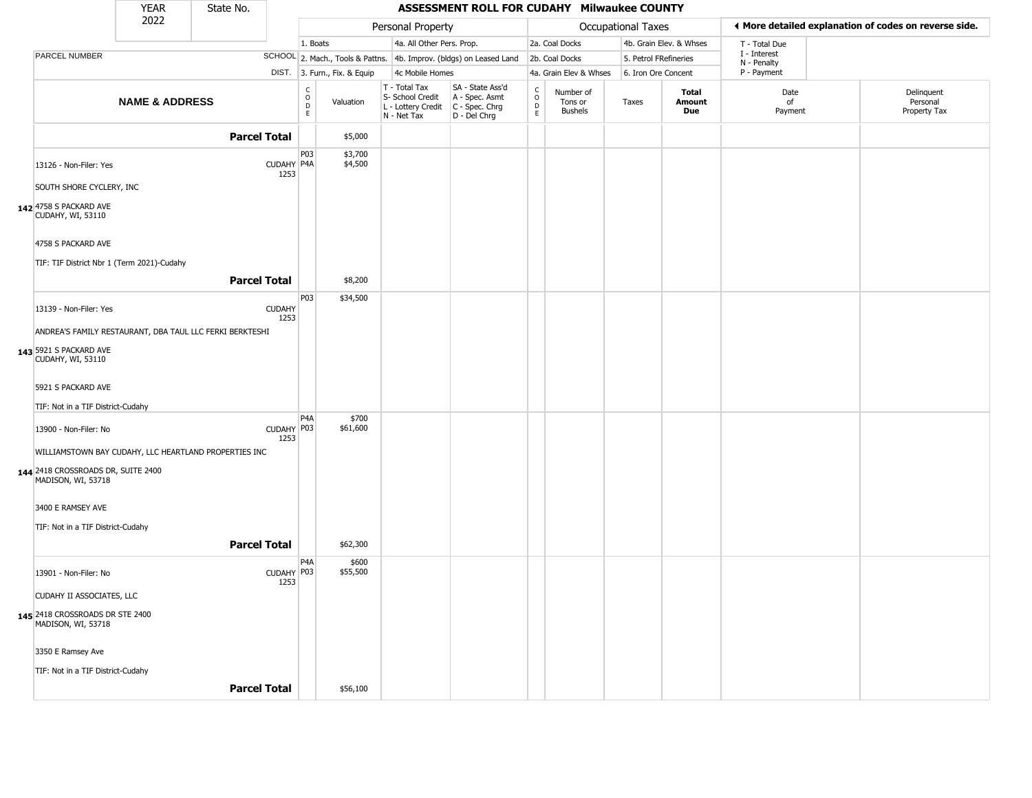|                                                          | <b>YEAR</b>               | State No.           |                       |                                       |                        |                                                                        | ASSESSMENT ROLL FOR CUDAHY Milwaukee COUNTY                          |                                             |                                        |                       |                         |                             |                                                       |
|----------------------------------------------------------|---------------------------|---------------------|-----------------------|---------------------------------------|------------------------|------------------------------------------------------------------------|----------------------------------------------------------------------|---------------------------------------------|----------------------------------------|-----------------------|-------------------------|-----------------------------|-------------------------------------------------------|
|                                                          | 2022                      |                     |                       |                                       |                        | Personal Property                                                      |                                                                      |                                             |                                        | Occupational Taxes    |                         |                             | ◀ More detailed explanation of codes on reverse side. |
|                                                          |                           |                     |                       | 1. Boats                              |                        | 4a. All Other Pers. Prop.                                              |                                                                      |                                             | 2a. Coal Docks                         |                       | 4b. Grain Elev. & Whses | T - Total Due               |                                                       |
| <b>PARCEL NUMBER</b>                                     |                           |                     |                       |                                       |                        |                                                                        | SCHOOL 2. Mach., Tools & Pattns. 4b. Improv. (bldgs) on Leased Land  |                                             | 2b. Coal Docks                         | 5. Petrol FRefineries |                         | I - Interest<br>N - Penalty |                                                       |
|                                                          |                           |                     | DIST.                 |                                       | 3. Furn., Fix. & Equip | 4c Mobile Homes                                                        |                                                                      |                                             | 4a. Grain Elev & Whses                 | 6. Iron Ore Concent   |                         | P - Payment                 |                                                       |
|                                                          | <b>NAME &amp; ADDRESS</b> |                     |                       | c<br>$\mathsf O$<br>$\mathsf D$<br>E. | Valuation              | T - Total Tax<br>S- School Credit<br>L - Lottery Credit<br>N - Net Tax | SA - State Ass'd<br>A - Spec. Asmt<br>C - Spec. Chrg<br>D - Del Chrg | $\frac{c}{0}$<br>$\mathsf D$<br>$\mathsf E$ | Number of<br>Tons or<br><b>Bushels</b> | Taxes                 | Total<br>Amount<br>Due  | Date<br>of<br>Payment       | Delinquent<br>Personal<br>Property Tax                |
|                                                          |                           | <b>Parcel Total</b> |                       |                                       | \$5,000                |                                                                        |                                                                      |                                             |                                        |                       |                         |                             |                                                       |
| 13126 - Non-Filer: Yes                                   |                           |                     | CUDAHY P4A<br>1253    | P03                                   | \$3,700<br>\$4,500     |                                                                        |                                                                      |                                             |                                        |                       |                         |                             |                                                       |
| SOUTH SHORE CYCLERY, INC                                 |                           |                     |                       |                                       |                        |                                                                        |                                                                      |                                             |                                        |                       |                         |                             |                                                       |
| 142 4758 S PACKARD AVE<br><b>CUDAHY, WI, 53110</b>       |                           |                     |                       |                                       |                        |                                                                        |                                                                      |                                             |                                        |                       |                         |                             |                                                       |
| 4758 S PACKARD AVE                                       |                           |                     |                       |                                       |                        |                                                                        |                                                                      |                                             |                                        |                       |                         |                             |                                                       |
| TIF: TIF District Nbr 1 (Term 2021)-Cudahy               |                           |                     |                       |                                       |                        |                                                                        |                                                                      |                                             |                                        |                       |                         |                             |                                                       |
|                                                          |                           | <b>Parcel Total</b> |                       |                                       | \$8,200                |                                                                        |                                                                      |                                             |                                        |                       |                         |                             |                                                       |
| 13139 - Non-Filer: Yes                                   |                           |                     | <b>CUDAHY</b><br>1253 | P <sub>03</sub>                       | \$34,500               |                                                                        |                                                                      |                                             |                                        |                       |                         |                             |                                                       |
| ANDREA'S FAMILY RESTAURANT, DBA TAUL LLC FERKI BERKTESHI |                           |                     |                       |                                       |                        |                                                                        |                                                                      |                                             |                                        |                       |                         |                             |                                                       |
| 143 5921 S PACKARD AVE<br>CUDAHY, WI, 53110              |                           |                     |                       |                                       |                        |                                                                        |                                                                      |                                             |                                        |                       |                         |                             |                                                       |
| 5921 S PACKARD AVE                                       |                           |                     |                       |                                       |                        |                                                                        |                                                                      |                                             |                                        |                       |                         |                             |                                                       |
| TIF: Not in a TIF District-Cudahy                        |                           |                     |                       |                                       |                        |                                                                        |                                                                      |                                             |                                        |                       |                         |                             |                                                       |
| 13900 - Non-Filer: No                                    |                           |                     | CUDAHY P03<br>1253    | P <sub>4</sub> A                      | \$700<br>\$61,600      |                                                                        |                                                                      |                                             |                                        |                       |                         |                             |                                                       |
| WILLIAMSTOWN BAY CUDAHY, LLC HEARTLAND PROPERTIES INC    |                           |                     |                       |                                       |                        |                                                                        |                                                                      |                                             |                                        |                       |                         |                             |                                                       |
| 144 2418 CROSSROADS DR, SUITE 2400<br>MADISON, WI, 53718 |                           |                     |                       |                                       |                        |                                                                        |                                                                      |                                             |                                        |                       |                         |                             |                                                       |
| 3400 E RAMSEY AVE                                        |                           |                     |                       |                                       |                        |                                                                        |                                                                      |                                             |                                        |                       |                         |                             |                                                       |
| TIF: Not in a TIF District-Cudahy                        |                           |                     |                       |                                       |                        |                                                                        |                                                                      |                                             |                                        |                       |                         |                             |                                                       |
|                                                          |                           | <b>Parcel Total</b> |                       |                                       | \$62,300               |                                                                        |                                                                      |                                             |                                        |                       |                         |                             |                                                       |
| 13901 - Non-Filer: No                                    |                           |                     | CUDAHY P03            | P4A                                   | \$600<br>\$55,500      |                                                                        |                                                                      |                                             |                                        |                       |                         |                             |                                                       |
|                                                          |                           |                     | 1253                  |                                       |                        |                                                                        |                                                                      |                                             |                                        |                       |                         |                             |                                                       |
| CUDAHY II ASSOCIATES, LLC                                |                           |                     |                       |                                       |                        |                                                                        |                                                                      |                                             |                                        |                       |                         |                             |                                                       |
| 145 2418 CROSSROADS DR STE 2400<br>MADISON, WI, 53718    |                           |                     |                       |                                       |                        |                                                                        |                                                                      |                                             |                                        |                       |                         |                             |                                                       |
| 3350 E Ramsey Ave                                        |                           |                     |                       |                                       |                        |                                                                        |                                                                      |                                             |                                        |                       |                         |                             |                                                       |
| TIF: Not in a TIF District-Cudahy                        |                           |                     |                       |                                       |                        |                                                                        |                                                                      |                                             |                                        |                       |                         |                             |                                                       |
|                                                          |                           | <b>Parcel Total</b> |                       |                                       | \$56,100               |                                                                        |                                                                      |                                             |                                        |                       |                         |                             |                                                       |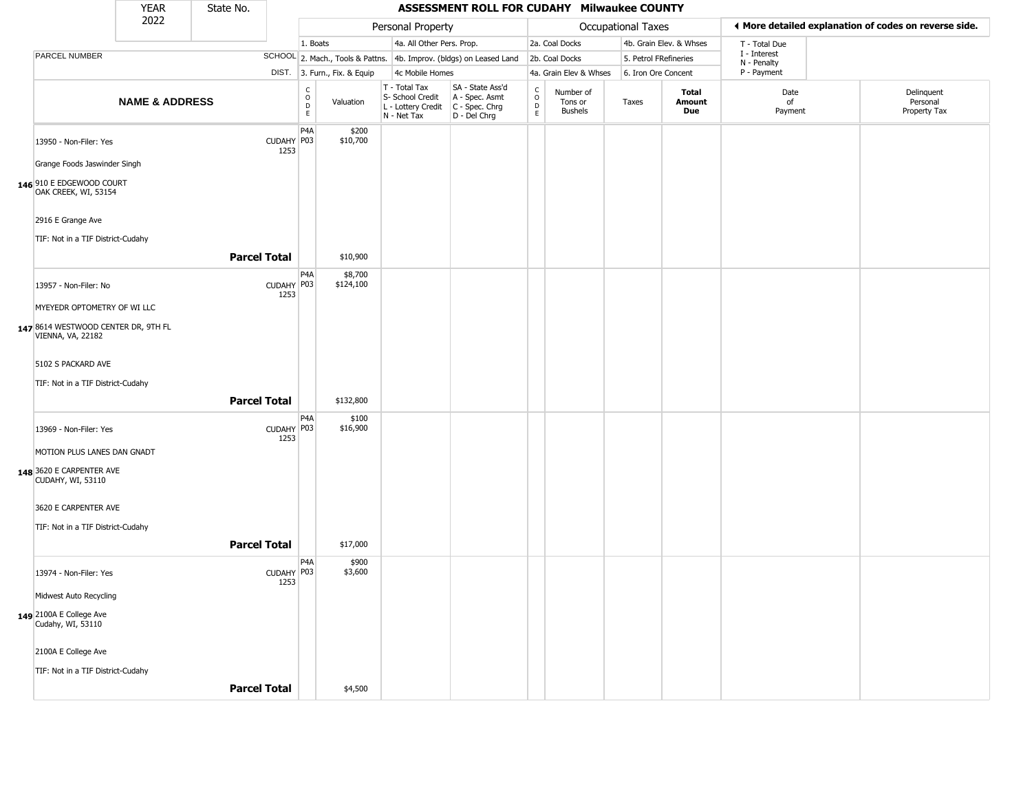|                                                                                  | <b>YEAR</b>               | State No.           |                      |                                             |                              |                                                                        | ASSESSMENT ROLL FOR CUDAHY Milwaukee COUNTY                          |                                            |                                        |                       |                         |                             |                                                       |
|----------------------------------------------------------------------------------|---------------------------|---------------------|----------------------|---------------------------------------------|------------------------------|------------------------------------------------------------------------|----------------------------------------------------------------------|--------------------------------------------|----------------------------------------|-----------------------|-------------------------|-----------------------------|-------------------------------------------------------|
|                                                                                  | 2022                      |                     |                      |                                             |                              | Personal Property                                                      |                                                                      |                                            |                                        | Occupational Taxes    |                         |                             | ◀ More detailed explanation of codes on reverse side. |
|                                                                                  |                           |                     |                      | 1. Boats                                    |                              | 4a. All Other Pers. Prop.                                              |                                                                      |                                            | 2a. Coal Docks                         |                       | 4b. Grain Elev. & Whses | T - Total Due               |                                                       |
| PARCEL NUMBER                                                                    |                           |                     |                      |                                             |                              |                                                                        | SCHOOL 2. Mach., Tools & Pattns. 4b. Improv. (bldgs) on Leased Land  |                                            | 2b. Coal Docks                         | 5. Petrol FRefineries |                         | I - Interest<br>N - Penalty |                                                       |
|                                                                                  |                           |                     |                      |                                             | DIST. 3. Furn., Fix. & Equip | 4c Mobile Homes                                                        |                                                                      |                                            | 4a. Grain Elev & Whses                 | 6. Iron Ore Concent   |                         | P - Payment                 |                                                       |
|                                                                                  | <b>NAME &amp; ADDRESS</b> |                     |                      | $\frac{c}{0}$<br>$\mathsf D$<br>$\mathsf E$ | Valuation                    | T - Total Tax<br>S- School Credit<br>L - Lottery Credit<br>N - Net Tax | SA - State Ass'd<br>A - Spec. Asmt<br>C - Spec. Chrg<br>D - Del Chrg | $\frac{c}{0}$<br>$\mathsf{D}_{\mathsf{E}}$ | Number of<br>Tons or<br><b>Bushels</b> | Taxes                 | Total<br>Amount<br>Due  | Date<br>of<br>Payment       | Delinquent<br>Personal<br>Property Tax                |
| 13950 - Non-Filer: Yes                                                           |                           |                     | CUDAHY   P03<br>1253 | P <sub>4</sub> A                            | \$200<br>\$10,700            |                                                                        |                                                                      |                                            |                                        |                       |                         |                             |                                                       |
| Grange Foods Jaswinder Singh<br>146 910 E EDGEWOOD COURT<br>OAK CREEK, WI, 53154 |                           |                     |                      |                                             |                              |                                                                        |                                                                      |                                            |                                        |                       |                         |                             |                                                       |
| 2916 E Grange Ave                                                                |                           |                     |                      |                                             |                              |                                                                        |                                                                      |                                            |                                        |                       |                         |                             |                                                       |
| TIF: Not in a TIF District-Cudahy                                                |                           | <b>Parcel Total</b> |                      |                                             | \$10,900                     |                                                                        |                                                                      |                                            |                                        |                       |                         |                             |                                                       |
| 13957 - Non-Filer: No                                                            |                           |                     | CUDAHY P03           | P4A                                         | \$8,700<br>\$124,100         |                                                                        |                                                                      |                                            |                                        |                       |                         |                             |                                                       |
| MYEYEDR OPTOMETRY OF WI LLC                                                      |                           |                     | 1253                 |                                             |                              |                                                                        |                                                                      |                                            |                                        |                       |                         |                             |                                                       |
| 147 8614 WESTWOOD CENTER DR, 9TH FL<br><b>VIENNA, VA, 22182</b>                  |                           |                     |                      |                                             |                              |                                                                        |                                                                      |                                            |                                        |                       |                         |                             |                                                       |
| 5102 S PACKARD AVE                                                               |                           |                     |                      |                                             |                              |                                                                        |                                                                      |                                            |                                        |                       |                         |                             |                                                       |
| TIF: Not in a TIF District-Cudahy                                                |                           | <b>Parcel Total</b> |                      |                                             | \$132,800                    |                                                                        |                                                                      |                                            |                                        |                       |                         |                             |                                                       |
| 13969 - Non-Filer: Yes                                                           |                           |                     | CUDAHY P03<br>1253   | P4A                                         | \$100<br>\$16,900            |                                                                        |                                                                      |                                            |                                        |                       |                         |                             |                                                       |
| MOTION PLUS LANES DAN GNADT                                                      |                           |                     |                      |                                             |                              |                                                                        |                                                                      |                                            |                                        |                       |                         |                             |                                                       |
| 148 3620 E CARPENTER AVE<br><b>CUDAHY, WI, 53110</b>                             |                           |                     |                      |                                             |                              |                                                                        |                                                                      |                                            |                                        |                       |                         |                             |                                                       |
| 3620 E CARPENTER AVE                                                             |                           |                     |                      |                                             |                              |                                                                        |                                                                      |                                            |                                        |                       |                         |                             |                                                       |
| TIF: Not in a TIF District-Cudahy                                                |                           | <b>Parcel Total</b> |                      |                                             | \$17,000                     |                                                                        |                                                                      |                                            |                                        |                       |                         |                             |                                                       |
| 13974 - Non-Filer: Yes                                                           |                           |                     | CUDAHY P03<br>1253   | P4A                                         | \$900<br>\$3,600             |                                                                        |                                                                      |                                            |                                        |                       |                         |                             |                                                       |
| Midwest Auto Recycling                                                           |                           |                     |                      |                                             |                              |                                                                        |                                                                      |                                            |                                        |                       |                         |                             |                                                       |
| 149 2100A E College Ave<br>Cudahy, WI, 53110                                     |                           |                     |                      |                                             |                              |                                                                        |                                                                      |                                            |                                        |                       |                         |                             |                                                       |
| 2100A E College Ave<br>TIF: Not in a TIF District-Cudahy                         |                           |                     |                      |                                             |                              |                                                                        |                                                                      |                                            |                                        |                       |                         |                             |                                                       |
|                                                                                  |                           | <b>Parcel Total</b> |                      |                                             | \$4,500                      |                                                                        |                                                                      |                                            |                                        |                       |                         |                             |                                                       |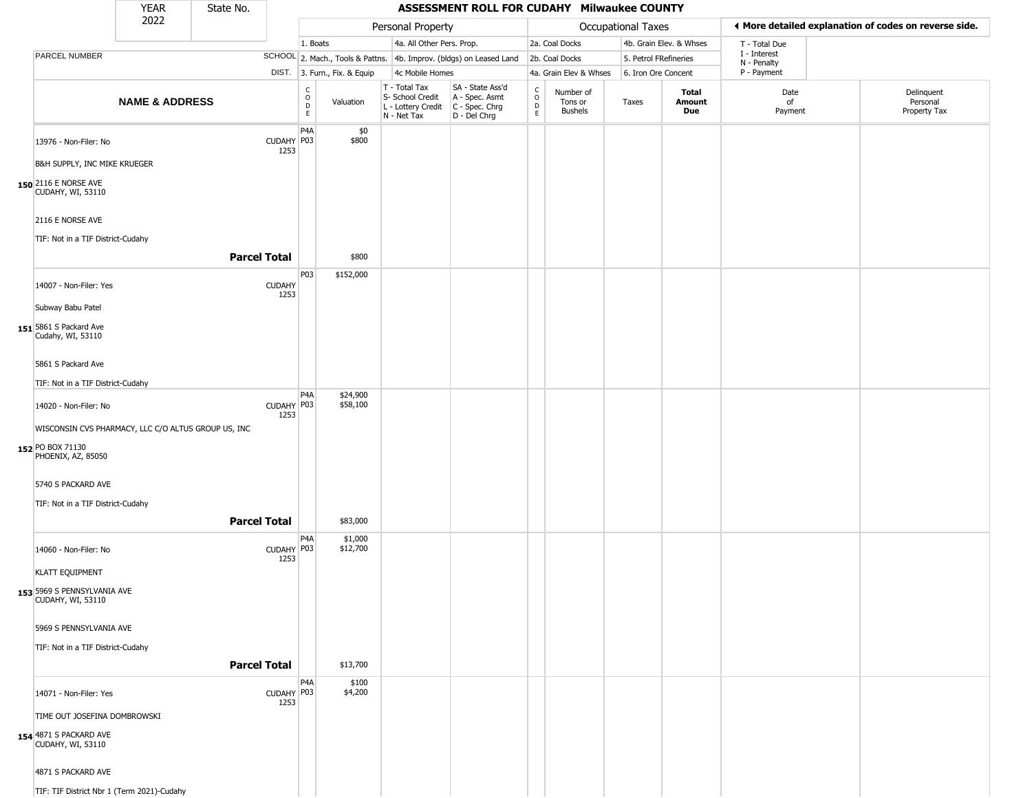|                                                         | YEAR                      | State No.           |                       |                              |                              |                                                                        | ASSESSMENT ROLL FOR CUDAHY Milwaukee COUNTY                          |                             |                                        |                       |                               |                                                       |                                        |
|---------------------------------------------------------|---------------------------|---------------------|-----------------------|------------------------------|------------------------------|------------------------------------------------------------------------|----------------------------------------------------------------------|-----------------------------|----------------------------------------|-----------------------|-------------------------------|-------------------------------------------------------|----------------------------------------|
|                                                         | 2022                      |                     |                       |                              |                              | Personal Property                                                      |                                                                      |                             |                                        | Occupational Taxes    |                               | ♦ More detailed explanation of codes on reverse side. |                                        |
|                                                         |                           |                     |                       | 1. Boats                     |                              | 4a. All Other Pers. Prop.                                              |                                                                      |                             | 2a. Coal Docks                         |                       | 4b. Grain Elev. & Whses       | T - Total Due                                         |                                        |
| <b>PARCEL NUMBER</b>                                    |                           |                     |                       |                              |                              |                                                                        | SCHOOL 2. Mach., Tools & Pattns. 4b. Improv. (bldgs) on Leased Land  |                             | 2b. Coal Docks                         | 5. Petrol FRefineries |                               | I - Interest<br>N - Penalty                           |                                        |
|                                                         |                           |                     |                       |                              | DIST. 3. Furn., Fix. & Equip | 4c Mobile Homes                                                        |                                                                      |                             | 4a. Grain Elev & Whses                 | 6. Iron Ore Concent   |                               | P - Payment                                           |                                        |
|                                                         | <b>NAME &amp; ADDRESS</b> |                     |                       | $_{\rm o}^{\rm c}$<br>D<br>E | Valuation                    | T - Total Tax<br>S- School Credit<br>L - Lottery Credit<br>N - Net Tax | SA - State Ass'd<br>A - Spec. Asmt<br>C - Spec. Chrg<br>D - Del Chrg | $\rm _o^c$<br>$\frac{D}{E}$ | Number of<br>Tons or<br><b>Bushels</b> | Taxes                 | <b>Total</b><br>Amount<br>Due | Date<br>of<br>Payment                                 | Delinquent<br>Personal<br>Property Tax |
| 13976 - Non-Filer: No                                   |                           |                     | CUDAHY P03<br>1253    | P4A                          | \$0<br>\$800                 |                                                                        |                                                                      |                             |                                        |                       |                               |                                                       |                                        |
| B&H SUPPLY, INC MIKE KRUEGER                            |                           |                     |                       |                              |                              |                                                                        |                                                                      |                             |                                        |                       |                               |                                                       |                                        |
| 150 2116 E NORSE AVE<br><b>CUDAHY, WI, 53110</b>        |                           |                     |                       |                              |                              |                                                                        |                                                                      |                             |                                        |                       |                               |                                                       |                                        |
| 2116 E NORSE AVE                                        |                           |                     |                       |                              |                              |                                                                        |                                                                      |                             |                                        |                       |                               |                                                       |                                        |
| TIF: Not in a TIF District-Cudahy                       |                           |                     |                       |                              |                              |                                                                        |                                                                      |                             |                                        |                       |                               |                                                       |                                        |
|                                                         |                           | <b>Parcel Total</b> |                       |                              | \$800                        |                                                                        |                                                                      |                             |                                        |                       |                               |                                                       |                                        |
| 14007 - Non-Filer: Yes                                  |                           |                     | <b>CUDAHY</b><br>1253 | P03                          | \$152,000                    |                                                                        |                                                                      |                             |                                        |                       |                               |                                                       |                                        |
| Subway Babu Patel                                       |                           |                     |                       |                              |                              |                                                                        |                                                                      |                             |                                        |                       |                               |                                                       |                                        |
| 151 5861 S Packard Ave<br>Cudahy, WI, 53110             |                           |                     |                       |                              |                              |                                                                        |                                                                      |                             |                                        |                       |                               |                                                       |                                        |
| 5861 S Packard Ave                                      |                           |                     |                       |                              |                              |                                                                        |                                                                      |                             |                                        |                       |                               |                                                       |                                        |
| TIF: Not in a TIF District-Cudahy                       |                           |                     |                       |                              |                              |                                                                        |                                                                      |                             |                                        |                       |                               |                                                       |                                        |
| 14020 - Non-Filer: No                                   |                           |                     | CUDAHY P03<br>1253    | P4A                          | \$24,900<br>\$58,100         |                                                                        |                                                                      |                             |                                        |                       |                               |                                                       |                                        |
| WISCONSIN CVS PHARMACY, LLC C/O ALTUS GROUP US, INC     |                           |                     |                       |                              |                              |                                                                        |                                                                      |                             |                                        |                       |                               |                                                       |                                        |
| 152 PO BOX 71130<br>PHOENIX, AZ, 85050                  |                           |                     |                       |                              |                              |                                                                        |                                                                      |                             |                                        |                       |                               |                                                       |                                        |
| 5740 S PACKARD AVE                                      |                           |                     |                       |                              |                              |                                                                        |                                                                      |                             |                                        |                       |                               |                                                       |                                        |
| TIF: Not in a TIF District-Cudahy                       |                           |                     |                       |                              |                              |                                                                        |                                                                      |                             |                                        |                       |                               |                                                       |                                        |
|                                                         |                           | <b>Parcel Total</b> |                       |                              | \$83,000                     |                                                                        |                                                                      |                             |                                        |                       |                               |                                                       |                                        |
| 14060 - Non-Filer: No                                   |                           |                     | CUDAHY P03<br>1253    | P <sub>4</sub> A             | \$1,000<br>\$12,700          |                                                                        |                                                                      |                             |                                        |                       |                               |                                                       |                                        |
| <b>KLATT EQUIPMENT</b>                                  |                           |                     |                       |                              |                              |                                                                        |                                                                      |                             |                                        |                       |                               |                                                       |                                        |
| 153 5969 S PENNSYLVANIA AVE<br><b>CUDAHY, WI, 53110</b> |                           |                     |                       |                              |                              |                                                                        |                                                                      |                             |                                        |                       |                               |                                                       |                                        |
| 5969 S PENNSYLVANIA AVE                                 |                           |                     |                       |                              |                              |                                                                        |                                                                      |                             |                                        |                       |                               |                                                       |                                        |
| TIF: Not in a TIF District-Cudahy                       |                           | <b>Parcel Total</b> |                       |                              | \$13,700                     |                                                                        |                                                                      |                             |                                        |                       |                               |                                                       |                                        |
| 14071 - Non-Filer: Yes                                  |                           |                     | CUDAHY P03<br>1253    | P4A                          | \$100<br>\$4,200             |                                                                        |                                                                      |                             |                                        |                       |                               |                                                       |                                        |
| TIME OUT JOSEFINA DOMBROWSKI                            |                           |                     |                       |                              |                              |                                                                        |                                                                      |                             |                                        |                       |                               |                                                       |                                        |
| 154 4871 S PACKARD AVE<br><b>CUDAHY, WI, 53110</b>      |                           |                     |                       |                              |                              |                                                                        |                                                                      |                             |                                        |                       |                               |                                                       |                                        |
| 4871 S PACKARD AVE                                      |                           |                     |                       |                              |                              |                                                                        |                                                                      |                             |                                        |                       |                               |                                                       |                                        |
| TIF: TIF District Nbr 1 (Term 2021)-Cudahy              |                           |                     |                       |                              |                              |                                                                        |                                                                      |                             |                                        |                       |                               |                                                       |                                        |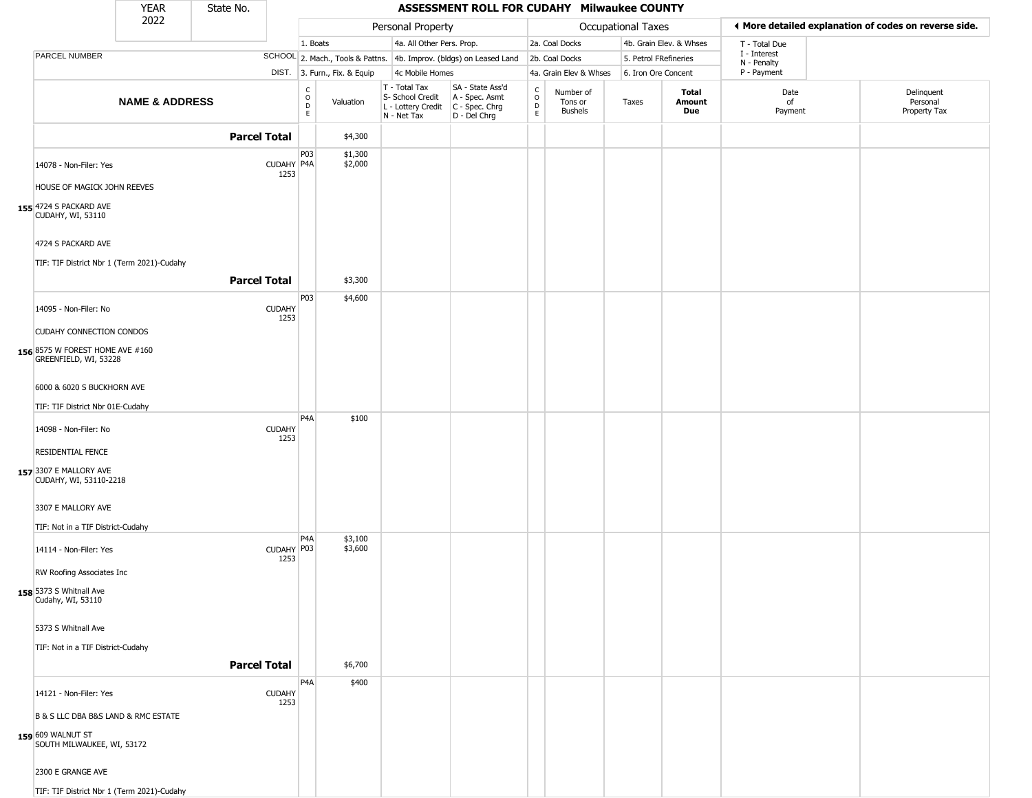|                                                                                   | YEAR                      | State No.           |                       |                              |                              |                                                                                         | ASSESSMENT ROLL FOR CUDAHY Milwaukee COUNTY                         |                                 |                                        |                           |                               |                                                       |                                        |
|-----------------------------------------------------------------------------------|---------------------------|---------------------|-----------------------|------------------------------|------------------------------|-----------------------------------------------------------------------------------------|---------------------------------------------------------------------|---------------------------------|----------------------------------------|---------------------------|-------------------------------|-------------------------------------------------------|----------------------------------------|
|                                                                                   | 2022                      |                     |                       |                              |                              | Personal Property                                                                       |                                                                     |                                 |                                        | <b>Occupational Taxes</b> |                               | ◀ More detailed explanation of codes on reverse side. |                                        |
|                                                                                   |                           |                     |                       | 1. Boats                     |                              | 4a. All Other Pers. Prop.                                                               |                                                                     |                                 | 2a. Coal Docks                         |                           | 4b. Grain Elev. & Whses       | T - Total Due                                         |                                        |
| PARCEL NUMBER                                                                     |                           |                     |                       |                              |                              |                                                                                         | SCHOOL 2. Mach., Tools & Pattns. 4b. Improv. (bldgs) on Leased Land |                                 | 2b. Coal Docks                         | 5. Petrol FRefineries     |                               | I - Interest<br>N - Penalty                           |                                        |
|                                                                                   |                           |                     |                       |                              | DIST. 3. Furn., Fix. & Equip | 4c Mobile Homes                                                                         |                                                                     |                                 | 4a. Grain Elev & Whses                 | 6. Iron Ore Concent       |                               | P - Payment                                           |                                        |
|                                                                                   | <b>NAME &amp; ADDRESS</b> |                     |                       | $_{\rm o}^{\rm c}$<br>D<br>E | Valuation                    | T - Total Tax<br>S- School Credit<br>L - Lottery Credit   C - Spec. Chrg<br>N - Net Tax | SA - State Ass'd<br>A - Spec. Asmt<br>D - Del Chrg                  | $\rm ^c_o$<br>$\mathsf{D}$<br>E | Number of<br>Tons or<br><b>Bushels</b> | Taxes                     | <b>Total</b><br>Amount<br>Due | Date<br>of<br>Payment                                 | Delinquent<br>Personal<br>Property Tax |
|                                                                                   |                           | <b>Parcel Total</b> |                       |                              | \$4,300                      |                                                                                         |                                                                     |                                 |                                        |                           |                               |                                                       |                                        |
| 14078 - Non-Filer: Yes                                                            |                           |                     | CUDAHY P4A<br>1253    | P03                          | \$1,300<br>\$2,000           |                                                                                         |                                                                     |                                 |                                        |                           |                               |                                                       |                                        |
| HOUSE OF MAGICK JOHN REEVES<br>155 4724 S PACKARD AVE<br><b>CUDAHY, WI, 53110</b> |                           |                     |                       |                              |                              |                                                                                         |                                                                     |                                 |                                        |                           |                               |                                                       |                                        |
| 4724 S PACKARD AVE                                                                |                           |                     |                       |                              |                              |                                                                                         |                                                                     |                                 |                                        |                           |                               |                                                       |                                        |
| TIF: TIF District Nbr 1 (Term 2021)-Cudahy                                        |                           |                     |                       |                              |                              |                                                                                         |                                                                     |                                 |                                        |                           |                               |                                                       |                                        |
|                                                                                   |                           | <b>Parcel Total</b> |                       |                              | \$3,300                      |                                                                                         |                                                                     |                                 |                                        |                           |                               |                                                       |                                        |
| 14095 - Non-Filer: No                                                             |                           |                     | <b>CUDAHY</b><br>1253 | P03                          | \$4,600                      |                                                                                         |                                                                     |                                 |                                        |                           |                               |                                                       |                                        |
| CUDAHY CONNECTION CONDOS                                                          |                           |                     |                       |                              |                              |                                                                                         |                                                                     |                                 |                                        |                           |                               |                                                       |                                        |
| 156 8575 W FOREST HOME AVE #160<br>GREENFIELD, WI, 53228                          |                           |                     |                       |                              |                              |                                                                                         |                                                                     |                                 |                                        |                           |                               |                                                       |                                        |
| 6000 & 6020 S BUCKHORN AVE                                                        |                           |                     |                       |                              |                              |                                                                                         |                                                                     |                                 |                                        |                           |                               |                                                       |                                        |
| TIF: TIF District Nbr 01E-Cudahy                                                  |                           |                     |                       |                              |                              |                                                                                         |                                                                     |                                 |                                        |                           |                               |                                                       |                                        |
| 14098 - Non-Filer: No                                                             |                           |                     | <b>CUDAHY</b><br>1253 | P <sub>4</sub> A             | \$100                        |                                                                                         |                                                                     |                                 |                                        |                           |                               |                                                       |                                        |
| RESIDENTIAL FENCE                                                                 |                           |                     |                       |                              |                              |                                                                                         |                                                                     |                                 |                                        |                           |                               |                                                       |                                        |
| 157 3307 E MALLORY AVE<br>CUDAHY, WI, 53110-2218                                  |                           |                     |                       |                              |                              |                                                                                         |                                                                     |                                 |                                        |                           |                               |                                                       |                                        |
| 3307 E MALLORY AVE                                                                |                           |                     |                       |                              |                              |                                                                                         |                                                                     |                                 |                                        |                           |                               |                                                       |                                        |
| TIF: Not in a TIF District-Cudahy                                                 |                           |                     |                       |                              |                              |                                                                                         |                                                                     |                                 |                                        |                           |                               |                                                       |                                        |
| 14114 - Non-Filer: Yes                                                            |                           |                     | CUDAHY P03<br>1253    | P <sub>4</sub> A             | \$3,100<br>\$3,600           |                                                                                         |                                                                     |                                 |                                        |                           |                               |                                                       |                                        |
| RW Roofing Associates Inc                                                         |                           |                     |                       |                              |                              |                                                                                         |                                                                     |                                 |                                        |                           |                               |                                                       |                                        |
| 158 5373 S Whitnall Ave<br>Cudahy, WI, 53110                                      |                           |                     |                       |                              |                              |                                                                                         |                                                                     |                                 |                                        |                           |                               |                                                       |                                        |
| 5373 S Whitnall Ave                                                               |                           |                     |                       |                              |                              |                                                                                         |                                                                     |                                 |                                        |                           |                               |                                                       |                                        |
| TIF: Not in a TIF District-Cudahy                                                 |                           |                     |                       |                              |                              |                                                                                         |                                                                     |                                 |                                        |                           |                               |                                                       |                                        |
|                                                                                   |                           | <b>Parcel Total</b> |                       |                              | \$6,700                      |                                                                                         |                                                                     |                                 |                                        |                           |                               |                                                       |                                        |
| 14121 - Non-Filer: Yes                                                            |                           |                     | <b>CUDAHY</b><br>1253 | P <sub>4</sub> A             | \$400                        |                                                                                         |                                                                     |                                 |                                        |                           |                               |                                                       |                                        |
| B & S LLC DBA B&S LAND & RMC ESTATE                                               |                           |                     |                       |                              |                              |                                                                                         |                                                                     |                                 |                                        |                           |                               |                                                       |                                        |
| 159 609 WALNUT ST<br>SOUTH MILWAUKEE, WI, 53172                                   |                           |                     |                       |                              |                              |                                                                                         |                                                                     |                                 |                                        |                           |                               |                                                       |                                        |
| 2300 E GRANGE AVE                                                                 |                           |                     |                       |                              |                              |                                                                                         |                                                                     |                                 |                                        |                           |                               |                                                       |                                        |
| TIF: TIF District Nbr 1 (Term 2021)-Cudahy                                        |                           |                     |                       |                              |                              |                                                                                         |                                                                     |                                 |                                        |                           |                               |                                                       |                                        |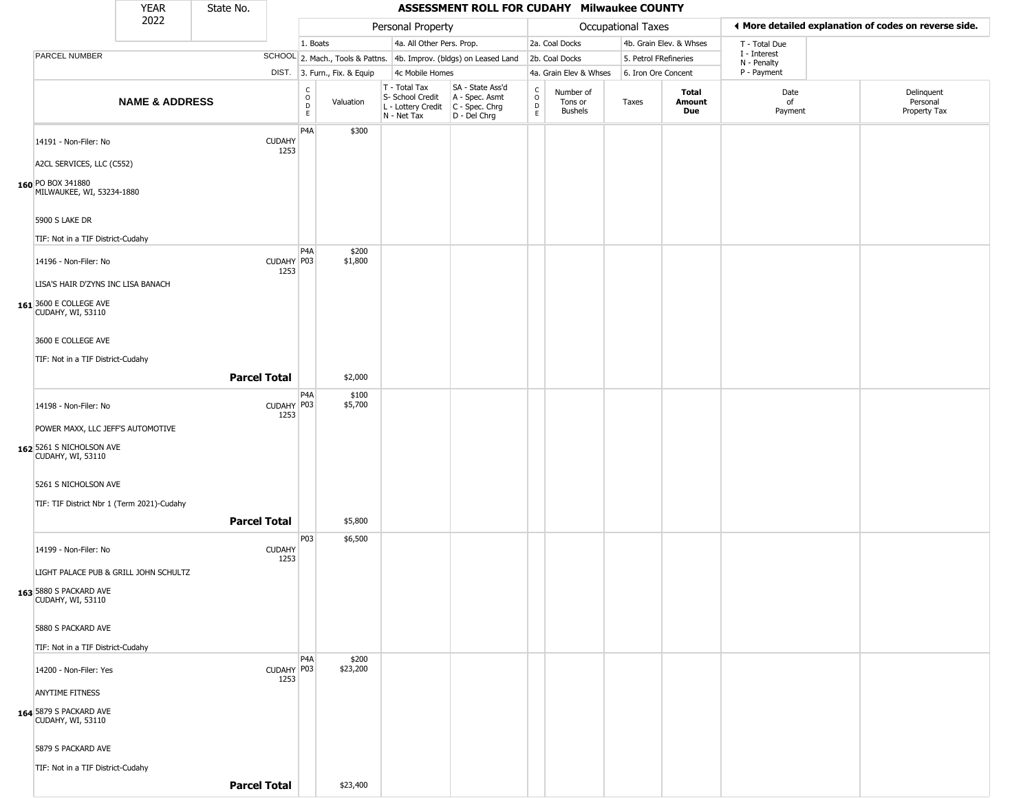|                                                    | <b>YEAR</b>               | State No.           |                       |                                                          |                              |                                                                                       | ASSESSMENT ROLL FOR CUDAHY Milwaukee COUNTY                         |                                    |                                        |                       |                         |                             |                                                       |
|----------------------------------------------------|---------------------------|---------------------|-----------------------|----------------------------------------------------------|------------------------------|---------------------------------------------------------------------------------------|---------------------------------------------------------------------|------------------------------------|----------------------------------------|-----------------------|-------------------------|-----------------------------|-------------------------------------------------------|
|                                                    | 2022                      |                     |                       |                                                          |                              | Personal Property                                                                     |                                                                     |                                    |                                        | Occupational Taxes    |                         |                             | ♦ More detailed explanation of codes on reverse side. |
|                                                    |                           |                     |                       | 1. Boats                                                 |                              | 4a. All Other Pers. Prop.                                                             |                                                                     |                                    | 2a. Coal Docks                         |                       | 4b. Grain Elev. & Whses | T - Total Due               |                                                       |
| PARCEL NUMBER                                      |                           |                     |                       |                                                          |                              |                                                                                       | SCHOOL 2. Mach., Tools & Pattns. 4b. Improv. (bldgs) on Leased Land |                                    | 2b. Coal Docks                         | 5. Petrol FRefineries |                         | I - Interest<br>N - Penalty |                                                       |
|                                                    |                           |                     |                       |                                                          | DIST. 3. Furn., Fix. & Equip | 4c Mobile Homes                                                                       |                                                                     |                                    | 4a. Grain Elev & Whses                 | 6. Iron Ore Concent   |                         | P - Payment                 |                                                       |
|                                                    | <b>NAME &amp; ADDRESS</b> |                     |                       | $\begin{matrix} 0 \\ 0 \\ D \end{matrix}$<br>$\mathsf E$ | Valuation                    | T - Total Tax<br>S- School Credit<br>L - Lottery Credit C - Spec. Chrg<br>N - Net Tax | SA - State Ass'd<br>A - Spec. Asmt<br>D - Del Chrg                  | $\int_{0}^{c}$<br>$\mathsf D$<br>E | Number of<br>Tons or<br><b>Bushels</b> | Taxes                 | Total<br>Amount<br>Due  | Date<br>of<br>Payment       | Delinquent<br>Personal<br>Property Tax                |
| 14191 - Non-Filer: No                              |                           |                     | <b>CUDAHY</b><br>1253 | P <sub>4</sub> A                                         | \$300                        |                                                                                       |                                                                     |                                    |                                        |                       |                         |                             |                                                       |
| A2CL SERVICES, LLC (C552)                          |                           |                     |                       |                                                          |                              |                                                                                       |                                                                     |                                    |                                        |                       |                         |                             |                                                       |
| 160 PO BOX 341880<br>MILWAUKEE, WI, 53234-1880     |                           |                     |                       |                                                          |                              |                                                                                       |                                                                     |                                    |                                        |                       |                         |                             |                                                       |
| 5900 S LAKE DR                                     |                           |                     |                       |                                                          |                              |                                                                                       |                                                                     |                                    |                                        |                       |                         |                             |                                                       |
| TIF: Not in a TIF District-Cudahy                  |                           |                     |                       |                                                          |                              |                                                                                       |                                                                     |                                    |                                        |                       |                         |                             |                                                       |
| 14196 - Non-Filer: No                              |                           |                     | CUDAHY P03<br>1253    | P4A                                                      | \$200<br>\$1,800             |                                                                                       |                                                                     |                                    |                                        |                       |                         |                             |                                                       |
| LISA'S HAIR D'ZYNS INC LISA BANACH                 |                           |                     |                       |                                                          |                              |                                                                                       |                                                                     |                                    |                                        |                       |                         |                             |                                                       |
| 161 3600 E COLLEGE AVE<br>CUDAHY, WI, 53110        |                           |                     |                       |                                                          |                              |                                                                                       |                                                                     |                                    |                                        |                       |                         |                             |                                                       |
| 3600 E COLLEGE AVE                                 |                           |                     |                       |                                                          |                              |                                                                                       |                                                                     |                                    |                                        |                       |                         |                             |                                                       |
| TIF: Not in a TIF District-Cudahy                  |                           |                     |                       |                                                          |                              |                                                                                       |                                                                     |                                    |                                        |                       |                         |                             |                                                       |
|                                                    |                           | <b>Parcel Total</b> |                       |                                                          | \$2,000                      |                                                                                       |                                                                     |                                    |                                        |                       |                         |                             |                                                       |
|                                                    |                           |                     |                       | P4A                                                      | \$100                        |                                                                                       |                                                                     |                                    |                                        |                       |                         |                             |                                                       |
| 14198 - Non-Filer: No                              |                           |                     | CUDAHY P03<br>1253    |                                                          | \$5,700                      |                                                                                       |                                                                     |                                    |                                        |                       |                         |                             |                                                       |
| POWER MAXX, LLC JEFF'S AUTOMOTIVE                  |                           |                     |                       |                                                          |                              |                                                                                       |                                                                     |                                    |                                        |                       |                         |                             |                                                       |
| 162 5261 S NICHOLSON AVE<br>CUDAHY, WI, 53110      |                           |                     |                       |                                                          |                              |                                                                                       |                                                                     |                                    |                                        |                       |                         |                             |                                                       |
| 5261 S NICHOLSON AVE                               |                           |                     |                       |                                                          |                              |                                                                                       |                                                                     |                                    |                                        |                       |                         |                             |                                                       |
| TIF: TIF District Nbr 1 (Term 2021)-Cudahy         |                           |                     |                       |                                                          |                              |                                                                                       |                                                                     |                                    |                                        |                       |                         |                             |                                                       |
|                                                    |                           | <b>Parcel Total</b> |                       |                                                          | \$5,800                      |                                                                                       |                                                                     |                                    |                                        |                       |                         |                             |                                                       |
| 14199 - Non-Filer: No                              |                           |                     | <b>CUDAHY</b>         | P03                                                      | \$6,500                      |                                                                                       |                                                                     |                                    |                                        |                       |                         |                             |                                                       |
| LIGHT PALACE PUB & GRILL JOHN SCHULTZ              |                           |                     | 1253                  |                                                          |                              |                                                                                       |                                                                     |                                    |                                        |                       |                         |                             |                                                       |
|                                                    |                           |                     |                       |                                                          |                              |                                                                                       |                                                                     |                                    |                                        |                       |                         |                             |                                                       |
| <b>163</b> 5880 S PACKARD AVE<br>CUDAHY, WI, 53110 |                           |                     |                       |                                                          |                              |                                                                                       |                                                                     |                                    |                                        |                       |                         |                             |                                                       |
| 5880 S PACKARD AVE                                 |                           |                     |                       |                                                          |                              |                                                                                       |                                                                     |                                    |                                        |                       |                         |                             |                                                       |
| TIF: Not in a TIF District-Cudahy                  |                           |                     |                       |                                                          |                              |                                                                                       |                                                                     |                                    |                                        |                       |                         |                             |                                                       |
| 14200 - Non-Filer: Yes                             |                           |                     | CUDAHY P03<br>1253    | P4A                                                      | \$200<br>\$23,200            |                                                                                       |                                                                     |                                    |                                        |                       |                         |                             |                                                       |
| <b>ANYTIME FITNESS</b>                             |                           |                     |                       |                                                          |                              |                                                                                       |                                                                     |                                    |                                        |                       |                         |                             |                                                       |
| 164 5879 S PACKARD AVE<br><b>CUDAHY, WI, 53110</b> |                           |                     |                       |                                                          |                              |                                                                                       |                                                                     |                                    |                                        |                       |                         |                             |                                                       |
| 5879 S PACKARD AVE                                 |                           |                     |                       |                                                          |                              |                                                                                       |                                                                     |                                    |                                        |                       |                         |                             |                                                       |
| TIF: Not in a TIF District-Cudahy                  |                           |                     |                       |                                                          |                              |                                                                                       |                                                                     |                                    |                                        |                       |                         |                             |                                                       |
|                                                    |                           | <b>Parcel Total</b> |                       |                                                          | \$23,400                     |                                                                                       |                                                                     |                                    |                                        |                       |                         |                             |                                                       |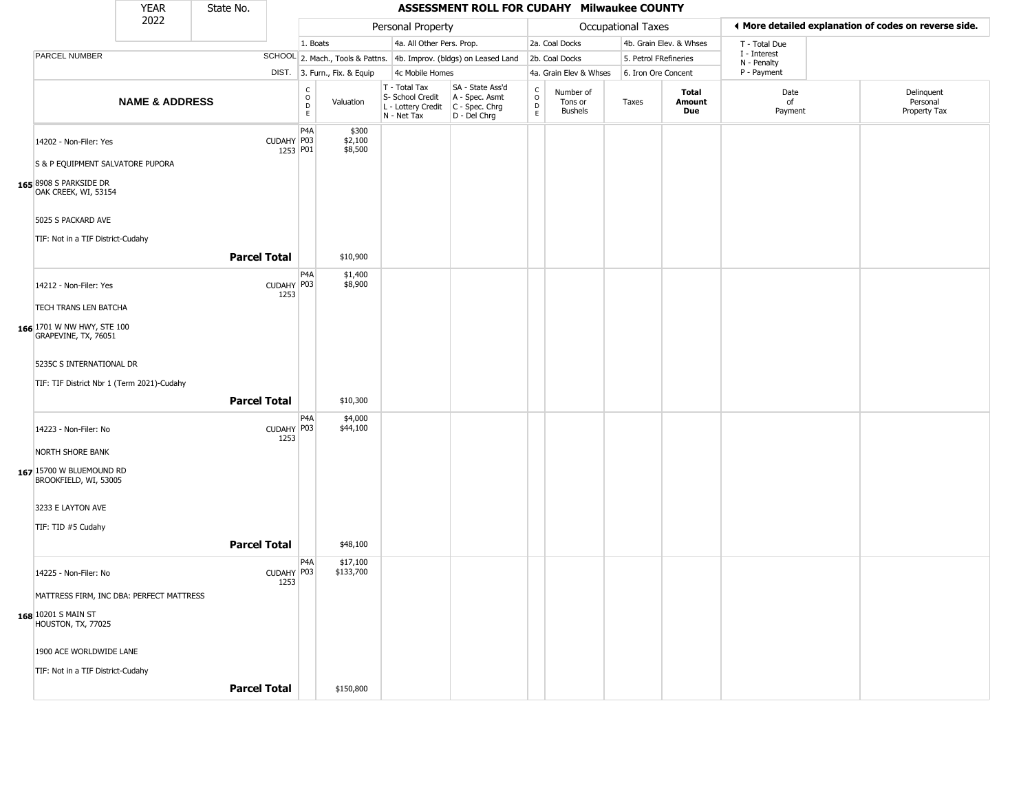|                                                    | <b>YEAR</b>               | State No.           |                        |                                                          |                              |                                                                        | ASSESSMENT ROLL FOR CUDAHY Milwaukee COUNTY                            |                                            |                                        |                       |                               |                             |                                                       |
|----------------------------------------------------|---------------------------|---------------------|------------------------|----------------------------------------------------------|------------------------------|------------------------------------------------------------------------|------------------------------------------------------------------------|--------------------------------------------|----------------------------------------|-----------------------|-------------------------------|-----------------------------|-------------------------------------------------------|
|                                                    | 2022                      |                     |                        |                                                          |                              | Personal Property                                                      |                                                                        |                                            |                                        | Occupational Taxes    |                               |                             | ◀ More detailed explanation of codes on reverse side. |
|                                                    |                           |                     |                        | 1. Boats                                                 |                              | 4a. All Other Pers. Prop.                                              |                                                                        |                                            | 2a. Coal Docks                         |                       | 4b. Grain Elev. & Whses       | T - Total Due               |                                                       |
| PARCEL NUMBER                                      |                           |                     |                        |                                                          |                              |                                                                        | SCHOOL 2. Mach., Tools & Pattns. 4b. Improv. (bldgs) on Leased Land    |                                            | 2b. Coal Docks                         | 5. Petrol FRefineries |                               | I - Interest<br>N - Penalty |                                                       |
|                                                    |                           |                     |                        |                                                          | DIST. 3. Furn., Fix. & Equip | 4c Mobile Homes                                                        |                                                                        |                                            | 4a. Grain Elev & Whses                 | 6. Iron Ore Concent   |                               | P - Payment                 |                                                       |
|                                                    | <b>NAME &amp; ADDRESS</b> |                     |                        | $\begin{smallmatrix} C \\ O \\ D \end{smallmatrix}$<br>E | Valuation                    | T - Total Tax<br>S- School Credit<br>L - Lottery Credit<br>N - Net Tax | SA - State Ass'd<br>A - Spec. Asmt<br>$C - Spec. Chrg$<br>D - Del Chrg | $\frac{c}{0}$<br>$\mathsf{D}_{\mathsf{E}}$ | Number of<br>Tons or<br><b>Bushels</b> | Taxes                 | Total<br>Amount<br><b>Due</b> | Date<br>of<br>Payment       | Delinquent<br>Personal<br>Property Tax                |
| 14202 - Non-Filer: Yes                             |                           |                     | CUDAHY P03<br>1253 P01 | P <sub>4</sub> A                                         | \$300<br>\$2,100<br>\$8,500  |                                                                        |                                                                        |                                            |                                        |                       |                               |                             |                                                       |
| S & P EQUIPMENT SALVATORE PUPORA                   |                           |                     |                        |                                                          |                              |                                                                        |                                                                        |                                            |                                        |                       |                               |                             |                                                       |
| 165 8908 S PARKSIDE DR<br>OAK CREEK, WI, 53154     |                           |                     |                        |                                                          |                              |                                                                        |                                                                        |                                            |                                        |                       |                               |                             |                                                       |
| 5025 S PACKARD AVE                                 |                           |                     |                        |                                                          |                              |                                                                        |                                                                        |                                            |                                        |                       |                               |                             |                                                       |
| TIF: Not in a TIF District-Cudahy                  |                           |                     |                        |                                                          |                              |                                                                        |                                                                        |                                            |                                        |                       |                               |                             |                                                       |
|                                                    |                           | <b>Parcel Total</b> |                        |                                                          | \$10,900                     |                                                                        |                                                                        |                                            |                                        |                       |                               |                             |                                                       |
| 14212 - Non-Filer: Yes                             |                           |                     | CUDAHY P03<br>1253     | P <sub>4</sub> A                                         | \$1,400<br>\$8,900           |                                                                        |                                                                        |                                            |                                        |                       |                               |                             |                                                       |
| TECH TRANS LEN BATCHA                              |                           |                     |                        |                                                          |                              |                                                                        |                                                                        |                                            |                                        |                       |                               |                             |                                                       |
| 166 1701 W NW HWY, STE 100<br>GRAPEVINE, TX, 76051 |                           |                     |                        |                                                          |                              |                                                                        |                                                                        |                                            |                                        |                       |                               |                             |                                                       |
| 5235C S INTERNATIONAL DR                           |                           |                     |                        |                                                          |                              |                                                                        |                                                                        |                                            |                                        |                       |                               |                             |                                                       |
| TIF: TIF District Nbr 1 (Term 2021)-Cudahy         |                           | <b>Parcel Total</b> |                        |                                                          | \$10,300                     |                                                                        |                                                                        |                                            |                                        |                       |                               |                             |                                                       |
|                                                    |                           |                     |                        | P <sub>4</sub> A                                         |                              |                                                                        |                                                                        |                                            |                                        |                       |                               |                             |                                                       |
| 14223 - Non-Filer: No                              |                           |                     | CUDAHY P03<br>1253     |                                                          | \$4,000<br>\$44,100          |                                                                        |                                                                        |                                            |                                        |                       |                               |                             |                                                       |
| <b>NORTH SHORE BANK</b>                            |                           |                     |                        |                                                          |                              |                                                                        |                                                                        |                                            |                                        |                       |                               |                             |                                                       |
| 167 15700 W BLUEMOUND RD<br>BROOKFIELD, WI, 53005  |                           |                     |                        |                                                          |                              |                                                                        |                                                                        |                                            |                                        |                       |                               |                             |                                                       |
| 3233 E LAYTON AVE                                  |                           |                     |                        |                                                          |                              |                                                                        |                                                                        |                                            |                                        |                       |                               |                             |                                                       |
| TIF: TID #5 Cudahy                                 |                           |                     |                        |                                                          |                              |                                                                        |                                                                        |                                            |                                        |                       |                               |                             |                                                       |
|                                                    |                           | <b>Parcel Total</b> |                        |                                                          | \$48,100                     |                                                                        |                                                                        |                                            |                                        |                       |                               |                             |                                                       |
| 14225 - Non-Filer: No                              |                           |                     | CUDAHY P03<br>1253     | P <sub>4</sub> A                                         | \$17,100<br>\$133,700        |                                                                        |                                                                        |                                            |                                        |                       |                               |                             |                                                       |
| MATTRESS FIRM, INC DBA: PERFECT MATTRESS           |                           |                     |                        |                                                          |                              |                                                                        |                                                                        |                                            |                                        |                       |                               |                             |                                                       |
| <b>168</b> 10201 S MAIN ST<br>HOUSTON, TX, 77025   |                           |                     |                        |                                                          |                              |                                                                        |                                                                        |                                            |                                        |                       |                               |                             |                                                       |
| 1900 ACE WORLDWIDE LANE                            |                           |                     |                        |                                                          |                              |                                                                        |                                                                        |                                            |                                        |                       |                               |                             |                                                       |
| TIF: Not in a TIF District-Cudahy                  |                           |                     |                        |                                                          |                              |                                                                        |                                                                        |                                            |                                        |                       |                               |                             |                                                       |
|                                                    |                           | <b>Parcel Total</b> |                        |                                                          | \$150,800                    |                                                                        |                                                                        |                                            |                                        |                       |                               |                             |                                                       |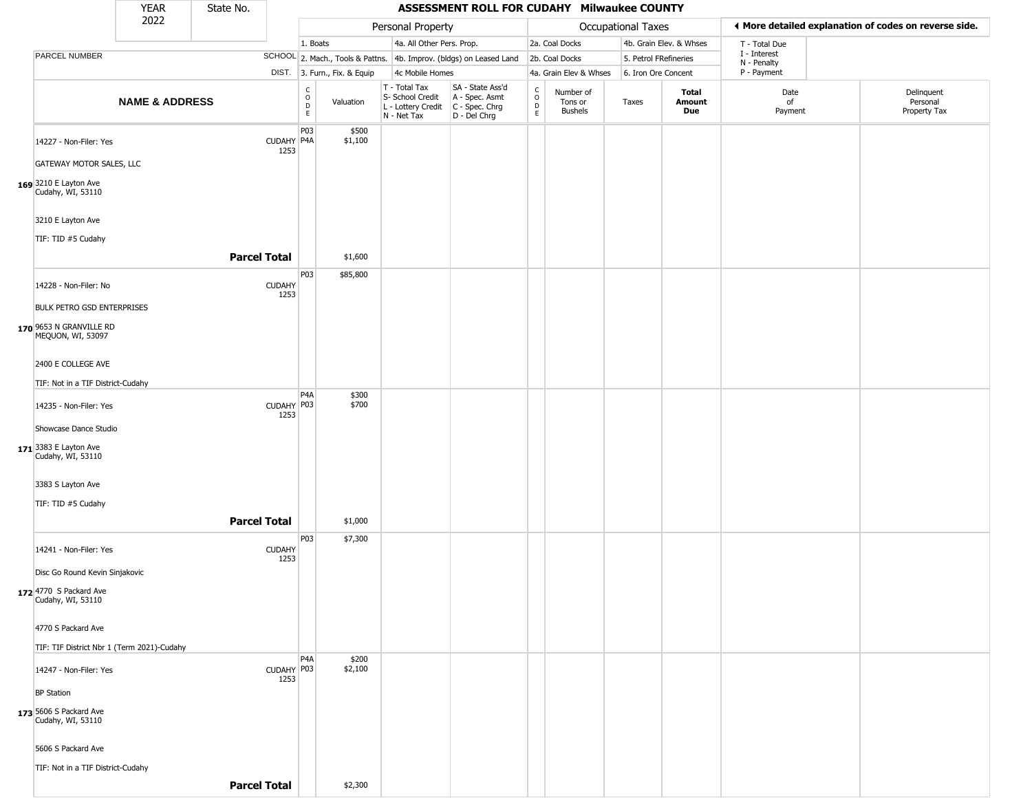|                                                                                   | YEAR                      | State No.           |                       |                                                          |                              |                                                  | ASSESSMENT ROLL FOR CUDAHY Milwaukee COUNTY                                             |                                                |                                        |                       |                               |                             |                                                       |
|-----------------------------------------------------------------------------------|---------------------------|---------------------|-----------------------|----------------------------------------------------------|------------------------------|--------------------------------------------------|-----------------------------------------------------------------------------------------|------------------------------------------------|----------------------------------------|-----------------------|-------------------------------|-----------------------------|-------------------------------------------------------|
|                                                                                   | 2022                      |                     |                       |                                                          |                              | Personal Property                                |                                                                                         |                                                |                                        | Occupational Taxes    |                               |                             | ◀ More detailed explanation of codes on reverse side. |
|                                                                                   |                           |                     |                       | 1. Boats                                                 |                              | 4a. All Other Pers. Prop.                        |                                                                                         |                                                | 2a. Coal Docks                         |                       | 4b. Grain Elev. & Whses       | T - Total Due               |                                                       |
| PARCEL NUMBER                                                                     |                           |                     |                       |                                                          |                              |                                                  | SCHOOL 2. Mach., Tools & Pattns. 4b. Improv. (bldgs) on Leased Land                     |                                                | 2b. Coal Docks                         | 5. Petrol FRefineries |                               | I - Interest<br>N - Penalty |                                                       |
|                                                                                   |                           |                     |                       |                                                          | DIST. 3. Furn., Fix. & Equip | 4c Mobile Homes                                  |                                                                                         |                                                | 4a. Grain Elev & Whses                 | 6. Iron Ore Concent   |                               | P - Payment                 |                                                       |
|                                                                                   | <b>NAME &amp; ADDRESS</b> |                     |                       | $\begin{matrix} C \\ O \\ D \end{matrix}$<br>$\mathsf E$ | Valuation                    | T - Total Tax<br>S- School Credit<br>N - Net Tax | SA - State Ass'd<br>A - Spec. Asmt<br>L - Lottery Credit C - Spec. Chrg<br>D - Del Chrg | $\begin{matrix} 0 \\ 0 \\ D \end{matrix}$<br>E | Number of<br>Tons or<br><b>Bushels</b> | Taxes                 | <b>Total</b><br>Amount<br>Due | Date<br>of<br>Payment       | Delinquent<br>Personal<br>Property Tax                |
| 14227 - Non-Filer: Yes                                                            |                           |                     | CUDAHY P4A<br>1253    | P03                                                      | \$500<br>\$1,100             |                                                  |                                                                                         |                                                |                                        |                       |                               |                             |                                                       |
| GATEWAY MOTOR SALES, LLC<br>169 3210 E Layton Ave<br>Cudahy, WI, 53110            |                           |                     |                       |                                                          |                              |                                                  |                                                                                         |                                                |                                        |                       |                               |                             |                                                       |
| 3210 E Layton Ave<br>TIF: TID #5 Cudahy                                           |                           |                     |                       |                                                          |                              |                                                  |                                                                                         |                                                |                                        |                       |                               |                             |                                                       |
|                                                                                   |                           | <b>Parcel Total</b> |                       |                                                          | \$1,600                      |                                                  |                                                                                         |                                                |                                        |                       |                               |                             |                                                       |
| 14228 - Non-Filer: No                                                             |                           |                     | <b>CUDAHY</b><br>1253 | P03                                                      | \$85,800                     |                                                  |                                                                                         |                                                |                                        |                       |                               |                             |                                                       |
| <b>BULK PETRO GSD ENTERPRISES</b><br>170 9653 N GRANVILLE RD<br>MEQUON, WI, 53097 |                           |                     |                       |                                                          |                              |                                                  |                                                                                         |                                                |                                        |                       |                               |                             |                                                       |
| 2400 E COLLEGE AVE                                                                |                           |                     |                       |                                                          |                              |                                                  |                                                                                         |                                                |                                        |                       |                               |                             |                                                       |
| TIF: Not in a TIF District-Cudahy                                                 |                           |                     |                       |                                                          |                              |                                                  |                                                                                         |                                                |                                        |                       |                               |                             |                                                       |
| 14235 - Non-Filer: Yes                                                            |                           |                     | CUDAHY P03<br>1253    | P4A                                                      | \$300<br>\$700               |                                                  |                                                                                         |                                                |                                        |                       |                               |                             |                                                       |
| Showcase Dance Studio<br>$171$ 3383 E Layton Ave<br>Cudahy, WI, 53110             |                           |                     |                       |                                                          |                              |                                                  |                                                                                         |                                                |                                        |                       |                               |                             |                                                       |
| 3383 S Layton Ave<br>TIF: TID #5 Cudahy                                           |                           |                     |                       |                                                          |                              |                                                  |                                                                                         |                                                |                                        |                       |                               |                             |                                                       |
|                                                                                   |                           | <b>Parcel Total</b> |                       |                                                          | \$1,000                      |                                                  |                                                                                         |                                                |                                        |                       |                               |                             |                                                       |
| 14241 - Non-Filer: Yes                                                            |                           |                     | <b>CUDAHY</b><br>1253 | P03                                                      | \$7,300                      |                                                  |                                                                                         |                                                |                                        |                       |                               |                             |                                                       |
| Disc Go Round Kevin Sinjakovic<br>172 4770 S Packard Ave                          |                           |                     |                       |                                                          |                              |                                                  |                                                                                         |                                                |                                        |                       |                               |                             |                                                       |
| Cudahy, WI, 53110<br>4770 S Packard Ave                                           |                           |                     |                       |                                                          |                              |                                                  |                                                                                         |                                                |                                        |                       |                               |                             |                                                       |
| TIF: TIF District Nbr 1 (Term 2021)-Cudahy                                        |                           |                     |                       |                                                          |                              |                                                  |                                                                                         |                                                |                                        |                       |                               |                             |                                                       |
| 14247 - Non-Filer: Yes                                                            |                           |                     | CUDAHY P03<br>1253    | P <sub>4</sub> A                                         | \$200<br>\$2,100             |                                                  |                                                                                         |                                                |                                        |                       |                               |                             |                                                       |
| <b>BP</b> Station<br>173 5606 S Packard Ave<br>Cudahy, WI, 53110                  |                           |                     |                       |                                                          |                              |                                                  |                                                                                         |                                                |                                        |                       |                               |                             |                                                       |
| 5606 S Packard Ave<br>TIF: Not in a TIF District-Cudahy                           |                           |                     |                       |                                                          |                              |                                                  |                                                                                         |                                                |                                        |                       |                               |                             |                                                       |
|                                                                                   |                           | <b>Parcel Total</b> |                       |                                                          | \$2,300                      |                                                  |                                                                                         |                                                |                                        |                       |                               |                             |                                                       |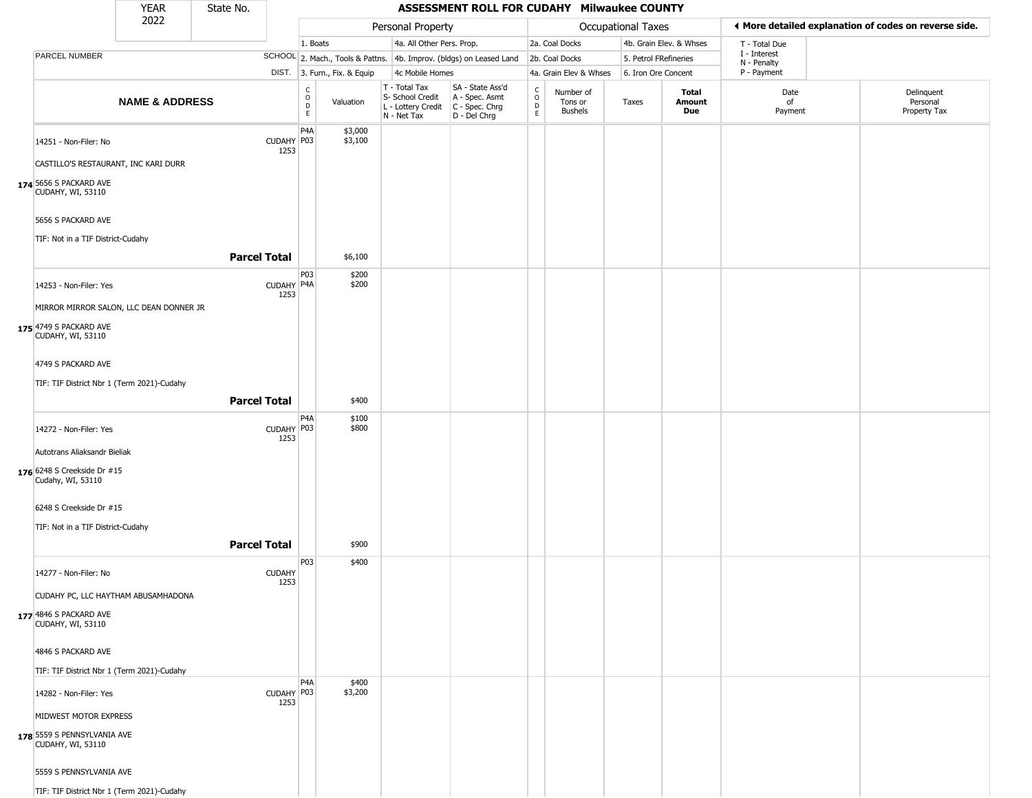|                                                                                                                     | <b>YEAR</b>                                | State No.           |                       |                                           |                              |                                                                        | ASSESSMENT ROLL FOR CUDAHY Milwaukee COUNTY                            |                                                 |                                        |                       |                         |                                                       |                                        |
|---------------------------------------------------------------------------------------------------------------------|--------------------------------------------|---------------------|-----------------------|-------------------------------------------|------------------------------|------------------------------------------------------------------------|------------------------------------------------------------------------|-------------------------------------------------|----------------------------------------|-----------------------|-------------------------|-------------------------------------------------------|----------------------------------------|
|                                                                                                                     | 2022                                       |                     |                       |                                           |                              | Personal Property                                                      |                                                                        |                                                 |                                        | Occupational Taxes    |                         | ◀ More detailed explanation of codes on reverse side. |                                        |
|                                                                                                                     |                                            |                     |                       | 1. Boats                                  |                              | 4a. All Other Pers. Prop.                                              |                                                                        |                                                 | 2a. Coal Docks                         |                       | 4b. Grain Elev. & Whses | T - Total Due                                         |                                        |
| PARCEL NUMBER                                                                                                       |                                            |                     |                       |                                           |                              |                                                                        | SCHOOL 2. Mach., Tools & Pattns. 4b. Improv. (bldgs) on Leased Land    |                                                 | 2b. Coal Docks                         | 5. Petrol FRefineries |                         | I - Interest                                          |                                        |
|                                                                                                                     |                                            |                     |                       |                                           | DIST. 3. Furn., Fix. & Equip | 4c Mobile Homes                                                        |                                                                        |                                                 | 4a. Grain Elev & Whses                 | 6. Iron Ore Concent   |                         | N - Penalty<br>P - Payment                            |                                        |
|                                                                                                                     | <b>NAME &amp; ADDRESS</b>                  |                     |                       | $_{\rm o}^{\rm c}$<br>$\overline{D}$<br>E | Valuation                    | T - Total Tax<br>S- School Credit<br>L - Lottery Credit<br>N - Net Tax | SA - State Ass'd<br>A - Spec. Asmt<br>$C - Spec. Chrg$<br>D - Del Chrg | $\begin{array}{c} C \\ O \\ D \\ E \end{array}$ | Number of<br>Tons or<br><b>Bushels</b> | Taxes                 | Total<br>Amount<br>Due  | Date<br>of<br>Payment                                 | Delinquent<br>Personal<br>Property Tax |
| 14251 - Non-Filer: No<br>CASTILLO'S RESTAURANT, INC KARI DURR<br>174 5656 S PACKARD AVE<br><b>CUDAHY, WI, 53110</b> |                                            |                     | CUDAHY P03<br>1253    | P4A                                       | \$3,000<br>\$3,100           |                                                                        |                                                                        |                                                 |                                        |                       |                         |                                                       |                                        |
| 5656 S PACKARD AVE<br>TIF: Not in a TIF District-Cudahy                                                             |                                            | <b>Parcel Total</b> |                       |                                           | \$6,100                      |                                                                        |                                                                        |                                                 |                                        |                       |                         |                                                       |                                        |
| 14253 - Non-Filer: Yes<br>MIRROR MIRROR SALON, LLC DEAN DONNER JR<br>175 4749 S PACKARD AVE<br>CUDAHY, WI, 53110    |                                            |                     | CUDAHY P4A<br>1253    | P <sub>0</sub> 3                          | \$200<br>\$200               |                                                                        |                                                                        |                                                 |                                        |                       |                         |                                                       |                                        |
| 4749 S PACKARD AVE<br>TIF: TIF District Nbr 1 (Term 2021)-Cudahy                                                    |                                            | <b>Parcel Total</b> |                       |                                           | \$400                        |                                                                        |                                                                        |                                                 |                                        |                       |                         |                                                       |                                        |
| 14272 - Non-Filer: Yes<br>Autotrans Aliaksandr Bieliak<br>176 6248 S Creekside Dr #15<br>Cudahy, WI, 53110          |                                            |                     | CUDAHY P03<br>1253    | P4A                                       | \$100<br>\$800               |                                                                        |                                                                        |                                                 |                                        |                       |                         |                                                       |                                        |
| 6248 S Creekside Dr #15<br>TIF: Not in a TIF District-Cudahy                                                        |                                            | <b>Parcel Total</b> |                       |                                           | \$900                        |                                                                        |                                                                        |                                                 |                                        |                       |                         |                                                       |                                        |
| 14277 - Non-Filer: No                                                                                               | CUDAHY PC, LLC HAYTHAM ABUSAMHADONA        |                     | <b>CUDAHY</b><br>1253 | P03                                       | \$400                        |                                                                        |                                                                        |                                                 |                                        |                       |                         |                                                       |                                        |
| 177 4846 S PACKARD AVE<br><b>CUDAHY, WI, 53110</b>                                                                  |                                            |                     |                       |                                           |                              |                                                                        |                                                                        |                                                 |                                        |                       |                         |                                                       |                                        |
| 4846 S PACKARD AVE                                                                                                  |                                            |                     |                       |                                           |                              |                                                                        |                                                                        |                                                 |                                        |                       |                         |                                                       |                                        |
| 14282 - Non-Filer: Yes                                                                                              | TIF: TIF District Nbr 1 (Term 2021)-Cudahy |                     | CUDAHY P03<br>1253    | P <sub>4</sub> A                          | \$400<br>\$3,200             |                                                                        |                                                                        |                                                 |                                        |                       |                         |                                                       |                                        |
| MIDWEST MOTOR EXPRESS<br>178 5559 S PENNSYLVANIA AVE<br><b>CUDAHY, WI, 53110</b>                                    |                                            |                     |                       |                                           |                              |                                                                        |                                                                        |                                                 |                                        |                       |                         |                                                       |                                        |
| 5559 S PENNSYLVANIA AVE<br>TIF: TIF District Nbr 1 (Term 2021)-Cudahy                                               |                                            |                     |                       |                                           |                              |                                                                        |                                                                        |                                                 |                                        |                       |                         |                                                       |                                        |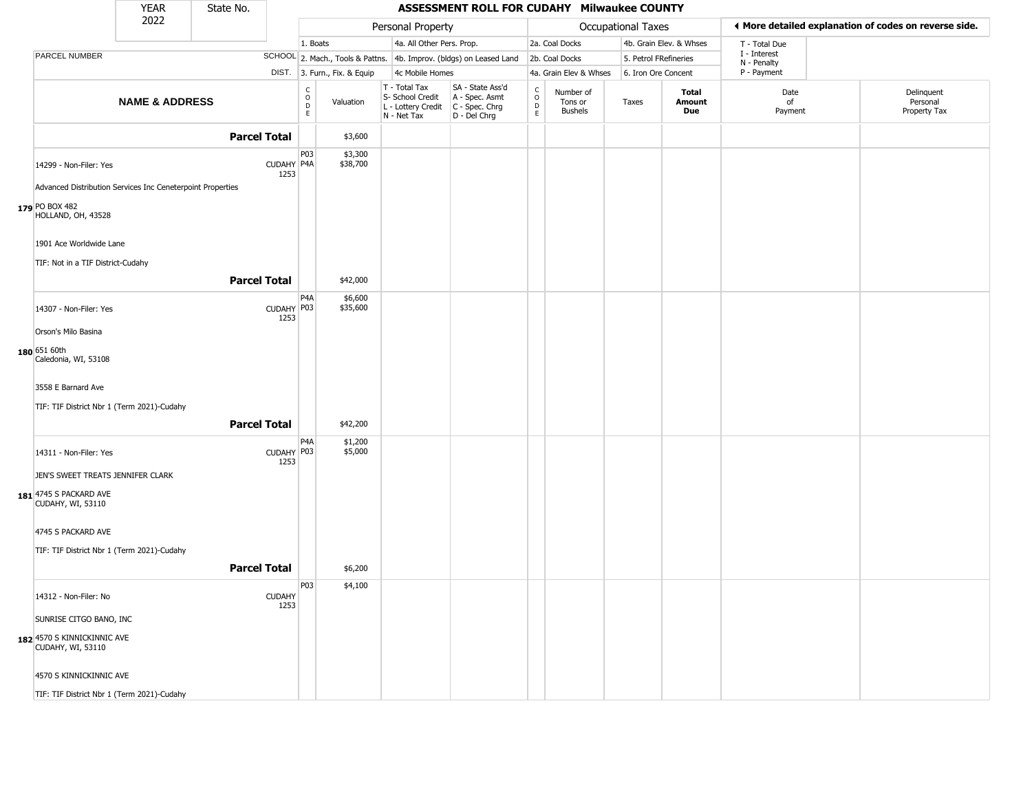|                                                            | <b>YEAR</b>               | State No.           |                       |                                                 |                              |                                                                        | ASSESSMENT ROLL FOR CUDAHY Milwaukee COUNTY                            |                              |                                 |                       |                         |                             |                                                       |
|------------------------------------------------------------|---------------------------|---------------------|-----------------------|-------------------------------------------------|------------------------------|------------------------------------------------------------------------|------------------------------------------------------------------------|------------------------------|---------------------------------|-----------------------|-------------------------|-----------------------------|-------------------------------------------------------|
|                                                            | 2022                      |                     |                       |                                                 |                              | Personal Property                                                      |                                                                        |                              |                                 | Occupational Taxes    |                         |                             | ♦ More detailed explanation of codes on reverse side. |
|                                                            |                           |                     |                       | 1. Boats                                        |                              | 4a. All Other Pers. Prop.                                              |                                                                        |                              | 2a. Coal Docks                  |                       | 4b. Grain Elev. & Whses | T - Total Due               |                                                       |
| PARCEL NUMBER                                              |                           |                     |                       |                                                 |                              |                                                                        | SCHOOL 2. Mach., Tools & Pattns. 4b. Improv. (bldgs) on Leased Land    |                              | 2b. Coal Docks                  | 5. Petrol FRefineries |                         | I - Interest<br>N - Penalty |                                                       |
|                                                            |                           |                     |                       |                                                 | DIST. 3. Furn., Fix. & Equip | 4c Mobile Homes                                                        |                                                                        |                              | 4a. Grain Elev & Whses          | 6. Iron Ore Concent   |                         | P - Payment                 |                                                       |
|                                                            | <b>NAME &amp; ADDRESS</b> |                     |                       | $\begin{array}{c} C \\ O \\ D \\ E \end{array}$ | Valuation                    | T - Total Tax<br>S- School Credit<br>L - Lottery Credit<br>N - Net Tax | SA - State Ass'd<br>A - Spec. Asmt<br>$C - Spec. Chrg$<br>D - Del Chrg | $\delta$<br>$\mathsf D$<br>E | Number of<br>Tons or<br>Bushels | Taxes                 | Total<br>Amount<br>Due  | Date<br>of<br>Payment       | Delinquent<br>Personal<br>Property Tax                |
|                                                            |                           | <b>Parcel Total</b> |                       |                                                 | \$3,600                      |                                                                        |                                                                        |                              |                                 |                       |                         |                             |                                                       |
| 14299 - Non-Filer: Yes                                     |                           |                     | CUDAHY P4A<br>1253    | P03                                             | \$3,300<br>\$38,700          |                                                                        |                                                                        |                              |                                 |                       |                         |                             |                                                       |
| Advanced Distribution Services Inc Ceneterpoint Properties |                           |                     |                       |                                                 |                              |                                                                        |                                                                        |                              |                                 |                       |                         |                             |                                                       |
| 179 PO BOX 482<br>HOLLAND, OH, 43528                       |                           |                     |                       |                                                 |                              |                                                                        |                                                                        |                              |                                 |                       |                         |                             |                                                       |
| 1901 Ace Worldwide Lane                                    |                           |                     |                       |                                                 |                              |                                                                        |                                                                        |                              |                                 |                       |                         |                             |                                                       |
| TIF: Not in a TIF District-Cudahy                          |                           |                     |                       |                                                 |                              |                                                                        |                                                                        |                              |                                 |                       |                         |                             |                                                       |
|                                                            |                           | <b>Parcel Total</b> |                       |                                                 | \$42,000                     |                                                                        |                                                                        |                              |                                 |                       |                         |                             |                                                       |
| 14307 - Non-Filer: Yes                                     |                           |                     | CUDAHY P03<br>1253    | P <sub>4</sub> A                                | \$6,600<br>\$35,600          |                                                                        |                                                                        |                              |                                 |                       |                         |                             |                                                       |
| Orson's Milo Basina                                        |                           |                     |                       |                                                 |                              |                                                                        |                                                                        |                              |                                 |                       |                         |                             |                                                       |
| $180$ 651 60th<br>Caledonia, WI, 53108                     |                           |                     |                       |                                                 |                              |                                                                        |                                                                        |                              |                                 |                       |                         |                             |                                                       |
| 3558 E Barnard Ave                                         |                           |                     |                       |                                                 |                              |                                                                        |                                                                        |                              |                                 |                       |                         |                             |                                                       |
| TIF: TIF District Nbr 1 (Term 2021)-Cudahy                 |                           |                     |                       |                                                 |                              |                                                                        |                                                                        |                              |                                 |                       |                         |                             |                                                       |
|                                                            |                           | <b>Parcel Total</b> |                       |                                                 | \$42,200                     |                                                                        |                                                                        |                              |                                 |                       |                         |                             |                                                       |
| 14311 - Non-Filer: Yes                                     |                           |                     | CUDAHY P03<br>1253    | P <sub>4</sub> A                                | \$1,200<br>\$5,000           |                                                                        |                                                                        |                              |                                 |                       |                         |                             |                                                       |
| JEN'S SWEET TREATS JENNIFER CLARK                          |                           |                     |                       |                                                 |                              |                                                                        |                                                                        |                              |                                 |                       |                         |                             |                                                       |
| 181 4745 S PACKARD AVE<br><b>CUDAHY, WI, 53110</b>         |                           |                     |                       |                                                 |                              |                                                                        |                                                                        |                              |                                 |                       |                         |                             |                                                       |
| 4745 S PACKARD AVE                                         |                           |                     |                       |                                                 |                              |                                                                        |                                                                        |                              |                                 |                       |                         |                             |                                                       |
| TIF: TIF District Nbr 1 (Term 2021)-Cudahy                 |                           |                     |                       |                                                 |                              |                                                                        |                                                                        |                              |                                 |                       |                         |                             |                                                       |
|                                                            |                           | <b>Parcel Total</b> |                       |                                                 | \$6,200                      |                                                                        |                                                                        |                              |                                 |                       |                         |                             |                                                       |
| 14312 - Non-Filer: No                                      |                           |                     | <b>CUDAHY</b><br>1253 | P03                                             | \$4,100                      |                                                                        |                                                                        |                              |                                 |                       |                         |                             |                                                       |
| SUNRISE CITGO BANO, INC                                    |                           |                     |                       |                                                 |                              |                                                                        |                                                                        |                              |                                 |                       |                         |                             |                                                       |
| 182 4570 S KINNICKINNIC AVE<br>CUDAHY, WI, 53110           |                           |                     |                       |                                                 |                              |                                                                        |                                                                        |                              |                                 |                       |                         |                             |                                                       |
| 4570 S KINNICKINNIC AVE                                    |                           |                     |                       |                                                 |                              |                                                                        |                                                                        |                              |                                 |                       |                         |                             |                                                       |
| TIF: TIF District Nbr 1 (Term 2021)-Cudahy                 |                           |                     |                       |                                                 |                              |                                                                        |                                                                        |                              |                                 |                       |                         |                             |                                                       |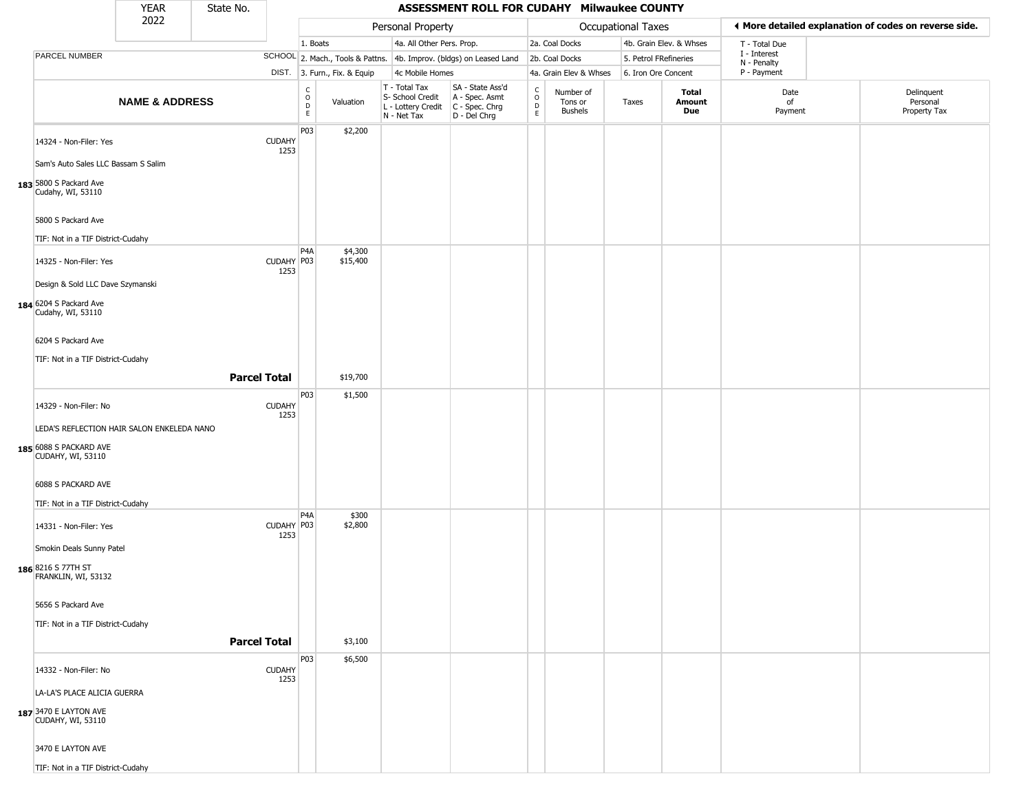|                                                                                                    | <b>YEAR</b>               | State No.           |                       |                                   |                              |                                                                        | ASSESSMENT ROLL FOR CUDAHY Milwaukee COUNTY                          |                                      |                                 |                       |                         |                             |                                                       |
|----------------------------------------------------------------------------------------------------|---------------------------|---------------------|-----------------------|-----------------------------------|------------------------------|------------------------------------------------------------------------|----------------------------------------------------------------------|--------------------------------------|---------------------------------|-----------------------|-------------------------|-----------------------------|-------------------------------------------------------|
|                                                                                                    | 2022                      |                     |                       |                                   |                              | Personal Property                                                      |                                                                      |                                      |                                 | Occupational Taxes    |                         |                             | ◀ More detailed explanation of codes on reverse side. |
|                                                                                                    |                           |                     |                       | 1. Boats                          |                              | 4a. All Other Pers. Prop.                                              |                                                                      |                                      | 2a. Coal Docks                  |                       | 4b. Grain Elev. & Whses | T - Total Due               |                                                       |
| PARCEL NUMBER                                                                                      |                           |                     |                       |                                   |                              |                                                                        | SCHOOL 2. Mach., Tools & Pattns. 4b. Improv. (bldgs) on Leased Land  |                                      | 2b. Coal Docks                  | 5. Petrol FRefineries |                         | I - Interest<br>N - Penalty |                                                       |
|                                                                                                    |                           |                     |                       |                                   | DIST. 3. Furn., Fix. & Equip | 4c Mobile Homes                                                        |                                                                      |                                      | 4a. Grain Elev & Whses          | 6. Iron Ore Concent   |                         | P - Payment                 |                                                       |
|                                                                                                    | <b>NAME &amp; ADDRESS</b> |                     |                       | C<br>$\circ$<br>$\mathsf D$<br>E. | Valuation                    | T - Total Tax<br>S- School Credit<br>L - Lottery Credit<br>N - Net Tax | SA - State Ass'd<br>A - Spec. Asmt<br>C - Spec. Chrg<br>D - Del Chrg | $\int_{0}^{c}$<br>$_{\rm E}^{\rm D}$ | Number of<br>Tons or<br>Bushels | Taxes                 | Total<br>Amount<br>Due  | Date<br>of<br>Payment       | Delinquent<br>Personal<br>Property Tax                |
| 14324 - Non-Filer: Yes<br>Sam's Auto Sales LLC Bassam S Salim                                      |                           |                     | <b>CUDAHY</b><br>1253 | P03                               | \$2,200                      |                                                                        |                                                                      |                                      |                                 |                       |                         |                             |                                                       |
| 183 5800 S Packard Ave<br>Cudahy, WI, 53110                                                        |                           |                     |                       |                                   |                              |                                                                        |                                                                      |                                      |                                 |                       |                         |                             |                                                       |
| 5800 S Packard Ave<br>TIF: Not in a TIF District-Cudahy                                            |                           |                     |                       |                                   |                              |                                                                        |                                                                      |                                      |                                 |                       |                         |                             |                                                       |
| 14325 - Non-Filer: Yes                                                                             |                           |                     | CUDAHY P03<br>1253    | P <sub>4</sub> A                  | \$4,300<br>\$15,400          |                                                                        |                                                                      |                                      |                                 |                       |                         |                             |                                                       |
| Design & Sold LLC Dave Szymanski<br>184 6204 S Packard Ave<br>Cudahy, WI, 53110                    |                           |                     |                       |                                   |                              |                                                                        |                                                                      |                                      |                                 |                       |                         |                             |                                                       |
| 6204 S Packard Ave                                                                                 |                           |                     |                       |                                   |                              |                                                                        |                                                                      |                                      |                                 |                       |                         |                             |                                                       |
| TIF: Not in a TIF District-Cudahy                                                                  |                           | <b>Parcel Total</b> |                       |                                   | \$19,700                     |                                                                        |                                                                      |                                      |                                 |                       |                         |                             |                                                       |
| 14329 - Non-Filer: No                                                                              |                           |                     | <b>CUDAHY</b><br>1253 | P03                               | \$1,500                      |                                                                        |                                                                      |                                      |                                 |                       |                         |                             |                                                       |
| LEDA'S REFLECTION HAIR SALON ENKELEDA NANO<br>185 6088 S PACKARD AVE<br><b>CUDAHY, WI, 53110</b>   |                           |                     |                       |                                   |                              |                                                                        |                                                                      |                                      |                                 |                       |                         |                             |                                                       |
| 6088 S PACKARD AVE<br>TIF: Not in a TIF District-Cudahy                                            |                           |                     |                       |                                   |                              |                                                                        |                                                                      |                                      |                                 |                       |                         |                             |                                                       |
| 14331 - Non-Filer: Yes<br>Smokin Deals Sunny Patel                                                 |                           |                     | CUDAHY P03<br>1253    | P <sub>4</sub> A                  | \$300<br>\$2,800             |                                                                        |                                                                      |                                      |                                 |                       |                         |                             |                                                       |
| 186 8216 S 77TH ST<br>FRANKLIN, WI, 53132                                                          |                           |                     |                       |                                   |                              |                                                                        |                                                                      |                                      |                                 |                       |                         |                             |                                                       |
| 5656 S Packard Ave<br>TIF: Not in a TIF District-Cudahy                                            |                           |                     |                       |                                   |                              |                                                                        |                                                                      |                                      |                                 |                       |                         |                             |                                                       |
|                                                                                                    |                           | <b>Parcel Total</b> |                       |                                   | \$3,100                      |                                                                        |                                                                      |                                      |                                 |                       |                         |                             |                                                       |
| 14332 - Non-Filer: No<br>LA-LA'S PLACE ALICIA GUERRA<br>187 3470 E LAYTON AVE<br>CUDAHY, WI, 53110 |                           |                     | <b>CUDAHY</b><br>1253 | P <sub>0</sub> 3                  | \$6,500                      |                                                                        |                                                                      |                                      |                                 |                       |                         |                             |                                                       |
| 3470 E LAYTON AVE<br>TIF: Not in a TIF District-Cudahy                                             |                           |                     |                       |                                   |                              |                                                                        |                                                                      |                                      |                                 |                       |                         |                             |                                                       |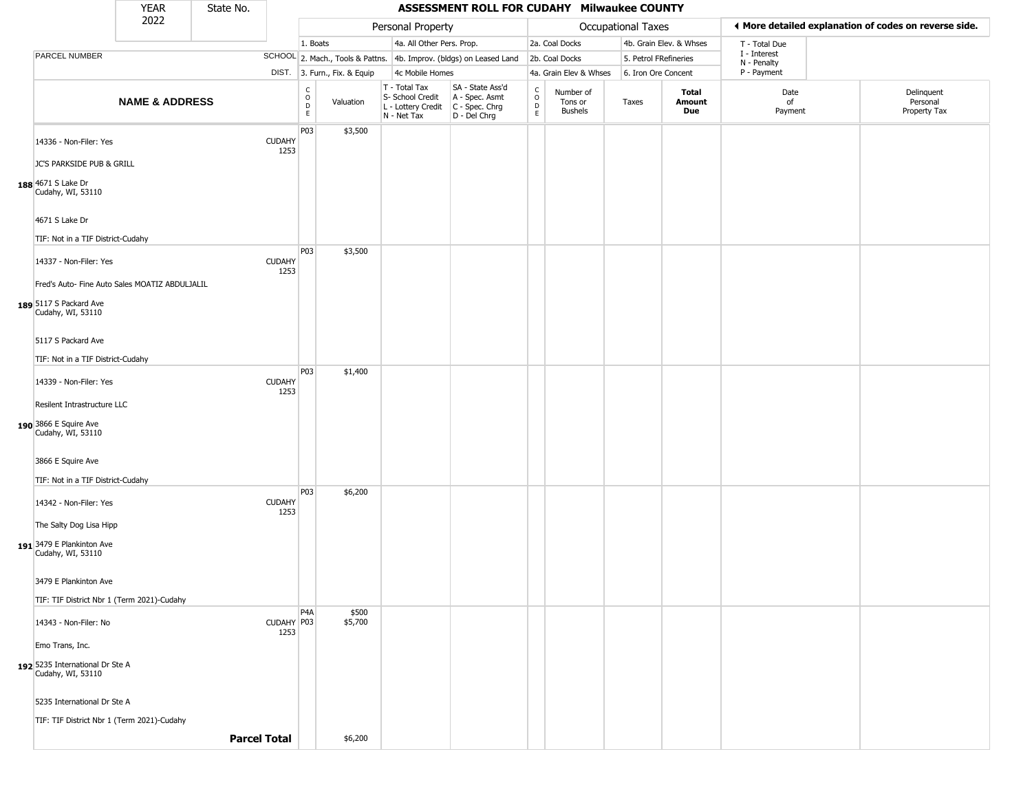|                                                                           | <b>YEAR</b>               | State No. |                       |                                            |                              |                                                                        | ASSESSMENT ROLL FOR CUDAHY Milwaukee COUNTY                          |                                             |                                        |                       |                               |                             |                                                       |
|---------------------------------------------------------------------------|---------------------------|-----------|-----------------------|--------------------------------------------|------------------------------|------------------------------------------------------------------------|----------------------------------------------------------------------|---------------------------------------------|----------------------------------------|-----------------------|-------------------------------|-----------------------------|-------------------------------------------------------|
|                                                                           | 2022                      |           |                       |                                            |                              | Personal Property                                                      |                                                                      |                                             |                                        | Occupational Taxes    |                               |                             | ♦ More detailed explanation of codes on reverse side. |
|                                                                           |                           |           |                       | 1. Boats                                   |                              | 4a. All Other Pers. Prop.                                              |                                                                      |                                             | 2a. Coal Docks                         |                       | 4b. Grain Elev. & Whses       | T - Total Due               |                                                       |
| PARCEL NUMBER                                                             |                           |           |                       |                                            |                              |                                                                        | SCHOOL 2. Mach., Tools & Pattns. 4b. Improv. (bldgs) on Leased Land  |                                             | 2b. Coal Docks                         | 5. Petrol FRefineries |                               | I - Interest<br>N - Penalty |                                                       |
|                                                                           |                           |           |                       |                                            | DIST. 3. Furn., Fix. & Equip | 4c Mobile Homes                                                        |                                                                      |                                             | 4a. Grain Elev & Whses                 | 6. Iron Ore Concent   |                               | P - Payment                 |                                                       |
|                                                                           | <b>NAME &amp; ADDRESS</b> |           |                       | C<br>$\circ$<br>$\mathsf D$<br>$\mathsf E$ | Valuation                    | T - Total Tax<br>S- School Credit<br>L - Lottery Credit<br>N - Net Tax | SA - State Ass'd<br>A - Spec. Asmt<br>C - Spec. Chrg<br>D - Del Chrg | $\frac{c}{0}$<br>$\mathsf D$<br>$\mathsf E$ | Number of<br>Tons or<br><b>Bushels</b> | Taxes                 | Total<br>Amount<br><b>Due</b> | Date<br>of<br>Payment       | Delinquent<br>Personal<br>Property Tax                |
| 14336 - Non-Filer: Yes                                                    |                           |           | <b>CUDAHY</b><br>1253 | P03                                        | \$3,500                      |                                                                        |                                                                      |                                             |                                        |                       |                               |                             |                                                       |
| JC'S PARKSIDE PUB & GRILL<br>188 4671 S Lake Dr<br>Cudahy, WI, 53110      |                           |           |                       |                                            |                              |                                                                        |                                                                      |                                             |                                        |                       |                               |                             |                                                       |
| 4671 S Lake Dr                                                            |                           |           |                       |                                            |                              |                                                                        |                                                                      |                                             |                                        |                       |                               |                             |                                                       |
| TIF: Not in a TIF District-Cudahy                                         |                           |           |                       |                                            |                              |                                                                        |                                                                      |                                             |                                        |                       |                               |                             |                                                       |
| 14337 - Non-Filer: Yes                                                    |                           |           | <b>CUDAHY</b><br>1253 | P03                                        | \$3,500                      |                                                                        |                                                                      |                                             |                                        |                       |                               |                             |                                                       |
| Fred's Auto- Fine Auto Sales MOATIZ ABDULJALIL                            |                           |           |                       |                                            |                              |                                                                        |                                                                      |                                             |                                        |                       |                               |                             |                                                       |
| 189 5117 S Packard Ave<br>Cudahy, WI, 53110                               |                           |           |                       |                                            |                              |                                                                        |                                                                      |                                             |                                        |                       |                               |                             |                                                       |
| 5117 S Packard Ave                                                        |                           |           |                       |                                            |                              |                                                                        |                                                                      |                                             |                                        |                       |                               |                             |                                                       |
| TIF: Not in a TIF District-Cudahy                                         |                           |           |                       |                                            |                              |                                                                        |                                                                      |                                             |                                        |                       |                               |                             |                                                       |
| 14339 - Non-Filer: Yes                                                    |                           |           | <b>CUDAHY</b><br>1253 | P03                                        | \$1,400                      |                                                                        |                                                                      |                                             |                                        |                       |                               |                             |                                                       |
| Resilent Intrastructure LLC<br>190 3866 E Squire Ave<br>Cudahy, WI, 53110 |                           |           |                       |                                            |                              |                                                                        |                                                                      |                                             |                                        |                       |                               |                             |                                                       |
| 3866 E Squire Ave                                                         |                           |           |                       |                                            |                              |                                                                        |                                                                      |                                             |                                        |                       |                               |                             |                                                       |
| TIF: Not in a TIF District-Cudahy                                         |                           |           |                       | P <sub>0</sub> 3                           | \$6,200                      |                                                                        |                                                                      |                                             |                                        |                       |                               |                             |                                                       |
| 14342 - Non-Filer: Yes                                                    |                           |           | <b>CUDAHY</b><br>1253 |                                            |                              |                                                                        |                                                                      |                                             |                                        |                       |                               |                             |                                                       |
| The Salty Dog Lisa Hipp                                                   |                           |           |                       |                                            |                              |                                                                        |                                                                      |                                             |                                        |                       |                               |                             |                                                       |
| 191 3479 E Plankinton Ave<br>Cudahy, WI, 53110                            |                           |           |                       |                                            |                              |                                                                        |                                                                      |                                             |                                        |                       |                               |                             |                                                       |
| 3479 E Plankinton Ave                                                     |                           |           |                       |                                            |                              |                                                                        |                                                                      |                                             |                                        |                       |                               |                             |                                                       |
| TIF: TIF District Nbr 1 (Term 2021)-Cudahy                                |                           |           |                       |                                            |                              |                                                                        |                                                                      |                                             |                                        |                       |                               |                             |                                                       |
| 14343 - Non-Filer: No                                                     |                           |           | CUDAHY P03<br>1253    | P <sub>4</sub> A                           | \$500<br>\$5,700             |                                                                        |                                                                      |                                             |                                        |                       |                               |                             |                                                       |
| Emo Trans, Inc.                                                           |                           |           |                       |                                            |                              |                                                                        |                                                                      |                                             |                                        |                       |                               |                             |                                                       |
| 192 5235 International Dr Ste A<br>Cudahy, WI, 53110                      |                           |           |                       |                                            |                              |                                                                        |                                                                      |                                             |                                        |                       |                               |                             |                                                       |
| 5235 International Dr Ste A                                               |                           |           |                       |                                            |                              |                                                                        |                                                                      |                                             |                                        |                       |                               |                             |                                                       |
| TIF: TIF District Nbr 1 (Term 2021)-Cudahy                                |                           |           |                       |                                            |                              |                                                                        |                                                                      |                                             |                                        |                       |                               |                             |                                                       |
|                                                                           |                           |           | <b>Parcel Total</b>   |                                            | \$6,200                      |                                                                        |                                                                      |                                             |                                        |                       |                               |                             |                                                       |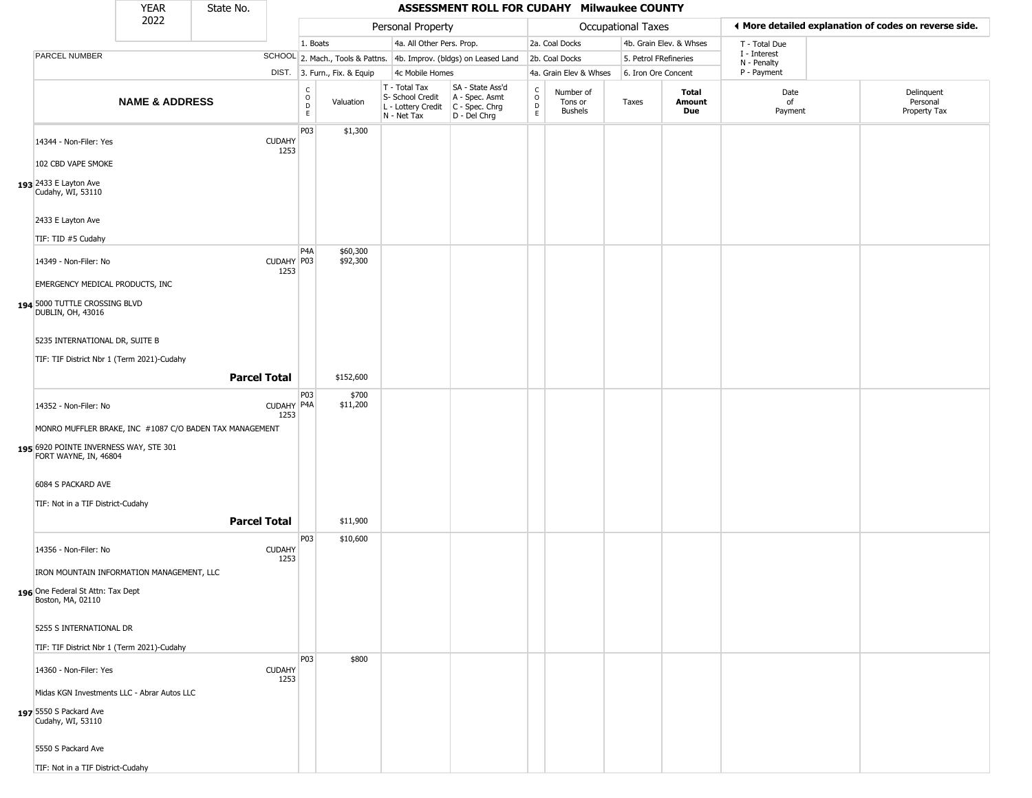|                                                                                                                            | <b>YEAR</b>               | State No. |                       |                                   |                              |                                                                        | ASSESSMENT ROLL FOR CUDAHY Milwaukee COUNTY                          |                                             |                                        |                       |                         |                             |                                                       |
|----------------------------------------------------------------------------------------------------------------------------|---------------------------|-----------|-----------------------|-----------------------------------|------------------------------|------------------------------------------------------------------------|----------------------------------------------------------------------|---------------------------------------------|----------------------------------------|-----------------------|-------------------------|-----------------------------|-------------------------------------------------------|
|                                                                                                                            | 2022                      |           |                       |                                   |                              | Personal Property                                                      |                                                                      |                                             |                                        | Occupational Taxes    |                         |                             | ◀ More detailed explanation of codes on reverse side. |
|                                                                                                                            |                           |           |                       | 1. Boats                          |                              | 4a. All Other Pers. Prop.                                              |                                                                      |                                             | 2a. Coal Docks                         |                       | 4b. Grain Elev. & Whses | T - Total Due               |                                                       |
| PARCEL NUMBER                                                                                                              |                           |           |                       |                                   |                              |                                                                        | SCHOOL 2. Mach., Tools & Pattns. 4b. Improv. (bldgs) on Leased Land  |                                             | 2b. Coal Docks                         | 5. Petrol FRefineries |                         | I - Interest<br>N - Penalty |                                                       |
|                                                                                                                            |                           |           |                       |                                   | DIST. 3. Furn., Fix. & Equip | 4c Mobile Homes                                                        |                                                                      |                                             | 4a. Grain Elev & Whses                 | 6. Iron Ore Concent   |                         | P - Payment                 |                                                       |
|                                                                                                                            | <b>NAME &amp; ADDRESS</b> |           |                       | C<br>$\circ$<br>$\mathsf{D}$<br>E | Valuation                    | T - Total Tax<br>S- School Credit<br>L - Lottery Credit<br>N - Net Tax | SA - State Ass'd<br>A - Spec. Asmt<br>C - Spec. Chrg<br>D - Del Chrg | $\frac{c}{0}$<br>$\mathsf D$<br>$\mathsf E$ | Number of<br>Tons or<br><b>Bushels</b> | Taxes                 | Total<br>Amount<br>Due  | Date<br>of<br>Payment       | Delinquent<br>Personal<br>Property Tax                |
| 14344 - Non-Filer: Yes<br>102 CBD VAPE SMOKE                                                                               |                           |           | <b>CUDAHY</b><br>1253 | P03                               | \$1,300                      |                                                                        |                                                                      |                                             |                                        |                       |                         |                             |                                                       |
| 193 2433 E Layton Ave<br>Cudahy, WI, 53110                                                                                 |                           |           |                       |                                   |                              |                                                                        |                                                                      |                                             |                                        |                       |                         |                             |                                                       |
| 2433 E Layton Ave<br>TIF: TID #5 Cudahy                                                                                    |                           |           |                       |                                   |                              |                                                                        |                                                                      |                                             |                                        |                       |                         |                             |                                                       |
| 14349 - Non-Filer: No                                                                                                      |                           |           | CUDAHY P03<br>1253    | P <sub>4</sub> A                  | \$60,300<br>\$92,300         |                                                                        |                                                                      |                                             |                                        |                       |                         |                             |                                                       |
| EMERGENCY MEDICAL PRODUCTS, INC<br>194 5000 TUTTLE CROSSING BLVD<br>DUBLIN, OH, 43016                                      |                           |           |                       |                                   |                              |                                                                        |                                                                      |                                             |                                        |                       |                         |                             |                                                       |
| 5235 INTERNATIONAL DR, SUITE B                                                                                             |                           |           |                       |                                   |                              |                                                                        |                                                                      |                                             |                                        |                       |                         |                             |                                                       |
| TIF: TIF District Nbr 1 (Term 2021)-Cudahy                                                                                 |                           |           | <b>Parcel Total</b>   |                                   | \$152,600                    |                                                                        |                                                                      |                                             |                                        |                       |                         |                             |                                                       |
| 14352 - Non-Filer: No                                                                                                      |                           |           | CUDAHY P4A<br>1253    | P <sub>03</sub>                   | \$700<br>\$11,200            |                                                                        |                                                                      |                                             |                                        |                       |                         |                             |                                                       |
| MONRO MUFFLER BRAKE, INC #1087 C/O BADEN TAX MANAGEMENT<br>195 6920 POINTE INVERNESS WAY, STE 301<br>FORT WAYNE, IN, 46804 |                           |           |                       |                                   |                              |                                                                        |                                                                      |                                             |                                        |                       |                         |                             |                                                       |
| 6084 S PACKARD AVE<br>TIF: Not in a TIF District-Cudahy                                                                    |                           |           |                       |                                   |                              |                                                                        |                                                                      |                                             |                                        |                       |                         |                             |                                                       |
|                                                                                                                            |                           |           | <b>Parcel Total</b>   |                                   | \$11,900                     |                                                                        |                                                                      |                                             |                                        |                       |                         |                             |                                                       |
| 14356 - Non-Filer: No                                                                                                      |                           |           | <b>CUDAHY</b><br>1253 | P <sub>0</sub> 3                  | \$10,600                     |                                                                        |                                                                      |                                             |                                        |                       |                         |                             |                                                       |
| IRON MOUNTAIN INFORMATION MANAGEMENT, LLC<br>196 One Federal St Attn: Tax Dept<br>Boston, MA, 02110                        |                           |           |                       |                                   |                              |                                                                        |                                                                      |                                             |                                        |                       |                         |                             |                                                       |
| 5255 S INTERNATIONAL DR<br>TIF: TIF District Nbr 1 (Term 2021)-Cudahy                                                      |                           |           |                       |                                   |                              |                                                                        |                                                                      |                                             |                                        |                       |                         |                             |                                                       |
| 14360 - Non-Filer: Yes                                                                                                     |                           |           | <b>CUDAHY</b><br>1253 | P03                               | \$800                        |                                                                        |                                                                      |                                             |                                        |                       |                         |                             |                                                       |
| Midas KGN Investments LLC - Abrar Autos LLC<br>197 5550 S Packard Ave<br>Cudahy, WI, 53110                                 |                           |           |                       |                                   |                              |                                                                        |                                                                      |                                             |                                        |                       |                         |                             |                                                       |
| 5550 S Packard Ave<br>TIF: Not in a TIF District-Cudahy                                                                    |                           |           |                       |                                   |                              |                                                                        |                                                                      |                                             |                                        |                       |                         |                             |                                                       |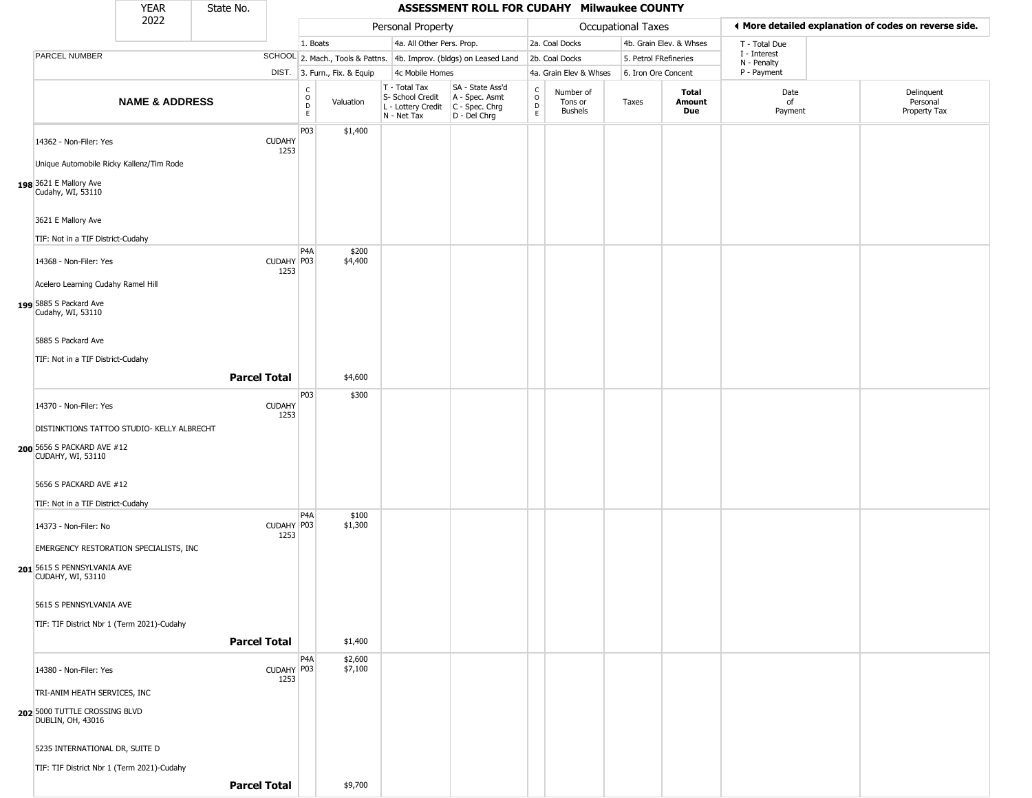|                                                                                   | YEAR                      | State No. |                       |                                   |                              |                                                                        | ASSESSMENT ROLL FOR CUDAHY Milwaukee COUNTY                          |                  |                                        |                       |                         |                             |                                                       |
|-----------------------------------------------------------------------------------|---------------------------|-----------|-----------------------|-----------------------------------|------------------------------|------------------------------------------------------------------------|----------------------------------------------------------------------|------------------|----------------------------------------|-----------------------|-------------------------|-----------------------------|-------------------------------------------------------|
|                                                                                   | 2022                      |           |                       |                                   |                              | Personal Property                                                      |                                                                      |                  |                                        | Occupational Taxes    |                         |                             | ♦ More detailed explanation of codes on reverse side. |
|                                                                                   |                           |           |                       | 1. Boats                          |                              | 4a. All Other Pers. Prop.                                              |                                                                      |                  | 2a. Coal Docks                         |                       | 4b. Grain Elev. & Whses | T - Total Due               |                                                       |
| PARCEL NUMBER                                                                     |                           |           |                       |                                   |                              |                                                                        | SCHOOL 2. Mach., Tools & Pattns. 4b. Improv. (bldgs) on Leased Land  |                  | 2b. Coal Docks                         | 5. Petrol FRefineries |                         | I - Interest<br>N - Penalty |                                                       |
|                                                                                   |                           |           |                       |                                   | DIST. 3. Furn., Fix. & Equip | 4c Mobile Homes                                                        |                                                                      |                  | 4a. Grain Elev & Whses                 | 6. Iron Ore Concent   |                         | P - Payment                 |                                                       |
|                                                                                   | <b>NAME &amp; ADDRESS</b> |           |                       | c<br>$\circ$<br>$\mathsf{D}$<br>E | Valuation                    | T - Total Tax<br>S- School Credit<br>L - Lottery Credit<br>N - Net Tax | SA - State Ass'd<br>A - Spec. Asmt<br>C - Spec. Chrg<br>D - Del Chrg | C<br>D<br>E<br>E | Number of<br>Tons or<br><b>Bushels</b> | Taxes                 | Total<br>Amount<br>Due  | Date<br>of<br>Payment       | Delinquent<br>Personal<br>Property Tax                |
| 14362 - Non-Filer: Yes                                                            |                           |           | <b>CUDAHY</b><br>1253 | P03                               | \$1,400                      |                                                                        |                                                                      |                  |                                        |                       |                         |                             |                                                       |
| Unique Automobile Ricky Kallenz/Tim Rode                                          |                           |           |                       |                                   |                              |                                                                        |                                                                      |                  |                                        |                       |                         |                             |                                                       |
| 198 3621 E Mallory Ave<br>Cudahy, WI, 53110                                       |                           |           |                       |                                   |                              |                                                                        |                                                                      |                  |                                        |                       |                         |                             |                                                       |
| 3621 E Mallory Ave                                                                |                           |           |                       |                                   |                              |                                                                        |                                                                      |                  |                                        |                       |                         |                             |                                                       |
| TIF: Not in a TIF District-Cudahy                                                 |                           |           |                       | P <sub>4</sub> A                  | \$200                        |                                                                        |                                                                      |                  |                                        |                       |                         |                             |                                                       |
| 14368 - Non-Filer: Yes                                                            |                           |           | CUDAHY P03<br>1253    |                                   | \$4,400                      |                                                                        |                                                                      |                  |                                        |                       |                         |                             |                                                       |
| Acelero Learning Cudahy Ramel Hill<br>199 5885 S Packard Ave<br>Cudahy, WI, 53110 |                           |           |                       |                                   |                              |                                                                        |                                                                      |                  |                                        |                       |                         |                             |                                                       |
| 5885 S Packard Ave                                                                |                           |           |                       |                                   |                              |                                                                        |                                                                      |                  |                                        |                       |                         |                             |                                                       |
| TIF: Not in a TIF District-Cudahy                                                 |                           |           |                       |                                   |                              |                                                                        |                                                                      |                  |                                        |                       |                         |                             |                                                       |
|                                                                                   |                           |           | <b>Parcel Total</b>   |                                   | \$4,600                      |                                                                        |                                                                      |                  |                                        |                       |                         |                             |                                                       |
| 14370 - Non-Filer: Yes                                                            |                           |           | <b>CUDAHY</b>         | P03                               | \$300                        |                                                                        |                                                                      |                  |                                        |                       |                         |                             |                                                       |
|                                                                                   |                           |           | 1253                  |                                   |                              |                                                                        |                                                                      |                  |                                        |                       |                         |                             |                                                       |
| DISTINKTIONS TATTOO STUDIO- KELLY ALBRECHT                                        |                           |           |                       |                                   |                              |                                                                        |                                                                      |                  |                                        |                       |                         |                             |                                                       |
| 200 5656 S PACKARD AVE #12<br>CUDAHY, WI, 53110                                   |                           |           |                       |                                   |                              |                                                                        |                                                                      |                  |                                        |                       |                         |                             |                                                       |
| 5656 S PACKARD AVE #12                                                            |                           |           |                       |                                   |                              |                                                                        |                                                                      |                  |                                        |                       |                         |                             |                                                       |
| TIF: Not in a TIF District-Cudahy                                                 |                           |           |                       |                                   |                              |                                                                        |                                                                      |                  |                                        |                       |                         |                             |                                                       |
| 14373 - Non-Filer: No                                                             |                           |           | CUDAHY P03<br>1253    | P <sub>4</sub> A                  | \$100<br>\$1,300             |                                                                        |                                                                      |                  |                                        |                       |                         |                             |                                                       |
| EMERGENCY RESTORATION SPECIALISTS, INC                                            |                           |           |                       |                                   |                              |                                                                        |                                                                      |                  |                                        |                       |                         |                             |                                                       |
| 201 5615 S PENNSYLVANIA AVE<br>CUDAHY, WI, 53110                                  |                           |           |                       |                                   |                              |                                                                        |                                                                      |                  |                                        |                       |                         |                             |                                                       |
| 5615 S PENNSYLVANIA AVE                                                           |                           |           |                       |                                   |                              |                                                                        |                                                                      |                  |                                        |                       |                         |                             |                                                       |
| TIF: TIF District Nbr 1 (Term 2021)-Cudahy                                        |                           |           |                       |                                   |                              |                                                                        |                                                                      |                  |                                        |                       |                         |                             |                                                       |
|                                                                                   |                           |           | <b>Parcel Total</b>   |                                   | \$1,400                      |                                                                        |                                                                      |                  |                                        |                       |                         |                             |                                                       |
|                                                                                   |                           |           |                       | P4A                               | \$2,600                      |                                                                        |                                                                      |                  |                                        |                       |                         |                             |                                                       |
| 14380 - Non-Filer: Yes                                                            |                           |           | CUDAHY P03<br>1253    |                                   | \$7,100                      |                                                                        |                                                                      |                  |                                        |                       |                         |                             |                                                       |
| TRI-ANIM HEATH SERVICES, INC                                                      |                           |           |                       |                                   |                              |                                                                        |                                                                      |                  |                                        |                       |                         |                             |                                                       |
| 202 5000 TUTTLE CROSSING BLVD<br>DUBLIN, OH, 43016                                |                           |           |                       |                                   |                              |                                                                        |                                                                      |                  |                                        |                       |                         |                             |                                                       |
| 5235 INTERNATIONAL DR, SUITE D                                                    |                           |           |                       |                                   |                              |                                                                        |                                                                      |                  |                                        |                       |                         |                             |                                                       |
| TIF: TIF District Nbr 1 (Term 2021)-Cudahy                                        |                           |           |                       |                                   |                              |                                                                        |                                                                      |                  |                                        |                       |                         |                             |                                                       |
|                                                                                   |                           |           | <b>Parcel Total</b>   |                                   | \$9,700                      |                                                                        |                                                                      |                  |                                        |                       |                         |                             |                                                       |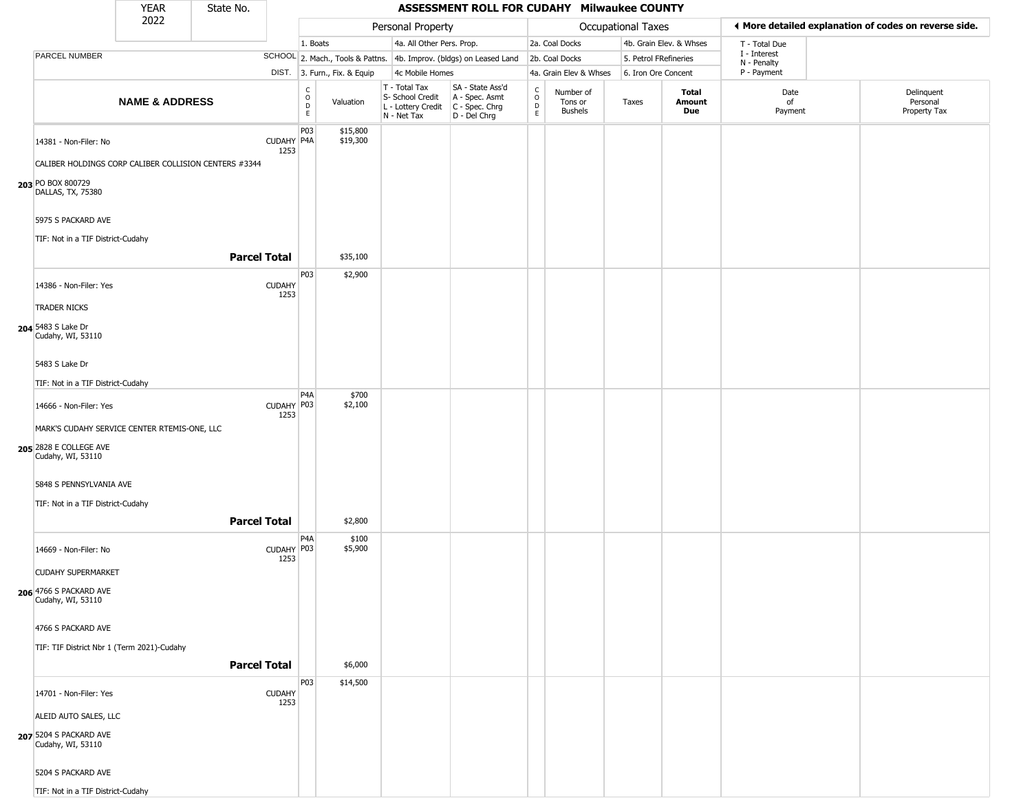|                                                                                                                          | <b>YEAR</b>               | State No.           |                       |                              |                              |                                                                        | ASSESSMENT ROLL FOR CUDAHY Milwaukee COUNTY                            |                                                 |                                        |                       |                         |                            |                                                       |
|--------------------------------------------------------------------------------------------------------------------------|---------------------------|---------------------|-----------------------|------------------------------|------------------------------|------------------------------------------------------------------------|------------------------------------------------------------------------|-------------------------------------------------|----------------------------------------|-----------------------|-------------------------|----------------------------|-------------------------------------------------------|
|                                                                                                                          | 2022                      |                     |                       |                              |                              | Personal Property                                                      |                                                                        |                                                 |                                        | Occupational Taxes    |                         |                            | ◀ More detailed explanation of codes on reverse side. |
|                                                                                                                          |                           |                     |                       | 1. Boats                     |                              | 4a. All Other Pers. Prop.                                              |                                                                        |                                                 | 2a. Coal Docks                         |                       | 4b. Grain Elev. & Whses | T - Total Due              |                                                       |
| PARCEL NUMBER                                                                                                            |                           |                     |                       |                              |                              |                                                                        | SCHOOL 2. Mach., Tools & Pattns. 4b. Improv. (bldgs) on Leased Land    |                                                 | 2b. Coal Docks                         | 5. Petrol FRefineries |                         | I - Interest               |                                                       |
|                                                                                                                          |                           |                     |                       |                              | DIST. 3. Furn., Fix. & Equip | 4c Mobile Homes                                                        |                                                                        |                                                 | 4a. Grain Elev & Whses                 | 6. Iron Ore Concent   |                         | N - Penalty<br>P - Payment |                                                       |
|                                                                                                                          | <b>NAME &amp; ADDRESS</b> |                     |                       | $_{\rm o}^{\rm c}$<br>D<br>E | Valuation                    | T - Total Tax<br>S- School Credit<br>L - Lottery Credit<br>N - Net Tax | SA - State Ass'd<br>A - Spec. Asmt<br>$C - Spec. Chrg$<br>D - Del Chrg | $\begin{array}{c} C \\ O \\ D \\ E \end{array}$ | Number of<br>Tons or<br><b>Bushels</b> | Taxes                 | Total<br>Amount<br>Due  | Date<br>of<br>Payment      | Delinquent<br>Personal<br>Property Tax                |
| 14381 - Non-Filer: No<br>CALIBER HOLDINGS CORP CALIBER COLLISION CENTERS #3344<br>203 PO BOX 800729<br>DALLAS, TX, 75380 |                           |                     | CUDAHY P4A<br>1253    | P03                          | \$15,800<br>\$19,300         |                                                                        |                                                                        |                                                 |                                        |                       |                         |                            |                                                       |
| 5975 S PACKARD AVE<br>TIF: Not in a TIF District-Cudahy                                                                  |                           |                     |                       |                              |                              |                                                                        |                                                                        |                                                 |                                        |                       |                         |                            |                                                       |
|                                                                                                                          |                           | <b>Parcel Total</b> |                       |                              | \$35,100                     |                                                                        |                                                                        |                                                 |                                        |                       |                         |                            |                                                       |
| 14386 - Non-Filer: Yes                                                                                                   |                           |                     | <b>CUDAHY</b><br>1253 | P03                          | \$2,900                      |                                                                        |                                                                        |                                                 |                                        |                       |                         |                            |                                                       |
| <b>TRADER NICKS</b>                                                                                                      |                           |                     |                       |                              |                              |                                                                        |                                                                        |                                                 |                                        |                       |                         |                            |                                                       |
| 204 5483 S Lake Dr<br>Cudahy, WI, 53110                                                                                  |                           |                     |                       |                              |                              |                                                                        |                                                                        |                                                 |                                        |                       |                         |                            |                                                       |
| 5483 S Lake Dr                                                                                                           |                           |                     |                       |                              |                              |                                                                        |                                                                        |                                                 |                                        |                       |                         |                            |                                                       |
| TIF: Not in a TIF District-Cudahy                                                                                        |                           |                     |                       |                              |                              |                                                                        |                                                                        |                                                 |                                        |                       |                         |                            |                                                       |
|                                                                                                                          |                           |                     |                       | P <sub>4</sub> A             | \$700                        |                                                                        |                                                                        |                                                 |                                        |                       |                         |                            |                                                       |
| 14666 - Non-Filer: Yes<br>MARK'S CUDAHY SERVICE CENTER RTEMIS-ONE, LLC                                                   |                           |                     | CUDAHY P03<br>1253    |                              | \$2,100                      |                                                                        |                                                                        |                                                 |                                        |                       |                         |                            |                                                       |
| 205 2828 E COLLEGE AVE<br>Cudahy, WI, 53110                                                                              |                           |                     |                       |                              |                              |                                                                        |                                                                        |                                                 |                                        |                       |                         |                            |                                                       |
| 5848 S PENNSYLVANIA AVE                                                                                                  |                           |                     |                       |                              |                              |                                                                        |                                                                        |                                                 |                                        |                       |                         |                            |                                                       |
| TIF: Not in a TIF District-Cudahy                                                                                        |                           |                     |                       |                              |                              |                                                                        |                                                                        |                                                 |                                        |                       |                         |                            |                                                       |
|                                                                                                                          |                           | <b>Parcel Total</b> |                       |                              | \$2,800                      |                                                                        |                                                                        |                                                 |                                        |                       |                         |                            |                                                       |
| 14669 - Non-Filer: No                                                                                                    |                           |                     | CUDAHY P03<br>1253    | P4A                          | \$100<br>\$5,900             |                                                                        |                                                                        |                                                 |                                        |                       |                         |                            |                                                       |
| <b>CUDAHY SUPERMARKET</b>                                                                                                |                           |                     |                       |                              |                              |                                                                        |                                                                        |                                                 |                                        |                       |                         |                            |                                                       |
| 206 4766 S PACKARD AVE<br>Cudahy, WI, 53110                                                                              |                           |                     |                       |                              |                              |                                                                        |                                                                        |                                                 |                                        |                       |                         |                            |                                                       |
| 4766 S PACKARD AVE                                                                                                       |                           |                     |                       |                              |                              |                                                                        |                                                                        |                                                 |                                        |                       |                         |                            |                                                       |
| TIF: TIF District Nbr 1 (Term 2021)-Cudahy                                                                               |                           |                     |                       |                              |                              |                                                                        |                                                                        |                                                 |                                        |                       |                         |                            |                                                       |
|                                                                                                                          |                           | <b>Parcel Total</b> |                       |                              | \$6,000                      |                                                                        |                                                                        |                                                 |                                        |                       |                         |                            |                                                       |
| 14701 - Non-Filer: Yes                                                                                                   |                           |                     | <b>CUDAHY</b><br>1253 | P03                          | \$14,500                     |                                                                        |                                                                        |                                                 |                                        |                       |                         |                            |                                                       |
| ALEID AUTO SALES, LLC                                                                                                    |                           |                     |                       |                              |                              |                                                                        |                                                                        |                                                 |                                        |                       |                         |                            |                                                       |
| 207 5204 S PACKARD AVE<br>Cudahy, WI, 53110                                                                              |                           |                     |                       |                              |                              |                                                                        |                                                                        |                                                 |                                        |                       |                         |                            |                                                       |
| 5204 S PACKARD AVE                                                                                                       |                           |                     |                       |                              |                              |                                                                        |                                                                        |                                                 |                                        |                       |                         |                            |                                                       |
| TIF: Not in a TIF District-Cudahy                                                                                        |                           |                     |                       |                              |                              |                                                                        |                                                                        |                                                 |                                        |                       |                         |                            |                                                       |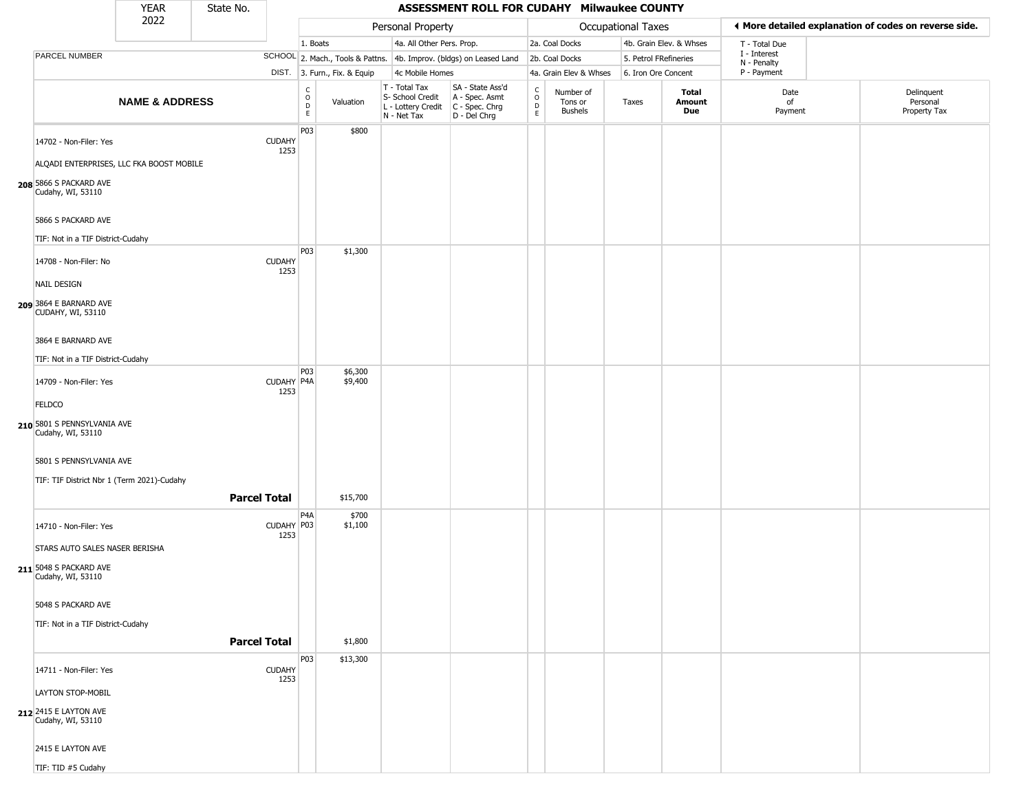|                                                                                                                           | <b>YEAR</b>               | State No.           |                       |                                        |                              |                                                                        | ASSESSMENT ROLL FOR CUDAHY Milwaukee COUNTY                          |                                                 |                                        |                       |                               |                             |                                                       |
|---------------------------------------------------------------------------------------------------------------------------|---------------------------|---------------------|-----------------------|----------------------------------------|------------------------------|------------------------------------------------------------------------|----------------------------------------------------------------------|-------------------------------------------------|----------------------------------------|-----------------------|-------------------------------|-----------------------------|-------------------------------------------------------|
|                                                                                                                           | 2022                      |                     |                       |                                        |                              | Personal Property                                                      |                                                                      |                                                 |                                        | Occupational Taxes    |                               |                             | ◀ More detailed explanation of codes on reverse side. |
|                                                                                                                           |                           |                     |                       | 1. Boats                               |                              | 4a. All Other Pers. Prop.                                              |                                                                      |                                                 | 2a. Coal Docks                         |                       | 4b. Grain Elev. & Whses       | T - Total Due               |                                                       |
| PARCEL NUMBER                                                                                                             |                           |                     |                       |                                        |                              |                                                                        | SCHOOL 2. Mach., Tools & Pattns. 4b. Improv. (bldgs) on Leased Land  |                                                 | 2b. Coal Docks                         | 5. Petrol FRefineries |                               | I - Interest<br>N - Penalty |                                                       |
|                                                                                                                           |                           |                     |                       |                                        | DIST. 3. Furn., Fix. & Equip | 4c Mobile Homes                                                        |                                                                      |                                                 | 4a. Grain Elev & Whses                 | 6. Iron Ore Concent   |                               | P - Payment                 |                                                       |
|                                                                                                                           | <b>NAME &amp; ADDRESS</b> |                     |                       | c<br>$_{\rm D}^{\rm O}$<br>$\mathsf E$ | Valuation                    | T - Total Tax<br>S- School Credit<br>L - Lottery Credit<br>N - Net Tax | SA - State Ass'd<br>A - Spec. Asmt<br>C - Spec. Chrg<br>D - Del Chrg | $\begin{array}{c} C \\ O \\ D \\ E \end{array}$ | Number of<br>Tons or<br><b>Bushels</b> | Taxes                 | Total<br><b>Amount</b><br>Due | Date<br>of<br>Payment       | Delinquent<br>Personal<br>Property Tax                |
| 14702 - Non-Filer: Yes<br>ALQADI ENTERPRISES, LLC FKA BOOST MOBILE                                                        |                           |                     | <b>CUDAHY</b><br>1253 | P <sub>03</sub>                        | \$800                        |                                                                        |                                                                      |                                                 |                                        |                       |                               |                             |                                                       |
| 208 5866 S PACKARD AVE<br>Cudahy, WI, 53110<br>5866 S PACKARD AVE<br>TIF: Not in a TIF District-Cudahy                    |                           |                     |                       |                                        |                              |                                                                        |                                                                      |                                                 |                                        |                       |                               |                             |                                                       |
|                                                                                                                           |                           |                     |                       | P03                                    | \$1,300                      |                                                                        |                                                                      |                                                 |                                        |                       |                               |                             |                                                       |
| 14708 - Non-Filer: No<br>NAIL DESIGN<br>209 3864 E BARNARD AVE                                                            |                           |                     | <b>CUDAHY</b><br>1253 |                                        |                              |                                                                        |                                                                      |                                                 |                                        |                       |                               |                             |                                                       |
| CUDAHY, WI, 53110<br>3864 E BARNARD AVE<br>TIF: Not in a TIF District-Cudahy                                              |                           |                     |                       |                                        |                              |                                                                        |                                                                      |                                                 |                                        |                       |                               |                             |                                                       |
| 14709 - Non-Filer: Yes<br><b>FELDCO</b>                                                                                   |                           |                     | CUDAHY P4A<br>1253    | P03                                    | \$6,300<br>\$9,400           |                                                                        |                                                                      |                                                 |                                        |                       |                               |                             |                                                       |
| 210 5801 S PENNSYLVANIA AVE<br>Cudahy, WI, 53110<br>5801 S PENNSYLVANIA AVE<br>TIF: TIF District Nbr 1 (Term 2021)-Cudahy |                           |                     |                       |                                        |                              |                                                                        |                                                                      |                                                 |                                        |                       |                               |                             |                                                       |
|                                                                                                                           |                           | <b>Parcel Total</b> |                       |                                        | \$15,700                     |                                                                        |                                                                      |                                                 |                                        |                       |                               |                             |                                                       |
| 14710 - Non-Filer: Yes<br>STARS AUTO SALES NASER BERISHA<br>211 5048 S PACKARD AVE<br>Cudahy, WI, 53110                   |                           |                     | CUDAHY P03<br>1253    | P <sub>4</sub> A                       | \$700<br>\$1,100             |                                                                        |                                                                      |                                                 |                                        |                       |                               |                             |                                                       |
| 5048 S PACKARD AVE<br>TIF: Not in a TIF District-Cudahy                                                                   |                           | <b>Parcel Total</b> |                       |                                        | \$1,800                      |                                                                        |                                                                      |                                                 |                                        |                       |                               |                             |                                                       |
| 14711 - Non-Filer: Yes                                                                                                    |                           |                     | <b>CUDAHY</b><br>1253 | P <sub>03</sub>                        | \$13,300                     |                                                                        |                                                                      |                                                 |                                        |                       |                               |                             |                                                       |
| <b>LAYTON STOP-MOBIL</b><br>212 2415 E LAYTON AVE<br>Cudahy, WI, 53110                                                    |                           |                     |                       |                                        |                              |                                                                        |                                                                      |                                                 |                                        |                       |                               |                             |                                                       |
| 2415 E LAYTON AVE                                                                                                         |                           |                     |                       |                                        |                              |                                                                        |                                                                      |                                                 |                                        |                       |                               |                             |                                                       |
| TIF: TID #5 Cudahy                                                                                                        |                           |                     |                       |                                        |                              |                                                                        |                                                                      |                                                 |                                        |                       |                               |                             |                                                       |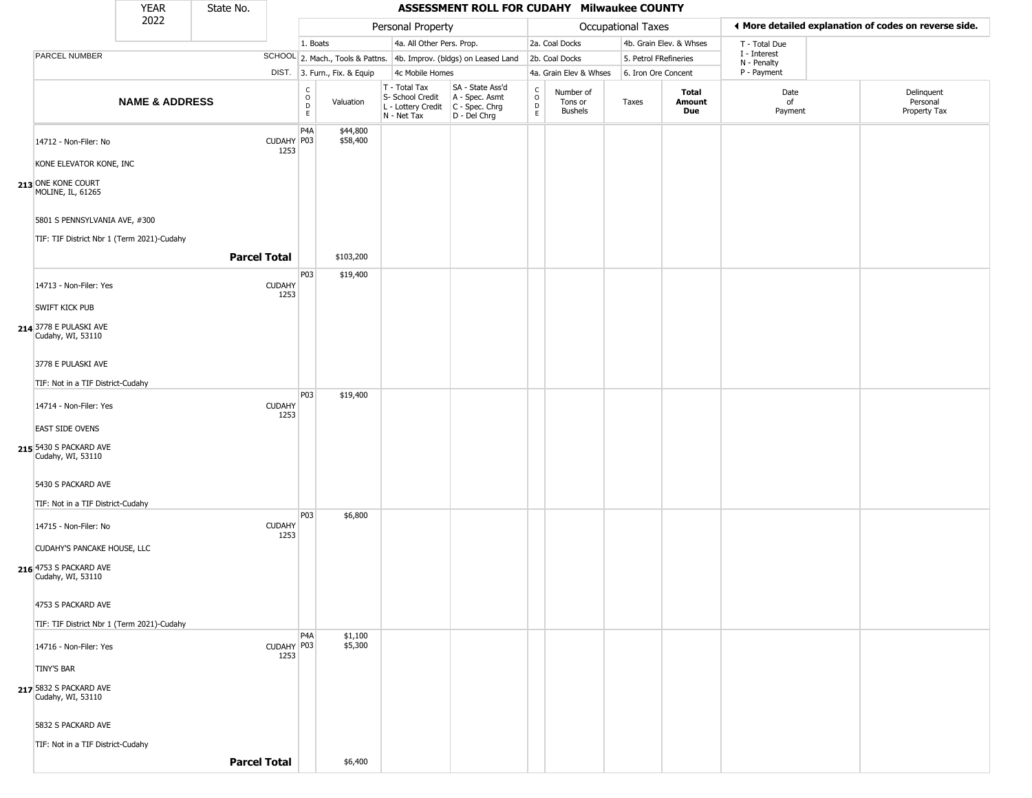|                                                                          | <b>YEAR</b>               | State No.           |                       |                                                          |                              |                                                                        | ASSESSMENT ROLL FOR CUDAHY Milwaukee COUNTY                          |                                                   |                                        |                       |                         |                             |                                                       |
|--------------------------------------------------------------------------|---------------------------|---------------------|-----------------------|----------------------------------------------------------|------------------------------|------------------------------------------------------------------------|----------------------------------------------------------------------|---------------------------------------------------|----------------------------------------|-----------------------|-------------------------|-----------------------------|-------------------------------------------------------|
|                                                                          | 2022                      |                     |                       |                                                          |                              | Personal Property                                                      |                                                                      |                                                   |                                        | Occupational Taxes    |                         |                             | ◀ More detailed explanation of codes on reverse side. |
|                                                                          |                           |                     |                       | 1. Boats                                                 |                              | 4a. All Other Pers. Prop.                                              |                                                                      |                                                   | 2a. Coal Docks                         |                       | 4b. Grain Elev. & Whses | T - Total Due               |                                                       |
| PARCEL NUMBER                                                            |                           |                     |                       |                                                          |                              |                                                                        | SCHOOL 2. Mach., Tools & Pattns. 4b. Improv. (bldgs) on Leased Land  |                                                   | 2b. Coal Docks                         | 5. Petrol FRefineries |                         | I - Interest<br>N - Penalty |                                                       |
|                                                                          |                           |                     |                       |                                                          | DIST. 3. Furn., Fix. & Equip | 4c Mobile Homes                                                        |                                                                      |                                                   | 4a. Grain Elev & Whses                 | 6. Iron Ore Concent   |                         | P - Payment                 |                                                       |
|                                                                          | <b>NAME &amp; ADDRESS</b> |                     |                       | $\begin{smallmatrix} C \\ O \\ D \end{smallmatrix}$<br>E | Valuation                    | T - Total Tax<br>S- School Credit<br>L - Lottery Credit<br>N - Net Tax | SA - State Ass'd<br>A - Spec. Asmt<br>C - Spec. Chrg<br>D - Del Chrg | $\begin{array}{c}\nC \\ O \\ D \\ E\n\end{array}$ | Number of<br>Tons or<br><b>Bushels</b> | Taxes                 | Total<br>Amount<br>Due  | Date<br>of<br>Payment       | Delinquent<br>Personal<br>Property Tax                |
| 14712 - Non-Filer: No<br>KONE ELEVATOR KONE, INC                         |                           |                     | CUDAHY P03<br>1253    | P <sub>4</sub> A                                         | \$44,800<br>\$58,400         |                                                                        |                                                                      |                                                   |                                        |                       |                         |                             |                                                       |
| 213 ONE KONE COURT<br>MOLINE, IL, 61265<br>5801 S PENNSYLVANIA AVE, #300 |                           |                     |                       |                                                          |                              |                                                                        |                                                                      |                                                   |                                        |                       |                         |                             |                                                       |
| TIF: TIF District Nbr 1 (Term 2021)-Cudahy                               |                           | <b>Parcel Total</b> |                       |                                                          | \$103,200                    |                                                                        |                                                                      |                                                   |                                        |                       |                         |                             |                                                       |
| 14713 - Non-Filer: Yes<br>SWIFT KICK PUB                                 |                           |                     | <b>CUDAHY</b><br>1253 | P <sub>03</sub>                                          | \$19,400                     |                                                                        |                                                                      |                                                   |                                        |                       |                         |                             |                                                       |
| 214 3778 E PULASKI AVE<br>Cudahy, WI, 53110                              |                           |                     |                       |                                                          |                              |                                                                        |                                                                      |                                                   |                                        |                       |                         |                             |                                                       |
| 3778 E PULASKI AVE<br>TIF: Not in a TIF District-Cudahy                  |                           |                     |                       |                                                          |                              |                                                                        |                                                                      |                                                   |                                        |                       |                         |                             |                                                       |
| 14714 - Non-Filer: Yes                                                   |                           |                     | <b>CUDAHY</b><br>1253 | P03                                                      | \$19,400                     |                                                                        |                                                                      |                                                   |                                        |                       |                         |                             |                                                       |
| <b>EAST SIDE OVENS</b><br>215 5430 S PACKARD AVE<br>Cudahy, WI, 53110    |                           |                     |                       |                                                          |                              |                                                                        |                                                                      |                                                   |                                        |                       |                         |                             |                                                       |
| 5430 S PACKARD AVE<br>TIF: Not in a TIF District-Cudahy                  |                           |                     |                       |                                                          |                              |                                                                        |                                                                      |                                                   |                                        |                       |                         |                             |                                                       |
| 14715 - Non-Filer: No<br>CUDAHY'S PANCAKE HOUSE, LLC                     |                           |                     | <b>CUDAHY</b><br>1253 | P <sub>0</sub> 3                                         | \$6,800                      |                                                                        |                                                                      |                                                   |                                        |                       |                         |                             |                                                       |
| 216 4753 S PACKARD AVE<br>Cudahy, WI, 53110                              |                           |                     |                       |                                                          |                              |                                                                        |                                                                      |                                                   |                                        |                       |                         |                             |                                                       |
| 4753 S PACKARD AVE<br>TIF: TIF District Nbr 1 (Term 2021)-Cudahy         |                           |                     |                       |                                                          |                              |                                                                        |                                                                      |                                                   |                                        |                       |                         |                             |                                                       |
| 14716 - Non-Filer: Yes<br>TINY'S BAR                                     |                           |                     | CUDAHY P03<br>1253    | P <sub>4</sub> A                                         | \$1,100<br>\$5,300           |                                                                        |                                                                      |                                                   |                                        |                       |                         |                             |                                                       |
| 217 5832 S PACKARD AVE<br>Cudahy, WI, 53110                              |                           |                     |                       |                                                          |                              |                                                                        |                                                                      |                                                   |                                        |                       |                         |                             |                                                       |
| 5832 S PACKARD AVE<br>TIF: Not in a TIF District-Cudahy                  |                           | <b>Parcel Total</b> |                       |                                                          | \$6,400                      |                                                                        |                                                                      |                                                   |                                        |                       |                         |                             |                                                       |
|                                                                          |                           |                     |                       |                                                          |                              |                                                                        |                                                                      |                                                   |                                        |                       |                         |                             |                                                       |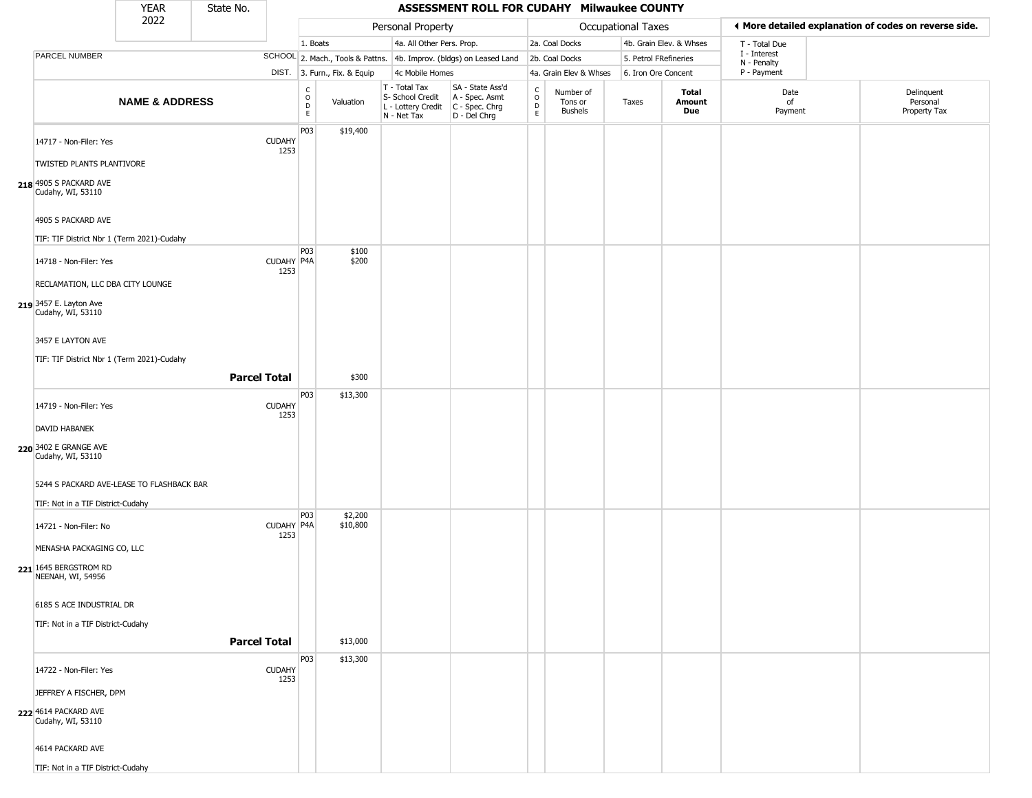|                                                                                               | <b>YEAR</b>               | State No.           |                       |                  |                              |                                                                        | ASSESSMENT ROLL FOR CUDAHY Milwaukee COUNTY                          |                                                 |                                        |                       |                         |                             |                                                       |
|-----------------------------------------------------------------------------------------------|---------------------------|---------------------|-----------------------|------------------|------------------------------|------------------------------------------------------------------------|----------------------------------------------------------------------|-------------------------------------------------|----------------------------------------|-----------------------|-------------------------|-----------------------------|-------------------------------------------------------|
|                                                                                               | 2022                      |                     |                       |                  |                              | Personal Property                                                      |                                                                      |                                                 |                                        | Occupational Taxes    |                         |                             | ◀ More detailed explanation of codes on reverse side. |
|                                                                                               |                           |                     |                       | 1. Boats         |                              | 4a. All Other Pers. Prop.                                              |                                                                      |                                                 | 2a. Coal Docks                         |                       | 4b. Grain Elev. & Whses | T - Total Due               |                                                       |
| PARCEL NUMBER                                                                                 |                           |                     |                       |                  |                              |                                                                        | SCHOOL 2. Mach., Tools & Pattns. 4b. Improv. (bldgs) on Leased Land  |                                                 | 2b. Coal Docks                         | 5. Petrol FRefineries |                         | I - Interest<br>N - Penalty |                                                       |
|                                                                                               |                           |                     |                       |                  | DIST. 3. Furn., Fix. & Equip | 4c Mobile Homes                                                        |                                                                      |                                                 | 4a. Grain Elev & Whses                 | 6. Iron Ore Concent   |                         | P - Payment                 |                                                       |
|                                                                                               | <b>NAME &amp; ADDRESS</b> |                     |                       | C<br>D<br>D<br>E | Valuation                    | T - Total Tax<br>S- School Credit<br>L - Lottery Credit<br>N - Net Tax | SA - State Ass'd<br>A - Spec. Asmt<br>C - Spec. Chrg<br>D - Del Chrg | $\begin{array}{c} C \\ O \\ D \\ E \end{array}$ | Number of<br>Tons or<br><b>Bushels</b> | Taxes                 | Total<br>Amount<br>Due  | Date<br>of<br>Payment       | Delinquent<br>Personal<br>Property Tax                |
| 14717 - Non-Filer: Yes<br>TWISTED PLANTS PLANTIVORE                                           |                           |                     | <b>CUDAHY</b><br>1253 | P03              | \$19,400                     |                                                                        |                                                                      |                                                 |                                        |                       |                         |                             |                                                       |
| 218 4905 S PACKARD AVE<br>Cudahy, WI, 53110                                                   |                           |                     |                       |                  |                              |                                                                        |                                                                      |                                                 |                                        |                       |                         |                             |                                                       |
| 4905 S PACKARD AVE<br>TIF: TIF District Nbr 1 (Term 2021)-Cudahy                              |                           |                     |                       |                  |                              |                                                                        |                                                                      |                                                 |                                        |                       |                         |                             |                                                       |
| 14718 - Non-Filer: Yes                                                                        |                           |                     | CUDAHY P4A<br>1253    | P03              | \$100<br>\$200               |                                                                        |                                                                      |                                                 |                                        |                       |                         |                             |                                                       |
| RECLAMATION, LLC DBA CITY LOUNGE<br>219 3457 E. Layton Ave<br>Cudahy, WI, 53110               |                           |                     |                       |                  |                              |                                                                        |                                                                      |                                                 |                                        |                       |                         |                             |                                                       |
| 3457 E LAYTON AVE<br>TIF: TIF District Nbr 1 (Term 2021)-Cudahy                               |                           |                     |                       |                  |                              |                                                                        |                                                                      |                                                 |                                        |                       |                         |                             |                                                       |
|                                                                                               |                           | <b>Parcel Total</b> |                       |                  | \$300                        |                                                                        |                                                                      |                                                 |                                        |                       |                         |                             |                                                       |
| 14719 - Non-Filer: Yes                                                                        |                           |                     | <b>CUDAHY</b><br>1253 | P03              | \$13,300                     |                                                                        |                                                                      |                                                 |                                        |                       |                         |                             |                                                       |
| DAVID HABANEK<br>220 3402 E GRANGE AVE<br>Cudahy, WI, 53110                                   |                           |                     |                       |                  |                              |                                                                        |                                                                      |                                                 |                                        |                       |                         |                             |                                                       |
| 5244 S PACKARD AVE-LEASE TO FLASHBACK BAR<br>TIF: Not in a TIF District-Cudahy                |                           |                     |                       | P03              | \$2,200                      |                                                                        |                                                                      |                                                 |                                        |                       |                         |                             |                                                       |
| 14721 - Non-Filer: No<br>MENASHA PACKAGING CO, LLC                                            |                           |                     | CUDAHY P4A<br>1253    |                  | \$10,800                     |                                                                        |                                                                      |                                                 |                                        |                       |                         |                             |                                                       |
| 221 1645 BERGSTROM RD<br>NEENAH, WI, 54956                                                    |                           |                     |                       |                  |                              |                                                                        |                                                                      |                                                 |                                        |                       |                         |                             |                                                       |
| 6185 S ACE INDUSTRIAL DR<br>TIF: Not in a TIF District-Cudahy                                 |                           | <b>Parcel Total</b> |                       |                  |                              |                                                                        |                                                                      |                                                 |                                        |                       |                         |                             |                                                       |
|                                                                                               |                           |                     |                       | P03              | \$13,000<br>\$13,300         |                                                                        |                                                                      |                                                 |                                        |                       |                         |                             |                                                       |
| 14722 - Non-Filer: Yes<br>JEFFREY A FISCHER, DPM<br>222 4614 PACKARD AVE<br>Cudahy, WI, 53110 |                           |                     | <b>CUDAHY</b><br>1253 |                  |                              |                                                                        |                                                                      |                                                 |                                        |                       |                         |                             |                                                       |
| 4614 PACKARD AVE<br>TIF: Not in a TIF District-Cudahy                                         |                           |                     |                       |                  |                              |                                                                        |                                                                      |                                                 |                                        |                       |                         |                             |                                                       |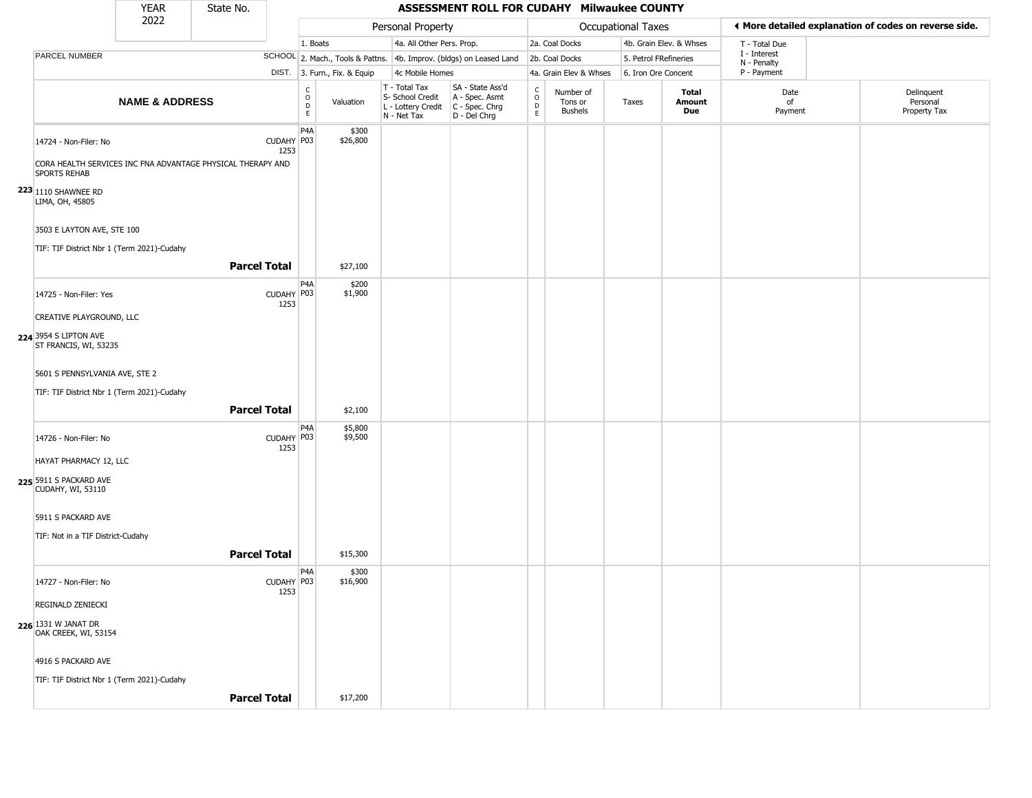|                                                                                    | <b>YEAR</b>               | State No.           |                    |                                             |                              |                                                                        | ASSESSMENT ROLL FOR CUDAHY Milwaukee COUNTY                          |                        |                                        |                       |                         |                             |                                                       |
|------------------------------------------------------------------------------------|---------------------------|---------------------|--------------------|---------------------------------------------|------------------------------|------------------------------------------------------------------------|----------------------------------------------------------------------|------------------------|----------------------------------------|-----------------------|-------------------------|-----------------------------|-------------------------------------------------------|
|                                                                                    | 2022                      |                     |                    |                                             |                              | Personal Property                                                      |                                                                      |                        |                                        | Occupational Taxes    |                         |                             | ♦ More detailed explanation of codes on reverse side. |
|                                                                                    |                           |                     |                    | 1. Boats                                    |                              | 4a. All Other Pers. Prop.                                              |                                                                      |                        | 2a. Coal Docks                         |                       | 4b. Grain Elev. & Whses | T - Total Due               |                                                       |
| PARCEL NUMBER                                                                      |                           |                     |                    |                                             |                              |                                                                        | SCHOOL 2. Mach., Tools & Pattns. 4b. Improv. (bldgs) on Leased Land  |                        | 2b. Coal Docks                         | 5. Petrol FRefineries |                         | I - Interest<br>N - Penalty |                                                       |
|                                                                                    |                           |                     |                    |                                             | DIST. 3. Furn., Fix. & Equip | 4c Mobile Homes                                                        |                                                                      |                        | 4a. Grain Elev & Whses                 | 6. Iron Ore Concent   |                         | P - Payment                 |                                                       |
|                                                                                    | <b>NAME &amp; ADDRESS</b> |                     |                    | $\mathsf{C}$<br>$\circ$<br>$\mathsf D$<br>E | Valuation                    | T - Total Tax<br>S- School Credit<br>L - Lottery Credit<br>N - Net Tax | SA - State Ass'd<br>A - Spec. Asmt<br>C - Spec. Chrg<br>D - Del Chrg | C<br>$\circ$<br>D<br>E | Number of<br>Tons or<br><b>Bushels</b> | Taxes                 | Total<br>Amount<br>Due  | Date<br>of<br>Payment       | Delinquent<br>Personal<br>Property Tax                |
| 14724 - Non-Filer: No                                                              |                           |                     | CUDAHY P03<br>1253 | P <sub>4</sub> A                            | \$300<br>\$26,800            |                                                                        |                                                                      |                        |                                        |                       |                         |                             |                                                       |
| CORA HEALTH SERVICES INC FNA ADVANTAGE PHYSICAL THERAPY AND<br><b>SPORTS REHAB</b> |                           |                     |                    |                                             |                              |                                                                        |                                                                      |                        |                                        |                       |                         |                             |                                                       |
| <b>223</b> 1110 SHAWNEE RD<br>LIMA, OH, 45805                                      |                           |                     |                    |                                             |                              |                                                                        |                                                                      |                        |                                        |                       |                         |                             |                                                       |
| 3503 E LAYTON AVE, STE 100                                                         |                           |                     |                    |                                             |                              |                                                                        |                                                                      |                        |                                        |                       |                         |                             |                                                       |
| TIF: TIF District Nbr 1 (Term 2021)-Cudahy                                         |                           |                     |                    |                                             |                              |                                                                        |                                                                      |                        |                                        |                       |                         |                             |                                                       |
|                                                                                    |                           | <b>Parcel Total</b> |                    |                                             | \$27,100                     |                                                                        |                                                                      |                        |                                        |                       |                         |                             |                                                       |
| 14725 - Non-Filer: Yes                                                             |                           |                     | CUDAHY P03<br>1253 | P4A                                         | \$200<br>\$1,900             |                                                                        |                                                                      |                        |                                        |                       |                         |                             |                                                       |
| CREATIVE PLAYGROUND, LLC                                                           |                           |                     |                    |                                             |                              |                                                                        |                                                                      |                        |                                        |                       |                         |                             |                                                       |
| 224 3954 S LIPTON AVE<br>ST FRANCIS, WI, 53235                                     |                           |                     |                    |                                             |                              |                                                                        |                                                                      |                        |                                        |                       |                         |                             |                                                       |
| 5601 S PENNSYLVANIA AVE, STE 2                                                     |                           |                     |                    |                                             |                              |                                                                        |                                                                      |                        |                                        |                       |                         |                             |                                                       |
| TIF: TIF District Nbr 1 (Term 2021)-Cudahy                                         |                           |                     |                    |                                             |                              |                                                                        |                                                                      |                        |                                        |                       |                         |                             |                                                       |
|                                                                                    |                           | <b>Parcel Total</b> |                    |                                             | \$2,100                      |                                                                        |                                                                      |                        |                                        |                       |                         |                             |                                                       |
| 14726 - Non-Filer: No                                                              |                           |                     | CUDAHY P03<br>1253 | P4A                                         | \$5,800<br>\$9,500           |                                                                        |                                                                      |                        |                                        |                       |                         |                             |                                                       |
| HAYAT PHARMACY 12, LLC                                                             |                           |                     |                    |                                             |                              |                                                                        |                                                                      |                        |                                        |                       |                         |                             |                                                       |
| 225 5911 S PACKARD AVE<br><b>CUDAHY, WI, 53110</b>                                 |                           |                     |                    |                                             |                              |                                                                        |                                                                      |                        |                                        |                       |                         |                             |                                                       |
| 5911 S PACKARD AVE                                                                 |                           |                     |                    |                                             |                              |                                                                        |                                                                      |                        |                                        |                       |                         |                             |                                                       |
| TIF: Not in a TIF District-Cudahy                                                  |                           |                     |                    |                                             |                              |                                                                        |                                                                      |                        |                                        |                       |                         |                             |                                                       |
|                                                                                    |                           | <b>Parcel Total</b> |                    |                                             | \$15,300                     |                                                                        |                                                                      |                        |                                        |                       |                         |                             |                                                       |
|                                                                                    |                           |                     |                    | P <sub>4</sub> A                            | \$300                        |                                                                        |                                                                      |                        |                                        |                       |                         |                             |                                                       |
| 14727 - Non-Filer: No                                                              |                           |                     | CUDAHY P03<br>1253 |                                             | \$16,900                     |                                                                        |                                                                      |                        |                                        |                       |                         |                             |                                                       |
| <b>REGINALD ZENIECKI</b>                                                           |                           |                     |                    |                                             |                              |                                                                        |                                                                      |                        |                                        |                       |                         |                             |                                                       |
| 226 1331 W JANAT DR<br>OAK CREEK, WI, 53154                                        |                           |                     |                    |                                             |                              |                                                                        |                                                                      |                        |                                        |                       |                         |                             |                                                       |
| 4916 S PACKARD AVE                                                                 |                           |                     |                    |                                             |                              |                                                                        |                                                                      |                        |                                        |                       |                         |                             |                                                       |
| TIF: TIF District Nbr 1 (Term 2021)-Cudahy                                         |                           |                     |                    |                                             |                              |                                                                        |                                                                      |                        |                                        |                       |                         |                             |                                                       |
|                                                                                    |                           | <b>Parcel Total</b> |                    |                                             | \$17,200                     |                                                                        |                                                                      |                        |                                        |                       |                         |                             |                                                       |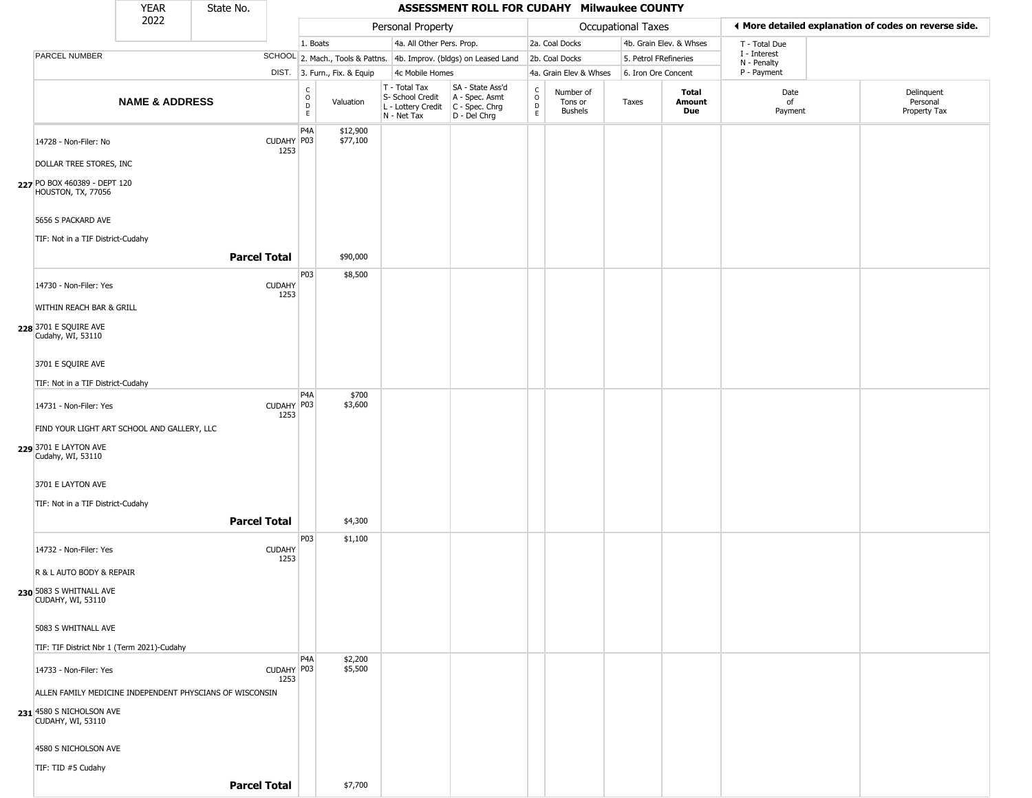|                                                         | <b>YEAR</b>               | State No.                                                |                       |                         |                              |                                                                                         | ASSESSMENT ROLL FOR CUDAHY Milwaukee COUNTY                         |                                                   |                                 |                       |                         |                             |                                                       |
|---------------------------------------------------------|---------------------------|----------------------------------------------------------|-----------------------|-------------------------|------------------------------|-----------------------------------------------------------------------------------------|---------------------------------------------------------------------|---------------------------------------------------|---------------------------------|-----------------------|-------------------------|-----------------------------|-------------------------------------------------------|
|                                                         | 2022                      |                                                          |                       |                         |                              | Personal Property                                                                       |                                                                     |                                                   |                                 | Occupational Taxes    |                         |                             | ♦ More detailed explanation of codes on reverse side. |
|                                                         |                           |                                                          |                       | 1. Boats                |                              | 4a. All Other Pers. Prop.                                                               |                                                                     |                                                   | 2a. Coal Docks                  |                       | 4b. Grain Elev. & Whses | T - Total Due               |                                                       |
| PARCEL NUMBER                                           |                           |                                                          |                       |                         |                              |                                                                                         | SCHOOL 2. Mach., Tools & Pattns. 4b. Improv. (bldgs) on Leased Land |                                                   | 2b. Coal Docks                  | 5. Petrol FRefineries |                         | I - Interest<br>N - Penalty |                                                       |
|                                                         |                           |                                                          |                       |                         | DIST. 3. Furn., Fix. & Equip | 4c Mobile Homes                                                                         |                                                                     |                                                   | 4a. Grain Elev & Whses          | 6. Iron Ore Concent   |                         | P - Payment                 |                                                       |
|                                                         | <b>NAME &amp; ADDRESS</b> |                                                          |                       | С<br>$\circ$<br>D<br>E. | Valuation                    | T - Total Tax<br>S- School Credit<br>L - Lottery Credit   C - Spec. Chrg<br>N - Net Tax | SA - State Ass'd<br>A - Spec. Asmt<br>D - Del Chrg                  | $\begin{array}{c}\nC \\ O \\ D \\ E\n\end{array}$ | Number of<br>Tons or<br>Bushels | Taxes                 | Total<br>Amount<br>Due  | Date<br>of<br>Payment       | Delinquent<br>Personal<br>Property Tax                |
| 14728 - Non-Filer: No                                   |                           |                                                          | CUDAHY P03<br>1253    | P <sub>4</sub> A        | \$12,900<br>\$77,100         |                                                                                         |                                                                     |                                                   |                                 |                       |                         |                             |                                                       |
| DOLLAR TREE STORES, INC                                 |                           |                                                          |                       |                         |                              |                                                                                         |                                                                     |                                                   |                                 |                       |                         |                             |                                                       |
| 227 PO BOX 460389 - DEPT 120<br>HOUSTON, TX, 77056      |                           |                                                          |                       |                         |                              |                                                                                         |                                                                     |                                                   |                                 |                       |                         |                             |                                                       |
| 5656 S PACKARD AVE<br>TIF: Not in a TIF District-Cudahy |                           |                                                          |                       |                         |                              |                                                                                         |                                                                     |                                                   |                                 |                       |                         |                             |                                                       |
|                                                         |                           | <b>Parcel Total</b>                                      |                       |                         | \$90,000                     |                                                                                         |                                                                     |                                                   |                                 |                       |                         |                             |                                                       |
| 14730 - Non-Filer: Yes                                  |                           |                                                          | <b>CUDAHY</b><br>1253 | P03                     | \$8,500                      |                                                                                         |                                                                     |                                                   |                                 |                       |                         |                             |                                                       |
| WITHIN REACH BAR & GRILL                                |                           |                                                          |                       |                         |                              |                                                                                         |                                                                     |                                                   |                                 |                       |                         |                             |                                                       |
| 228 3701 E SQUIRE AVE<br>Cudahy, WI, 53110              |                           |                                                          |                       |                         |                              |                                                                                         |                                                                     |                                                   |                                 |                       |                         |                             |                                                       |
| 3701 E SQUIRE AVE                                       |                           |                                                          |                       |                         |                              |                                                                                         |                                                                     |                                                   |                                 |                       |                         |                             |                                                       |
| TIF: Not in a TIF District-Cudahy                       |                           |                                                          |                       |                         |                              |                                                                                         |                                                                     |                                                   |                                 |                       |                         |                             |                                                       |
| 14731 - Non-Filer: Yes                                  |                           |                                                          | CUDAHY P03            | P <sub>4</sub> A        | \$700<br>\$3,600             |                                                                                         |                                                                     |                                                   |                                 |                       |                         |                             |                                                       |
| FIND YOUR LIGHT ART SCHOOL AND GALLERY, LLC             |                           |                                                          | 1253                  |                         |                              |                                                                                         |                                                                     |                                                   |                                 |                       |                         |                             |                                                       |
| 229 3701 E LAYTON AVE                                   |                           |                                                          |                       |                         |                              |                                                                                         |                                                                     |                                                   |                                 |                       |                         |                             |                                                       |
| Cudahy, WI, 53110                                       |                           |                                                          |                       |                         |                              |                                                                                         |                                                                     |                                                   |                                 |                       |                         |                             |                                                       |
| 3701 E LAYTON AVE                                       |                           |                                                          |                       |                         |                              |                                                                                         |                                                                     |                                                   |                                 |                       |                         |                             |                                                       |
| TIF: Not in a TIF District-Cudahy                       |                           |                                                          |                       |                         |                              |                                                                                         |                                                                     |                                                   |                                 |                       |                         |                             |                                                       |
|                                                         |                           | <b>Parcel Total</b>                                      |                       |                         | \$4,300                      |                                                                                         |                                                                     |                                                   |                                 |                       |                         |                             |                                                       |
| 14732 - Non-Filer: Yes                                  |                           |                                                          | <b>CUDAHY</b><br>1253 | P03                     | \$1,100                      |                                                                                         |                                                                     |                                                   |                                 |                       |                         |                             |                                                       |
| R & L AUTO BODY & REPAIR                                |                           |                                                          |                       |                         |                              |                                                                                         |                                                                     |                                                   |                                 |                       |                         |                             |                                                       |
| 230 5083 S WHITNALL AVE<br>CUDAHY, WI, 53110            |                           |                                                          |                       |                         |                              |                                                                                         |                                                                     |                                                   |                                 |                       |                         |                             |                                                       |
| 5083 S WHITNALL AVE                                     |                           |                                                          |                       |                         |                              |                                                                                         |                                                                     |                                                   |                                 |                       |                         |                             |                                                       |
| TIF: TIF District Nbr 1 (Term 2021)-Cudahy              |                           |                                                          |                       |                         |                              |                                                                                         |                                                                     |                                                   |                                 |                       |                         |                             |                                                       |
| 14733 - Non-Filer: Yes                                  |                           |                                                          | CUDAHY P03            | P <sub>4</sub> A        | \$2,200<br>\$5,500           |                                                                                         |                                                                     |                                                   |                                 |                       |                         |                             |                                                       |
|                                                         |                           | ALLEN FAMILY MEDICINE INDEPENDENT PHYSCIANS OF WISCONSIN | 1253                  |                         |                              |                                                                                         |                                                                     |                                                   |                                 |                       |                         |                             |                                                       |
| 231 4580 S NICHOLSON AVE                                |                           |                                                          |                       |                         |                              |                                                                                         |                                                                     |                                                   |                                 |                       |                         |                             |                                                       |
| CUDAHY, WI, 53110                                       |                           |                                                          |                       |                         |                              |                                                                                         |                                                                     |                                                   |                                 |                       |                         |                             |                                                       |
| 4580 S NICHOLSON AVE                                    |                           |                                                          |                       |                         |                              |                                                                                         |                                                                     |                                                   |                                 |                       |                         |                             |                                                       |
| TIF: TID #5 Cudahy                                      |                           |                                                          |                       |                         |                              |                                                                                         |                                                                     |                                                   |                                 |                       |                         |                             |                                                       |
|                                                         |                           | <b>Parcel Total</b>                                      |                       |                         | \$7,700                      |                                                                                         |                                                                     |                                                   |                                 |                       |                         |                             |                                                       |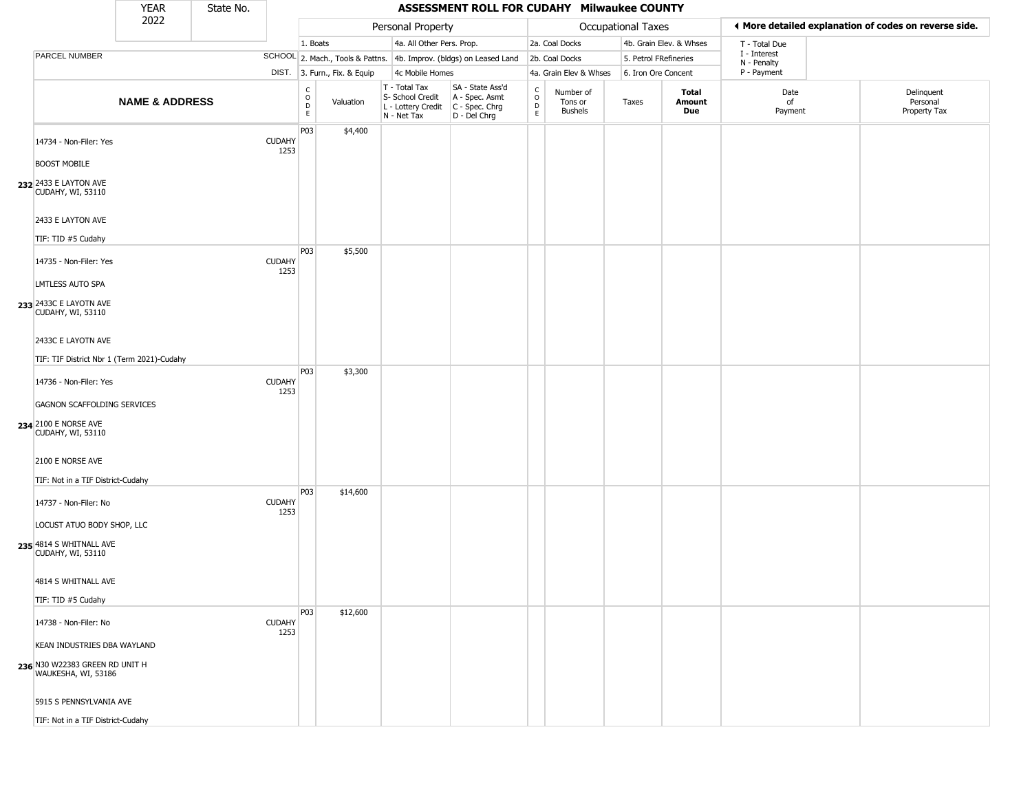|                                                                                      | <b>YEAR</b>               | State No. |                       |                                   |                              |                                                                        | ASSESSMENT ROLL FOR CUDAHY Milwaukee COUNTY                          |                                             |                                        |                       |                         |                             |                                                       |
|--------------------------------------------------------------------------------------|---------------------------|-----------|-----------------------|-----------------------------------|------------------------------|------------------------------------------------------------------------|----------------------------------------------------------------------|---------------------------------------------|----------------------------------------|-----------------------|-------------------------|-----------------------------|-------------------------------------------------------|
|                                                                                      | 2022                      |           |                       |                                   |                              | Personal Property                                                      |                                                                      |                                             |                                        | Occupational Taxes    |                         |                             | ◀ More detailed explanation of codes on reverse side. |
|                                                                                      |                           |           |                       | 1. Boats                          |                              | 4a. All Other Pers. Prop.                                              |                                                                      |                                             | 2a. Coal Docks                         |                       | 4b. Grain Elev. & Whses | T - Total Due               |                                                       |
| PARCEL NUMBER                                                                        |                           |           |                       |                                   |                              |                                                                        | SCHOOL 2. Mach., Tools & Pattns. 4b. Improv. (bldgs) on Leased Land  |                                             | 2b. Coal Docks                         | 5. Petrol FRefineries |                         | I - Interest<br>N - Penalty |                                                       |
|                                                                                      |                           |           |                       |                                   | DIST. 3. Furn., Fix. & Equip | 4c Mobile Homes                                                        |                                                                      |                                             | 4a. Grain Elev & Whses                 | 6. Iron Ore Concent   |                         | P - Payment                 |                                                       |
|                                                                                      | <b>NAME &amp; ADDRESS</b> |           |                       | $\frac{c}{0}$<br>$\mathsf D$<br>E | Valuation                    | T - Total Tax<br>S- School Credit<br>L - Lottery Credit<br>N - Net Tax | SA - State Ass'd<br>A - Spec. Asmt<br>C - Spec. Chrg<br>D - Del Chrg | $\frac{c}{0}$<br>$\mathsf D$<br>$\mathsf E$ | Number of<br>Tons or<br><b>Bushels</b> | Taxes                 | Total<br>Amount<br>Due  | Date<br>of<br>Payment       | Delinquent<br>Personal<br>Property Tax                |
| 14734 - Non-Filer: Yes<br><b>BOOST MOBILE</b>                                        |                           |           | <b>CUDAHY</b><br>1253 | P <sub>03</sub>                   | \$4,400                      |                                                                        |                                                                      |                                             |                                        |                       |                         |                             |                                                       |
| 232 2433 E LAYTON AVE<br>CUDAHY, WI, 53110                                           |                           |           |                       |                                   |                              |                                                                        |                                                                      |                                             |                                        |                       |                         |                             |                                                       |
| 2433 E LAYTON AVE<br>TIF: TID #5 Cudahy                                              |                           |           |                       |                                   |                              |                                                                        |                                                                      |                                             |                                        |                       |                         |                             |                                                       |
| 14735 - Non-Filer: Yes<br><b>LMTLESS AUTO SPA</b>                                    |                           |           | <b>CUDAHY</b><br>1253 | P03                               | \$5,500                      |                                                                        |                                                                      |                                             |                                        |                       |                         |                             |                                                       |
| 233 2433C E LAYOTN AVE<br>CUDAHY, WI, 53110                                          |                           |           |                       |                                   |                              |                                                                        |                                                                      |                                             |                                        |                       |                         |                             |                                                       |
| 2433C E LAYOTN AVE<br>TIF: TIF District Nbr 1 (Term 2021)-Cudahy                     |                           |           |                       |                                   |                              |                                                                        |                                                                      |                                             |                                        |                       |                         |                             |                                                       |
| 14736 - Non-Filer: Yes                                                               |                           |           | <b>CUDAHY</b><br>1253 | P03                               | \$3,300                      |                                                                        |                                                                      |                                             |                                        |                       |                         |                             |                                                       |
| GAGNON SCAFFOLDING SERVICES<br>234 2100 E NORSE AVE<br><b>CUDAHY, WI, 53110</b>      |                           |           |                       |                                   |                              |                                                                        |                                                                      |                                             |                                        |                       |                         |                             |                                                       |
| 2100 E NORSE AVE<br>TIF: Not in a TIF District-Cudahy                                |                           |           |                       |                                   |                              |                                                                        |                                                                      |                                             |                                        |                       |                         |                             |                                                       |
| 14737 - Non-Filer: No                                                                |                           |           | <b>CUDAHY</b><br>1253 | P <sub>03</sub>                   | \$14,600                     |                                                                        |                                                                      |                                             |                                        |                       |                         |                             |                                                       |
| LOCUST ATUO BODY SHOP, LLC<br>235 4814 S WHITNALL AVE<br>CUDAHY, WI, 53110           |                           |           |                       |                                   |                              |                                                                        |                                                                      |                                             |                                        |                       |                         |                             |                                                       |
| 4814 S WHITNALL AVE                                                                  |                           |           |                       |                                   |                              |                                                                        |                                                                      |                                             |                                        |                       |                         |                             |                                                       |
| TIF: TID #5 Cudahy                                                                   |                           |           |                       | P <sub>0</sub> 3                  | \$12,600                     |                                                                        |                                                                      |                                             |                                        |                       |                         |                             |                                                       |
| 14738 - Non-Filer: No                                                                |                           |           | <b>CUDAHY</b><br>1253 |                                   |                              |                                                                        |                                                                      |                                             |                                        |                       |                         |                             |                                                       |
| KEAN INDUSTRIES DBA WAYLAND<br>236 N30 W22383 GREEN RD UNIT H<br>WAUKESHA, WI, 53186 |                           |           |                       |                                   |                              |                                                                        |                                                                      |                                             |                                        |                       |                         |                             |                                                       |
| 5915 S PENNSYLVANIA AVE                                                              |                           |           |                       |                                   |                              |                                                                        |                                                                      |                                             |                                        |                       |                         |                             |                                                       |
| TIF: Not in a TIF District-Cudahy                                                    |                           |           |                       |                                   |                              |                                                                        |                                                                      |                                             |                                        |                       |                         |                             |                                                       |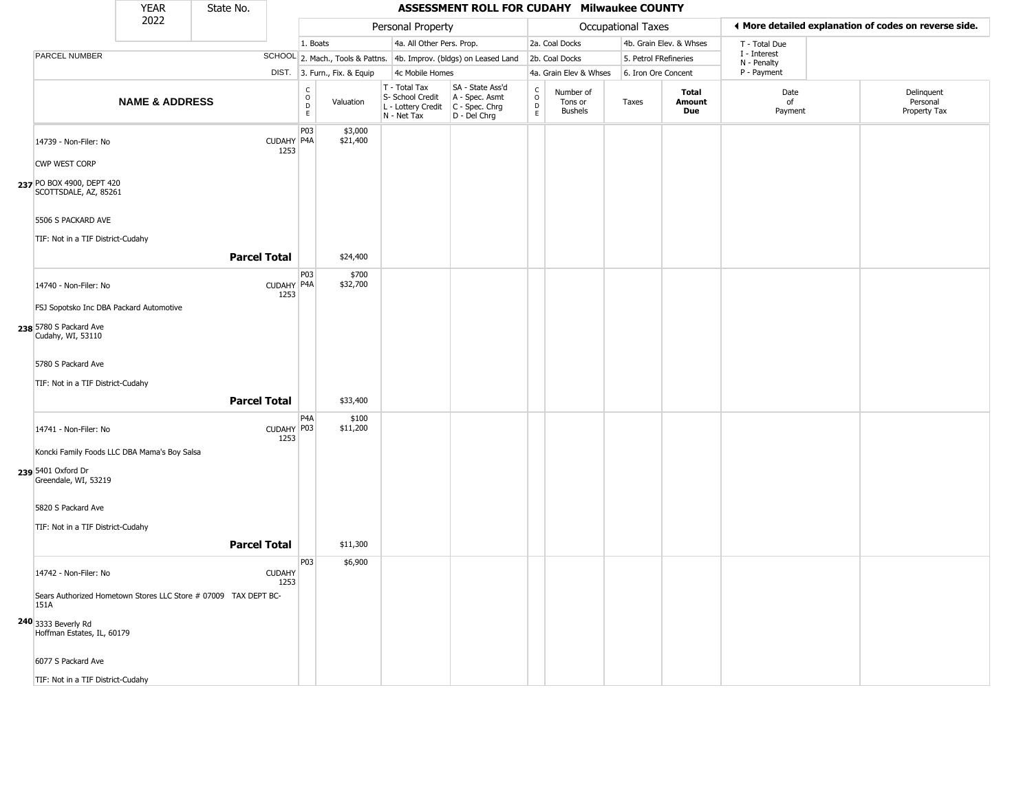|                                                                                                                     | <b>YEAR</b>               | State No. |                       |                        |                              |                                                                        | ASSESSMENT ROLL FOR CUDAHY Milwaukee COUNTY                          |                                  |                                        |                       |                         |                            |                                                       |
|---------------------------------------------------------------------------------------------------------------------|---------------------------|-----------|-----------------------|------------------------|------------------------------|------------------------------------------------------------------------|----------------------------------------------------------------------|----------------------------------|----------------------------------------|-----------------------|-------------------------|----------------------------|-------------------------------------------------------|
|                                                                                                                     | 2022                      |           |                       |                        |                              | Personal Property                                                      |                                                                      |                                  |                                        | Occupational Taxes    |                         |                            | ♦ More detailed explanation of codes on reverse side. |
|                                                                                                                     |                           |           |                       | 1. Boats               |                              | 4a. All Other Pers. Prop.                                              |                                                                      |                                  | 2a. Coal Docks                         |                       | 4b. Grain Elev. & Whses | T - Total Due              |                                                       |
| PARCEL NUMBER                                                                                                       |                           |           |                       |                        |                              |                                                                        | SCHOOL 2. Mach., Tools & Pattns. 4b. Improv. (bldgs) on Leased Land  |                                  | 2b. Coal Docks                         | 5. Petrol FRefineries |                         | I - Interest               |                                                       |
|                                                                                                                     |                           |           |                       |                        | DIST. 3. Furn., Fix. & Equip | 4c Mobile Homes                                                        |                                                                      |                                  | 4a. Grain Elev & Whses                 | 6. Iron Ore Concent   |                         | N - Penalty<br>P - Payment |                                                       |
|                                                                                                                     | <b>NAME &amp; ADDRESS</b> |           |                       | C<br>$\circ$<br>D<br>E | Valuation                    | T - Total Tax<br>S- School Credit<br>L - Lottery Credit<br>N - Net Tax | SA - State Ass'd<br>A - Spec. Asmt<br>C - Spec. Chrg<br>D - Del Chrg | C<br>$\circ$<br>$\mathsf D$<br>E | Number of<br>Tons or<br><b>Bushels</b> | Taxes                 | Total<br>Amount<br>Due  | Date<br>of<br>Payment      | Delinquent<br>Personal<br>Property Tax                |
| 14739 - Non-Filer: No<br>CWP WEST CORP<br>237 PO BOX 4900, DEPT 420                                                 |                           |           | CUDAHY P4A<br>1253    | P03                    | \$3,000<br>\$21,400          |                                                                        |                                                                      |                                  |                                        |                       |                         |                            |                                                       |
| SCOTTSDALE, AZ, 85261<br>5506 S PACKARD AVE<br>TIF: Not in a TIF District-Cudahy                                    |                           |           | <b>Parcel Total</b>   |                        | \$24,400                     |                                                                        |                                                                      |                                  |                                        |                       |                         |                            |                                                       |
|                                                                                                                     |                           |           |                       | P03                    | \$700                        |                                                                        |                                                                      |                                  |                                        |                       |                         |                            |                                                       |
| 14740 - Non-Filer: No<br>FSJ Sopotsko Inc DBA Packard Automotive                                                    |                           |           | CUDAHY P4A<br>1253    |                        | \$32,700                     |                                                                        |                                                                      |                                  |                                        |                       |                         |                            |                                                       |
| 238 5780 S Packard Ave<br>Cudahy, WI, 53110                                                                         |                           |           |                       |                        |                              |                                                                        |                                                                      |                                  |                                        |                       |                         |                            |                                                       |
| 5780 S Packard Ave<br>TIF: Not in a TIF District-Cudahy                                                             |                           |           |                       |                        |                              |                                                                        |                                                                      |                                  |                                        |                       |                         |                            |                                                       |
|                                                                                                                     |                           |           | <b>Parcel Total</b>   |                        | \$33,400                     |                                                                        |                                                                      |                                  |                                        |                       |                         |                            |                                                       |
|                                                                                                                     |                           |           |                       | P4A                    | \$100                        |                                                                        |                                                                      |                                  |                                        |                       |                         |                            |                                                       |
| 14741 - Non-Filer: No<br>Koncki Family Foods LLC DBA Mama's Boy Salsa<br>239 5401 Oxford Dr<br>Greendale, WI, 53219 |                           |           | CUDAHY P03<br>1253    |                        | \$11,200                     |                                                                        |                                                                      |                                  |                                        |                       |                         |                            |                                                       |
| 5820 S Packard Ave                                                                                                  |                           |           |                       |                        |                              |                                                                        |                                                                      |                                  |                                        |                       |                         |                            |                                                       |
| TIF: Not in a TIF District-Cudahy                                                                                   |                           |           |                       |                        |                              |                                                                        |                                                                      |                                  |                                        |                       |                         |                            |                                                       |
|                                                                                                                     |                           |           | <b>Parcel Total</b>   |                        |                              |                                                                        |                                                                      |                                  |                                        |                       |                         |                            |                                                       |
|                                                                                                                     |                           |           |                       |                        | \$11,300                     |                                                                        |                                                                      |                                  |                                        |                       |                         |                            |                                                       |
| 14742 - Non-Filer: No                                                                                               |                           |           | <b>CUDAHY</b><br>1253 | P03                    | \$6,900                      |                                                                        |                                                                      |                                  |                                        |                       |                         |                            |                                                       |
| Sears Authorized Hometown Stores LLC Store # 07009 TAX DEPT BC-<br>151A                                             |                           |           |                       |                        |                              |                                                                        |                                                                      |                                  |                                        |                       |                         |                            |                                                       |
| 240 3333 Beverly Rd<br>Hoffman Estates, IL, 60179                                                                   |                           |           |                       |                        |                              |                                                                        |                                                                      |                                  |                                        |                       |                         |                            |                                                       |
| 6077 S Packard Ave                                                                                                  |                           |           |                       |                        |                              |                                                                        |                                                                      |                                  |                                        |                       |                         |                            |                                                       |
| TIF: Not in a TIF District-Cudahy                                                                                   |                           |           |                       |                        |                              |                                                                        |                                                                      |                                  |                                        |                       |                         |                            |                                                       |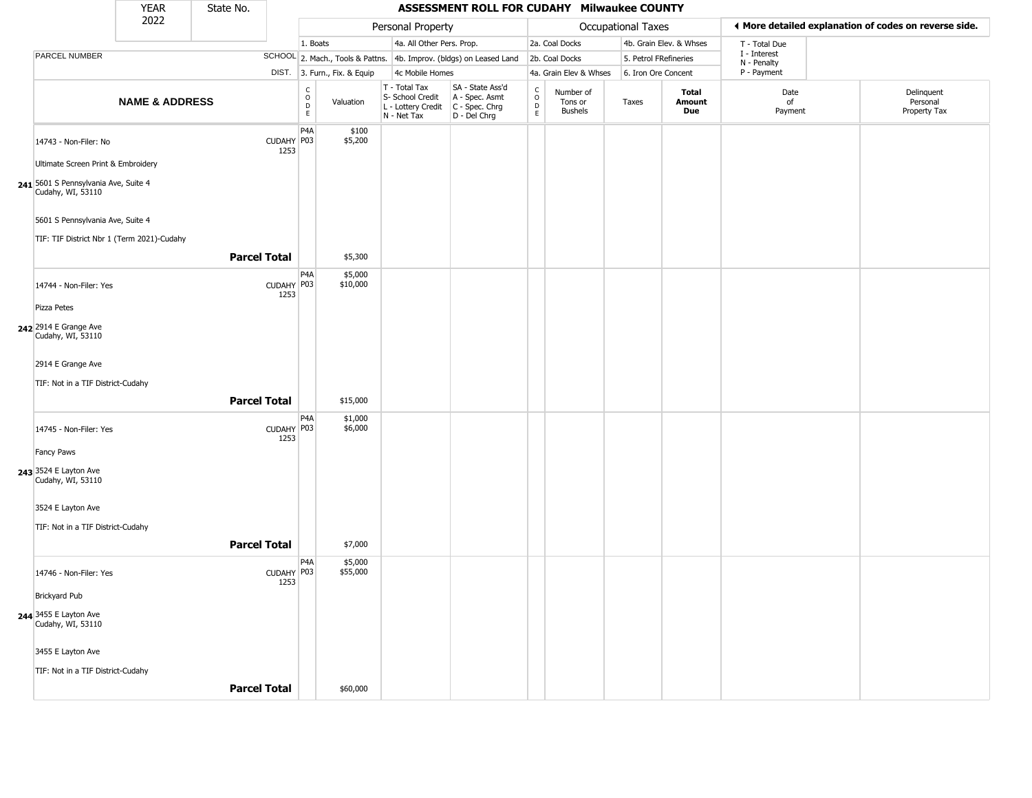|                                                           | <b>YEAR</b>               | State No.           |                    |                                            |                              |                                                                        | ASSESSMENT ROLL FOR CUDAHY Milwaukee COUNTY                          |                                               |                                 |                       |                         |                             |                                                       |
|-----------------------------------------------------------|---------------------------|---------------------|--------------------|--------------------------------------------|------------------------------|------------------------------------------------------------------------|----------------------------------------------------------------------|-----------------------------------------------|---------------------------------|-----------------------|-------------------------|-----------------------------|-------------------------------------------------------|
|                                                           | 2022                      |                     |                    |                                            |                              | Personal Property                                                      |                                                                      |                                               |                                 | Occupational Taxes    |                         |                             | ♦ More detailed explanation of codes on reverse side. |
|                                                           |                           |                     |                    | 1. Boats                                   |                              | 4a. All Other Pers. Prop.                                              |                                                                      |                                               | 2a. Coal Docks                  |                       | 4b. Grain Elev. & Whses | T - Total Due               |                                                       |
| PARCEL NUMBER                                             |                           |                     |                    |                                            |                              |                                                                        | SCHOOL 2. Mach., Tools & Pattns. 4b. Improv. (bldgs) on Leased Land  |                                               | 2b. Coal Docks                  | 5. Petrol FRefineries |                         | I - Interest<br>N - Penalty |                                                       |
|                                                           |                           |                     |                    |                                            | DIST. 3. Furn., Fix. & Equip | 4c Mobile Homes                                                        |                                                                      |                                               | 4a. Grain Elev & Whses          | 6. Iron Ore Concent   |                         | P - Payment                 |                                                       |
|                                                           | <b>NAME &amp; ADDRESS</b> |                     |                    | $\begin{array}{c} C \\ O \\ E \end{array}$ | Valuation                    | T - Total Tax<br>S- School Credit<br>L - Lottery Credit<br>N - Net Tax | SA - State Ass'd<br>A - Spec. Asmt<br>C - Spec. Chrg<br>D - Del Chrg | $\rm _o^C$<br>$\frac{\mathsf{D}}{\mathsf{E}}$ | Number of<br>Tons or<br>Bushels | Taxes                 | Total<br>Amount<br>Due  | Date<br>of<br>Payment       | Delinquent<br>Personal<br>Property Tax                |
| 14743 - Non-Filer: No                                     |                           |                     | CUDAHY P03<br>1253 | P <sub>4</sub> A                           | \$100<br>\$5,200             |                                                                        |                                                                      |                                               |                                 |                       |                         |                             |                                                       |
| Ultimate Screen Print & Embroidery                        |                           |                     |                    |                                            |                              |                                                                        |                                                                      |                                               |                                 |                       |                         |                             |                                                       |
| 241 5601 S Pennsylvania Ave, Suite 4<br>Cudahy, WI, 53110 |                           |                     |                    |                                            |                              |                                                                        |                                                                      |                                               |                                 |                       |                         |                             |                                                       |
| 5601 S Pennsylvania Ave, Suite 4                          |                           |                     |                    |                                            |                              |                                                                        |                                                                      |                                               |                                 |                       |                         |                             |                                                       |
| TIF: TIF District Nbr 1 (Term 2021)-Cudahy                |                           |                     |                    |                                            |                              |                                                                        |                                                                      |                                               |                                 |                       |                         |                             |                                                       |
|                                                           |                           | <b>Parcel Total</b> |                    |                                            | \$5,300                      |                                                                        |                                                                      |                                               |                                 |                       |                         |                             |                                                       |
| 14744 - Non-Filer: Yes                                    |                           |                     | CUDAHY P03<br>1253 | P <sub>4</sub> A                           | \$5,000<br>\$10,000          |                                                                        |                                                                      |                                               |                                 |                       |                         |                             |                                                       |
| Pizza Petes                                               |                           |                     |                    |                                            |                              |                                                                        |                                                                      |                                               |                                 |                       |                         |                             |                                                       |
| 242 2914 E Grange Ave<br>Cudahy, WI, 53110                |                           |                     |                    |                                            |                              |                                                                        |                                                                      |                                               |                                 |                       |                         |                             |                                                       |
| 2914 E Grange Ave                                         |                           |                     |                    |                                            |                              |                                                                        |                                                                      |                                               |                                 |                       |                         |                             |                                                       |
| TIF: Not in a TIF District-Cudahy                         |                           |                     |                    |                                            |                              |                                                                        |                                                                      |                                               |                                 |                       |                         |                             |                                                       |
|                                                           |                           | <b>Parcel Total</b> |                    |                                            | \$15,000                     |                                                                        |                                                                      |                                               |                                 |                       |                         |                             |                                                       |
| 14745 - Non-Filer: Yes                                    |                           |                     | CUDAHY P03<br>1253 | P <sub>4</sub> A                           | \$1,000<br>\$6,000           |                                                                        |                                                                      |                                               |                                 |                       |                         |                             |                                                       |
| Fancy Paws                                                |                           |                     |                    |                                            |                              |                                                                        |                                                                      |                                               |                                 |                       |                         |                             |                                                       |
| 243 3524 E Layton Ave<br>Cudahy, WI, 53110                |                           |                     |                    |                                            |                              |                                                                        |                                                                      |                                               |                                 |                       |                         |                             |                                                       |
| 3524 E Layton Ave                                         |                           |                     |                    |                                            |                              |                                                                        |                                                                      |                                               |                                 |                       |                         |                             |                                                       |
| TIF: Not in a TIF District-Cudahy                         |                           |                     |                    |                                            |                              |                                                                        |                                                                      |                                               |                                 |                       |                         |                             |                                                       |
|                                                           |                           | <b>Parcel Total</b> |                    |                                            | \$7,000                      |                                                                        |                                                                      |                                               |                                 |                       |                         |                             |                                                       |
| 14746 - Non-Filer: Yes                                    |                           |                     | CUDAHY P03<br>1253 | P <sub>4</sub> A                           | \$5,000<br>\$55,000          |                                                                        |                                                                      |                                               |                                 |                       |                         |                             |                                                       |
| <b>Brickyard Pub</b>                                      |                           |                     |                    |                                            |                              |                                                                        |                                                                      |                                               |                                 |                       |                         |                             |                                                       |
| <b>244</b> 3455 E Layton Ave<br>Cudahy, WI, 53110         |                           |                     |                    |                                            |                              |                                                                        |                                                                      |                                               |                                 |                       |                         |                             |                                                       |
| 3455 E Layton Ave                                         |                           |                     |                    |                                            |                              |                                                                        |                                                                      |                                               |                                 |                       |                         |                             |                                                       |
| TIF: Not in a TIF District-Cudahy                         |                           |                     |                    |                                            |                              |                                                                        |                                                                      |                                               |                                 |                       |                         |                             |                                                       |
|                                                           |                           | <b>Parcel Total</b> |                    |                                            | \$60,000                     |                                                                        |                                                                      |                                               |                                 |                       |                         |                             |                                                       |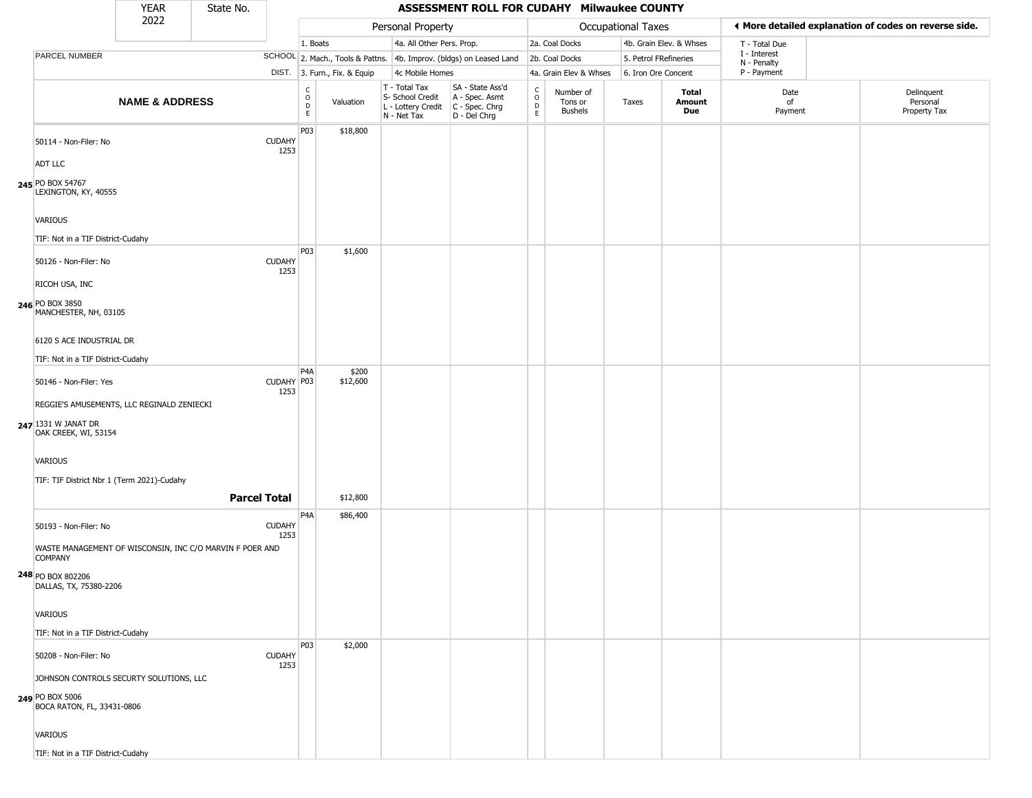|                                                                                                 | <b>YEAR</b>               | State No.           |                       |                                                          |                              |                                                                        | ASSESSMENT ROLL FOR CUDAHY Milwaukee COUNTY                          |                  |                                 |                       |                         |                             |                                                       |
|-------------------------------------------------------------------------------------------------|---------------------------|---------------------|-----------------------|----------------------------------------------------------|------------------------------|------------------------------------------------------------------------|----------------------------------------------------------------------|------------------|---------------------------------|-----------------------|-------------------------|-----------------------------|-------------------------------------------------------|
|                                                                                                 | 2022                      |                     |                       |                                                          |                              | Personal Property                                                      |                                                                      |                  |                                 | Occupational Taxes    |                         |                             | ◀ More detailed explanation of codes on reverse side. |
|                                                                                                 |                           |                     |                       | 1. Boats                                                 |                              | 4a. All Other Pers. Prop.                                              |                                                                      |                  | 2a. Coal Docks                  |                       | 4b. Grain Elev. & Whses | T - Total Due               |                                                       |
| PARCEL NUMBER                                                                                   |                           |                     |                       |                                                          |                              |                                                                        | SCHOOL 2. Mach., Tools & Pattns. 4b. Improv. (bldgs) on Leased Land  |                  | 2b. Coal Docks                  | 5. Petrol FRefineries |                         | I - Interest<br>N - Penalty |                                                       |
|                                                                                                 |                           |                     |                       |                                                          | DIST. 3. Furn., Fix. & Equip | 4c Mobile Homes                                                        |                                                                      |                  | 4a. Grain Elev & Whses          | 6. Iron Ore Concent   |                         | P - Payment                 |                                                       |
|                                                                                                 | <b>NAME &amp; ADDRESS</b> |                     |                       | $\begin{matrix} C \\ O \\ D \end{matrix}$<br>$\mathsf E$ | Valuation                    | T - Total Tax<br>S- School Credit<br>L - Lottery Credit<br>N - Net Tax | SA - State Ass'd<br>A - Spec. Asmt<br>C - Spec. Chrg<br>D - Del Chrg | C<br>D<br>D<br>E | Number of<br>Tons or<br>Bushels | Taxes                 | Total<br>Amount<br>Due  | Date<br>of<br>Payment       | Delinquent<br>Personal<br>Property Tax                |
| 50114 - Non-Filer: No                                                                           |                           |                     | <b>CUDAHY</b><br>1253 | P03                                                      | \$18,800                     |                                                                        |                                                                      |                  |                                 |                       |                         |                             |                                                       |
| ADT LLC                                                                                         |                           |                     |                       |                                                          |                              |                                                                        |                                                                      |                  |                                 |                       |                         |                             |                                                       |
| 245 PO BOX 54767<br>LEXINGTON, KY, 40555                                                        |                           |                     |                       |                                                          |                              |                                                                        |                                                                      |                  |                                 |                       |                         |                             |                                                       |
| VARIOUS                                                                                         |                           |                     |                       |                                                          |                              |                                                                        |                                                                      |                  |                                 |                       |                         |                             |                                                       |
| TIF: Not in a TIF District-Cudahy                                                               |                           |                     |                       |                                                          |                              |                                                                        |                                                                      |                  |                                 |                       |                         |                             |                                                       |
| 50126 - Non-Filer: No<br><b>RICOH USA, INC</b>                                                  |                           |                     | <b>CUDAHY</b><br>1253 | P03                                                      | \$1,600                      |                                                                        |                                                                      |                  |                                 |                       |                         |                             |                                                       |
| 246 PO BOX 3850<br>MANCHESTER, NH, 03105                                                        |                           |                     |                       |                                                          |                              |                                                                        |                                                                      |                  |                                 |                       |                         |                             |                                                       |
| 6120 S ACE INDUSTRIAL DR                                                                        |                           |                     |                       |                                                          |                              |                                                                        |                                                                      |                  |                                 |                       |                         |                             |                                                       |
| TIF: Not in a TIF District-Cudahy                                                               |                           |                     |                       | P <sub>4</sub> A                                         | \$200                        |                                                                        |                                                                      |                  |                                 |                       |                         |                             |                                                       |
| 50146 - Non-Filer: Yes                                                                          |                           |                     | CUDAHY P03<br>1253    |                                                          | \$12,600                     |                                                                        |                                                                      |                  |                                 |                       |                         |                             |                                                       |
| REGGIE'S AMUSEMENTS, LLC REGINALD ZENIECKI<br>247 1331 W JANAT DR<br>OAK CREEK, WI, 53154       |                           |                     |                       |                                                          |                              |                                                                        |                                                                      |                  |                                 |                       |                         |                             |                                                       |
| <b>VARIOUS</b>                                                                                  |                           |                     |                       |                                                          |                              |                                                                        |                                                                      |                  |                                 |                       |                         |                             |                                                       |
| TIF: TIF District Nbr 1 (Term 2021)-Cudahy                                                      |                           |                     |                       |                                                          |                              |                                                                        |                                                                      |                  |                                 |                       |                         |                             |                                                       |
|                                                                                                 |                           | <b>Parcel Total</b> |                       |                                                          | \$12,800                     |                                                                        |                                                                      |                  |                                 |                       |                         |                             |                                                       |
| 50193 - Non-Filer: No                                                                           |                           |                     | <b>CUDAHY</b><br>1253 | P <sub>4</sub> A                                         | \$86,400                     |                                                                        |                                                                      |                  |                                 |                       |                         |                             |                                                       |
| WASTE MANAGEMENT OF WISCONSIN, INC C/O MARVIN F POER AND<br><b>COMPANY</b><br>248 PO BOX 802206 |                           |                     |                       |                                                          |                              |                                                                        |                                                                      |                  |                                 |                       |                         |                             |                                                       |
| DALLAS, TX, 75380-2206                                                                          |                           |                     |                       |                                                          |                              |                                                                        |                                                                      |                  |                                 |                       |                         |                             |                                                       |
| VARIOUS                                                                                         |                           |                     |                       |                                                          |                              |                                                                        |                                                                      |                  |                                 |                       |                         |                             |                                                       |
| TIF: Not in a TIF District-Cudahy                                                               |                           |                     |                       |                                                          |                              |                                                                        |                                                                      |                  |                                 |                       |                         |                             |                                                       |
| 50208 - Non-Filer: No                                                                           |                           |                     | <b>CUDAHY</b><br>1253 | P03                                                      | \$2,000                      |                                                                        |                                                                      |                  |                                 |                       |                         |                             |                                                       |
| JOHNSON CONTROLS SECURTY SOLUTIONS, LLC<br>249 PO BOX 5006<br>BOCA RATON, FL, 33431-0806        |                           |                     |                       |                                                          |                              |                                                                        |                                                                      |                  |                                 |                       |                         |                             |                                                       |
| <b>VARIOUS</b>                                                                                  |                           |                     |                       |                                                          |                              |                                                                        |                                                                      |                  |                                 |                       |                         |                             |                                                       |
| TIF: Not in a TIF District-Cudahy                                                               |                           |                     |                       |                                                          |                              |                                                                        |                                                                      |                  |                                 |                       |                         |                             |                                                       |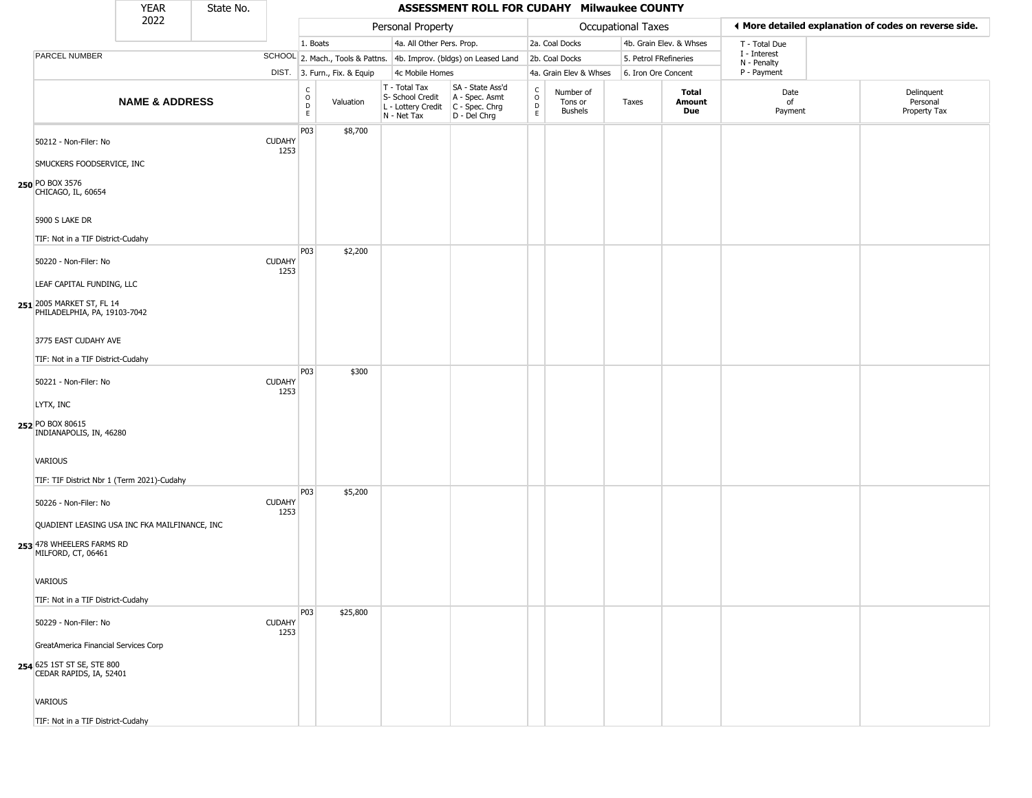|                                                                                                  | <b>YEAR</b>               | State No. |                       |                                                          |                              |                                                                        | ASSESSMENT ROLL FOR CUDAHY Milwaukee COUNTY                          |                                              |                                        |                       |                         |                             |                                                       |
|--------------------------------------------------------------------------------------------------|---------------------------|-----------|-----------------------|----------------------------------------------------------|------------------------------|------------------------------------------------------------------------|----------------------------------------------------------------------|----------------------------------------------|----------------------------------------|-----------------------|-------------------------|-----------------------------|-------------------------------------------------------|
|                                                                                                  | 2022                      |           |                       |                                                          |                              | Personal Property                                                      |                                                                      |                                              |                                        | Occupational Taxes    |                         |                             | ♦ More detailed explanation of codes on reverse side. |
|                                                                                                  |                           |           |                       | 1. Boats                                                 |                              | 4a. All Other Pers. Prop.                                              |                                                                      |                                              | 2a. Coal Docks                         |                       | 4b. Grain Elev. & Whses | T - Total Due               |                                                       |
| PARCEL NUMBER                                                                                    |                           |           |                       |                                                          |                              |                                                                        | SCHOOL 2. Mach., Tools & Pattns. 4b. Improv. (bldgs) on Leased Land  |                                              | 2b. Coal Docks                         | 5. Petrol FRefineries |                         | I - Interest<br>N - Penalty |                                                       |
|                                                                                                  |                           |           |                       |                                                          | DIST. 3. Furn., Fix. & Equip | 4c Mobile Homes                                                        |                                                                      |                                              | 4a. Grain Elev & Whses                 | 6. Iron Ore Concent   |                         | P - Payment                 |                                                       |
|                                                                                                  | <b>NAME &amp; ADDRESS</b> |           |                       | $\begin{matrix} 0 \\ 0 \\ 0 \end{matrix}$<br>$\mathsf E$ | Valuation                    | T - Total Tax<br>S- School Credit<br>L - Lottery Credit<br>N - Net Tax | SA - State Ass'd<br>A - Spec. Asmt<br>C - Spec. Chrg<br>D - Del Chrg | $\int_{0}^{c}$<br>$\mathsf D$<br>$\mathsf E$ | Number of<br>Tons or<br><b>Bushels</b> | Taxes                 | Total<br>Amount<br>Due  | Date<br>of<br>Payment       | Delinquent<br>Personal<br>Property Tax                |
| 50212 - Non-Filer: No<br>SMUCKERS FOODSERVICE, INC                                               |                           |           | <b>CUDAHY</b><br>1253 | P03                                                      | \$8,700                      |                                                                        |                                                                      |                                              |                                        |                       |                         |                             |                                                       |
| 250 PO BOX 3576<br>CHICAGO, IL, 60654                                                            |                           |           |                       |                                                          |                              |                                                                        |                                                                      |                                              |                                        |                       |                         |                             |                                                       |
| 5900 S LAKE DR<br>TIF: Not in a TIF District-Cudahy                                              |                           |           |                       |                                                          |                              |                                                                        |                                                                      |                                              |                                        |                       |                         |                             |                                                       |
| 50220 - Non-Filer: No<br>LEAF CAPITAL FUNDING, LLC                                               |                           |           | <b>CUDAHY</b><br>1253 | P03                                                      | \$2,200                      |                                                                        |                                                                      |                                              |                                        |                       |                         |                             |                                                       |
| 251 2005 MARKET ST, FL 14<br>PHILADELPHIA, PA, 19103-7042<br>3775 EAST CUDAHY AVE                |                           |           |                       |                                                          |                              |                                                                        |                                                                      |                                              |                                        |                       |                         |                             |                                                       |
| TIF: Not in a TIF District-Cudahy                                                                |                           |           |                       |                                                          |                              |                                                                        |                                                                      |                                              |                                        |                       |                         |                             |                                                       |
| 50221 - Non-Filer: No                                                                            |                           |           | <b>CUDAHY</b><br>1253 | P03                                                      | \$300                        |                                                                        |                                                                      |                                              |                                        |                       |                         |                             |                                                       |
| LYTX, INC<br>252 PO BOX 80615<br>INDIANAPOLIS, IN, 46280                                         |                           |           |                       |                                                          |                              |                                                                        |                                                                      |                                              |                                        |                       |                         |                             |                                                       |
| VARIOUS<br>TIF: TIF District Nbr 1 (Term 2021)-Cudahy                                            |                           |           |                       |                                                          |                              |                                                                        |                                                                      |                                              |                                        |                       |                         |                             |                                                       |
| 50226 - Non-Filer: No                                                                            |                           |           | <b>CUDAHY</b><br>1253 | P03                                                      | \$5,200                      |                                                                        |                                                                      |                                              |                                        |                       |                         |                             |                                                       |
| QUADIENT LEASING USA INC FKA MAILFINANCE, INC<br>253 478 WHEELERS FARMS RD<br>MILFORD, CT, 06461 |                           |           |                       |                                                          |                              |                                                                        |                                                                      |                                              |                                        |                       |                         |                             |                                                       |
| VARIOUS                                                                                          |                           |           |                       |                                                          |                              |                                                                        |                                                                      |                                              |                                        |                       |                         |                             |                                                       |
| TIF: Not in a TIF District-Cudahy                                                                |                           |           |                       | P03                                                      | \$25,800                     |                                                                        |                                                                      |                                              |                                        |                       |                         |                             |                                                       |
| 50229 - Non-Filer: No                                                                            |                           |           | <b>CUDAHY</b><br>1253 |                                                          |                              |                                                                        |                                                                      |                                              |                                        |                       |                         |                             |                                                       |
| GreatAmerica Financial Services Corp<br>254 625 1ST ST SE, STE 800<br>CEDAR RAPIDS, IA, 52401    |                           |           |                       |                                                          |                              |                                                                        |                                                                      |                                              |                                        |                       |                         |                             |                                                       |
| VARIOUS                                                                                          |                           |           |                       |                                                          |                              |                                                                        |                                                                      |                                              |                                        |                       |                         |                             |                                                       |
| TIF: Not in a TIF District-Cudahy                                                                |                           |           |                       |                                                          |                              |                                                                        |                                                                      |                                              |                                        |                       |                         |                             |                                                       |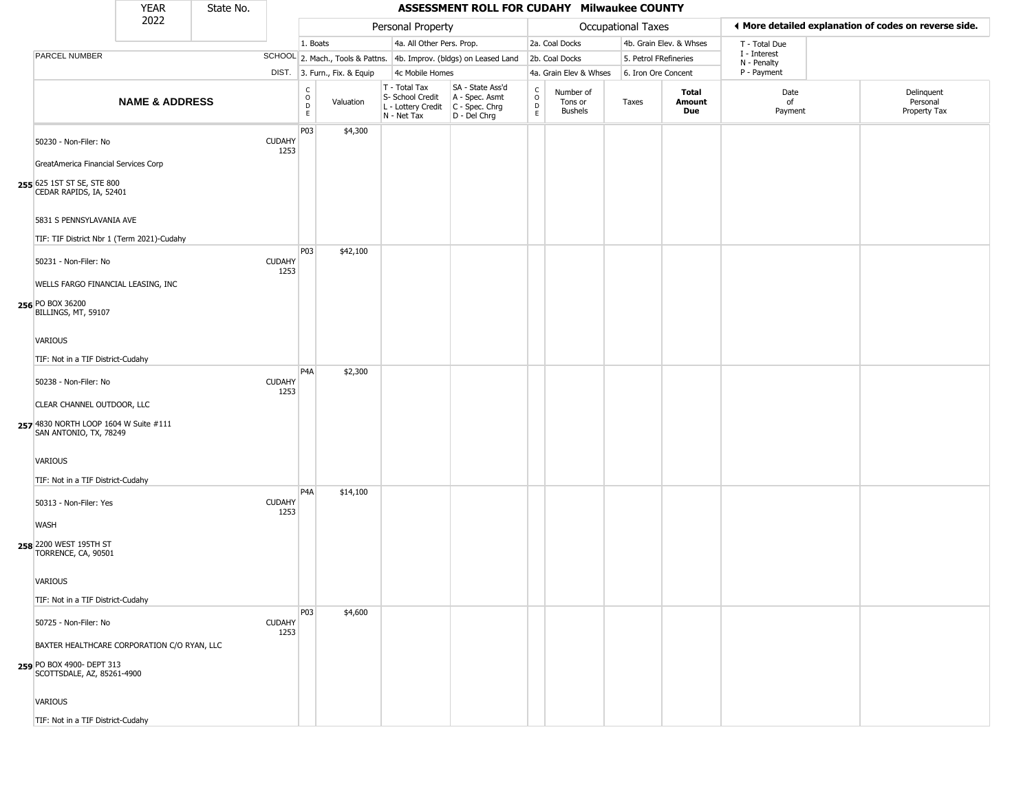|                                                                                                        | <b>YEAR</b>               | State No. |                       |                                                 |                              |                                                                        | ASSESSMENT ROLL FOR CUDAHY Milwaukee COUNTY                          |                                                   |                                        |                       |                         |                             |                                                       |
|--------------------------------------------------------------------------------------------------------|---------------------------|-----------|-----------------------|-------------------------------------------------|------------------------------|------------------------------------------------------------------------|----------------------------------------------------------------------|---------------------------------------------------|----------------------------------------|-----------------------|-------------------------|-----------------------------|-------------------------------------------------------|
|                                                                                                        | 2022                      |           |                       |                                                 |                              | Personal Property                                                      |                                                                      |                                                   |                                        | Occupational Taxes    |                         |                             | ♦ More detailed explanation of codes on reverse side. |
|                                                                                                        |                           |           |                       | 1. Boats                                        |                              | 4a. All Other Pers. Prop.                                              |                                                                      |                                                   | 2a. Coal Docks                         |                       | 4b. Grain Elev. & Whses | T - Total Due               |                                                       |
| PARCEL NUMBER                                                                                          |                           |           |                       |                                                 |                              |                                                                        | SCHOOL 2. Mach., Tools & Pattns. 4b. Improv. (bldgs) on Leased Land  |                                                   | 2b. Coal Docks                         | 5. Petrol FRefineries |                         | I - Interest<br>N - Penalty |                                                       |
|                                                                                                        |                           |           |                       |                                                 | DIST. 3. Furn., Fix. & Equip | 4c Mobile Homes                                                        |                                                                      |                                                   | 4a. Grain Elev & Whses                 | 6. Iron Ore Concent   |                         | P - Payment                 |                                                       |
|                                                                                                        | <b>NAME &amp; ADDRESS</b> |           |                       | $\begin{array}{c} C \\ O \\ D \\ E \end{array}$ | Valuation                    | T - Total Tax<br>S- School Credit<br>L - Lottery Credit<br>N - Net Tax | SA - State Ass'd<br>A - Spec. Asmt<br>C - Spec. Chrg<br>D - Del Chrg | $\begin{array}{c}\nC \\ O \\ D \\ E\n\end{array}$ | Number of<br>Tons or<br><b>Bushels</b> | Taxes                 | Total<br>Amount<br>Due  | Date<br>of<br>Payment       | Delinquent<br>Personal<br>Property Tax                |
| 50230 - Non-Filer: No                                                                                  |                           |           | <b>CUDAHY</b><br>1253 | P03                                             | \$4,300                      |                                                                        |                                                                      |                                                   |                                        |                       |                         |                             |                                                       |
| GreatAmerica Financial Services Corp<br>255 625 1ST ST SE, STE 800<br>CEDAR RAPIDS, IA, 52401          |                           |           |                       |                                                 |                              |                                                                        |                                                                      |                                                   |                                        |                       |                         |                             |                                                       |
| 5831 S PENNSYLAVANIA AVE<br>TIF: TIF District Nbr 1 (Term 2021)-Cudahy                                 |                           |           |                       | P03                                             | \$42,100                     |                                                                        |                                                                      |                                                   |                                        |                       |                         |                             |                                                       |
| 50231 - Non-Filer: No<br>WELLS FARGO FINANCIAL LEASING, INC                                            |                           |           | <b>CUDAHY</b><br>1253 |                                                 |                              |                                                                        |                                                                      |                                                   |                                        |                       |                         |                             |                                                       |
| 256 PO BOX 36200<br>BILLINGS, MT, 59107                                                                |                           |           |                       |                                                 |                              |                                                                        |                                                                      |                                                   |                                        |                       |                         |                             |                                                       |
| VARIOUS                                                                                                |                           |           |                       |                                                 |                              |                                                                        |                                                                      |                                                   |                                        |                       |                         |                             |                                                       |
| TIF: Not in a TIF District-Cudahy                                                                      |                           |           |                       |                                                 |                              |                                                                        |                                                                      |                                                   |                                        |                       |                         |                             |                                                       |
| 50238 - Non-Filer: No                                                                                  |                           |           | <b>CUDAHY</b><br>1253 | P <sub>4</sub> A                                | \$2,300                      |                                                                        |                                                                      |                                                   |                                        |                       |                         |                             |                                                       |
| CLEAR CHANNEL OUTDOOR, LLC<br>257 4830 NORTH LOOP 1604 W Suite #111<br>SAN ANTONIO, TX, 78249          |                           |           |                       |                                                 |                              |                                                                        |                                                                      |                                                   |                                        |                       |                         |                             |                                                       |
| VARIOUS<br>TIF: Not in a TIF District-Cudahy                                                           |                           |           |                       |                                                 |                              |                                                                        |                                                                      |                                                   |                                        |                       |                         |                             |                                                       |
| 50313 - Non-Filer: Yes                                                                                 |                           |           | <b>CUDAHY</b><br>1253 | P <sub>4</sub> A                                | \$14,100                     |                                                                        |                                                                      |                                                   |                                        |                       |                         |                             |                                                       |
| <b>WASH</b><br>258 2200 WEST 195TH ST<br>TORRENCE, CA, 90501                                           |                           |           |                       |                                                 |                              |                                                                        |                                                                      |                                                   |                                        |                       |                         |                             |                                                       |
| VARIOUS<br>TIF: Not in a TIF District-Cudahy                                                           |                           |           |                       |                                                 |                              |                                                                        |                                                                      |                                                   |                                        |                       |                         |                             |                                                       |
| 50725 - Non-Filer: No                                                                                  |                           |           | <b>CUDAHY</b><br>1253 | P <sub>0</sub> 3                                | \$4,600                      |                                                                        |                                                                      |                                                   |                                        |                       |                         |                             |                                                       |
| BAXTER HEALTHCARE CORPORATION C/O RYAN, LLC<br>259 PO BOX 4900- DEPT 313<br>SCOTTSDALE, AZ, 85261-4900 |                           |           |                       |                                                 |                              |                                                                        |                                                                      |                                                   |                                        |                       |                         |                             |                                                       |
| VARIOUS                                                                                                |                           |           |                       |                                                 |                              |                                                                        |                                                                      |                                                   |                                        |                       |                         |                             |                                                       |
| TIF: Not in a TIF District-Cudahy                                                                      |                           |           |                       |                                                 |                              |                                                                        |                                                                      |                                                   |                                        |                       |                         |                             |                                                       |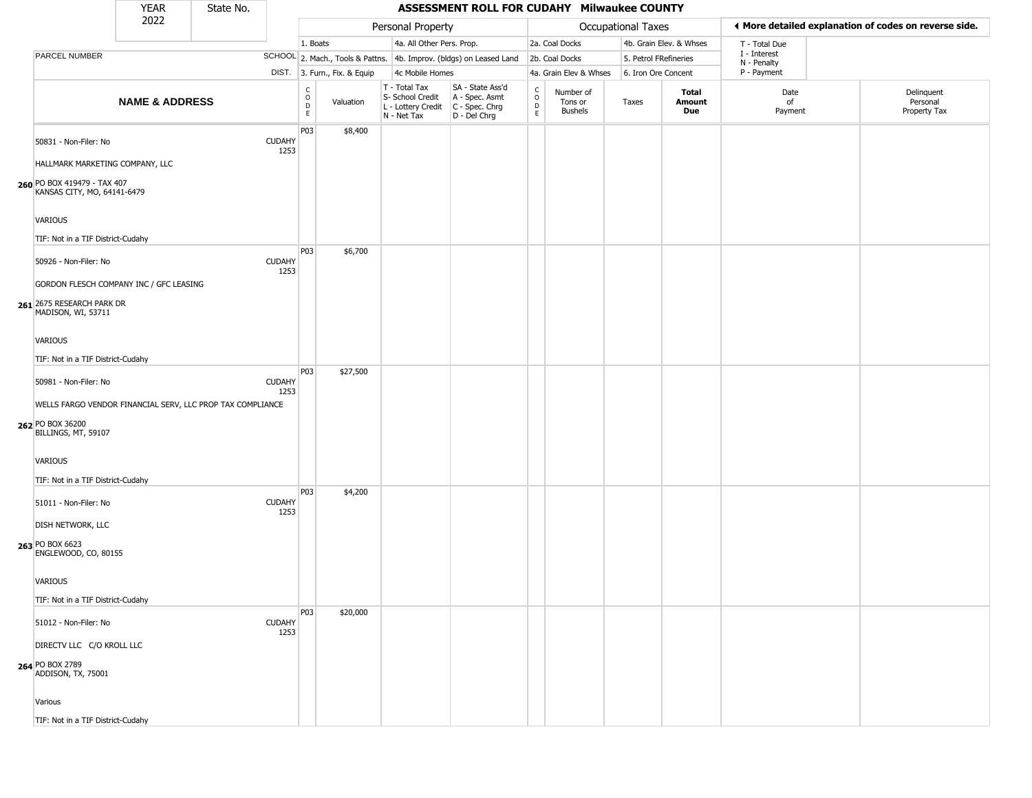|                                                                                                       | <b>YEAR</b>               | State No. |                       |                                                                    |                              |                                                                        | ASSESSMENT ROLL FOR CUDAHY Milwaukee COUNTY                            |                                          |                                 |                           |                               |                             |                                                       |
|-------------------------------------------------------------------------------------------------------|---------------------------|-----------|-----------------------|--------------------------------------------------------------------|------------------------------|------------------------------------------------------------------------|------------------------------------------------------------------------|------------------------------------------|---------------------------------|---------------------------|-------------------------------|-----------------------------|-------------------------------------------------------|
|                                                                                                       | 2022                      |           |                       |                                                                    |                              | Personal Property                                                      |                                                                        |                                          |                                 | <b>Occupational Taxes</b> |                               |                             | ♦ More detailed explanation of codes on reverse side. |
|                                                                                                       |                           |           |                       | 1. Boats                                                           |                              | 4a. All Other Pers. Prop.                                              |                                                                        |                                          | 2a. Coal Docks                  |                           | 4b. Grain Elev. & Whses       | T - Total Due               |                                                       |
| PARCEL NUMBER                                                                                         |                           |           |                       |                                                                    |                              |                                                                        | SCHOOL 2. Mach., Tools & Pattns. 4b. Improv. (bldgs) on Leased Land    |                                          | 2b. Coal Docks                  | 5. Petrol FRefineries     |                               | I - Interest<br>N - Penalty |                                                       |
|                                                                                                       |                           |           |                       |                                                                    | DIST. 3. Furn., Fix. & Equip | 4c Mobile Homes                                                        |                                                                        |                                          | 4a. Grain Elev & Whses          | 6. Iron Ore Concent       |                               | P - Payment                 |                                                       |
|                                                                                                       | <b>NAME &amp; ADDRESS</b> |           |                       | $\begin{smallmatrix} C \\ O \\ D \end{smallmatrix}$<br>$\mathsf E$ | Valuation                    | T - Total Tax<br>S- School Credit<br>L - Lottery Credit<br>N - Net Tax | SA - State Ass'd<br>A - Spec. Asmt<br>$C - Spec. Chrg$<br>D - Del Chrg | $\rm _o^C$<br>$\mathsf D$<br>$\mathsf E$ | Number of<br>Tons or<br>Bushels | Taxes                     | <b>Total</b><br>Amount<br>Due | Date<br>of<br>Payment       | Delinquent<br>Personal<br>Property Tax                |
| 50831 - Non-Filer: No                                                                                 |                           |           | <b>CUDAHY</b><br>1253 | P03                                                                | \$8,400                      |                                                                        |                                                                        |                                          |                                 |                           |                               |                             |                                                       |
| HALLMARK MARKETING COMPANY, LLC<br>260 PO BOX 419479 - TAX 407<br>KANSAS CITY, MO, 64141-6479         |                           |           |                       |                                                                    |                              |                                                                        |                                                                        |                                          |                                 |                           |                               |                             |                                                       |
| <b>VARIOUS</b><br>TIF: Not in a TIF District-Cudahy                                                   |                           |           |                       |                                                                    |                              |                                                                        |                                                                        |                                          |                                 |                           |                               |                             |                                                       |
| 50926 - Non-Filer: No                                                                                 |                           |           | <b>CUDAHY</b><br>1253 | P03                                                                | \$6,700                      |                                                                        |                                                                        |                                          |                                 |                           |                               |                             |                                                       |
| GORDON FLESCH COMPANY INC / GFC LEASING<br>261 2675 RESEARCH PARK DR<br>MADISON, WI, 53711            |                           |           |                       |                                                                    |                              |                                                                        |                                                                        |                                          |                                 |                           |                               |                             |                                                       |
| <b>VARIOUS</b><br>TIF: Not in a TIF District-Cudahy                                                   |                           |           |                       |                                                                    |                              |                                                                        |                                                                        |                                          |                                 |                           |                               |                             |                                                       |
| 50981 - Non-Filer: No                                                                                 |                           |           | <b>CUDAHY</b><br>1253 | P03                                                                | \$27,500                     |                                                                        |                                                                        |                                          |                                 |                           |                               |                             |                                                       |
| WELLS FARGO VENDOR FINANCIAL SERV, LLC PROP TAX COMPLIANCE<br>262 PO BOX 36200<br>BILLINGS, MT, 59107 |                           |           |                       |                                                                    |                              |                                                                        |                                                                        |                                          |                                 |                           |                               |                             |                                                       |
| VARIOUS<br>TIF: Not in a TIF District-Cudahy                                                          |                           |           |                       |                                                                    |                              |                                                                        |                                                                        |                                          |                                 |                           |                               |                             |                                                       |
| 51011 - Non-Filer: No                                                                                 |                           |           | <b>CUDAHY</b><br>1253 | P03                                                                | \$4,200                      |                                                                        |                                                                        |                                          |                                 |                           |                               |                             |                                                       |
| DISH NETWORK, LLC<br>263 PO BOX 6623<br>ENGLEWOOD, CO, 80155                                          |                           |           |                       |                                                                    |                              |                                                                        |                                                                        |                                          |                                 |                           |                               |                             |                                                       |
| VARIOUS                                                                                               |                           |           |                       |                                                                    |                              |                                                                        |                                                                        |                                          |                                 |                           |                               |                             |                                                       |
| TIF: Not in a TIF District-Cudahy                                                                     |                           |           |                       | P03                                                                | \$20,000                     |                                                                        |                                                                        |                                          |                                 |                           |                               |                             |                                                       |
| 51012 - Non-Filer: No                                                                                 |                           |           | <b>CUDAHY</b><br>1253 |                                                                    |                              |                                                                        |                                                                        |                                          |                                 |                           |                               |                             |                                                       |
| DIRECTV LLC C/O KROLL LLC<br>264 PO BOX 2789<br>ADDISON, TX, 75001                                    |                           |           |                       |                                                                    |                              |                                                                        |                                                                        |                                          |                                 |                           |                               |                             |                                                       |
| Various                                                                                               |                           |           |                       |                                                                    |                              |                                                                        |                                                                        |                                          |                                 |                           |                               |                             |                                                       |
| TIF: Not in a TIF District-Cudahy                                                                     |                           |           |                       |                                                                    |                              |                                                                        |                                                                        |                                          |                                 |                           |                               |                             |                                                       |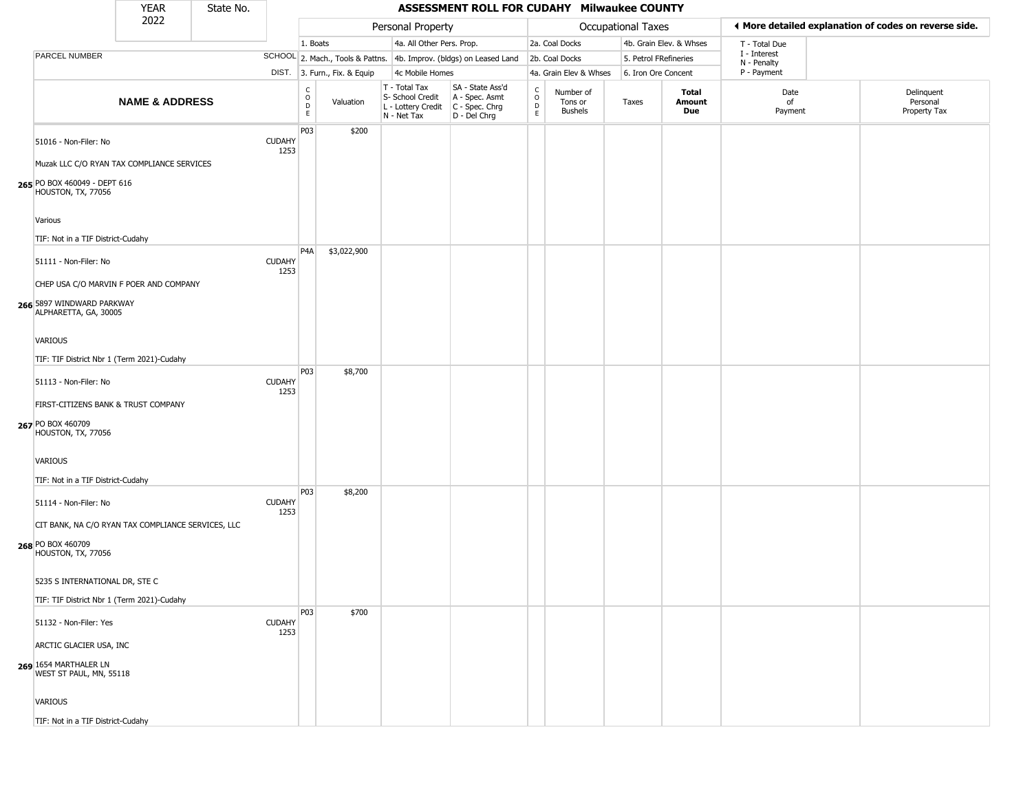|                                                                                               | <b>YEAR</b>               | State No. |                       |                                                 |                              |                                                                        | ASSESSMENT ROLL FOR CUDAHY Milwaukee COUNTY                            |                                                              |                                        |                       |                         |                             |                                                       |  |
|-----------------------------------------------------------------------------------------------|---------------------------|-----------|-----------------------|-------------------------------------------------|------------------------------|------------------------------------------------------------------------|------------------------------------------------------------------------|--------------------------------------------------------------|----------------------------------------|-----------------------|-------------------------|-----------------------------|-------------------------------------------------------|--|
|                                                                                               | 2022                      |           |                       |                                                 |                              | Personal Property                                                      |                                                                        |                                                              |                                        | Occupational Taxes    |                         |                             | ♦ More detailed explanation of codes on reverse side. |  |
|                                                                                               |                           |           |                       | 1. Boats                                        |                              | 4a. All Other Pers. Prop.                                              |                                                                        |                                                              | 2a. Coal Docks                         |                       | 4b. Grain Elev. & Whses | T - Total Due               |                                                       |  |
| PARCEL NUMBER                                                                                 |                           |           |                       |                                                 |                              |                                                                        | SCHOOL 2. Mach., Tools & Pattns. 4b. Improv. (bldgs) on Leased Land    |                                                              | 2b. Coal Docks                         | 5. Petrol FRefineries |                         | I - Interest<br>N - Penalty |                                                       |  |
|                                                                                               |                           |           |                       |                                                 | DIST. 3. Furn., Fix. & Equip | 4c Mobile Homes                                                        |                                                                        |                                                              | 4a. Grain Elev & Whses                 | 6. Iron Ore Concent   |                         | P - Payment                 |                                                       |  |
|                                                                                               | <b>NAME &amp; ADDRESS</b> |           |                       | $\begin{array}{c} C \\ O \\ D \\ E \end{array}$ | Valuation                    | T - Total Tax<br>S- School Credit<br>L - Lottery Credit<br>N - Net Tax | SA - State Ass'd<br>A - Spec. Asmt<br>$C - Spec. Chrg$<br>D - Del Chrg | $\mathsf{C}$<br>$\begin{array}{c}\n0 \\ D \\ E\n\end{array}$ | Number of<br>Tons or<br><b>Bushels</b> | Taxes                 | Total<br>Amount<br>Due  | Date<br>of<br>Payment       | Delinquent<br>Personal<br>Property Tax                |  |
| 51016 - Non-Filer: No<br>Muzak LLC C/O RYAN TAX COMPLIANCE SERVICES                           |                           |           | <b>CUDAHY</b><br>1253 | P03                                             | \$200                        |                                                                        |                                                                        |                                                              |                                        |                       |                         |                             |                                                       |  |
| 265 PO BOX 460049 - DEPT 616<br>HOUSTON, TX, 77056                                            |                           |           |                       |                                                 |                              |                                                                        |                                                                        |                                                              |                                        |                       |                         |                             |                                                       |  |
| Various<br>TIF: Not in a TIF District-Cudahy                                                  |                           |           |                       |                                                 |                              |                                                                        |                                                                        |                                                              |                                        |                       |                         |                             |                                                       |  |
| 51111 - Non-Filer: No                                                                         |                           |           | <b>CUDAHY</b><br>1253 | P <sub>4</sub> A                                | \$3,022,900                  |                                                                        |                                                                        |                                                              |                                        |                       |                         |                             |                                                       |  |
| CHEP USA C/O MARVIN F POER AND COMPANY<br>266 5897 WINDWARD PARKWAY<br>ALPHARETTA, GA, 30005  |                           |           |                       |                                                 |                              |                                                                        |                                                                        |                                                              |                                        |                       |                         |                             |                                                       |  |
| VARIOUS                                                                                       |                           |           |                       |                                                 |                              |                                                                        |                                                                        |                                                              |                                        |                       |                         |                             |                                                       |  |
|                                                                                               |                           |           |                       |                                                 |                              |                                                                        |                                                                        |                                                              |                                        |                       |                         |                             |                                                       |  |
| TIF: TIF District Nbr 1 (Term 2021)-Cudahy                                                    |                           |           |                       | P <sub>0</sub> 3                                | \$8,700                      |                                                                        |                                                                        |                                                              |                                        |                       |                         |                             |                                                       |  |
| 51113 - Non-Filer: No                                                                         |                           |           | <b>CUDAHY</b><br>1253 |                                                 |                              |                                                                        |                                                                        |                                                              |                                        |                       |                         |                             |                                                       |  |
| FIRST-CITIZENS BANK & TRUST COMPANY<br>267 PO BOX 460709<br>HOUSTON, TX, 77056                |                           |           |                       |                                                 |                              |                                                                        |                                                                        |                                                              |                                        |                       |                         |                             |                                                       |  |
| VARIOUS                                                                                       |                           |           |                       |                                                 |                              |                                                                        |                                                                        |                                                              |                                        |                       |                         |                             |                                                       |  |
| TIF: Not in a TIF District-Cudahy<br>51114 - Non-Filer: No                                    |                           |           | <b>CUDAHY</b>         | P <sub>0</sub> 3                                | \$8,200                      |                                                                        |                                                                        |                                                              |                                        |                       |                         |                             |                                                       |  |
|                                                                                               |                           |           | 1253                  |                                                 |                              |                                                                        |                                                                        |                                                              |                                        |                       |                         |                             |                                                       |  |
| CIT BANK, NA C/O RYAN TAX COMPLIANCE SERVICES, LLC<br>268 PO BOX 460709<br>HOUSTON, TX, 77056 |                           |           |                       |                                                 |                              |                                                                        |                                                                        |                                                              |                                        |                       |                         |                             |                                                       |  |
| 5235 S INTERNATIONAL DR, STE C                                                                |                           |           |                       |                                                 |                              |                                                                        |                                                                        |                                                              |                                        |                       |                         |                             |                                                       |  |
| TIF: TIF District Nbr 1 (Term 2021)-Cudahy                                                    |                           |           |                       |                                                 |                              |                                                                        |                                                                        |                                                              |                                        |                       |                         |                             |                                                       |  |
| 51132 - Non-Filer: Yes                                                                        |                           |           | <b>CUDAHY</b><br>1253 | P03                                             | \$700                        |                                                                        |                                                                        |                                                              |                                        |                       |                         |                             |                                                       |  |
| ARCTIC GLACIER USA, INC                                                                       |                           |           |                       |                                                 |                              |                                                                        |                                                                        |                                                              |                                        |                       |                         |                             |                                                       |  |
| 269 1654 MARTHALER LN<br>WEST ST PAUL, MN, 55118                                              |                           |           |                       |                                                 |                              |                                                                        |                                                                        |                                                              |                                        |                       |                         |                             |                                                       |  |
| VARIOUS                                                                                       |                           |           |                       |                                                 |                              |                                                                        |                                                                        |                                                              |                                        |                       |                         |                             |                                                       |  |
| TIF: Not in a TIF District-Cudahy                                                             |                           |           |                       |                                                 |                              |                                                                        |                                                                        |                                                              |                                        |                       |                         |                             |                                                       |  |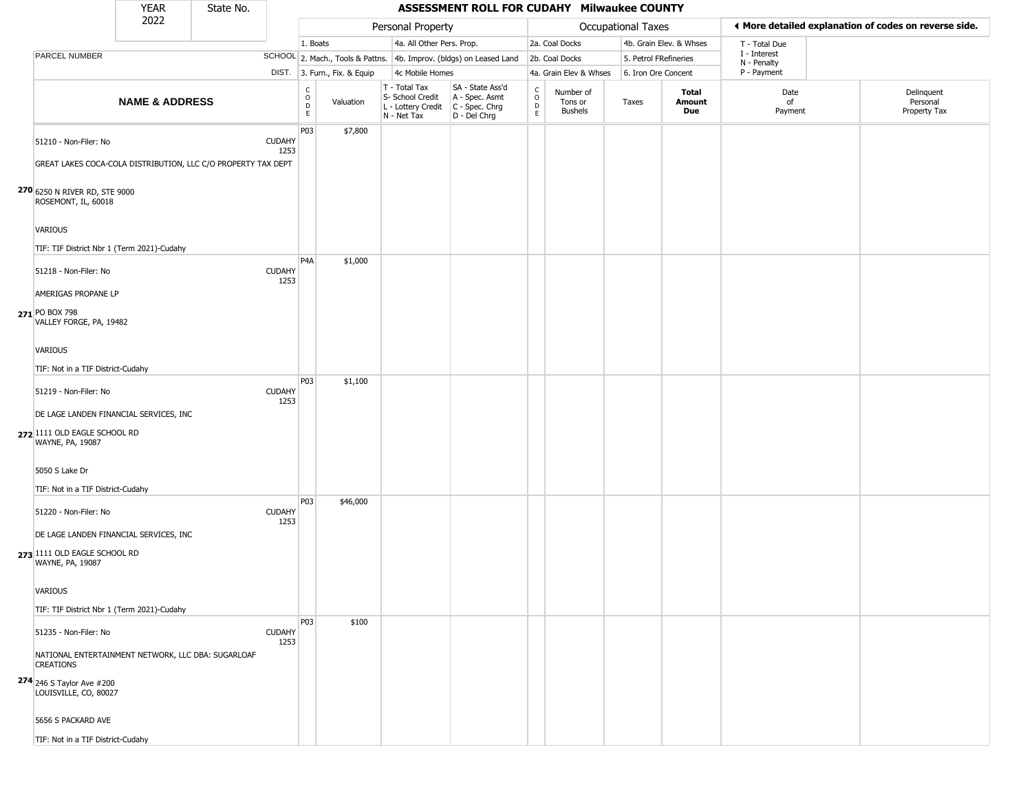|                                                                                                                     | <b>YEAR</b>               | State No. |                       |                         |                              |                                                                        | ASSESSMENT ROLL FOR CUDAHY Milwaukee COUNTY                            |                                   |                                        |                       |                         |                             |                                                       |
|---------------------------------------------------------------------------------------------------------------------|---------------------------|-----------|-----------------------|-------------------------|------------------------------|------------------------------------------------------------------------|------------------------------------------------------------------------|-----------------------------------|----------------------------------------|-----------------------|-------------------------|-----------------------------|-------------------------------------------------------|
|                                                                                                                     | 2022                      |           |                       |                         |                              | Personal Property                                                      |                                                                        |                                   |                                        | Occupational Taxes    |                         |                             | ♦ More detailed explanation of codes on reverse side. |
|                                                                                                                     |                           |           |                       | 1. Boats                |                              | 4a. All Other Pers. Prop.                                              |                                                                        |                                   | 2a. Coal Docks                         |                       | 4b. Grain Elev. & Whses | T - Total Due               |                                                       |
| PARCEL NUMBER                                                                                                       |                           |           |                       |                         |                              |                                                                        | SCHOOL 2. Mach., Tools & Pattns. 4b. Improv. (bldgs) on Leased Land    |                                   | 2b. Coal Docks                         | 5. Petrol FRefineries |                         | I - Interest<br>N - Penalty |                                                       |
|                                                                                                                     |                           |           |                       |                         | DIST. 3. Furn., Fix. & Equip | 4c Mobile Homes                                                        |                                                                        |                                   | 4a. Grain Elev & Whses                 | 6. Iron Ore Concent   |                         | P - Payment                 |                                                       |
|                                                                                                                     | <b>NAME &amp; ADDRESS</b> |           |                       | C<br>$\circ$<br>D<br>E. | Valuation                    | T - Total Tax<br>S- School Credit<br>L - Lottery Credit<br>N - Net Tax | SA - State Ass'd<br>A - Spec. Asmt<br>$C - Spec. Chrg$<br>D - Del Chrg | $\mathsf{C}$<br>$\circ$<br>D<br>E | Number of<br>Tons or<br><b>Bushels</b> | Taxes                 | Total<br>Amount<br>Due  | Date<br>of<br>Payment       | Delinquent<br>Personal<br>Property Tax                |
| 51210 - Non-Filer: No<br>GREAT LAKES COCA-COLA DISTRIBUTION, LLC C/O PROPERTY TAX DEPT                              |                           |           | <b>CUDAHY</b><br>1253 | P03                     | \$7,800                      |                                                                        |                                                                        |                                   |                                        |                       |                         |                             |                                                       |
| 270 6250 N RIVER RD, STE 9000<br>ROSEMONT, IL, 60018                                                                |                           |           |                       |                         |                              |                                                                        |                                                                        |                                   |                                        |                       |                         |                             |                                                       |
| <b>VARIOUS</b><br>TIF: TIF District Nbr 1 (Term 2021)-Cudahy                                                        |                           |           |                       |                         |                              |                                                                        |                                                                        |                                   |                                        |                       |                         |                             |                                                       |
| 51218 - Non-Filer: No<br>AMERIGAS PROPANE LP<br>271 PO BOX 798<br>VALLEY FORGE, PA, 19482                           |                           |           | <b>CUDAHY</b><br>1253 | P <sub>4</sub> A        | \$1,000                      |                                                                        |                                                                        |                                   |                                        |                       |                         |                             |                                                       |
| VARIOUS<br>TIF: Not in a TIF District-Cudahy                                                                        |                           |           |                       | P03                     | \$1,100                      |                                                                        |                                                                        |                                   |                                        |                       |                         |                             |                                                       |
| 51219 - Non-Filer: No<br>DE LAGE LANDEN FINANCIAL SERVICES, INC<br>272 1111 OLD EAGLE SCHOOL RD<br>WAYNE, PA, 19087 |                           |           | <b>CUDAHY</b><br>1253 |                         |                              |                                                                        |                                                                        |                                   |                                        |                       |                         |                             |                                                       |
| 5050 S Lake Dr<br>TIF: Not in a TIF District-Cudahy                                                                 |                           |           |                       |                         |                              |                                                                        |                                                                        |                                   |                                        |                       |                         |                             |                                                       |
| 51220 - Non-Filer: No<br>DE LAGE LANDEN FINANCIAL SERVICES, INC<br>273 1111 OLD EAGLE SCHOOL RD                     |                           |           | <b>CUDAHY</b><br>1253 | P03                     | \$46,000                     |                                                                        |                                                                        |                                   |                                        |                       |                         |                             |                                                       |
| WAYNE, PA, 19087<br><b>VARIOUS</b><br>TIF: TIF District Nbr 1 (Term 2021)-Cudahy                                    |                           |           |                       |                         |                              |                                                                        |                                                                        |                                   |                                        |                       |                         |                             |                                                       |
| 51235 - Non-Filer: No<br>NATIONAL ENTERTAINMENT NETWORK, LLC DBA: SUGARLOAF<br><b>CREATIONS</b>                     |                           |           | <b>CUDAHY</b><br>1253 | P03                     | \$100                        |                                                                        |                                                                        |                                   |                                        |                       |                         |                             |                                                       |
| <b>274</b> 246 S Taylor Ave #200<br>LOUISVILLE, CO, 80027                                                           |                           |           |                       |                         |                              |                                                                        |                                                                        |                                   |                                        |                       |                         |                             |                                                       |
| 5656 S PACKARD AVE<br>TIF: Not in a TIF District-Cudahy                                                             |                           |           |                       |                         |                              |                                                                        |                                                                        |                                   |                                        |                       |                         |                             |                                                       |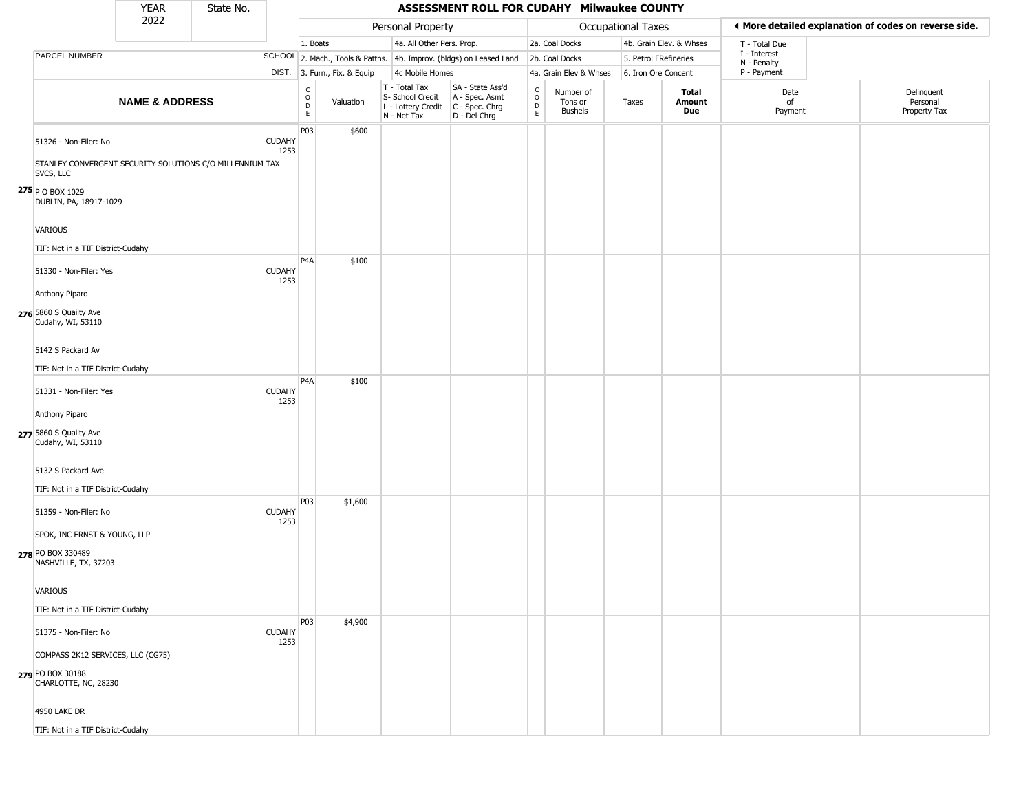|                                                                                                    | <b>YEAR</b>               | State No. |                       |                                                          |                              |                                                                        | ASSESSMENT ROLL FOR CUDAHY Milwaukee COUNTY                          |                                                          |                                 |                       |                         |                             |                                                       |
|----------------------------------------------------------------------------------------------------|---------------------------|-----------|-----------------------|----------------------------------------------------------|------------------------------|------------------------------------------------------------------------|----------------------------------------------------------------------|----------------------------------------------------------|---------------------------------|-----------------------|-------------------------|-----------------------------|-------------------------------------------------------|
|                                                                                                    | 2022                      |           |                       |                                                          |                              | Personal Property                                                      |                                                                      |                                                          |                                 | Occupational Taxes    |                         |                             | ◀ More detailed explanation of codes on reverse side. |
|                                                                                                    |                           |           |                       | 1. Boats                                                 |                              | 4a. All Other Pers. Prop.                                              |                                                                      |                                                          | 2a. Coal Docks                  |                       | 4b. Grain Elev. & Whses | T - Total Due               |                                                       |
| PARCEL NUMBER                                                                                      |                           |           |                       |                                                          |                              |                                                                        | SCHOOL 2. Mach., Tools & Pattns. 4b. Improv. (bldgs) on Leased Land  |                                                          | 2b. Coal Docks                  | 5. Petrol FRefineries |                         | I - Interest<br>N - Penalty |                                                       |
|                                                                                                    |                           |           |                       |                                                          | DIST. 3. Furn., Fix. & Equip | 4c Mobile Homes                                                        |                                                                      |                                                          | 4a. Grain Elev & Whses          | 6. Iron Ore Concent   |                         | P - Payment                 |                                                       |
|                                                                                                    | <b>NAME &amp; ADDRESS</b> |           |                       | $\begin{matrix} C \\ O \\ D \end{matrix}$<br>$\mathsf E$ | Valuation                    | T - Total Tax<br>S- School Credit<br>L - Lottery Credit<br>N - Net Tax | SA - State Ass'd<br>A - Spec. Asmt<br>C - Spec. Chrg<br>D - Del Chrg | $\begin{matrix} 0 \\ 0 \\ 0 \end{matrix}$<br>$\mathsf E$ | Number of<br>Tons or<br>Bushels | Taxes                 | Total<br>Amount<br>Due  | Date<br>of<br>Payment       | Delinquent<br>Personal<br>Property Tax                |
| 51326 - Non-Filer: No<br>STANLEY CONVERGENT SECURITY SOLUTIONS C/O MILLENNIUM TAX<br>SVCS, LLC     |                           |           | <b>CUDAHY</b><br>1253 | P03                                                      | \$600                        |                                                                        |                                                                      |                                                          |                                 |                       |                         |                             |                                                       |
| $275$ P O BOX 1029<br>DUBLIN, PA, 18917-1029                                                       |                           |           |                       |                                                          |                              |                                                                        |                                                                      |                                                          |                                 |                       |                         |                             |                                                       |
| VARIOUS<br>TIF: Not in a TIF District-Cudahy                                                       |                           |           |                       | P <sub>4</sub> A                                         | \$100                        |                                                                        |                                                                      |                                                          |                                 |                       |                         |                             |                                                       |
| 51330 - Non-Filer: Yes<br>Anthony Piparo                                                           |                           |           | <b>CUDAHY</b><br>1253 |                                                          |                              |                                                                        |                                                                      |                                                          |                                 |                       |                         |                             |                                                       |
| 276 5860 S Quailty Ave<br>Cudahy, WI, 53110                                                        |                           |           |                       |                                                          |                              |                                                                        |                                                                      |                                                          |                                 |                       |                         |                             |                                                       |
| 5142 S Packard Av<br>TIF: Not in a TIF District-Cudahy                                             |                           |           |                       | P <sub>4</sub> A                                         | \$100                        |                                                                        |                                                                      |                                                          |                                 |                       |                         |                             |                                                       |
| 51331 - Non-Filer: Yes<br>Anthony Piparo                                                           |                           |           | <b>CUDAHY</b><br>1253 |                                                          |                              |                                                                        |                                                                      |                                                          |                                 |                       |                         |                             |                                                       |
| 277 5860 S Quailty Ave<br>Cudahy, WI, 53110                                                        |                           |           |                       |                                                          |                              |                                                                        |                                                                      |                                                          |                                 |                       |                         |                             |                                                       |
| 5132 S Packard Ave<br>TIF: Not in a TIF District-Cudahy                                            |                           |           |                       | P03                                                      | \$1,600                      |                                                                        |                                                                      |                                                          |                                 |                       |                         |                             |                                                       |
| 51359 - Non-Filer: No<br>SPOK, INC ERNST & YOUNG, LLP<br>278 PO BOX 330489<br>NASHVILLE, TX, 37203 |                           |           | <b>CUDAHY</b><br>1253 |                                                          |                              |                                                                        |                                                                      |                                                          |                                 |                       |                         |                             |                                                       |
| VARIOUS<br>TIF: Not in a TIF District-Cudahy                                                       |                           |           |                       |                                                          |                              |                                                                        |                                                                      |                                                          |                                 |                       |                         |                             |                                                       |
| 51375 - Non-Filer: No<br>COMPASS 2K12 SERVICES, LLC (CG75)                                         |                           |           | <b>CUDAHY</b><br>1253 | P03                                                      | \$4,900                      |                                                                        |                                                                      |                                                          |                                 |                       |                         |                             |                                                       |
| 279 PO BOX 30188<br>CHARLOTTE, NC, 28230                                                           |                           |           |                       |                                                          |                              |                                                                        |                                                                      |                                                          |                                 |                       |                         |                             |                                                       |
| 4950 LAKE DR                                                                                       |                           |           |                       |                                                          |                              |                                                                        |                                                                      |                                                          |                                 |                       |                         |                             |                                                       |
| TIF: Not in a TIF District-Cudahy                                                                  |                           |           |                       |                                                          |                              |                                                                        |                                                                      |                                                          |                                 |                       |                         |                             |                                                       |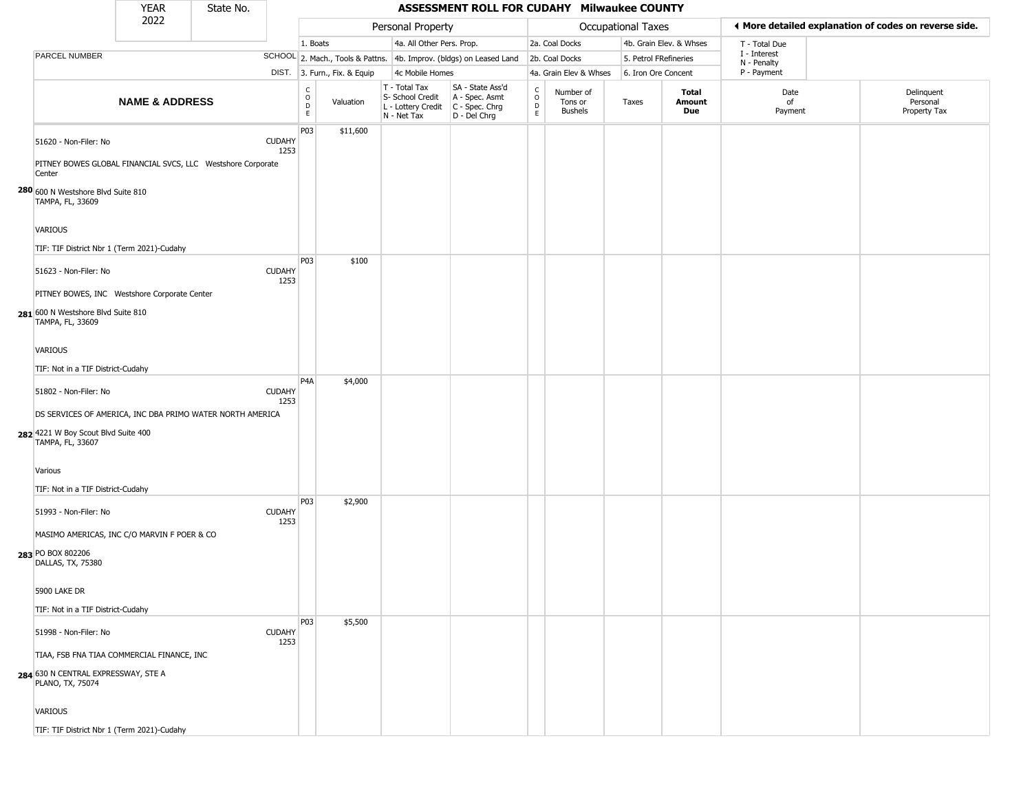|                                                                                  | <b>YEAR</b>                                                 | State No. |                       |                      |                              |                                                                        | ASSESSMENT ROLL FOR CUDAHY Milwaukee COUNTY                            |                            |                                        |                       |                         |                             |                                                       |
|----------------------------------------------------------------------------------|-------------------------------------------------------------|-----------|-----------------------|----------------------|------------------------------|------------------------------------------------------------------------|------------------------------------------------------------------------|----------------------------|----------------------------------------|-----------------------|-------------------------|-----------------------------|-------------------------------------------------------|
|                                                                                  | 2022                                                        |           |                       |                      |                              | Personal Property                                                      |                                                                        |                            |                                        | Occupational Taxes    |                         |                             | ◀ More detailed explanation of codes on reverse side. |
|                                                                                  |                                                             |           |                       | 1. Boats             |                              | 4a. All Other Pers. Prop.                                              |                                                                        |                            | 2a. Coal Docks                         |                       | 4b. Grain Elev. & Whses | T - Total Due               |                                                       |
| PARCEL NUMBER                                                                    |                                                             |           |                       |                      |                              |                                                                        | SCHOOL 2. Mach., Tools & Pattns. 4b. Improv. (bldgs) on Leased Land    |                            | 2b. Coal Docks                         | 5. Petrol FRefineries |                         | I - Interest<br>N - Penalty |                                                       |
|                                                                                  |                                                             |           |                       |                      | DIST. 3. Furn., Fix. & Equip | 4c Mobile Homes                                                        |                                                                        |                            | 4a. Grain Elev & Whses                 | 6. Iron Ore Concent   |                         | P - Payment                 |                                                       |
|                                                                                  | <b>NAME &amp; ADDRESS</b>                                   |           |                       | $\rm _o^c$<br>D<br>E | Valuation                    | T - Total Tax<br>S- School Credit<br>L - Lottery Credit<br>N - Net Tax | SA - State Ass'd<br>A - Spec. Asmt<br>C - Spec. Chrg<br>$D - Del Chrg$ | $\rm ^c_{\rm o}$<br>D<br>E | Number of<br>Tons or<br><b>Bushels</b> | Taxes                 | Total<br>Amount<br>Due  | Date<br>of<br>Payment       | Delinquent<br>Personal<br>Property Tax                |
| 51620 - Non-Filer: No<br>Center                                                  | PITNEY BOWES GLOBAL FINANCIAL SVCS, LLC Westshore Corporate |           | <b>CUDAHY</b><br>1253 | P03                  | \$11,600                     |                                                                        |                                                                        |                            |                                        |                       |                         |                             |                                                       |
| 280 600 N Westshore Blvd Suite 810<br>TAMPA, FL, 33609                           |                                                             |           |                       |                      |                              |                                                                        |                                                                        |                            |                                        |                       |                         |                             |                                                       |
| <b>VARIOUS</b>                                                                   | TIF: TIF District Nbr 1 (Term 2021)-Cudahy                  |           |                       |                      |                              |                                                                        |                                                                        |                            |                                        |                       |                         |                             |                                                       |
| 51623 - Non-Filer: No                                                            | PITNEY BOWES, INC Westshore Corporate Center                |           | <b>CUDAHY</b><br>1253 | <b>P03</b>           | \$100                        |                                                                        |                                                                        |                            |                                        |                       |                         |                             |                                                       |
| 281 600 N Westshore Blvd Suite 810<br>TAMPA, FL, 33609                           |                                                             |           |                       |                      |                              |                                                                        |                                                                        |                            |                                        |                       |                         |                             |                                                       |
| VARIOUS<br>TIF: Not in a TIF District-Cudahy                                     |                                                             |           |                       |                      |                              |                                                                        |                                                                        |                            |                                        |                       |                         |                             |                                                       |
| 51802 - Non-Filer: No<br>282 4221 W Boy Scout Blvd Suite 400<br>TAMPA, FL, 33607 | DS SERVICES OF AMERICA, INC DBA PRIMO WATER NORTH AMERICA   |           | <b>CUDAHY</b><br>1253 | P <sub>4</sub> A     | \$4,000                      |                                                                        |                                                                        |                            |                                        |                       |                         |                             |                                                       |
| Various<br>TIF: Not in a TIF District-Cudahy                                     |                                                             |           |                       |                      |                              |                                                                        |                                                                        |                            |                                        |                       |                         |                             |                                                       |
| 51993 - Non-Filer: No<br>283 PO BOX 802206<br>DALLAS, TX, 75380                  | MASIMO AMERICAS, INC C/O MARVIN F POER & CO                 |           | <b>CUDAHY</b><br>1253 | <b>P03</b>           | \$2,900                      |                                                                        |                                                                        |                            |                                        |                       |                         |                             |                                                       |
| 5900 LAKE DR<br>TIF: Not in a TIF District-Cudahy                                |                                                             |           |                       |                      |                              |                                                                        |                                                                        |                            |                                        |                       |                         |                             |                                                       |
| 51998 - Non-Filer: No                                                            | TIAA, FSB FNA TIAA COMMERCIAL FINANCE, INC                  |           | <b>CUDAHY</b><br>1253 | P03                  | \$5,500                      |                                                                        |                                                                        |                            |                                        |                       |                         |                             |                                                       |
| 284 630 N CENTRAL EXPRESSWAY, STE A<br>PLANO, TX, 75074                          |                                                             |           |                       |                      |                              |                                                                        |                                                                        |                            |                                        |                       |                         |                             |                                                       |
| VARIOUS                                                                          |                                                             |           |                       |                      |                              |                                                                        |                                                                        |                            |                                        |                       |                         |                             |                                                       |
|                                                                                  | TIF: TIF District Nbr 1 (Term 2021)-Cudahy                  |           |                       |                      |                              |                                                                        |                                                                        |                            |                                        |                       |                         |                             |                                                       |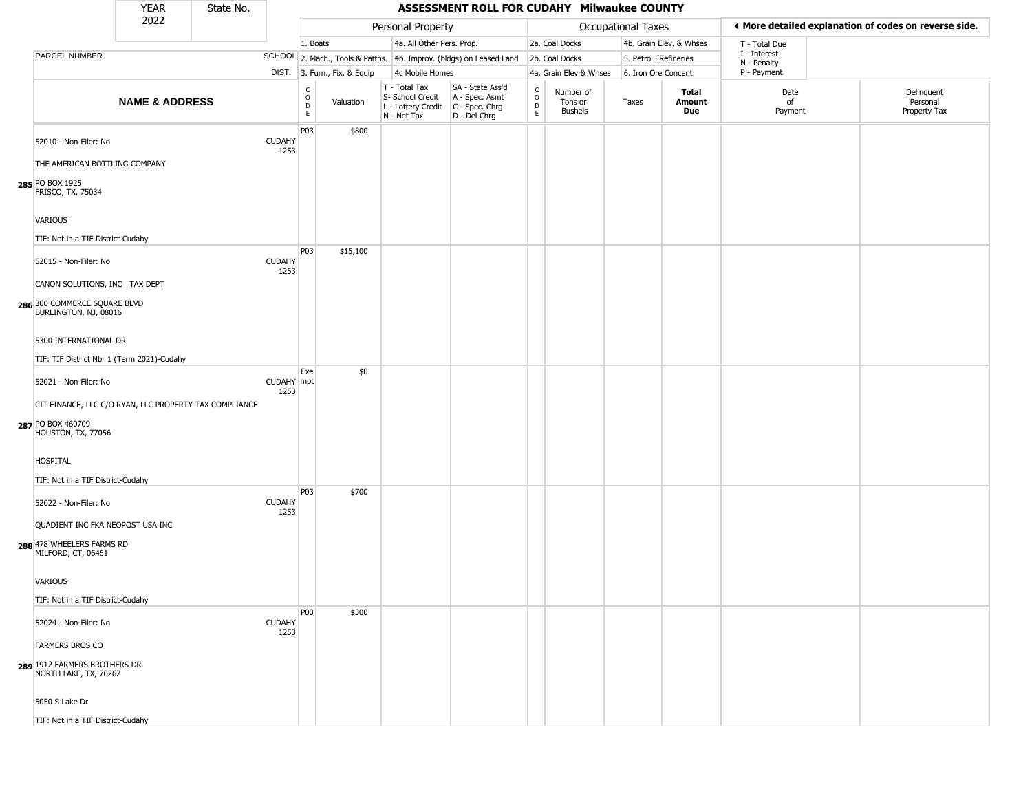|                                                                                                   | <b>YEAR</b>               | State No. |                       |                                                                    |                              |                                                                        | ASSESSMENT ROLL FOR CUDAHY Milwaukee COUNTY                            |                                             |                                        |                           |                         |                             |                                                       |
|---------------------------------------------------------------------------------------------------|---------------------------|-----------|-----------------------|--------------------------------------------------------------------|------------------------------|------------------------------------------------------------------------|------------------------------------------------------------------------|---------------------------------------------|----------------------------------------|---------------------------|-------------------------|-----------------------------|-------------------------------------------------------|
|                                                                                                   | 2022                      |           |                       |                                                                    |                              | Personal Property                                                      |                                                                        |                                             |                                        | <b>Occupational Taxes</b> |                         |                             | ◀ More detailed explanation of codes on reverse side. |
|                                                                                                   |                           |           |                       | 1. Boats                                                           |                              | 4a. All Other Pers. Prop.                                              |                                                                        |                                             | 2a. Coal Docks                         |                           | 4b. Grain Elev. & Whses | T - Total Due               |                                                       |
| PARCEL NUMBER                                                                                     |                           |           |                       |                                                                    |                              |                                                                        | SCHOOL 2. Mach., Tools & Pattns. 4b. Improv. (bldgs) on Leased Land    |                                             | 2b. Coal Docks                         | 5. Petrol FRefineries     |                         | I - Interest<br>N - Penalty |                                                       |
|                                                                                                   |                           |           |                       |                                                                    | DIST. 3. Furn., Fix. & Equip | 4c Mobile Homes                                                        |                                                                        |                                             | 4a. Grain Elev & Whses                 | 6. Iron Ore Concent       |                         | P - Payment                 |                                                       |
|                                                                                                   | <b>NAME &amp; ADDRESS</b> |           |                       | $\begin{smallmatrix} C \\ O \\ D \end{smallmatrix}$<br>$\mathsf E$ | Valuation                    | T - Total Tax<br>S- School Credit<br>L - Lottery Credit<br>N - Net Tax | SA - State Ass'd<br>A - Spec. Asmt<br>$C - Spec. Chrg$<br>D - Del Chrg | $\frac{c}{0}$<br>$\mathsf D$<br>$\mathsf E$ | Number of<br>Tons or<br><b>Bushels</b> | Taxes                     | Total<br>Amount<br>Due  | Date<br>of<br>Payment       | Delinquent<br>Personal<br>Property Tax                |
| 52010 - Non-Filer: No<br>THE AMERICAN BOTTLING COMPANY                                            |                           |           | <b>CUDAHY</b><br>1253 | P03                                                                | \$800                        |                                                                        |                                                                        |                                             |                                        |                           |                         |                             |                                                       |
| 285 PO BOX 1925<br>FRISCO, TX, 75034                                                              |                           |           |                       |                                                                    |                              |                                                                        |                                                                        |                                             |                                        |                           |                         |                             |                                                       |
| <b>VARIOUS</b><br>TIF: Not in a TIF District-Cudahy                                               |                           |           |                       |                                                                    |                              |                                                                        |                                                                        |                                             |                                        |                           |                         |                             |                                                       |
| 52015 - Non-Filer: No                                                                             |                           |           | <b>CUDAHY</b><br>1253 | P03                                                                | \$15,100                     |                                                                        |                                                                        |                                             |                                        |                           |                         |                             |                                                       |
| CANON SOLUTIONS, INC TAX DEPT<br>286 300 COMMERCE SQUARE BLVD<br>BURLINGTON, NJ, 08016            |                           |           |                       |                                                                    |                              |                                                                        |                                                                        |                                             |                                        |                           |                         |                             |                                                       |
| 5300 INTERNATIONAL DR<br>TIF: TIF District Nbr 1 (Term 2021)-Cudahy                               |                           |           |                       |                                                                    |                              |                                                                        |                                                                        |                                             |                                        |                           |                         |                             |                                                       |
| 52021 - Non-Filer: No                                                                             |                           |           | CUDAHY mpt<br>1253    | Exe                                                                | \$0                          |                                                                        |                                                                        |                                             |                                        |                           |                         |                             |                                                       |
| CIT FINANCE, LLC C/O RYAN, LLC PROPERTY TAX COMPLIANCE<br>287 PO BOX 460709<br>HOUSTON, TX, 77056 |                           |           |                       |                                                                    |                              |                                                                        |                                                                        |                                             |                                        |                           |                         |                             |                                                       |
| <b>HOSPITAL</b><br>TIF: Not in a TIF District-Cudahy                                              |                           |           |                       |                                                                    |                              |                                                                        |                                                                        |                                             |                                        |                           |                         |                             |                                                       |
| 52022 - Non-Filer: No                                                                             |                           |           | <b>CUDAHY</b><br>1253 | P <sub>0</sub> 3                                                   | \$700                        |                                                                        |                                                                        |                                             |                                        |                           |                         |                             |                                                       |
| QUADIENT INC FKA NEOPOST USA INC<br>288 478 WHEELERS FARMS RD<br>MILFORD, CT, 06461               |                           |           |                       |                                                                    |                              |                                                                        |                                                                        |                                             |                                        |                           |                         |                             |                                                       |
| VARIOUS                                                                                           |                           |           |                       |                                                                    |                              |                                                                        |                                                                        |                                             |                                        |                           |                         |                             |                                                       |
| TIF: Not in a TIF District-Cudahy                                                                 |                           |           |                       | P <sub>0</sub> 3                                                   | \$300                        |                                                                        |                                                                        |                                             |                                        |                           |                         |                             |                                                       |
| 52024 - Non-Filer: No<br><b>FARMERS BROS CO</b>                                                   |                           |           | <b>CUDAHY</b><br>1253 |                                                                    |                              |                                                                        |                                                                        |                                             |                                        |                           |                         |                             |                                                       |
| 289 1912 FARMERS BROTHERS DR<br>NORTH LAKE, TX, 76262                                             |                           |           |                       |                                                                    |                              |                                                                        |                                                                        |                                             |                                        |                           |                         |                             |                                                       |
| 5050 S Lake Dr                                                                                    |                           |           |                       |                                                                    |                              |                                                                        |                                                                        |                                             |                                        |                           |                         |                             |                                                       |
| TIF: Not in a TIF District-Cudahy                                                                 |                           |           |                       |                                                                    |                              |                                                                        |                                                                        |                                             |                                        |                           |                         |                             |                                                       |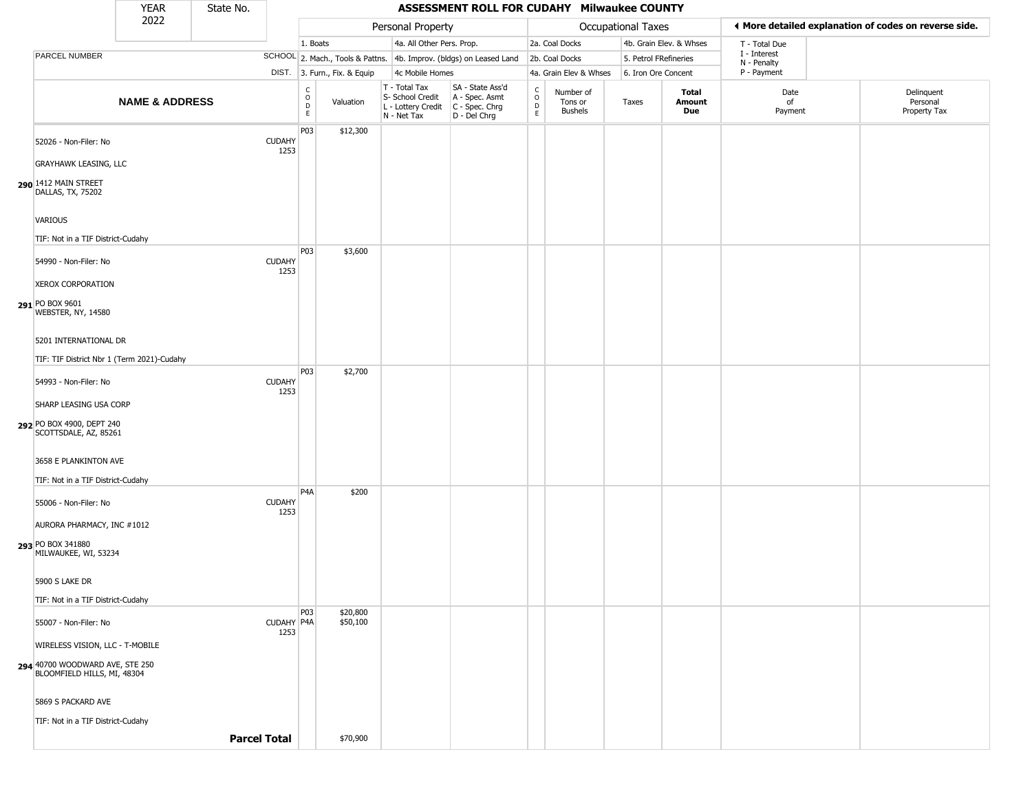|                                                                | <b>YEAR</b>               | State No.           |                       |                                |                              |                                                                        | ASSESSMENT ROLL FOR CUDAHY Milwaukee COUNTY                          |                                |                                        |                       |                         |                             |                                                       |
|----------------------------------------------------------------|---------------------------|---------------------|-----------------------|--------------------------------|------------------------------|------------------------------------------------------------------------|----------------------------------------------------------------------|--------------------------------|----------------------------------------|-----------------------|-------------------------|-----------------------------|-------------------------------------------------------|
|                                                                | 2022                      |                     |                       |                                |                              | Personal Property                                                      |                                                                      |                                |                                        | Occupational Taxes    |                         |                             | ♦ More detailed explanation of codes on reverse side. |
|                                                                |                           |                     |                       | 1. Boats                       |                              | 4a. All Other Pers. Prop.                                              |                                                                      |                                | 2a. Coal Docks                         |                       | 4b. Grain Elev. & Whses | T - Total Due               |                                                       |
| PARCEL NUMBER                                                  |                           |                     |                       |                                |                              |                                                                        | SCHOOL 2. Mach., Tools & Pattns. 4b. Improv. (bldgs) on Leased Land  |                                | 2b. Coal Docks                         | 5. Petrol FRefineries |                         | I - Interest<br>N - Penalty |                                                       |
|                                                                |                           |                     |                       |                                | DIST. 3. Furn., Fix. & Equip | 4c Mobile Homes                                                        |                                                                      |                                | 4a. Grain Elev & Whses                 | 6. Iron Ore Concent   |                         | P - Payment                 |                                                       |
|                                                                | <b>NAME &amp; ADDRESS</b> |                     |                       | $\rm _o^C$<br>$\mathsf D$<br>E | Valuation                    | T - Total Tax<br>S- School Credit<br>L - Lottery Credit<br>N - Net Tax | SA - State Ass'd<br>A - Spec. Asmt<br>C - Spec. Chrg<br>D - Del Chrg | $\rm _o^C$<br>$\mathsf D$<br>E | Number of<br>Tons or<br><b>Bushels</b> | Taxes                 | Total<br>Amount<br>Due  | Date<br>of<br>Payment       | Delinquent<br>Personal<br>Property Tax                |
| 52026 - Non-Filer: No                                          |                           |                     | <b>CUDAHY</b><br>1253 | P03                            | \$12,300                     |                                                                        |                                                                      |                                |                                        |                       |                         |                             |                                                       |
| <b>GRAYHAWK LEASING, LLC</b>                                   |                           |                     |                       |                                |                              |                                                                        |                                                                      |                                |                                        |                       |                         |                             |                                                       |
| 290 1412 MAIN STREET<br>DALLAS, TX, 75202                      |                           |                     |                       |                                |                              |                                                                        |                                                                      |                                |                                        |                       |                         |                             |                                                       |
| VARIOUS                                                        |                           |                     |                       |                                |                              |                                                                        |                                                                      |                                |                                        |                       |                         |                             |                                                       |
| TIF: Not in a TIF District-Cudahy                              |                           |                     |                       |                                |                              |                                                                        |                                                                      |                                |                                        |                       |                         |                             |                                                       |
| 54990 - Non-Filer: No                                          |                           |                     | <b>CUDAHY</b><br>1253 | P03                            | \$3,600                      |                                                                        |                                                                      |                                |                                        |                       |                         |                             |                                                       |
| <b>XEROX CORPORATION</b>                                       |                           |                     |                       |                                |                              |                                                                        |                                                                      |                                |                                        |                       |                         |                             |                                                       |
| 291 PO BOX 9601<br>WEBSTER, NY, 14580                          |                           |                     |                       |                                |                              |                                                                        |                                                                      |                                |                                        |                       |                         |                             |                                                       |
| 5201 INTERNATIONAL DR                                          |                           |                     |                       |                                |                              |                                                                        |                                                                      |                                |                                        |                       |                         |                             |                                                       |
| TIF: TIF District Nbr 1 (Term 2021)-Cudahy                     |                           |                     |                       |                                |                              |                                                                        |                                                                      |                                |                                        |                       |                         |                             |                                                       |
| 54993 - Non-Filer: No                                          |                           |                     | <b>CUDAHY</b><br>1253 | P03                            | \$2,700                      |                                                                        |                                                                      |                                |                                        |                       |                         |                             |                                                       |
| SHARP LEASING USA CORP                                         |                           |                     |                       |                                |                              |                                                                        |                                                                      |                                |                                        |                       |                         |                             |                                                       |
| 292 PO BOX 4900, DEPT 240<br>SCOTTSDALE, AZ, 85261             |                           |                     |                       |                                |                              |                                                                        |                                                                      |                                |                                        |                       |                         |                             |                                                       |
| 3658 E PLANKINTON AVE                                          |                           |                     |                       |                                |                              |                                                                        |                                                                      |                                |                                        |                       |                         |                             |                                                       |
| TIF: Not in a TIF District-Cudahy                              |                           |                     |                       |                                |                              |                                                                        |                                                                      |                                |                                        |                       |                         |                             |                                                       |
| 55006 - Non-Filer: No                                          |                           |                     | <b>CUDAHY</b><br>1253 | P <sub>4</sub> A               | \$200                        |                                                                        |                                                                      |                                |                                        |                       |                         |                             |                                                       |
| AURORA PHARMACY, INC #1012                                     |                           |                     |                       |                                |                              |                                                                        |                                                                      |                                |                                        |                       |                         |                             |                                                       |
| 293 PO BOX 341880<br>MILWAUKEE, WI, 53234                      |                           |                     |                       |                                |                              |                                                                        |                                                                      |                                |                                        |                       |                         |                             |                                                       |
| 5900 S LAKE DR                                                 |                           |                     |                       |                                |                              |                                                                        |                                                                      |                                |                                        |                       |                         |                             |                                                       |
| TIF: Not in a TIF District-Cudahy                              |                           |                     |                       |                                |                              |                                                                        |                                                                      |                                |                                        |                       |                         |                             |                                                       |
| 55007 - Non-Filer: No                                          |                           |                     | CUDAHY P4A<br>1253    | P03                            | \$20,800<br>\$50,100         |                                                                        |                                                                      |                                |                                        |                       |                         |                             |                                                       |
| WIRELESS VISION, LLC - T-MOBILE                                |                           |                     |                       |                                |                              |                                                                        |                                                                      |                                |                                        |                       |                         |                             |                                                       |
| 294 40700 WOODWARD AVE, STE 250<br>BLOOMFIELD HILLS, MI, 48304 |                           |                     |                       |                                |                              |                                                                        |                                                                      |                                |                                        |                       |                         |                             |                                                       |
| 5869 S PACKARD AVE                                             |                           |                     |                       |                                |                              |                                                                        |                                                                      |                                |                                        |                       |                         |                             |                                                       |
| TIF: Not in a TIF District-Cudahy                              |                           |                     |                       |                                |                              |                                                                        |                                                                      |                                |                                        |                       |                         |                             |                                                       |
|                                                                |                           | <b>Parcel Total</b> |                       |                                | \$70,900                     |                                                                        |                                                                      |                                |                                        |                       |                         |                             |                                                       |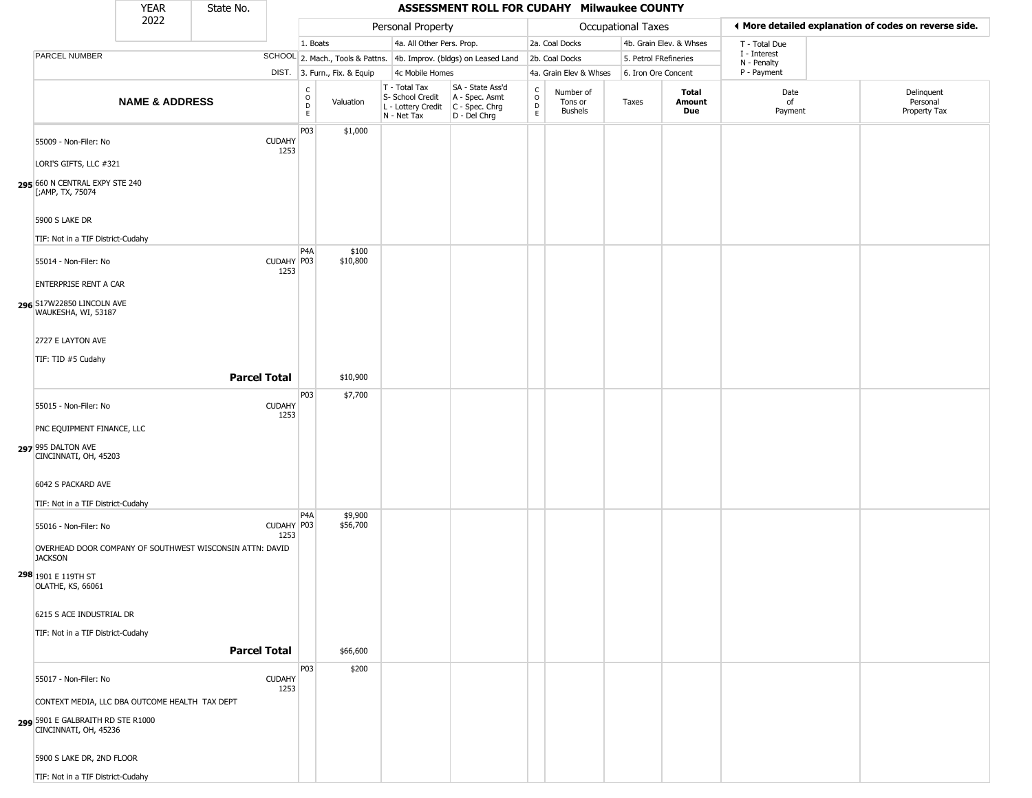|                                                                                                                                                                                                     | <b>YEAR</b>               | State No.           |                       |                        |                              |                                                                        | ASSESSMENT ROLL FOR CUDAHY Milwaukee COUNTY                          |                        |                                 |                       |                         |                             |                                                       |
|-----------------------------------------------------------------------------------------------------------------------------------------------------------------------------------------------------|---------------------------|---------------------|-----------------------|------------------------|------------------------------|------------------------------------------------------------------------|----------------------------------------------------------------------|------------------------|---------------------------------|-----------------------|-------------------------|-----------------------------|-------------------------------------------------------|
|                                                                                                                                                                                                     | 2022                      |                     |                       |                        |                              | Personal Property                                                      |                                                                      |                        |                                 | Occupational Taxes    |                         |                             | ♦ More detailed explanation of codes on reverse side. |
|                                                                                                                                                                                                     |                           |                     |                       | 1. Boats               |                              | 4a. All Other Pers. Prop.                                              |                                                                      |                        | 2a. Coal Docks                  |                       | 4b. Grain Elev. & Whses | T - Total Due               |                                                       |
| PARCEL NUMBER                                                                                                                                                                                       |                           |                     |                       |                        |                              |                                                                        | SCHOOL 2. Mach., Tools & Pattns. 4b. Improv. (bldgs) on Leased Land  |                        | 2b. Coal Docks                  | 5. Petrol FRefineries |                         | I - Interest<br>N - Penalty |                                                       |
|                                                                                                                                                                                                     |                           |                     |                       |                        | DIST. 3. Furn., Fix. & Equip | 4c Mobile Homes                                                        |                                                                      |                        | 4a. Grain Elev & Whses          | 6. Iron Ore Concent   |                         | P - Payment                 |                                                       |
|                                                                                                                                                                                                     | <b>NAME &amp; ADDRESS</b> |                     |                       | C<br>$\circ$<br>D<br>E | Valuation                    | T - Total Tax<br>S- School Credit<br>L - Lottery Credit<br>N - Net Tax | SA - State Ass'd<br>A - Spec. Asmt<br>C - Spec. Chrg<br>D - Del Chrg | C<br>$\circ$<br>D<br>E | Number of<br>Tons or<br>Bushels | Taxes                 | Total<br>Amount<br>Due  | Date<br>of<br>Payment       | Delinquent<br>Personal<br>Property Tax                |
| 55009 - Non-Filer: No<br>LORI'S GIFTS, LLC #321<br>295 660 N CENTRAL EXPY STE 240                                                                                                                   |                           |                     | <b>CUDAHY</b><br>1253 | P03                    | \$1,000                      |                                                                        |                                                                      |                        |                                 |                       |                         |                             |                                                       |
| [;AMP, TX, 75074<br>5900 S LAKE DR<br>TIF: Not in a TIF District-Cudahy                                                                                                                             |                           |                     |                       |                        |                              |                                                                        |                                                                      |                        |                                 |                       |                         |                             |                                                       |
| 55014 - Non-Filer: No<br><b>ENTERPRISE RENT A CAR</b>                                                                                                                                               |                           |                     | CUDAHY P03<br>1253    | P4A                    | \$100<br>\$10,800            |                                                                        |                                                                      |                        |                                 |                       |                         |                             |                                                       |
| 296 S17W22850 LINCOLN AVE<br>WAUKESHA, WI, 53187                                                                                                                                                    |                           |                     |                       |                        |                              |                                                                        |                                                                      |                        |                                 |                       |                         |                             |                                                       |
| 2727 E LAYTON AVE<br>TIF: TID #5 Cudahy                                                                                                                                                             |                           | <b>Parcel Total</b> |                       |                        | \$10,900                     |                                                                        |                                                                      |                        |                                 |                       |                         |                             |                                                       |
|                                                                                                                                                                                                     |                           |                     |                       | P03                    | \$7,700                      |                                                                        |                                                                      |                        |                                 |                       |                         |                             |                                                       |
| 55015 - Non-Filer: No<br>PNC EQUIPMENT FINANCE, LLC<br>297 995 DALTON AVE<br>CINCINNATI, OH, 45203<br>6042 S PACKARD AVE                                                                            |                           |                     | <b>CUDAHY</b><br>1253 |                        |                              |                                                                        |                                                                      |                        |                                 |                       |                         |                             |                                                       |
| TIF: Not in a TIF District-Cudahy                                                                                                                                                                   |                           |                     |                       |                        |                              |                                                                        |                                                                      |                        |                                 |                       |                         |                             |                                                       |
| 55016 - Non-Filer: No<br>OVERHEAD DOOR COMPANY OF SOUTHWEST WISCONSIN ATTN: DAVID<br><b>JACKSON</b><br>298 1901 E 119TH ST<br>OLATHE, KS, 66061                                                     |                           |                     | CUDAHY P03<br>1253    | P4A                    | \$9,900<br>\$56,700          |                                                                        |                                                                      |                        |                                 |                       |                         |                             |                                                       |
| 6215 S ACE INDUSTRIAL DR<br>TIF: Not in a TIF District-Cudahy                                                                                                                                       |                           |                     |                       |                        |                              |                                                                        |                                                                      |                        |                                 |                       |                         |                             |                                                       |
|                                                                                                                                                                                                     |                           |                     | <b>Parcel Total</b>   |                        | \$66,600                     |                                                                        |                                                                      |                        |                                 |                       |                         |                             |                                                       |
| 55017 - Non-Filer: No<br>CONTEXT MEDIA, LLC DBA OUTCOME HEALTH TAX DEPT<br>5901 E GALBRAITH RD STE R1000<br>CINCINNATI, OH, 45236<br>5900 S LAKE DR, 2ND FLOOR<br>TIF: Not in a TIF District-Cudahy |                           |                     | <b>CUDAHY</b><br>1253 | P03                    | \$200                        |                                                                        |                                                                      |                        |                                 |                       |                         |                             |                                                       |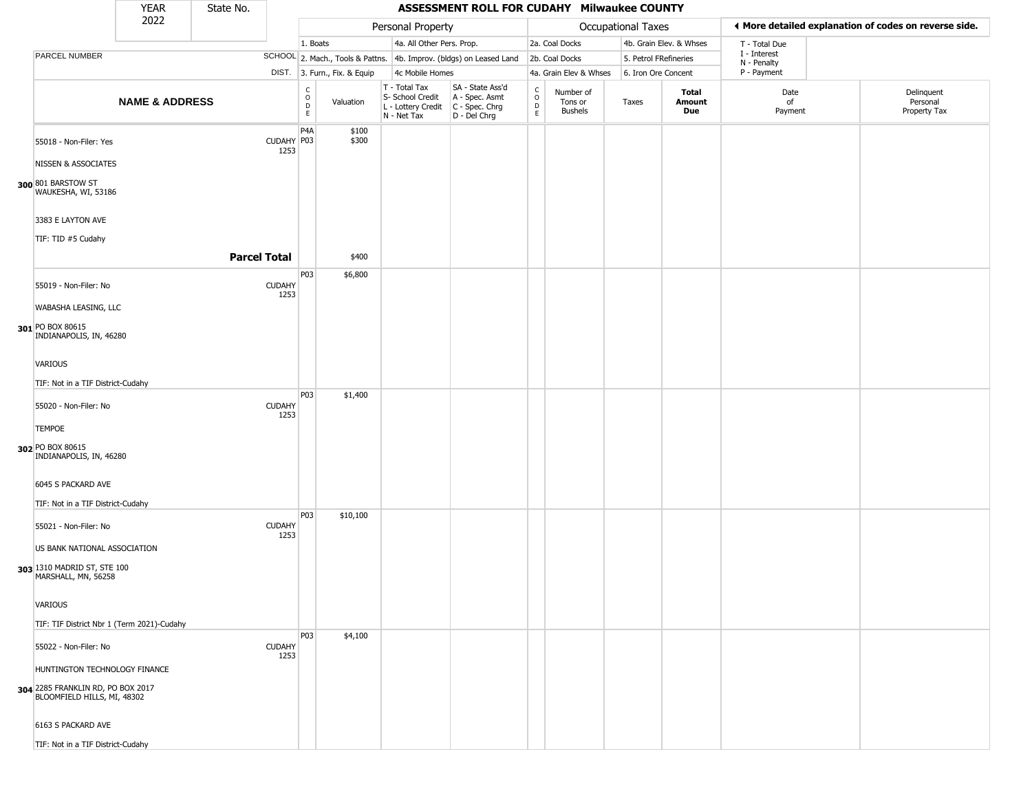|                                                                  | <b>YEAR</b>               | State No.           |                       |                         |                              |                                                                        | ASSESSMENT ROLL FOR CUDAHY Milwaukee COUNTY                          |                        |                                 |                       |                         |                             |                                                       |
|------------------------------------------------------------------|---------------------------|---------------------|-----------------------|-------------------------|------------------------------|------------------------------------------------------------------------|----------------------------------------------------------------------|------------------------|---------------------------------|-----------------------|-------------------------|-----------------------------|-------------------------------------------------------|
|                                                                  | 2022                      |                     |                       |                         |                              | Personal Property                                                      |                                                                      |                        |                                 | Occupational Taxes    |                         |                             | ♦ More detailed explanation of codes on reverse side. |
|                                                                  |                           |                     |                       | 1. Boats                |                              | 4a. All Other Pers. Prop.                                              |                                                                      |                        | 2a. Coal Docks                  |                       | 4b. Grain Elev. & Whses | T - Total Due               |                                                       |
| PARCEL NUMBER                                                    |                           |                     |                       |                         |                              |                                                                        | SCHOOL 2. Mach., Tools & Pattns. 4b. Improv. (bldgs) on Leased Land  |                        | 2b. Coal Docks                  | 5. Petrol FRefineries |                         | I - Interest<br>N - Penalty |                                                       |
|                                                                  |                           |                     |                       |                         | DIST. 3. Furn., Fix. & Equip | 4c Mobile Homes                                                        |                                                                      |                        | 4a. Grain Elev & Whses          | 6. Iron Ore Concent   |                         | P - Payment                 |                                                       |
|                                                                  | <b>NAME &amp; ADDRESS</b> |                     |                       | C<br>$\circ$<br>D<br>E. | Valuation                    | T - Total Tax<br>S- School Credit<br>L - Lottery Credit<br>N - Net Tax | SA - State Ass'd<br>A - Spec. Asmt<br>C - Spec. Chrg<br>D - Del Chrg | C<br>$\circ$<br>D<br>E | Number of<br>Tons or<br>Bushels | Taxes                 | Total<br>Amount<br>Due  | Date<br>of<br>Payment       | Delinquent<br>Personal<br>Property Tax                |
| 55018 - Non-Filer: Yes                                           |                           |                     | CUDAHY P03<br>1253    | P <sub>4</sub> A        | \$100<br>\$300               |                                                                        |                                                                      |                        |                                 |                       |                         |                             |                                                       |
| NISSEN & ASSOCIATES                                              |                           |                     |                       |                         |                              |                                                                        |                                                                      |                        |                                 |                       |                         |                             |                                                       |
| 300 801 BARSTOW ST<br>WAUKESHA, WI, 53186                        |                           |                     |                       |                         |                              |                                                                        |                                                                      |                        |                                 |                       |                         |                             |                                                       |
| 3383 E LAYTON AVE                                                |                           |                     |                       |                         |                              |                                                                        |                                                                      |                        |                                 |                       |                         |                             |                                                       |
| TIF: TID #5 Cudahy                                               |                           |                     |                       |                         |                              |                                                                        |                                                                      |                        |                                 |                       |                         |                             |                                                       |
|                                                                  |                           | <b>Parcel Total</b> |                       |                         | \$400                        |                                                                        |                                                                      |                        |                                 |                       |                         |                             |                                                       |
| 55019 - Non-Filer: No                                            |                           |                     | <b>CUDAHY</b>         | P03                     | \$6,800                      |                                                                        |                                                                      |                        |                                 |                       |                         |                             |                                                       |
| WABASHA LEASING, LLC                                             |                           |                     | 1253                  |                         |                              |                                                                        |                                                                      |                        |                                 |                       |                         |                             |                                                       |
| 301 PO BOX 80615<br>INDIANAPOLIS, IN, 46280                      |                           |                     |                       |                         |                              |                                                                        |                                                                      |                        |                                 |                       |                         |                             |                                                       |
| VARIOUS                                                          |                           |                     |                       |                         |                              |                                                                        |                                                                      |                        |                                 |                       |                         |                             |                                                       |
| TIF: Not in a TIF District-Cudahy                                |                           |                     |                       |                         |                              |                                                                        |                                                                      |                        |                                 |                       |                         |                             |                                                       |
| 55020 - Non-Filer: No                                            |                           |                     | <b>CUDAHY</b><br>1253 | P03                     | \$1,400                      |                                                                        |                                                                      |                        |                                 |                       |                         |                             |                                                       |
| <b>TEMPOE</b>                                                    |                           |                     |                       |                         |                              |                                                                        |                                                                      |                        |                                 |                       |                         |                             |                                                       |
| 302 PO BOX 80615<br>INDIANAPOLIS, IN, 46280                      |                           |                     |                       |                         |                              |                                                                        |                                                                      |                        |                                 |                       |                         |                             |                                                       |
| 6045 S PACKARD AVE                                               |                           |                     |                       |                         |                              |                                                                        |                                                                      |                        |                                 |                       |                         |                             |                                                       |
| TIF: Not in a TIF District-Cudahy                                |                           |                     |                       |                         |                              |                                                                        |                                                                      |                        |                                 |                       |                         |                             |                                                       |
| 55021 - Non-Filer: No                                            |                           |                     | <b>CUDAHY</b><br>1253 | P <sub>0</sub> 3        | \$10,100                     |                                                                        |                                                                      |                        |                                 |                       |                         |                             |                                                       |
| US BANK NATIONAL ASSOCIATION                                     |                           |                     |                       |                         |                              |                                                                        |                                                                      |                        |                                 |                       |                         |                             |                                                       |
| 303 1310 MADRID ST, STE 100<br>MARSHALL, MN, 56258               |                           |                     |                       |                         |                              |                                                                        |                                                                      |                        |                                 |                       |                         |                             |                                                       |
| VARIOUS                                                          |                           |                     |                       |                         |                              |                                                                        |                                                                      |                        |                                 |                       |                         |                             |                                                       |
| TIF: TIF District Nbr 1 (Term 2021)-Cudahy                       |                           |                     |                       |                         |                              |                                                                        |                                                                      |                        |                                 |                       |                         |                             |                                                       |
|                                                                  |                           |                     |                       | P03                     | \$4,100                      |                                                                        |                                                                      |                        |                                 |                       |                         |                             |                                                       |
| 55022 - Non-Filer: No                                            |                           |                     | <b>CUDAHY</b><br>1253 |                         |                              |                                                                        |                                                                      |                        |                                 |                       |                         |                             |                                                       |
| HUNTINGTON TECHNOLOGY FINANCE                                    |                           |                     |                       |                         |                              |                                                                        |                                                                      |                        |                                 |                       |                         |                             |                                                       |
| 304 2285 FRANKLIN RD, PO BOX 2017<br>BLOOMFIELD HILLS, MI, 48302 |                           |                     |                       |                         |                              |                                                                        |                                                                      |                        |                                 |                       |                         |                             |                                                       |
| 6163 S PACKARD AVE                                               |                           |                     |                       |                         |                              |                                                                        |                                                                      |                        |                                 |                       |                         |                             |                                                       |
| TIF: Not in a TIF District-Cudahy                                |                           |                     |                       |                         |                              |                                                                        |                                                                      |                        |                                 |                       |                         |                             |                                                       |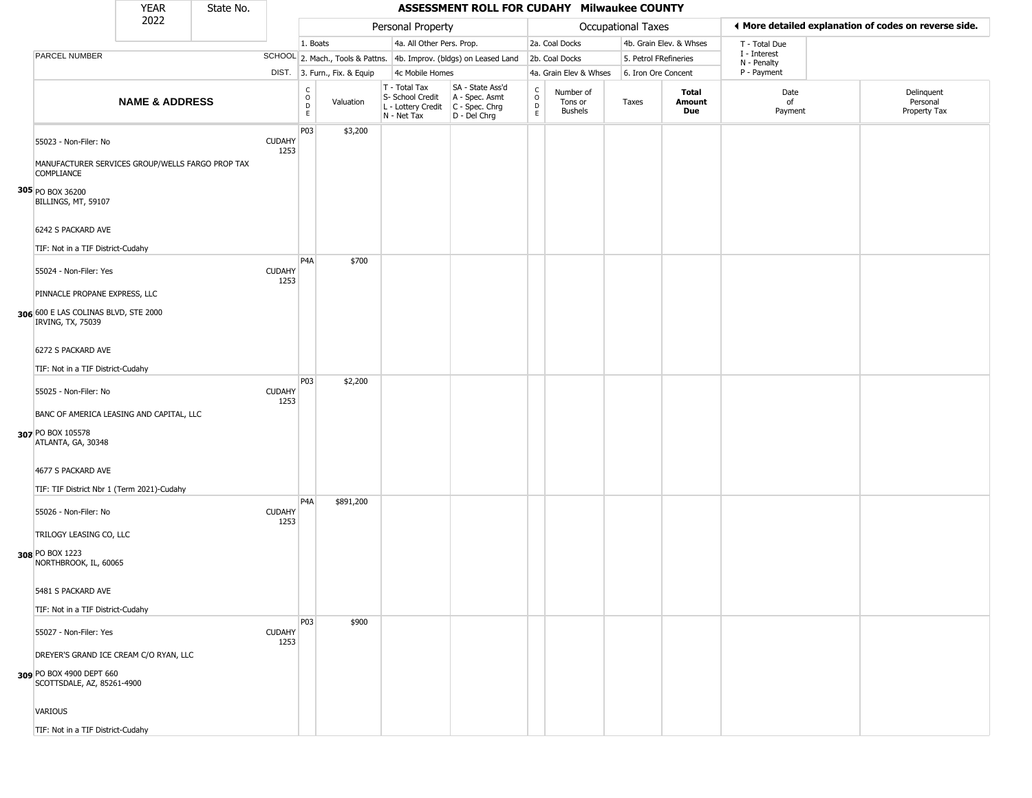|                                                                                                | <b>YEAR</b>               | State No. |                                                                    |                              |                                                                        | ASSESSMENT ROLL FOR CUDAHY Milwaukee COUNTY                          |                                      |                                 |                       |                         |                             |                                                       |
|------------------------------------------------------------------------------------------------|---------------------------|-----------|--------------------------------------------------------------------|------------------------------|------------------------------------------------------------------------|----------------------------------------------------------------------|--------------------------------------|---------------------------------|-----------------------|-------------------------|-----------------------------|-------------------------------------------------------|
|                                                                                                | 2022                      |           |                                                                    |                              | Personal Property                                                      |                                                                      |                                      |                                 | Occupational Taxes    |                         |                             | ♦ More detailed explanation of codes on reverse side. |
|                                                                                                |                           |           |                                                                    | 1. Boats                     | 4a. All Other Pers. Prop.                                              |                                                                      |                                      | 2a. Coal Docks                  |                       | 4b. Grain Elev. & Whses | T - Total Due               |                                                       |
| PARCEL NUMBER                                                                                  |                           |           |                                                                    |                              |                                                                        | SCHOOL 2. Mach., Tools & Pattns. 4b. Improv. (bldgs) on Leased Land  |                                      | 2b. Coal Docks                  | 5. Petrol FRefineries |                         | I - Interest<br>N - Penalty |                                                       |
|                                                                                                |                           |           |                                                                    | DIST. 3. Furn., Fix. & Equip | 4c Mobile Homes                                                        |                                                                      |                                      | 4a. Grain Elev & Whses          | 6. Iron Ore Concent   |                         | P - Payment                 |                                                       |
|                                                                                                | <b>NAME &amp; ADDRESS</b> |           | $\begin{smallmatrix} C \\ 0 \\ D \end{smallmatrix}$<br>$\mathsf E$ | Valuation                    | T - Total Tax<br>S- School Credit<br>L - Lottery Credit<br>N - Net Tax | SA - State Ass'd<br>A - Spec. Asmt<br>C - Spec. Chrg<br>D - Del Chrg | $\frac{c}{0}$<br>$\overline{D}$<br>E | Number of<br>Tons or<br>Bushels | Taxes                 | Total<br>Amount<br>Due  | Date<br>of<br>Payment       | Delinquent<br>Personal<br>Property Tax                |
| 55023 - Non-Filer: No<br>MANUFACTURER SERVICES GROUP/WELLS FARGO PROP TAX<br><b>COMPLIANCE</b> |                           |           | P03<br><b>CUDAHY</b><br>1253                                       | \$3,200                      |                                                                        |                                                                      |                                      |                                 |                       |                         |                             |                                                       |
| 305 PO BOX 36200<br>BILLINGS, MT, 59107                                                        |                           |           |                                                                    |                              |                                                                        |                                                                      |                                      |                                 |                       |                         |                             |                                                       |
| 6242 S PACKARD AVE<br>TIF: Not in a TIF District-Cudahy                                        |                           |           |                                                                    |                              |                                                                        |                                                                      |                                      |                                 |                       |                         |                             |                                                       |
| 55024 - Non-Filer: Yes<br>PINNACLE PROPANE EXPRESS, LLC                                        |                           |           | P <sub>4</sub> A<br><b>CUDAHY</b><br>1253                          | \$700                        |                                                                        |                                                                      |                                      |                                 |                       |                         |                             |                                                       |
| 306 600 E LAS COLINAS BLVD, STE 2000<br>IRVING, TX, 75039                                      |                           |           |                                                                    |                              |                                                                        |                                                                      |                                      |                                 |                       |                         |                             |                                                       |
| 6272 S PACKARD AVE<br>TIF: Not in a TIF District-Cudahy                                        |                           |           |                                                                    |                              |                                                                        |                                                                      |                                      |                                 |                       |                         |                             |                                                       |
| 55025 - Non-Filer: No<br>BANC OF AMERICA LEASING AND CAPITAL, LLC                              |                           |           | P03<br><b>CUDAHY</b><br>1253                                       | \$2,200                      |                                                                        |                                                                      |                                      |                                 |                       |                         |                             |                                                       |
| 307 PO BOX 105578<br>ATLANTA, GA, 30348                                                        |                           |           |                                                                    |                              |                                                                        |                                                                      |                                      |                                 |                       |                         |                             |                                                       |
| 4677 S PACKARD AVE<br>TIF: TIF District Nbr 1 (Term 2021)-Cudahy                               |                           |           |                                                                    |                              |                                                                        |                                                                      |                                      |                                 |                       |                         |                             |                                                       |
| 55026 - Non-Filer: No<br>TRILOGY LEASING CO, LLC                                               |                           |           | P <sub>4</sub> A<br><b>CUDAHY</b><br>1253                          | \$891,200                    |                                                                        |                                                                      |                                      |                                 |                       |                         |                             |                                                       |
| 308 PO BOX 1223<br>NORTHBROOK, IL, 60065                                                       |                           |           |                                                                    |                              |                                                                        |                                                                      |                                      |                                 |                       |                         |                             |                                                       |
| 5481 S PACKARD AVE<br>TIF: Not in a TIF District-Cudahy                                        |                           |           |                                                                    |                              |                                                                        |                                                                      |                                      |                                 |                       |                         |                             |                                                       |
| 55027 - Non-Filer: Yes<br>DREYER'S GRAND ICE CREAM C/O RYAN, LLC                               |                           |           | P03<br><b>CUDAHY</b><br>1253                                       | \$900                        |                                                                        |                                                                      |                                      |                                 |                       |                         |                             |                                                       |
| 309 PO BOX 4900 DEPT 660<br>SCOTTSDALE, AZ, 85261-4900                                         |                           |           |                                                                    |                              |                                                                        |                                                                      |                                      |                                 |                       |                         |                             |                                                       |
| <b>VARIOUS</b>                                                                                 |                           |           |                                                                    |                              |                                                                        |                                                                      |                                      |                                 |                       |                         |                             |                                                       |
| TIF: Not in a TIF District-Cudahy                                                              |                           |           |                                                                    |                              |                                                                        |                                                                      |                                      |                                 |                       |                         |                             |                                                       |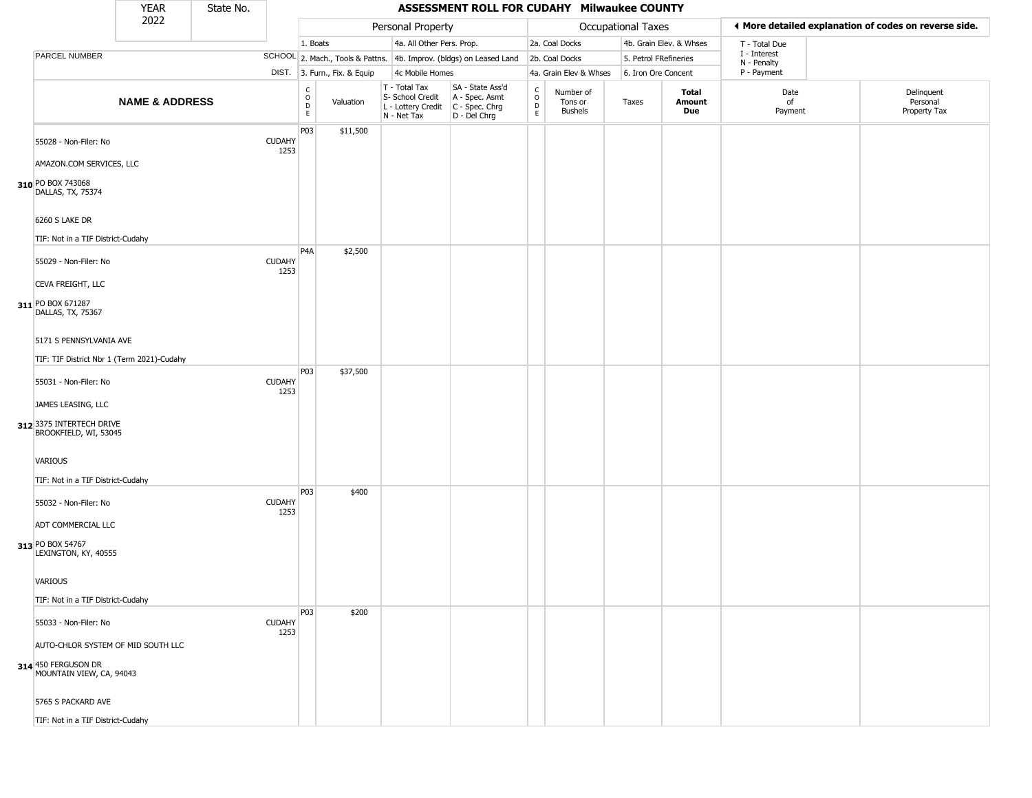|                                                                                                  | <b>YEAR</b>               | State No. |                       |                                             |                              |                                                                        | ASSESSMENT ROLL FOR CUDAHY Milwaukee COUNTY                          |                                      |                                        |                       |                         |                             |                                                       |
|--------------------------------------------------------------------------------------------------|---------------------------|-----------|-----------------------|---------------------------------------------|------------------------------|------------------------------------------------------------------------|----------------------------------------------------------------------|--------------------------------------|----------------------------------------|-----------------------|-------------------------|-----------------------------|-------------------------------------------------------|
|                                                                                                  | 2022                      |           |                       |                                             |                              | Personal Property                                                      |                                                                      |                                      |                                        | Occupational Taxes    |                         |                             | ◀ More detailed explanation of codes on reverse side. |
|                                                                                                  |                           |           |                       | 1. Boats                                    |                              | 4a. All Other Pers. Prop.                                              |                                                                      |                                      | 2a. Coal Docks                         |                       | 4b. Grain Elev. & Whses | T - Total Due               |                                                       |
| PARCEL NUMBER                                                                                    |                           |           |                       |                                             |                              |                                                                        | SCHOOL 2. Mach., Tools & Pattns. 4b. Improv. (bldgs) on Leased Land  |                                      | 2b. Coal Docks                         | 5. Petrol FRefineries |                         | I - Interest<br>N - Penalty |                                                       |
|                                                                                                  |                           |           |                       |                                             | DIST. 3. Furn., Fix. & Equip | 4c Mobile Homes                                                        |                                                                      |                                      | 4a. Grain Elev & Whses                 | 6. Iron Ore Concent   |                         | P - Payment                 |                                                       |
|                                                                                                  | <b>NAME &amp; ADDRESS</b> |           |                       | $\frac{c}{0}$<br>$\mathsf D$<br>$\mathsf E$ | Valuation                    | T - Total Tax<br>S- School Credit<br>L - Lottery Credit<br>N - Net Tax | SA - State Ass'd<br>A - Spec. Asmt<br>C - Spec. Chrg<br>D - Del Chrg | $\int_{0}^{c}$<br>$_{\rm E}^{\rm D}$ | Number of<br>Tons or<br><b>Bushels</b> | Taxes                 | Total<br>Amount<br>Due  | Date<br>of<br>Payment       | Delinquent<br>Personal<br>Property Tax                |
| 55028 - Non-Filer: No<br>AMAZON.COM SERVICES, LLC                                                |                           |           | <b>CUDAHY</b><br>1253 | P03                                         | \$11,500                     |                                                                        |                                                                      |                                      |                                        |                       |                         |                             |                                                       |
| 310 PO BOX 743068<br>DALLAS, TX, 75374                                                           |                           |           |                       |                                             |                              |                                                                        |                                                                      |                                      |                                        |                       |                         |                             |                                                       |
| 6260 S LAKE DR<br>TIF: Not in a TIF District-Cudahy                                              |                           |           |                       | P4A                                         | \$2,500                      |                                                                        |                                                                      |                                      |                                        |                       |                         |                             |                                                       |
| 55029 - Non-Filer: No<br>CEVA FREIGHT, LLC<br>311 PO BOX 671287<br>DALLAS, TX, 75367             |                           |           | <b>CUDAHY</b><br>1253 |                                             |                              |                                                                        |                                                                      |                                      |                                        |                       |                         |                             |                                                       |
| 5171 S PENNSYLVANIA AVE<br>TIF: TIF District Nbr 1 (Term 2021)-Cudahy                            |                           |           |                       |                                             |                              |                                                                        |                                                                      |                                      |                                        |                       |                         |                             |                                                       |
| 55031 - Non-Filer: No<br>JAMES LEASING, LLC<br>312 3375 INTERTECH DRIVE<br>BROOKFIELD, WI, 53045 |                           |           | <b>CUDAHY</b><br>1253 | P <sub>0</sub> 3                            | \$37,500                     |                                                                        |                                                                      |                                      |                                        |                       |                         |                             |                                                       |
| VARIOUS<br>TIF: Not in a TIF District-Cudahy                                                     |                           |           |                       |                                             |                              |                                                                        |                                                                      |                                      |                                        |                       |                         |                             |                                                       |
| 55032 - Non-Filer: No<br>ADT COMMERCIAL LLC                                                      |                           |           | <b>CUDAHY</b><br>1253 | P <sub>0</sub> 3                            | \$400                        |                                                                        |                                                                      |                                      |                                        |                       |                         |                             |                                                       |
| 313 PO BOX 54767<br>LEXINGTON, KY, 40555                                                         |                           |           |                       |                                             |                              |                                                                        |                                                                      |                                      |                                        |                       |                         |                             |                                                       |
| VARIOUS<br>TIF: Not in a TIF District-Cudahy                                                     |                           |           |                       |                                             |                              |                                                                        |                                                                      |                                      |                                        |                       |                         |                             |                                                       |
| 55033 - Non-Filer: No                                                                            |                           |           | <b>CUDAHY</b><br>1253 | P03                                         | \$200                        |                                                                        |                                                                      |                                      |                                        |                       |                         |                             |                                                       |
| AUTO-CHLOR SYSTEM OF MID SOUTH LLC<br>314 450 FERGUSON DR<br>MOUNTAIN VIEW, CA, 94043            |                           |           |                       |                                             |                              |                                                                        |                                                                      |                                      |                                        |                       |                         |                             |                                                       |
| 5765 S PACKARD AVE                                                                               |                           |           |                       |                                             |                              |                                                                        |                                                                      |                                      |                                        |                       |                         |                             |                                                       |
| TIF: Not in a TIF District-Cudahy                                                                |                           |           |                       |                                             |                              |                                                                        |                                                                      |                                      |                                        |                       |                         |                             |                                                       |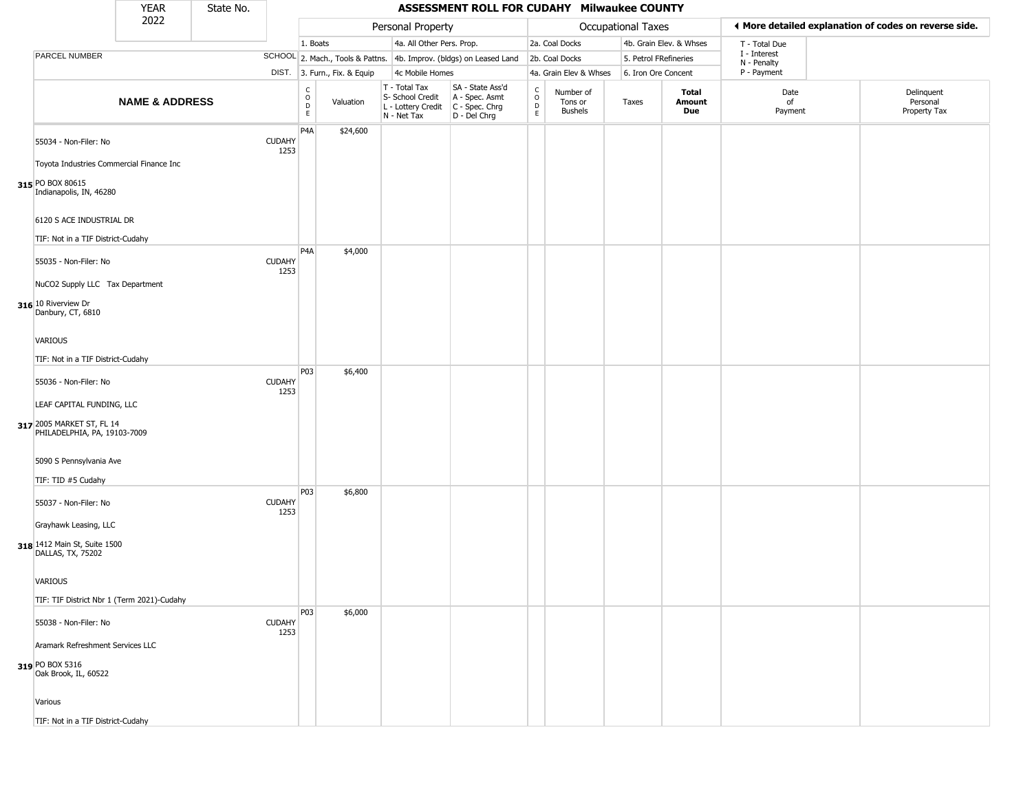|                                                                                        | <b>YEAR</b>               | State No. |                       |                                                          |                              |                                                                        | ASSESSMENT ROLL FOR CUDAHY Milwaukee COUNTY                            |                                            |                                        |                       |                         |                             |                                                       |
|----------------------------------------------------------------------------------------|---------------------------|-----------|-----------------------|----------------------------------------------------------|------------------------------|------------------------------------------------------------------------|------------------------------------------------------------------------|--------------------------------------------|----------------------------------------|-----------------------|-------------------------|-----------------------------|-------------------------------------------------------|
|                                                                                        | 2022                      |           |                       |                                                          |                              | Personal Property                                                      |                                                                        |                                            |                                        | Occupational Taxes    |                         |                             | ◀ More detailed explanation of codes on reverse side. |
|                                                                                        |                           |           |                       | 1. Boats                                                 |                              | 4a. All Other Pers. Prop.                                              |                                                                        |                                            | 2a. Coal Docks                         |                       | 4b. Grain Elev. & Whses | T - Total Due               |                                                       |
| PARCEL NUMBER                                                                          |                           |           |                       |                                                          |                              |                                                                        | SCHOOL 2. Mach., Tools & Pattns. 4b. Improv. (bldgs) on Leased Land    |                                            | 2b. Coal Docks                         | 5. Petrol FRefineries |                         | I - Interest<br>N - Penalty |                                                       |
|                                                                                        |                           |           |                       |                                                          | DIST. 3. Furn., Fix. & Equip | 4c Mobile Homes                                                        |                                                                        |                                            | 4a. Grain Elev & Whses                 | 6. Iron Ore Concent   |                         | P - Payment                 |                                                       |
|                                                                                        | <b>NAME &amp; ADDRESS</b> |           |                       | $\begin{matrix} 0 \\ 0 \\ 0 \end{matrix}$<br>$\mathsf E$ | Valuation                    | T - Total Tax<br>S- School Credit<br>L - Lottery Credit<br>N - Net Tax | SA - State Ass'd<br>A - Spec. Asmt<br>$C - Spec. Chrg$<br>D - Del Chrg | $\frac{c}{0}$<br>$\mathsf{D}_{\mathsf{E}}$ | Number of<br>Tons or<br><b>Bushels</b> | Taxes                 | Total<br>Amount<br>Due  | Date<br>of<br>Payment       | Delinquent<br>Personal<br>Property Tax                |
| 55034 - Non-Filer: No<br>Toyota Industries Commercial Finance Inc                      |                           |           | <b>CUDAHY</b><br>1253 | P <sub>4</sub> A                                         | \$24,600                     |                                                                        |                                                                        |                                            |                                        |                       |                         |                             |                                                       |
| 315 PO BOX 80615<br>Indianapolis, IN, 46280                                            |                           |           |                       |                                                          |                              |                                                                        |                                                                        |                                            |                                        |                       |                         |                             |                                                       |
| 6120 S ACE INDUSTRIAL DR<br>TIF: Not in a TIF District-Cudahy                          |                           |           |                       |                                                          |                              |                                                                        |                                                                        |                                            |                                        |                       |                         |                             |                                                       |
| 55035 - Non-Filer: No<br>NuCO2 Supply LLC Tax Department                               |                           |           | <b>CUDAHY</b><br>1253 | P4A                                                      | \$4,000                      |                                                                        |                                                                        |                                            |                                        |                       |                         |                             |                                                       |
| 316 10 Riverview Dr<br>Danbury, CT, 6810                                               |                           |           |                       |                                                          |                              |                                                                        |                                                                        |                                            |                                        |                       |                         |                             |                                                       |
| <b>VARIOUS</b>                                                                         |                           |           |                       |                                                          |                              |                                                                        |                                                                        |                                            |                                        |                       |                         |                             |                                                       |
| TIF: Not in a TIF District-Cudahy                                                      |                           |           |                       |                                                          |                              |                                                                        |                                                                        |                                            |                                        |                       |                         |                             |                                                       |
| 55036 - Non-Filer: No                                                                  |                           |           | <b>CUDAHY</b><br>1253 | P03                                                      | \$6,400                      |                                                                        |                                                                        |                                            |                                        |                       |                         |                             |                                                       |
| LEAF CAPITAL FUNDING, LLC<br>317 2005 MARKET ST, FL 14<br>PHILADELPHIA, PA, 19103-7009 |                           |           |                       |                                                          |                              |                                                                        |                                                                        |                                            |                                        |                       |                         |                             |                                                       |
| 5090 S Pennsylvania Ave<br>TIF: TID #5 Cudahy                                          |                           |           |                       |                                                          |                              |                                                                        |                                                                        |                                            |                                        |                       |                         |                             |                                                       |
| 55037 - Non-Filer: No                                                                  |                           |           | <b>CUDAHY</b><br>1253 | P03                                                      | \$6,800                      |                                                                        |                                                                        |                                            |                                        |                       |                         |                             |                                                       |
| Grayhawk Leasing, LLC<br>318 1412 Main St, Suite 1500<br>DALLAS, TX, 75202             |                           |           |                       |                                                          |                              |                                                                        |                                                                        |                                            |                                        |                       |                         |                             |                                                       |
| VARIOUS                                                                                |                           |           |                       |                                                          |                              |                                                                        |                                                                        |                                            |                                        |                       |                         |                             |                                                       |
| TIF: TIF District Nbr 1 (Term 2021)-Cudahy                                             |                           |           |                       | P03                                                      | \$6,000                      |                                                                        |                                                                        |                                            |                                        |                       |                         |                             |                                                       |
| 55038 - Non-Filer: No                                                                  |                           |           | <b>CUDAHY</b><br>1253 |                                                          |                              |                                                                        |                                                                        |                                            |                                        |                       |                         |                             |                                                       |
| Aramark Refreshment Services LLC<br>319 PO BOX 5316                                    |                           |           |                       |                                                          |                              |                                                                        |                                                                        |                                            |                                        |                       |                         |                             |                                                       |
| Oak Brook, IL, 60522                                                                   |                           |           |                       |                                                          |                              |                                                                        |                                                                        |                                            |                                        |                       |                         |                             |                                                       |
| Various                                                                                |                           |           |                       |                                                          |                              |                                                                        |                                                                        |                                            |                                        |                       |                         |                             |                                                       |
| TIF: Not in a TIF District-Cudahy                                                      |                           |           |                       |                                                          |                              |                                                                        |                                                                        |                                            |                                        |                       |                         |                             |                                                       |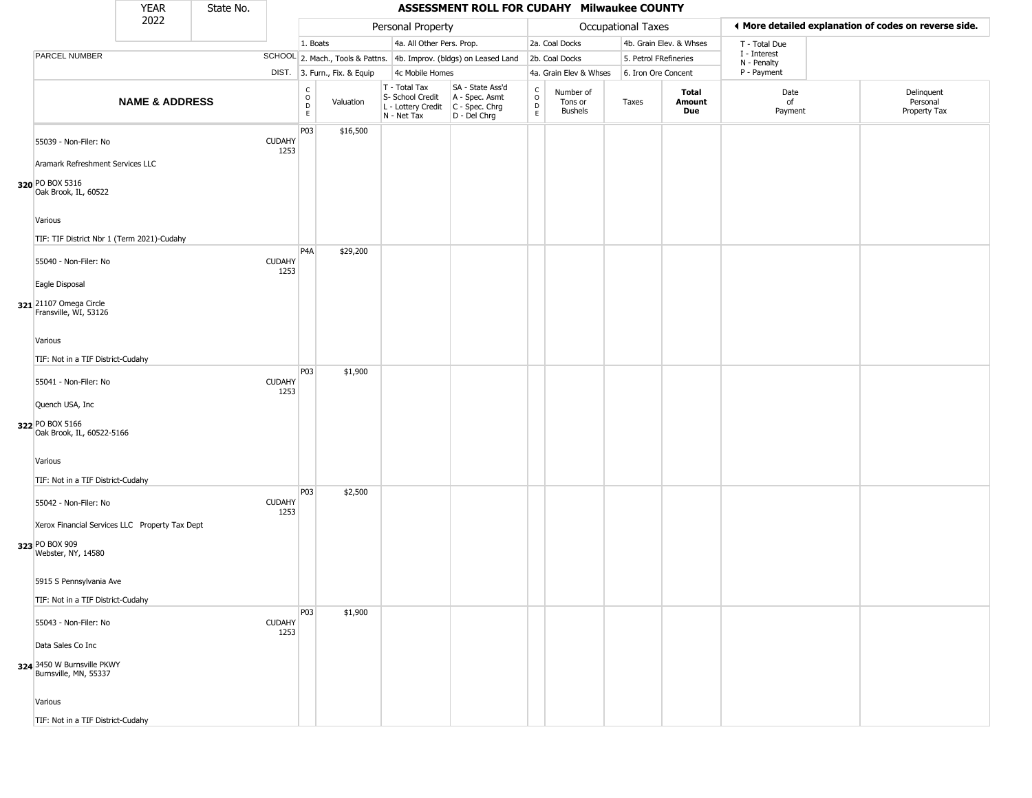|                                                                                        |                           |                       |                                                                    |                              |                                                                        | ASSESSMENT ROLL FOR CUDAHY Milwaukee COUNTY                            |                                            |                                        |                       |                         |                             |                                                       |
|----------------------------------------------------------------------------------------|---------------------------|-----------------------|--------------------------------------------------------------------|------------------------------|------------------------------------------------------------------------|------------------------------------------------------------------------|--------------------------------------------|----------------------------------------|-----------------------|-------------------------|-----------------------------|-------------------------------------------------------|
|                                                                                        | 2022                      |                       |                                                                    |                              | Personal Property                                                      |                                                                        |                                            |                                        | Occupational Taxes    |                         |                             | ◀ More detailed explanation of codes on reverse side. |
|                                                                                        |                           |                       | 1. Boats                                                           |                              | 4a. All Other Pers. Prop.                                              |                                                                        |                                            | 2a. Coal Docks                         |                       | 4b. Grain Elev. & Whses | T - Total Due               |                                                       |
| PARCEL NUMBER                                                                          |                           |                       |                                                                    |                              |                                                                        | SCHOOL 2. Mach., Tools & Pattns. 4b. Improv. (bldgs) on Leased Land    |                                            | 2b. Coal Docks                         | 5. Petrol FRefineries |                         | I - Interest<br>N - Penalty |                                                       |
|                                                                                        |                           |                       |                                                                    | DIST. 3. Furn., Fix. & Equip | 4c Mobile Homes                                                        |                                                                        |                                            | 4a. Grain Elev & Whses                 | 6. Iron Ore Concent   |                         | P - Payment                 |                                                       |
|                                                                                        | <b>NAME &amp; ADDRESS</b> |                       | $\begin{smallmatrix} C \\ O \\ D \end{smallmatrix}$<br>$\mathsf E$ | Valuation                    | T - Total Tax<br>S- School Credit<br>L - Lottery Credit<br>N - Net Tax | SA - State Ass'd<br>A - Spec. Asmt<br>$C - Spec. Chrg$<br>D - Del Chrg | $\frac{c}{0}$<br>$\mathsf{D}_{\mathsf{E}}$ | Number of<br>Tons or<br><b>Bushels</b> | Taxes                 | Total<br>Amount<br>Due  | Date<br>of<br>Payment       | Delinquent<br>Personal<br>Property Tax                |
| 55039 - Non-Filer: No                                                                  |                           | <b>CUDAHY</b><br>1253 | P03                                                                | \$16,500                     |                                                                        |                                                                        |                                            |                                        |                       |                         |                             |                                                       |
| Aramark Refreshment Services LLC<br>320 PO BOX 5316<br>Oak Brook, IL, 60522            |                           |                       |                                                                    |                              |                                                                        |                                                                        |                                            |                                        |                       |                         |                             |                                                       |
| Various<br>TIF: TIF District Nbr 1 (Term 2021)-Cudahy                                  |                           |                       |                                                                    |                              |                                                                        |                                                                        |                                            |                                        |                       |                         |                             |                                                       |
| 55040 - Non-Filer: No                                                                  |                           | <b>CUDAHY</b><br>1253 | P4A                                                                | \$29,200                     |                                                                        |                                                                        |                                            |                                        |                       |                         |                             |                                                       |
| Eagle Disposal<br>321 21107 Omega Circle<br>Fransville, WI, 53126                      |                           |                       |                                                                    |                              |                                                                        |                                                                        |                                            |                                        |                       |                         |                             |                                                       |
| Various<br>TIF: Not in a TIF District-Cudahy                                           |                           |                       |                                                                    |                              |                                                                        |                                                                        |                                            |                                        |                       |                         |                             |                                                       |
| 55041 - Non-Filer: No                                                                  |                           | <b>CUDAHY</b><br>1253 | P03                                                                | \$1,900                      |                                                                        |                                                                        |                                            |                                        |                       |                         |                             |                                                       |
| Quench USA, Inc<br>322 PO BOX 5166<br>Oak Brook, IL, 60522-5166                        |                           |                       |                                                                    |                              |                                                                        |                                                                        |                                            |                                        |                       |                         |                             |                                                       |
| Various<br>TIF: Not in a TIF District-Cudahy                                           |                           |                       |                                                                    |                              |                                                                        |                                                                        |                                            |                                        |                       |                         |                             |                                                       |
| 55042 - Non-Filer: No                                                                  |                           | <b>CUDAHY</b><br>1253 | P03                                                                | \$2,500                      |                                                                        |                                                                        |                                            |                                        |                       |                         |                             |                                                       |
| Xerox Financial Services LLC Property Tax Dept<br>323 PO BOX 909<br>Webster, NY, 14580 |                           |                       |                                                                    |                              |                                                                        |                                                                        |                                            |                                        |                       |                         |                             |                                                       |
| 5915 S Pennsylvania Ave                                                                |                           |                       |                                                                    |                              |                                                                        |                                                                        |                                            |                                        |                       |                         |                             |                                                       |
| TIF: Not in a TIF District-Cudahy                                                      |                           |                       | P03                                                                | \$1,900                      |                                                                        |                                                                        |                                            |                                        |                       |                         |                             |                                                       |
| 55043 - Non-Filer: No<br>Data Sales Co Inc                                             |                           | <b>CUDAHY</b><br>1253 |                                                                    |                              |                                                                        |                                                                        |                                            |                                        |                       |                         |                             |                                                       |
| 324 3450 W Burnsville PKWY<br>Burnsville, MN, 55337                                    |                           |                       |                                                                    |                              |                                                                        |                                                                        |                                            |                                        |                       |                         |                             |                                                       |
| Various<br>TIF: Not in a TIF District-Cudahy                                           |                           |                       |                                                                    |                              |                                                                        |                                                                        |                                            |                                        |                       |                         |                             |                                                       |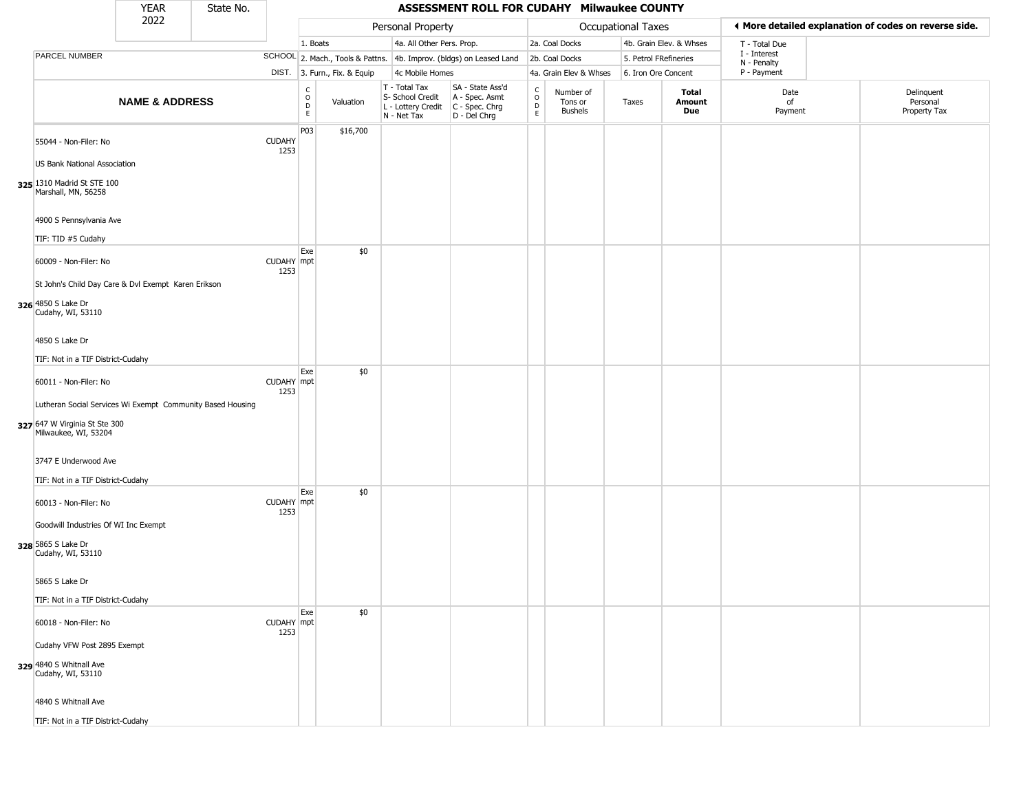|                                                                                                                     | <b>YEAR</b>               | State No. |                       |                                             |                              |                                                                        | <b>ASSESSMENT ROLL FOR CUDAHY Milwaukee COUNTY</b>                   |                                              |                                 |                       |                         |                             |                                                       |
|---------------------------------------------------------------------------------------------------------------------|---------------------------|-----------|-----------------------|---------------------------------------------|------------------------------|------------------------------------------------------------------------|----------------------------------------------------------------------|----------------------------------------------|---------------------------------|-----------------------|-------------------------|-----------------------------|-------------------------------------------------------|
|                                                                                                                     | 2022                      |           |                       |                                             |                              | Personal Property                                                      |                                                                      |                                              |                                 | Occupational Taxes    |                         |                             | ◀ More detailed explanation of codes on reverse side. |
|                                                                                                                     |                           |           |                       | 1. Boats                                    |                              | 4a. All Other Pers. Prop.                                              |                                                                      |                                              | 2a. Coal Docks                  |                       | 4b. Grain Elev. & Whses | T - Total Due               |                                                       |
| PARCEL NUMBER                                                                                                       |                           |           |                       |                                             |                              |                                                                        | SCHOOL 2. Mach., Tools & Pattns. 4b. Improv. (bldgs) on Leased Land  |                                              | 2b. Coal Docks                  | 5. Petrol FRefineries |                         | I - Interest<br>N - Penalty |                                                       |
|                                                                                                                     |                           |           |                       |                                             | DIST. 3. Furn., Fix. & Equip | 4c Mobile Homes                                                        |                                                                      |                                              | 4a. Grain Elev & Whses          | 6. Iron Ore Concent   |                         | P - Payment                 |                                                       |
|                                                                                                                     | <b>NAME &amp; ADDRESS</b> |           |                       | $\frac{c}{0}$<br>$\mathsf D$<br>$\mathsf E$ | Valuation                    | T - Total Tax<br>S- School Credit<br>L - Lottery Credit<br>N - Net Tax | SA - State Ass'd<br>A - Spec. Asmt<br>C - Spec. Chrg<br>D - Del Chrg | $\int_{0}^{c}$<br>$\mathsf D$<br>$\mathsf E$ | Number of<br>Tons or<br>Bushels | Taxes                 | Total<br>Amount<br>Due  | Date<br>of<br>Payment       | Delinquent<br>Personal<br>Property Tax                |
| 55044 - Non-Filer: No                                                                                               |                           |           | <b>CUDAHY</b><br>1253 | P03                                         | \$16,700                     |                                                                        |                                                                      |                                              |                                 |                       |                         |                             |                                                       |
| US Bank National Association<br>325 1310 Madrid St STE 100<br>Marshall, MN, 56258                                   |                           |           |                       |                                             |                              |                                                                        |                                                                      |                                              |                                 |                       |                         |                             |                                                       |
| 4900 S Pennsylvania Ave<br>TIF: TID #5 Cudahy                                                                       |                           |           |                       |                                             |                              |                                                                        |                                                                      |                                              |                                 |                       |                         |                             |                                                       |
| 60009 - Non-Filer: No                                                                                               |                           |           | CUDAHY mpt<br>1253    | Exe                                         | \$0                          |                                                                        |                                                                      |                                              |                                 |                       |                         |                             |                                                       |
| St John's Child Day Care & Dvl Exempt Karen Erikson<br>326 4850 S Lake Dr<br>Cudahy, WI, 53110                      |                           |           |                       |                                             |                              |                                                                        |                                                                      |                                              |                                 |                       |                         |                             |                                                       |
| 4850 S Lake Dr<br>TIF: Not in a TIF District-Cudahy                                                                 |                           |           |                       |                                             |                              |                                                                        |                                                                      |                                              |                                 |                       |                         |                             |                                                       |
| 60011 - Non-Filer: No                                                                                               |                           |           | CUDAHY mpt<br>1253    | Exe                                         | \$0                          |                                                                        |                                                                      |                                              |                                 |                       |                         |                             |                                                       |
| Lutheran Social Services Wi Exempt Community Based Housing<br>327 647 W Virginia St Ste 300<br>Milwaukee, WI, 53204 |                           |           |                       |                                             |                              |                                                                        |                                                                      |                                              |                                 |                       |                         |                             |                                                       |
| 3747 E Underwood Ave<br>TIF: Not in a TIF District-Cudahy                                                           |                           |           |                       |                                             |                              |                                                                        |                                                                      |                                              |                                 |                       |                         |                             |                                                       |
| 60013 - Non-Filer: No                                                                                               |                           |           | CUDAHY mpt<br>1253    | Exe                                         | \$0                          |                                                                        |                                                                      |                                              |                                 |                       |                         |                             |                                                       |
| Goodwill Industries Of WI Inc Exempt<br>328 5865 S Lake Dr<br>Cudahy, WI, 53110                                     |                           |           |                       |                                             |                              |                                                                        |                                                                      |                                              |                                 |                       |                         |                             |                                                       |
| 5865 S Lake Dr                                                                                                      |                           |           |                       |                                             |                              |                                                                        |                                                                      |                                              |                                 |                       |                         |                             |                                                       |
| TIF: Not in a TIF District-Cudahy                                                                                   |                           |           |                       | Exe                                         | \$0                          |                                                                        |                                                                      |                                              |                                 |                       |                         |                             |                                                       |
| 60018 - Non-Filer: No<br>Cudahy VFW Post 2895 Exempt                                                                |                           |           | CUDAHY mpt<br>1253    |                                             |                              |                                                                        |                                                                      |                                              |                                 |                       |                         |                             |                                                       |
| 329 4840 S Whitnall Ave<br>Cudahy, WI, 53110                                                                        |                           |           |                       |                                             |                              |                                                                        |                                                                      |                                              |                                 |                       |                         |                             |                                                       |
| 4840 S Whitnall Ave                                                                                                 |                           |           |                       |                                             |                              |                                                                        |                                                                      |                                              |                                 |                       |                         |                             |                                                       |
| TIF: Not in a TIF District-Cudahy                                                                                   |                           |           |                       |                                             |                              |                                                                        |                                                                      |                                              |                                 |                       |                         |                             |                                                       |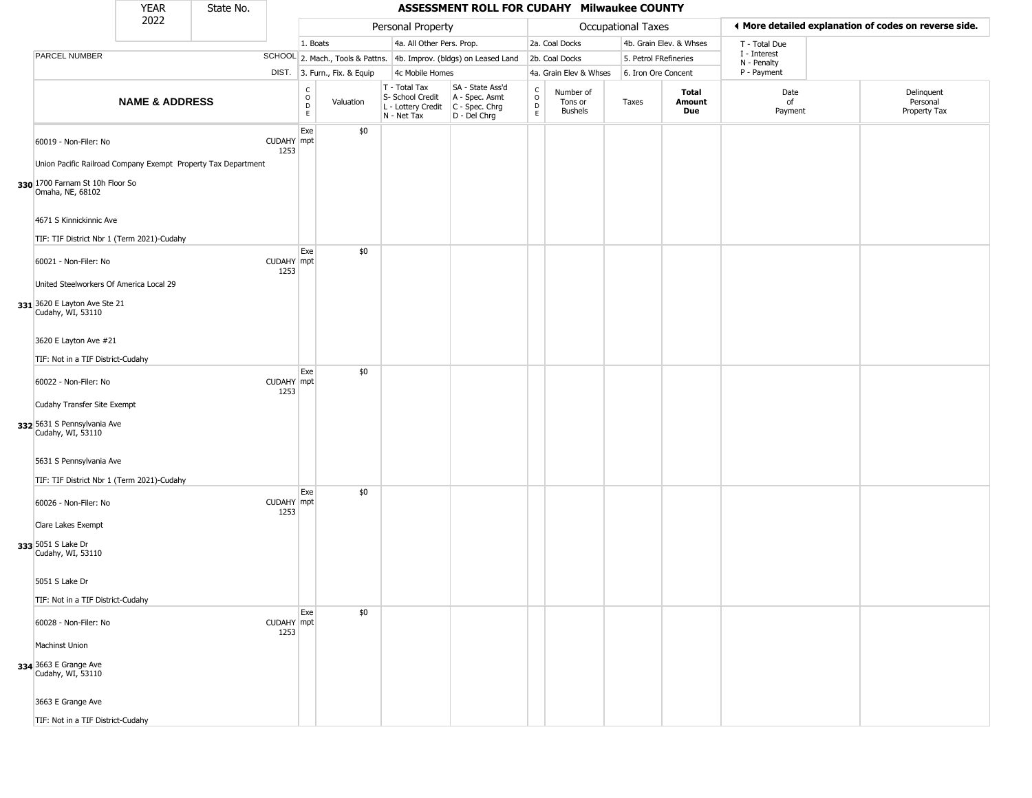|                                                                                              | <b>YEAR</b>               | State No. |                    |                                            |                              |                                                                        | ASSESSMENT ROLL FOR CUDAHY Milwaukee COUNTY                          |                                             |                                        |                       |                         |                             |                                                       |
|----------------------------------------------------------------------------------------------|---------------------------|-----------|--------------------|--------------------------------------------|------------------------------|------------------------------------------------------------------------|----------------------------------------------------------------------|---------------------------------------------|----------------------------------------|-----------------------|-------------------------|-----------------------------|-------------------------------------------------------|
|                                                                                              | 2022                      |           |                    |                                            |                              | Personal Property                                                      |                                                                      |                                             |                                        | Occupational Taxes    |                         |                             | ♦ More detailed explanation of codes on reverse side. |
|                                                                                              |                           |           |                    | 1. Boats                                   |                              | 4a. All Other Pers. Prop.                                              |                                                                      |                                             | 2a. Coal Docks                         |                       | 4b. Grain Elev. & Whses | T - Total Due               |                                                       |
| PARCEL NUMBER                                                                                |                           |           |                    |                                            |                              |                                                                        | SCHOOL 2. Mach., Tools & Pattns. 4b. Improv. (bldgs) on Leased Land  |                                             | 2b. Coal Docks                         | 5. Petrol FRefineries |                         | I - Interest<br>N - Penalty |                                                       |
|                                                                                              |                           |           |                    |                                            | DIST. 3. Furn., Fix. & Equip | 4c Mobile Homes                                                        |                                                                      |                                             | 4a. Grain Elev & Whses                 | 6. Iron Ore Concent   |                         | P - Payment                 |                                                       |
|                                                                                              | <b>NAME &amp; ADDRESS</b> |           |                    | C<br>$\circ$<br>$\mathsf D$<br>$\mathsf E$ | Valuation                    | T - Total Tax<br>S- School Credit<br>L - Lottery Credit<br>N - Net Tax | SA - State Ass'd<br>A - Spec. Asmt<br>C - Spec. Chrg<br>D - Del Chrg | $\frac{c}{0}$<br>$\mathsf D$<br>$\mathsf E$ | Number of<br>Tons or<br><b>Bushels</b> | Taxes                 | Total<br>Amount<br>Due  | Date<br>of<br>Payment       | Delinquent<br>Personal<br>Property Tax                |
| 60019 - Non-Filer: No<br>Union Pacific Railroad Company Exempt Property Tax Department       |                           |           | CUDAHY mpt<br>1253 | Exe                                        | \$0                          |                                                                        |                                                                      |                                             |                                        |                       |                         |                             |                                                       |
| 330 1700 Farnam St 10h Floor So<br>Omaha, NE, 68102                                          |                           |           |                    |                                            |                              |                                                                        |                                                                      |                                             |                                        |                       |                         |                             |                                                       |
| 4671 S Kinnickinnic Ave<br>TIF: TIF District Nbr 1 (Term 2021)-Cudahy                        |                           |           |                    |                                            |                              |                                                                        |                                                                      |                                             |                                        |                       |                         |                             |                                                       |
| 60021 - Non-Filer: No                                                                        |                           |           | CUDAHY mpt<br>1253 | Exe                                        | \$0                          |                                                                        |                                                                      |                                             |                                        |                       |                         |                             |                                                       |
| United Steelworkers Of America Local 29<br>331 3620 E Layton Ave Ste 21<br>Cudahy, WI, 53110 |                           |           |                    |                                            |                              |                                                                        |                                                                      |                                             |                                        |                       |                         |                             |                                                       |
| 3620 E Layton Ave #21<br>TIF: Not in a TIF District-Cudahy                                   |                           |           |                    |                                            |                              |                                                                        |                                                                      |                                             |                                        |                       |                         |                             |                                                       |
| 60022 - Non-Filer: No                                                                        |                           |           | CUDAHY mpt<br>1253 | Exe                                        | \$0                          |                                                                        |                                                                      |                                             |                                        |                       |                         |                             |                                                       |
| Cudahy Transfer Site Exempt<br>332 5631 S Pennsylvania Ave<br>Cudahy, WI, 53110              |                           |           |                    |                                            |                              |                                                                        |                                                                      |                                             |                                        |                       |                         |                             |                                                       |
| 5631 S Pennsylvania Ave<br>TIF: TIF District Nbr 1 (Term 2021)-Cudahy                        |                           |           |                    |                                            |                              |                                                                        |                                                                      |                                             |                                        |                       |                         |                             |                                                       |
| 60026 - Non-Filer: No                                                                        |                           |           | CUDAHY mpt<br>1253 | Exe                                        | \$0                          |                                                                        |                                                                      |                                             |                                        |                       |                         |                             |                                                       |
| Clare Lakes Exempt<br>333 5051 S Lake Dr<br>Cudahy, WI, 53110                                |                           |           |                    |                                            |                              |                                                                        |                                                                      |                                             |                                        |                       |                         |                             |                                                       |
| 5051 S Lake Dr                                                                               |                           |           |                    |                                            |                              |                                                                        |                                                                      |                                             |                                        |                       |                         |                             |                                                       |
| TIF: Not in a TIF District-Cudahy                                                            |                           |           |                    | Exe                                        | \$0                          |                                                                        |                                                                      |                                             |                                        |                       |                         |                             |                                                       |
| 60028 - Non-Filer: No<br>Machinst Union                                                      |                           |           | CUDAHY mpt<br>1253 |                                            |                              |                                                                        |                                                                      |                                             |                                        |                       |                         |                             |                                                       |
| 334 3663 E Grange Ave<br>Cudahy, WI, 53110                                                   |                           |           |                    |                                            |                              |                                                                        |                                                                      |                                             |                                        |                       |                         |                             |                                                       |
| 3663 E Grange Ave                                                                            |                           |           |                    |                                            |                              |                                                                        |                                                                      |                                             |                                        |                       |                         |                             |                                                       |
| TIF: Not in a TIF District-Cudahy                                                            |                           |           |                    |                                            |                              |                                                                        |                                                                      |                                             |                                        |                       |                         |                             |                                                       |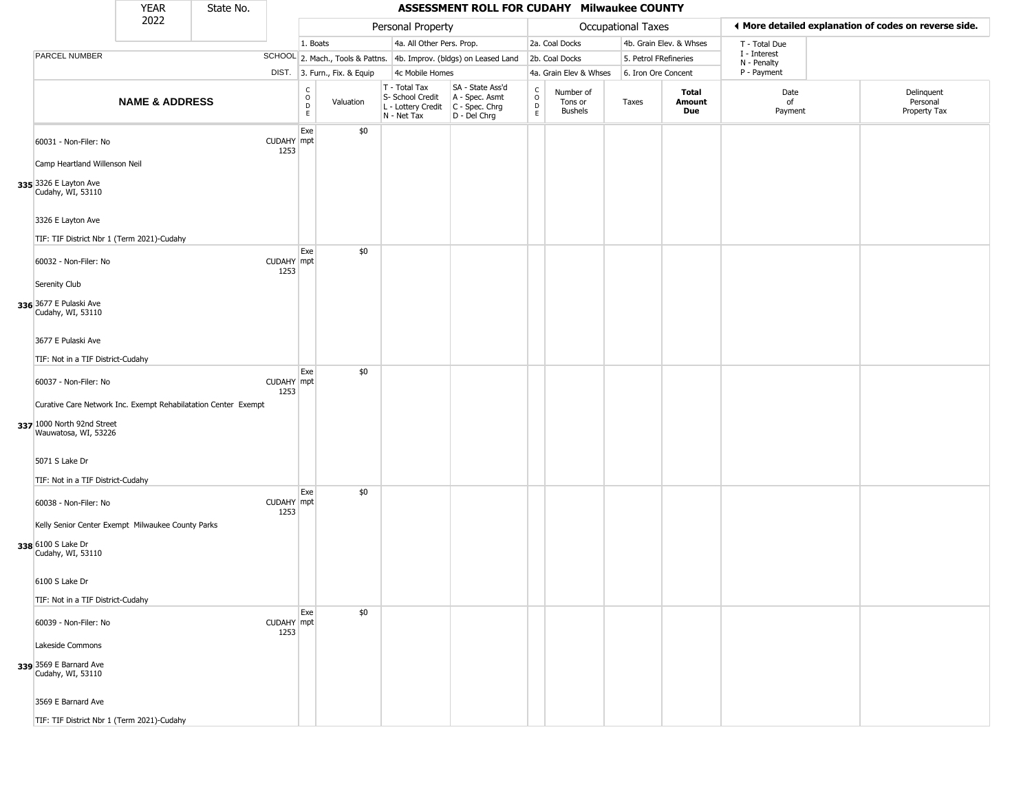|                                                                                                                      | <b>YEAR</b>               | State No. |                    |                                            |                              |                                                                        | ASSESSMENT ROLL FOR CUDAHY Milwaukee COUNTY                          |                                             |                                        |                       |                         |                             |                                                       |
|----------------------------------------------------------------------------------------------------------------------|---------------------------|-----------|--------------------|--------------------------------------------|------------------------------|------------------------------------------------------------------------|----------------------------------------------------------------------|---------------------------------------------|----------------------------------------|-----------------------|-------------------------|-----------------------------|-------------------------------------------------------|
|                                                                                                                      | 2022                      |           |                    |                                            |                              | Personal Property                                                      |                                                                      |                                             |                                        | Occupational Taxes    |                         |                             | ◀ More detailed explanation of codes on reverse side. |
|                                                                                                                      |                           |           |                    | 1. Boats                                   |                              | 4a. All Other Pers. Prop.                                              |                                                                      |                                             | 2a. Coal Docks                         |                       | 4b. Grain Elev. & Whses | T - Total Due               |                                                       |
| PARCEL NUMBER                                                                                                        |                           |           |                    |                                            |                              |                                                                        | SCHOOL 2. Mach., Tools & Pattns. 4b. Improv. (bldgs) on Leased Land  |                                             | 2b. Coal Docks                         | 5. Petrol FRefineries |                         | I - Interest<br>N - Penalty |                                                       |
|                                                                                                                      |                           |           |                    |                                            | DIST. 3. Furn., Fix. & Equip | 4c Mobile Homes                                                        |                                                                      |                                             | 4a. Grain Elev & Whses                 | 6. Iron Ore Concent   |                         | P - Payment                 |                                                       |
|                                                                                                                      | <b>NAME &amp; ADDRESS</b> |           |                    | c<br>$\circ$<br>$\mathsf D$<br>$\mathsf E$ | Valuation                    | T - Total Tax<br>S- School Credit<br>L - Lottery Credit<br>N - Net Tax | SA - State Ass'd<br>A - Spec. Asmt<br>C - Spec. Chrg<br>D - Del Chrg | $\int_{0}^{c}$<br>$\mathsf{D}_{\mathsf{E}}$ | Number of<br>Tons or<br><b>Bushels</b> | Taxes                 | Total<br>Amount<br>Due  | Date<br>of<br>Payment       | Delinquent<br>Personal<br>Property Tax                |
| 60031 - Non-Filer: No<br>Camp Heartland Willenson Neil                                                               |                           |           | CUDAHY mpt<br>1253 | Exe                                        | \$0                          |                                                                        |                                                                      |                                             |                                        |                       |                         |                             |                                                       |
| 335 3326 E Layton Ave<br>Cudahy, WI, 53110                                                                           |                           |           |                    |                                            |                              |                                                                        |                                                                      |                                             |                                        |                       |                         |                             |                                                       |
| 3326 E Layton Ave<br>TIF: TIF District Nbr 1 (Term 2021)-Cudahy                                                      |                           |           |                    |                                            |                              |                                                                        |                                                                      |                                             |                                        |                       |                         |                             |                                                       |
| 60032 - Non-Filer: No<br>Serenity Club                                                                               |                           |           | CUDAHY mpt<br>1253 | Exe                                        | \$0                          |                                                                        |                                                                      |                                             |                                        |                       |                         |                             |                                                       |
| 336 3677 E Pulaski Ave<br>Cudahy, WI, 53110                                                                          |                           |           |                    |                                            |                              |                                                                        |                                                                      |                                             |                                        |                       |                         |                             |                                                       |
| 3677 E Pulaski Ave<br>TIF: Not in a TIF District-Cudahy                                                              |                           |           |                    |                                            |                              |                                                                        |                                                                      |                                             |                                        |                       |                         |                             |                                                       |
| 60037 - Non-Filer: No                                                                                                |                           |           | CUDAHY mpt<br>1253 | Exe                                        | \$0                          |                                                                        |                                                                      |                                             |                                        |                       |                         |                             |                                                       |
| Curative Care Network Inc. Exempt Rehabilatation Center Exempt<br>337 1000 North 92nd Street<br>Wauwatosa, WI, 53226 |                           |           |                    |                                            |                              |                                                                        |                                                                      |                                             |                                        |                       |                         |                             |                                                       |
| 5071 S Lake Dr<br>TIF: Not in a TIF District-Cudahy                                                                  |                           |           |                    |                                            |                              |                                                                        |                                                                      |                                             |                                        |                       |                         |                             |                                                       |
| 60038 - Non-Filer: No                                                                                                |                           |           | CUDAHY mpt<br>1253 | Exe                                        | \$0                          |                                                                        |                                                                      |                                             |                                        |                       |                         |                             |                                                       |
| Kelly Senior Center Exempt Milwaukee County Parks<br>338 6100 S Lake Dr<br>Cudahy, WI, 53110                         |                           |           |                    |                                            |                              |                                                                        |                                                                      |                                             |                                        |                       |                         |                             |                                                       |
| 6100 S Lake Dr<br>TIF: Not in a TIF District-Cudahy                                                                  |                           |           |                    |                                            |                              |                                                                        |                                                                      |                                             |                                        |                       |                         |                             |                                                       |
| 60039 - Non-Filer: No                                                                                                |                           |           | CUDAHY mpt<br>1253 | Exe                                        | \$0                          |                                                                        |                                                                      |                                             |                                        |                       |                         |                             |                                                       |
| Lakeside Commons<br>339 3569 E Barnard Ave<br>Cudahy, WI, 53110                                                      |                           |           |                    |                                            |                              |                                                                        |                                                                      |                                             |                                        |                       |                         |                             |                                                       |
| 3569 E Barnard Ave                                                                                                   |                           |           |                    |                                            |                              |                                                                        |                                                                      |                                             |                                        |                       |                         |                             |                                                       |
| TIF: TIF District Nbr 1 (Term 2021)-Cudahy                                                                           |                           |           |                    |                                            |                              |                                                                        |                                                                      |                                             |                                        |                       |                         |                             |                                                       |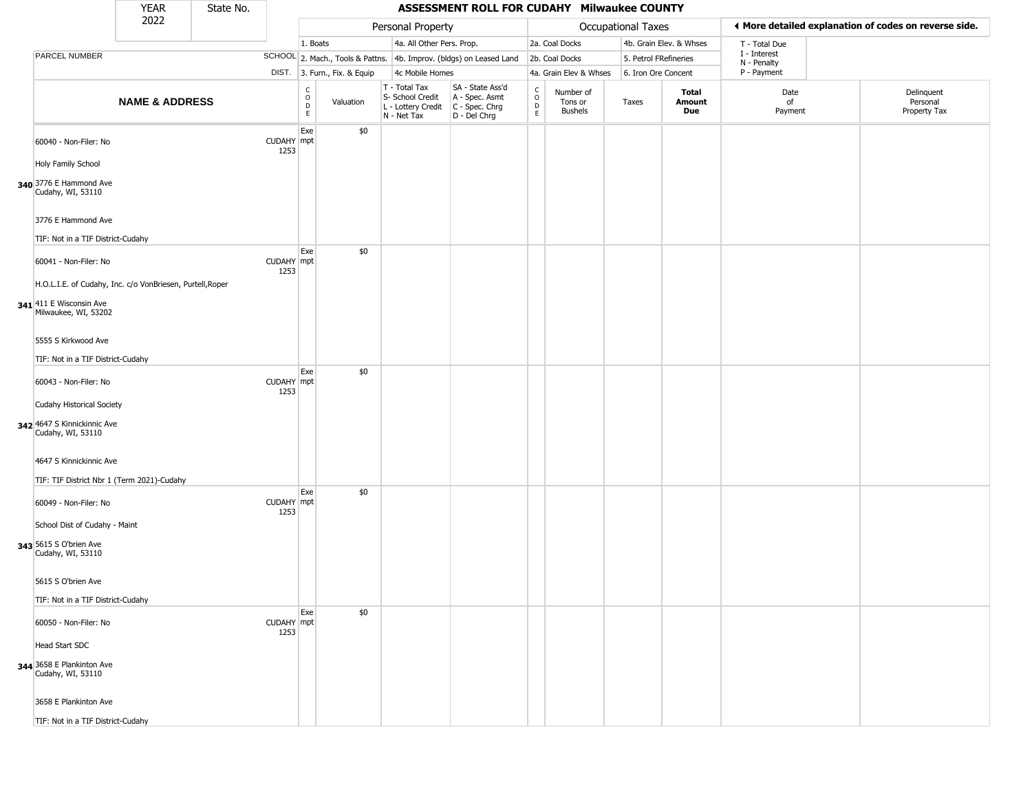|                                                                                                              | <b>YEAR</b>               | State No. |                    |                                        |                              |                                                                        | ASSESSMENT ROLL FOR CUDAHY Milwaukee COUNTY                          |                  |                                 |                       |                         |                             |                                                       |
|--------------------------------------------------------------------------------------------------------------|---------------------------|-----------|--------------------|----------------------------------------|------------------------------|------------------------------------------------------------------------|----------------------------------------------------------------------|------------------|---------------------------------|-----------------------|-------------------------|-----------------------------|-------------------------------------------------------|
|                                                                                                              | 2022                      |           |                    |                                        |                              | Personal Property                                                      |                                                                      |                  |                                 | Occupational Taxes    |                         |                             | ◀ More detailed explanation of codes on reverse side. |
|                                                                                                              |                           |           |                    | 1. Boats                               |                              | 4a. All Other Pers. Prop.                                              |                                                                      |                  | 2a. Coal Docks                  |                       | 4b. Grain Elev. & Whses | T - Total Due               |                                                       |
| PARCEL NUMBER                                                                                                |                           |           |                    |                                        |                              |                                                                        | SCHOOL 2. Mach., Tools & Pattns. 4b. Improv. (bldgs) on Leased Land  |                  | 2b. Coal Docks                  | 5. Petrol FRefineries |                         | I - Interest<br>N - Penalty |                                                       |
|                                                                                                              |                           |           |                    |                                        | DIST. 3. Furn., Fix. & Equip | 4c Mobile Homes                                                        |                                                                      |                  | 4a. Grain Elev & Whses          | 6. Iron Ore Concent   |                         | P - Payment                 |                                                       |
|                                                                                                              | <b>NAME &amp; ADDRESS</b> |           |                    | C<br>$_{\rm D}^{\rm O}$<br>$\mathsf E$ | Valuation                    | T - Total Tax<br>S- School Credit<br>L - Lottery Credit<br>N - Net Tax | SA - State Ass'd<br>A - Spec. Asmt<br>C - Spec. Chrg<br>D - Del Chrg | C<br>D<br>D<br>E | Number of<br>Tons or<br>Bushels | Taxes                 | Total<br>Amount<br>Due  | Date<br>of<br>Payment       | Delinquent<br>Personal<br>Property Tax                |
| 60040 - Non-Filer: No                                                                                        |                           |           | CUDAHY mpt<br>1253 | Exe                                    | \$0                          |                                                                        |                                                                      |                  |                                 |                       |                         |                             |                                                       |
| Holy Family School<br>340 3776 E Hammond Ave<br>Cudahy, WI, 53110                                            |                           |           |                    |                                        |                              |                                                                        |                                                                      |                  |                                 |                       |                         |                             |                                                       |
| 3776 E Hammond Ave<br>TIF: Not in a TIF District-Cudahy                                                      |                           |           |                    |                                        |                              |                                                                        |                                                                      |                  |                                 |                       |                         |                             |                                                       |
| 60041 - Non-Filer: No                                                                                        |                           |           | CUDAHY mpt<br>1253 | Exe                                    | \$0                          |                                                                        |                                                                      |                  |                                 |                       |                         |                             |                                                       |
| H.O.L.I.E. of Cudahy, Inc. c/o VonBriesen, Purtell, Roper<br>341 411 E Wisconsin Ave<br>Milwaukee, WI, 53202 |                           |           |                    |                                        |                              |                                                                        |                                                                      |                  |                                 |                       |                         |                             |                                                       |
| 5555 S Kirkwood Ave<br>TIF: Not in a TIF District-Cudahy                                                     |                           |           |                    |                                        |                              |                                                                        |                                                                      |                  |                                 |                       |                         |                             |                                                       |
| 60043 - Non-Filer: No                                                                                        |                           |           | CUDAHY mpt<br>1253 | Exe                                    | \$0                          |                                                                        |                                                                      |                  |                                 |                       |                         |                             |                                                       |
| Cudahy Historical Society<br>342 4647 S Kinnickinnic Ave<br>Cudahy, WI, 53110                                |                           |           |                    |                                        |                              |                                                                        |                                                                      |                  |                                 |                       |                         |                             |                                                       |
| 4647 S Kinnickinnic Ave<br>TIF: TIF District Nbr 1 (Term 2021)-Cudahy                                        |                           |           |                    |                                        |                              |                                                                        |                                                                      |                  |                                 |                       |                         |                             |                                                       |
| 60049 - Non-Filer: No                                                                                        |                           |           | CUDAHY mpt<br>1253 | Exe                                    | \$0                          |                                                                        |                                                                      |                  |                                 |                       |                         |                             |                                                       |
| School Dist of Cudahy - Maint<br>343 5615 S O'brien Ave<br>Cudahy, WI, 53110                                 |                           |           |                    |                                        |                              |                                                                        |                                                                      |                  |                                 |                       |                         |                             |                                                       |
| 5615 S O'brien Ave                                                                                           |                           |           |                    |                                        |                              |                                                                        |                                                                      |                  |                                 |                       |                         |                             |                                                       |
| TIF: Not in a TIF District-Cudahy                                                                            |                           |           |                    | Exe                                    | \$0                          |                                                                        |                                                                      |                  |                                 |                       |                         |                             |                                                       |
| 60050 - Non-Filer: No                                                                                        |                           |           | CUDAHY mpt<br>1253 |                                        |                              |                                                                        |                                                                      |                  |                                 |                       |                         |                             |                                                       |
| Head Start SDC<br>344 3658 E Plankinton Ave<br>Cudahy, WI, 53110                                             |                           |           |                    |                                        |                              |                                                                        |                                                                      |                  |                                 |                       |                         |                             |                                                       |
| 3658 E Plankinton Ave                                                                                        |                           |           |                    |                                        |                              |                                                                        |                                                                      |                  |                                 |                       |                         |                             |                                                       |
| TIF: Not in a TIF District-Cudahy                                                                            |                           |           |                    |                                        |                              |                                                                        |                                                                      |                  |                                 |                       |                         |                             |                                                       |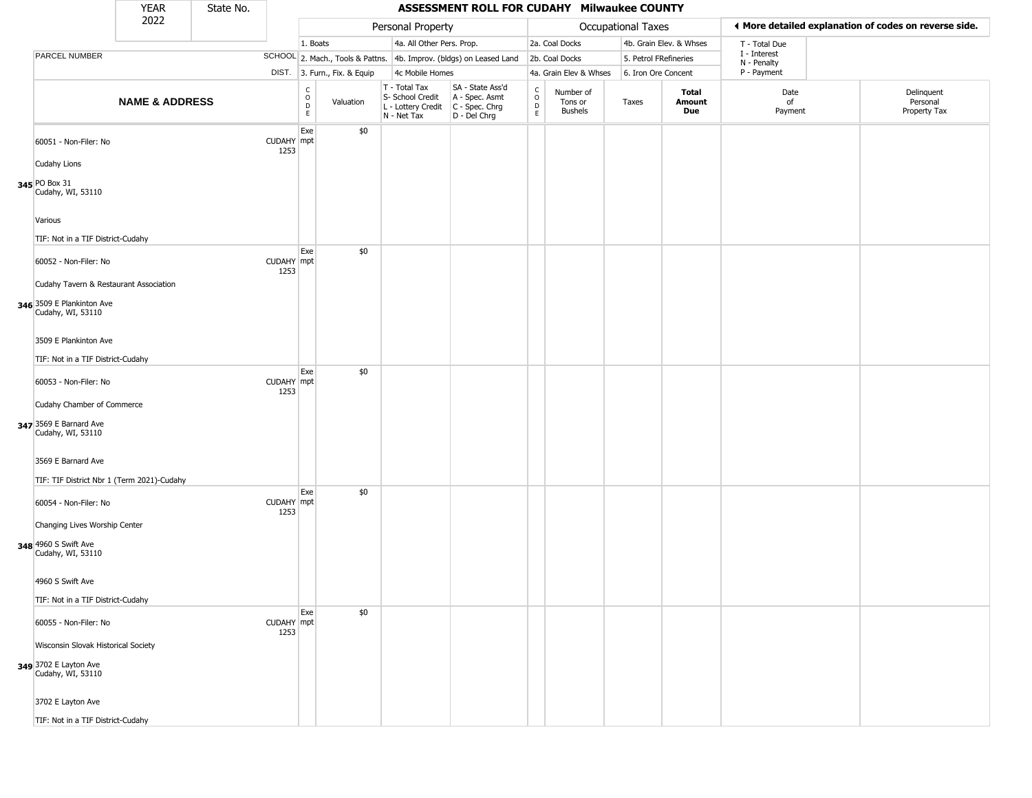|                                                                            | <b>YEAR</b>               | State No. |                    |                                 |                              |                                                                        | ASSESSMENT ROLL FOR CUDAHY Milwaukee COUNTY                          |                                |                                        |                       |                         |                             |                                                       |
|----------------------------------------------------------------------------|---------------------------|-----------|--------------------|---------------------------------|------------------------------|------------------------------------------------------------------------|----------------------------------------------------------------------|--------------------------------|----------------------------------------|-----------------------|-------------------------|-----------------------------|-------------------------------------------------------|
|                                                                            | 2022                      |           |                    |                                 |                              | Personal Property                                                      |                                                                      |                                |                                        | Occupational Taxes    |                         |                             | ◀ More detailed explanation of codes on reverse side. |
|                                                                            |                           |           |                    | 1. Boats                        |                              | 4a. All Other Pers. Prop.                                              |                                                                      |                                | 2a. Coal Docks                         |                       | 4b. Grain Elev. & Whses | T - Total Due               |                                                       |
| PARCEL NUMBER                                                              |                           |           |                    |                                 |                              |                                                                        | SCHOOL 2. Mach., Tools & Pattns. 4b. Improv. (bldgs) on Leased Land  |                                | 2b. Coal Docks                         | 5. Petrol FRefineries |                         | I - Interest<br>N - Penalty |                                                       |
|                                                                            |                           |           |                    |                                 | DIST. 3. Furn., Fix. & Equip | 4c Mobile Homes                                                        |                                                                      |                                | 4a. Grain Elev & Whses                 | 6. Iron Ore Concent   |                         | P - Payment                 |                                                       |
|                                                                            | <b>NAME &amp; ADDRESS</b> |           |                    | $\rm _o^C$<br>$\mathsf{D}$<br>E | Valuation                    | T - Total Tax<br>S- School Credit<br>L - Lottery Credit<br>N - Net Tax | SA - State Ass'd<br>A - Spec. Asmt<br>C - Spec. Chrg<br>D - Del Chrg | $\rm _o^C$<br>D<br>$\mathsf E$ | Number of<br>Tons or<br><b>Bushels</b> | Taxes                 | Total<br>Amount<br>Due  | Date<br>of<br>Payment       | Delinquent<br>Personal<br>Property Tax                |
| 60051 - Non-Filer: No                                                      |                           |           | CUDAHY mpt<br>1253 | Exe                             | \$0                          |                                                                        |                                                                      |                                |                                        |                       |                         |                             |                                                       |
| Cudahy Lions<br>345 PO Box 31<br>Cudahy, WI, 53110                         |                           |           |                    |                                 |                              |                                                                        |                                                                      |                                |                                        |                       |                         |                             |                                                       |
| Various<br>TIF: Not in a TIF District-Cudahy                               |                           |           |                    |                                 |                              |                                                                        |                                                                      |                                |                                        |                       |                         |                             |                                                       |
| 60052 - Non-Filer: No<br>Cudahy Tavern & Restaurant Association            |                           |           | CUDAHY mpt<br>1253 | Exe                             | \$0                          |                                                                        |                                                                      |                                |                                        |                       |                         |                             |                                                       |
| 346 3509 E Plankinton Ave<br>Cudahy, WI, 53110                             |                           |           |                    |                                 |                              |                                                                        |                                                                      |                                |                                        |                       |                         |                             |                                                       |
| 3509 E Plankinton Ave<br>TIF: Not in a TIF District-Cudahy                 |                           |           |                    |                                 |                              |                                                                        |                                                                      |                                |                                        |                       |                         |                             |                                                       |
| 60053 - Non-Filer: No                                                      |                           |           | CUDAHY mpt<br>1253 | Exe                             | \$0                          |                                                                        |                                                                      |                                |                                        |                       |                         |                             |                                                       |
| Cudahy Chamber of Commerce<br>347 3569 E Barnard Ave<br>Cudahy, WI, 53110  |                           |           |                    |                                 |                              |                                                                        |                                                                      |                                |                                        |                       |                         |                             |                                                       |
| 3569 E Barnard Ave<br>TIF: TIF District Nbr 1 (Term 2021)-Cudahy           |                           |           |                    |                                 |                              |                                                                        |                                                                      |                                |                                        |                       |                         |                             |                                                       |
| 60054 - Non-Filer: No                                                      |                           |           | CUDAHY mpt<br>1253 | Exe                             | \$0                          |                                                                        |                                                                      |                                |                                        |                       |                         |                             |                                                       |
| Changing Lives Worship Center<br>348 4960 S Swift Ave<br>Cudahy, WI, 53110 |                           |           |                    |                                 |                              |                                                                        |                                                                      |                                |                                        |                       |                         |                             |                                                       |
| 4960 S Swift Ave<br>TIF: Not in a TIF District-Cudahy                      |                           |           |                    |                                 |                              |                                                                        |                                                                      |                                |                                        |                       |                         |                             |                                                       |
| 60055 - Non-Filer: No                                                      |                           |           | CUDAHY mpt<br>1253 | Exe                             | \$0                          |                                                                        |                                                                      |                                |                                        |                       |                         |                             |                                                       |
| Wisconsin Slovak Historical Society                                        |                           |           |                    |                                 |                              |                                                                        |                                                                      |                                |                                        |                       |                         |                             |                                                       |
| 349 3702 E Layton Ave<br>Cudahy, WI, 53110                                 |                           |           |                    |                                 |                              |                                                                        |                                                                      |                                |                                        |                       |                         |                             |                                                       |
| 3702 E Layton Ave                                                          |                           |           |                    |                                 |                              |                                                                        |                                                                      |                                |                                        |                       |                         |                             |                                                       |
| TIF: Not in a TIF District-Cudahy                                          |                           |           |                    |                                 |                              |                                                                        |                                                                      |                                |                                        |                       |                         |                             |                                                       |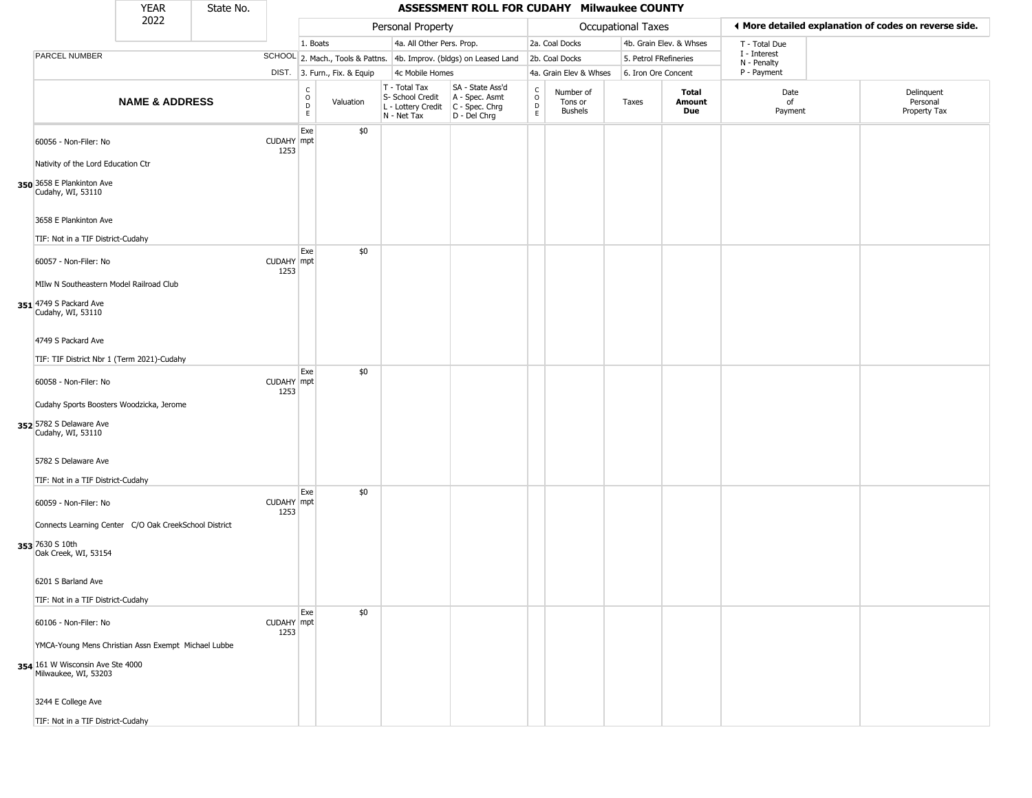|                                                                                                                 | <b>YEAR</b>               | State No. |                    |                                             |                              |                                                                        | <b>ASSESSMENT ROLL FOR CUDAHY Milwaukee COUNTY</b>                   |                                              |                                 |                       |                         |                             |                                                       |
|-----------------------------------------------------------------------------------------------------------------|---------------------------|-----------|--------------------|---------------------------------------------|------------------------------|------------------------------------------------------------------------|----------------------------------------------------------------------|----------------------------------------------|---------------------------------|-----------------------|-------------------------|-----------------------------|-------------------------------------------------------|
|                                                                                                                 | 2022                      |           |                    |                                             |                              | Personal Property                                                      |                                                                      |                                              |                                 | Occupational Taxes    |                         |                             | ◀ More detailed explanation of codes on reverse side. |
|                                                                                                                 |                           |           |                    | 1. Boats                                    |                              | 4a. All Other Pers. Prop.                                              |                                                                      |                                              | 2a. Coal Docks                  |                       | 4b. Grain Elev. & Whses | T - Total Due               |                                                       |
| PARCEL NUMBER                                                                                                   |                           |           |                    |                                             |                              |                                                                        | SCHOOL 2. Mach., Tools & Pattns. 4b. Improv. (bldgs) on Leased Land  |                                              | 2b. Coal Docks                  | 5. Petrol FRefineries |                         | I - Interest<br>N - Penalty |                                                       |
|                                                                                                                 |                           |           |                    |                                             | DIST. 3. Furn., Fix. & Equip | 4c Mobile Homes                                                        |                                                                      |                                              | 4a. Grain Elev & Whses          | 6. Iron Ore Concent   |                         | P - Payment                 |                                                       |
|                                                                                                                 | <b>NAME &amp; ADDRESS</b> |           |                    | $\frac{c}{0}$<br>$\mathsf D$<br>$\mathsf E$ | Valuation                    | T - Total Tax<br>S- School Credit<br>L - Lottery Credit<br>N - Net Tax | SA - State Ass'd<br>A - Spec. Asmt<br>C - Spec. Chrg<br>D - Del Chrg | $\int_{0}^{c}$<br>$\mathsf D$<br>$\mathsf E$ | Number of<br>Tons or<br>Bushels | Taxes                 | Total<br>Amount<br>Due  | Date<br>of<br>Payment       | Delinquent<br>Personal<br>Property Tax                |
| 60056 - Non-Filer: No                                                                                           |                           |           | CUDAHY mpt<br>1253 | Exe                                         | \$0                          |                                                                        |                                                                      |                                              |                                 |                       |                         |                             |                                                       |
| Nativity of the Lord Education Ctr<br>350 3658 E Plankinton Ave<br>Cudahy, WI, 53110                            |                           |           |                    |                                             |                              |                                                                        |                                                                      |                                              |                                 |                       |                         |                             |                                                       |
| 3658 E Plankinton Ave<br>TIF: Not in a TIF District-Cudahy                                                      |                           |           |                    |                                             |                              |                                                                        |                                                                      |                                              |                                 |                       |                         |                             |                                                       |
| 60057 - Non-Filer: No                                                                                           |                           |           | CUDAHY mpt<br>1253 | Exe                                         | \$0                          |                                                                        |                                                                      |                                              |                                 |                       |                         |                             |                                                       |
| MIIw N Southeastern Model Railroad Club<br>351 4749 S Packard Ave<br>Cudahy, WI, 53110                          |                           |           |                    |                                             |                              |                                                                        |                                                                      |                                              |                                 |                       |                         |                             |                                                       |
| 4749 S Packard Ave<br>TIF: TIF District Nbr 1 (Term 2021)-Cudahy                                                |                           |           |                    |                                             |                              |                                                                        |                                                                      |                                              |                                 |                       |                         |                             |                                                       |
| 60058 - Non-Filer: No                                                                                           |                           |           | CUDAHY mpt<br>1253 | Exe                                         | \$0                          |                                                                        |                                                                      |                                              |                                 |                       |                         |                             |                                                       |
| Cudahy Sports Boosters Woodzicka, Jerome<br>352 5782 S Delaware Ave<br>Cudahy, WI, 53110                        |                           |           |                    |                                             |                              |                                                                        |                                                                      |                                              |                                 |                       |                         |                             |                                                       |
| 5782 S Delaware Ave<br>TIF: Not in a TIF District-Cudahy                                                        |                           |           |                    |                                             |                              |                                                                        |                                                                      |                                              |                                 |                       |                         |                             |                                                       |
| 60059 - Non-Filer: No                                                                                           |                           |           | CUDAHY mpt<br>1253 | Exe                                         | \$0                          |                                                                        |                                                                      |                                              |                                 |                       |                         |                             |                                                       |
| Connects Learning Center C/O Oak CreekSchool District<br>353 7630 S 10th<br>Oak Creek, WI, 53154                |                           |           |                    |                                             |                              |                                                                        |                                                                      |                                              |                                 |                       |                         |                             |                                                       |
| 6201 S Barland Ave<br>TIF: Not in a TIF District-Cudahy                                                         |                           |           |                    |                                             |                              |                                                                        |                                                                      |                                              |                                 |                       |                         |                             |                                                       |
| 60106 - Non-Filer: No                                                                                           |                           |           | CUDAHY mpt<br>1253 | Exe                                         | \$0                          |                                                                        |                                                                      |                                              |                                 |                       |                         |                             |                                                       |
| YMCA-Young Mens Christian Assn Exempt Michael Lubbe<br>354 161 W Wisconsin Ave Ste 4000<br>Milwaukee, WI, 53203 |                           |           |                    |                                             |                              |                                                                        |                                                                      |                                              |                                 |                       |                         |                             |                                                       |
| 3244 E College Ave                                                                                              |                           |           |                    |                                             |                              |                                                                        |                                                                      |                                              |                                 |                       |                         |                             |                                                       |
| TIF: Not in a TIF District-Cudahy                                                                               |                           |           |                    |                                             |                              |                                                                        |                                                                      |                                              |                                 |                       |                         |                             |                                                       |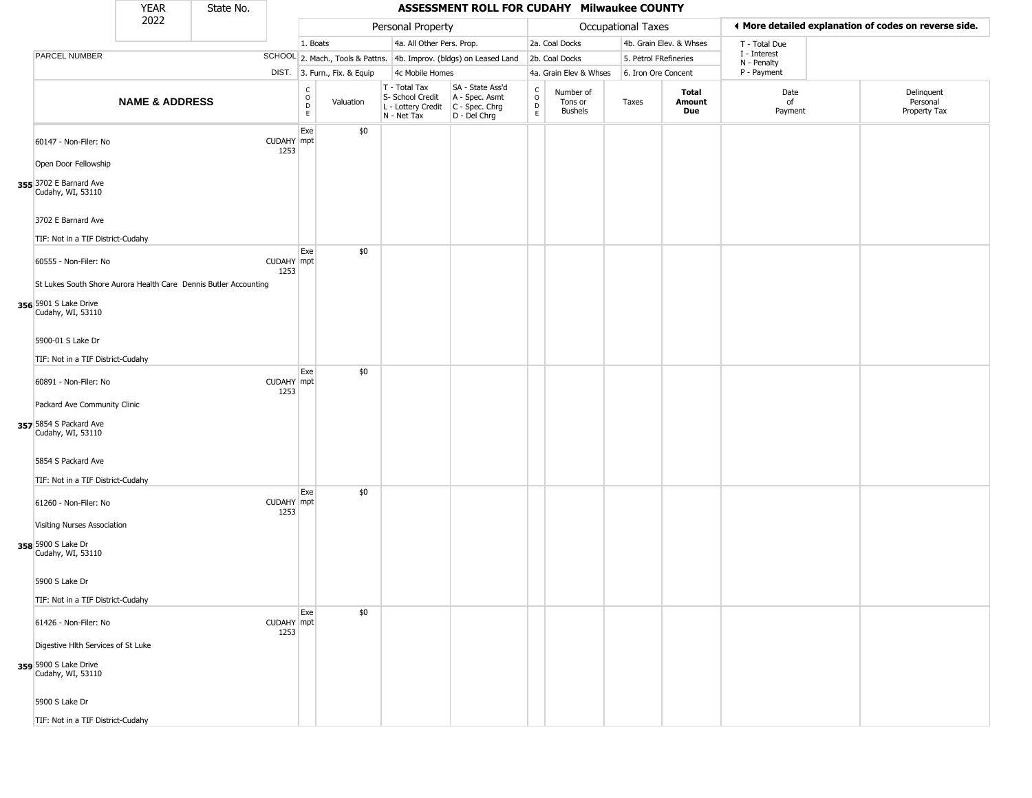|                                                                                                                | <b>YEAR</b>               | State No. |                    |                                                             |                                                                        |                 | ASSESSMENT ROLL FOR CUDAHY Milwaukee COUNTY                            |                                   |                                 |                       |                         |                             |                                                       |
|----------------------------------------------------------------------------------------------------------------|---------------------------|-----------|--------------------|-------------------------------------------------------------|------------------------------------------------------------------------|-----------------|------------------------------------------------------------------------|-----------------------------------|---------------------------------|-----------------------|-------------------------|-----------------------------|-------------------------------------------------------|
|                                                                                                                | 2022                      |           |                    |                                                             | Personal Property                                                      |                 |                                                                        |                                   |                                 | Occupational Taxes    |                         |                             | ◀ More detailed explanation of codes on reverse side. |
|                                                                                                                |                           |           |                    | 1. Boats                                                    |                                                                        |                 | 4a. All Other Pers. Prop.                                              |                                   | 2a. Coal Docks                  |                       | 4b. Grain Elev. & Whses | T - Total Due               |                                                       |
| PARCEL NUMBER                                                                                                  |                           |           |                    |                                                             |                                                                        |                 | SCHOOL 2. Mach., Tools & Pattns. 4b. Improv. (bldgs) on Leased Land    |                                   | 2b. Coal Docks                  | 5. Petrol FRefineries |                         | I - Interest<br>N - Penalty |                                                       |
|                                                                                                                |                           |           |                    | DIST. 3. Furn., Fix. & Equip                                |                                                                        | 4c Mobile Homes |                                                                        |                                   | 4a. Grain Elev & Whses          | 6. Iron Ore Concent   |                         | P - Payment                 |                                                       |
|                                                                                                                | <b>NAME &amp; ADDRESS</b> |           |                    | $\begin{matrix} 0 \\ 0 \\ D \end{matrix}$<br>Valuation<br>E | T - Total Tax<br>S- School Credit<br>L - Lottery Credit<br>N - Net Tax |                 | SA - State Ass'd<br>A - Spec. Asmt<br>$C - Spec. Chrg$<br>D - Del Chrg | $\frac{C}{O}$<br>$\mathsf D$<br>E | Number of<br>Tons or<br>Bushels | Taxes                 | Total<br>Amount<br>Due  | Date<br>of<br>Payment       | Delinquent<br>Personal<br>Property Tax                |
| 60147 - Non-Filer: No                                                                                          |                           |           | CUDAHY mpt<br>1253 | Exe<br>\$0                                                  |                                                                        |                 |                                                                        |                                   |                                 |                       |                         |                             |                                                       |
| Open Door Fellowship<br>355 3702 E Barnard Ave<br>Cudahy, WI, 53110                                            |                           |           |                    |                                                             |                                                                        |                 |                                                                        |                                   |                                 |                       |                         |                             |                                                       |
| 3702 E Barnard Ave<br>TIF: Not in a TIF District-Cudahy                                                        |                           |           |                    |                                                             |                                                                        |                 |                                                                        |                                   |                                 |                       |                         |                             |                                                       |
| 60555 - Non-Filer: No                                                                                          |                           |           | CUDAHY mpt<br>1253 | \$0<br>Exe                                                  |                                                                        |                 |                                                                        |                                   |                                 |                       |                         |                             |                                                       |
| St Lukes South Shore Aurora Health Care Dennis Butler Accounting<br>356 5901 S Lake Drive<br>Cudahy, WI, 53110 |                           |           |                    |                                                             |                                                                        |                 |                                                                        |                                   |                                 |                       |                         |                             |                                                       |
| 5900-01 S Lake Dr<br>TIF: Not in a TIF District-Cudahy                                                         |                           |           |                    |                                                             |                                                                        |                 |                                                                        |                                   |                                 |                       |                         |                             |                                                       |
| 60891 - Non-Filer: No                                                                                          |                           |           | CUDAHY mpt<br>1253 | \$0<br>Exe                                                  |                                                                        |                 |                                                                        |                                   |                                 |                       |                         |                             |                                                       |
| Packard Ave Community Clinic<br>357 5854 S Packard Ave<br>Cudahy, WI, 53110                                    |                           |           |                    |                                                             |                                                                        |                 |                                                                        |                                   |                                 |                       |                         |                             |                                                       |
| 5854 S Packard Ave<br>TIF: Not in a TIF District-Cudahy                                                        |                           |           |                    |                                                             |                                                                        |                 |                                                                        |                                   |                                 |                       |                         |                             |                                                       |
| 61260 - Non-Filer: No                                                                                          |                           |           | CUDAHY mpt<br>1253 | \$0<br>Exe                                                  |                                                                        |                 |                                                                        |                                   |                                 |                       |                         |                             |                                                       |
| Visiting Nurses Association<br>358 5900 S Lake Dr<br>Cudahy, WI, 53110                                         |                           |           |                    |                                                             |                                                                        |                 |                                                                        |                                   |                                 |                       |                         |                             |                                                       |
| 5900 S Lake Dr                                                                                                 |                           |           |                    |                                                             |                                                                        |                 |                                                                        |                                   |                                 |                       |                         |                             |                                                       |
| TIF: Not in a TIF District-Cudahy                                                                              |                           |           |                    | \$0<br>Exe                                                  |                                                                        |                 |                                                                        |                                   |                                 |                       |                         |                             |                                                       |
| 61426 - Non-Filer: No                                                                                          |                           |           | CUDAHY mpt<br>1253 |                                                             |                                                                        |                 |                                                                        |                                   |                                 |                       |                         |                             |                                                       |
| Digestive Hlth Services of St Luke<br>359 5900 S Lake Drive<br>Cudahy, WI, 53110                               |                           |           |                    |                                                             |                                                                        |                 |                                                                        |                                   |                                 |                       |                         |                             |                                                       |
| 5900 S Lake Dr                                                                                                 |                           |           |                    |                                                             |                                                                        |                 |                                                                        |                                   |                                 |                       |                         |                             |                                                       |
| TIF: Not in a TIF District-Cudahy                                                                              |                           |           |                    |                                                             |                                                                        |                 |                                                                        |                                   |                                 |                       |                         |                             |                                                       |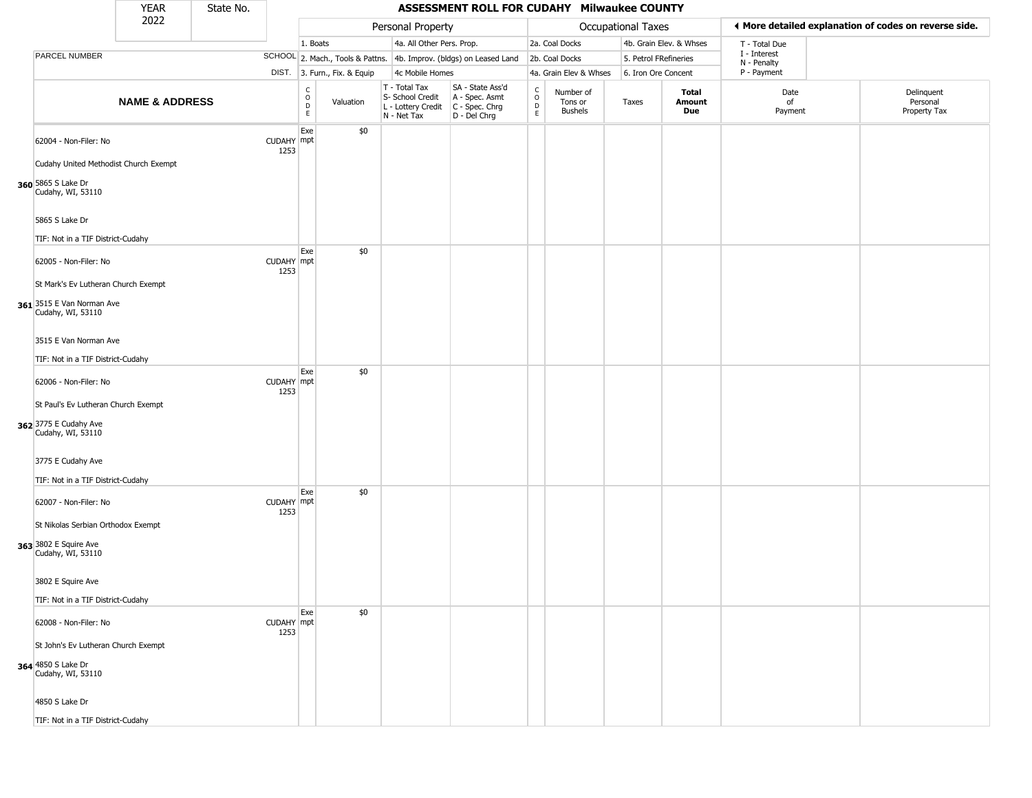|                                                                                       | <b>YEAR</b>               | State No. |                    |                                 |                              |                                                                        | ASSESSMENT ROLL FOR CUDAHY Milwaukee COUNTY                          |                                             |                                        |                       |                         |                             |                                                       |
|---------------------------------------------------------------------------------------|---------------------------|-----------|--------------------|---------------------------------|------------------------------|------------------------------------------------------------------------|----------------------------------------------------------------------|---------------------------------------------|----------------------------------------|-----------------------|-------------------------|-----------------------------|-------------------------------------------------------|
|                                                                                       | 2022                      |           |                    |                                 |                              | Personal Property                                                      |                                                                      |                                             |                                        | Occupational Taxes    |                         |                             | ◀ More detailed explanation of codes on reverse side. |
|                                                                                       |                           |           |                    | 1. Boats                        |                              | 4a. All Other Pers. Prop.                                              |                                                                      |                                             | 2a. Coal Docks                         |                       | 4b. Grain Elev. & Whses | T - Total Due               |                                                       |
| <b>PARCEL NUMBER</b>                                                                  |                           |           |                    |                                 |                              |                                                                        | SCHOOL 2. Mach., Tools & Pattns. 4b. Improv. (bldgs) on Leased Land  |                                             | 2b. Coal Docks                         | 5. Petrol FRefineries |                         | I - Interest<br>N - Penalty |                                                       |
|                                                                                       |                           |           |                    |                                 | DIST. 3. Furn., Fix. & Equip | 4c Mobile Homes                                                        |                                                                      |                                             | 4a. Grain Elev & Whses                 | 6. Iron Ore Concent   |                         | P - Payment                 |                                                       |
|                                                                                       | <b>NAME &amp; ADDRESS</b> |           |                    | $\rm _o^C$<br>$\mathsf D$<br>E. | Valuation                    | T - Total Tax<br>S- School Credit<br>L - Lottery Credit<br>N - Net Tax | SA - State Ass'd<br>A - Spec. Asmt<br>C - Spec. Chrg<br>D - Del Chrg | $\frac{c}{0}$<br>$\mathsf D$<br>$\mathsf E$ | Number of<br>Tons or<br><b>Bushels</b> | Taxes                 | Total<br>Amount<br>Due  | Date<br>of<br>Payment       | Delinquent<br>Personal<br>Property Tax                |
| 62004 - Non-Filer: No                                                                 |                           |           | CUDAHY mpt<br>1253 | Exe                             | \$0                          |                                                                        |                                                                      |                                             |                                        |                       |                         |                             |                                                       |
| Cudahy United Methodist Church Exempt<br>360 5865 S Lake Dr<br>Cudahy, WI, 53110      |                           |           |                    |                                 |                              |                                                                        |                                                                      |                                             |                                        |                       |                         |                             |                                                       |
| 5865 S Lake Dr<br>TIF: Not in a TIF District-Cudahy                                   |                           |           |                    |                                 |                              |                                                                        |                                                                      |                                             |                                        |                       |                         |                             |                                                       |
| 62005 - Non-Filer: No                                                                 |                           |           | CUDAHY mpt<br>1253 | Exe                             | \$0                          |                                                                        |                                                                      |                                             |                                        |                       |                         |                             |                                                       |
| St Mark's Ev Lutheran Church Exempt<br>361 3515 E Van Norman Ave<br>Cudahy, WI, 53110 |                           |           |                    |                                 |                              |                                                                        |                                                                      |                                             |                                        |                       |                         |                             |                                                       |
| 3515 E Van Norman Ave<br>TIF: Not in a TIF District-Cudahy                            |                           |           |                    |                                 |                              |                                                                        |                                                                      |                                             |                                        |                       |                         |                             |                                                       |
| 62006 - Non-Filer: No                                                                 |                           |           | CUDAHY mpt<br>1253 | Exe                             | \$0                          |                                                                        |                                                                      |                                             |                                        |                       |                         |                             |                                                       |
| St Paul's Ev Lutheran Church Exempt<br>362 3775 E Cudahy Ave<br>Cudahy, WI, 53110     |                           |           |                    |                                 |                              |                                                                        |                                                                      |                                             |                                        |                       |                         |                             |                                                       |
| 3775 E Cudahy Ave<br>TIF: Not in a TIF District-Cudahy                                |                           |           |                    |                                 |                              |                                                                        |                                                                      |                                             |                                        |                       |                         |                             |                                                       |
| 62007 - Non-Filer: No                                                                 |                           |           | CUDAHY mpt<br>1253 | Exe                             | \$0                          |                                                                        |                                                                      |                                             |                                        |                       |                         |                             |                                                       |
| St Nikolas Serbian Orthodox Exempt<br>363 3802 E Squire Ave<br>Cudahy, WI, 53110      |                           |           |                    |                                 |                              |                                                                        |                                                                      |                                             |                                        |                       |                         |                             |                                                       |
| 3802 E Squire Ave                                                                     |                           |           |                    |                                 |                              |                                                                        |                                                                      |                                             |                                        |                       |                         |                             |                                                       |
| TIF: Not in a TIF District-Cudahy                                                     |                           |           |                    | Exe                             | \$0                          |                                                                        |                                                                      |                                             |                                        |                       |                         |                             |                                                       |
| 62008 - Non-Filer: No<br>St John's Ev Lutheran Church Exempt                          |                           |           | CUDAHY mpt<br>1253 |                                 |                              |                                                                        |                                                                      |                                             |                                        |                       |                         |                             |                                                       |
| 364 4850 S Lake Dr<br>Cudahy, WI, 53110                                               |                           |           |                    |                                 |                              |                                                                        |                                                                      |                                             |                                        |                       |                         |                             |                                                       |
| 4850 S Lake Dr                                                                        |                           |           |                    |                                 |                              |                                                                        |                                                                      |                                             |                                        |                       |                         |                             |                                                       |
| TIF: Not in a TIF District-Cudahy                                                     |                           |           |                    |                                 |                              |                                                                        |                                                                      |                                             |                                        |                       |                         |                             |                                                       |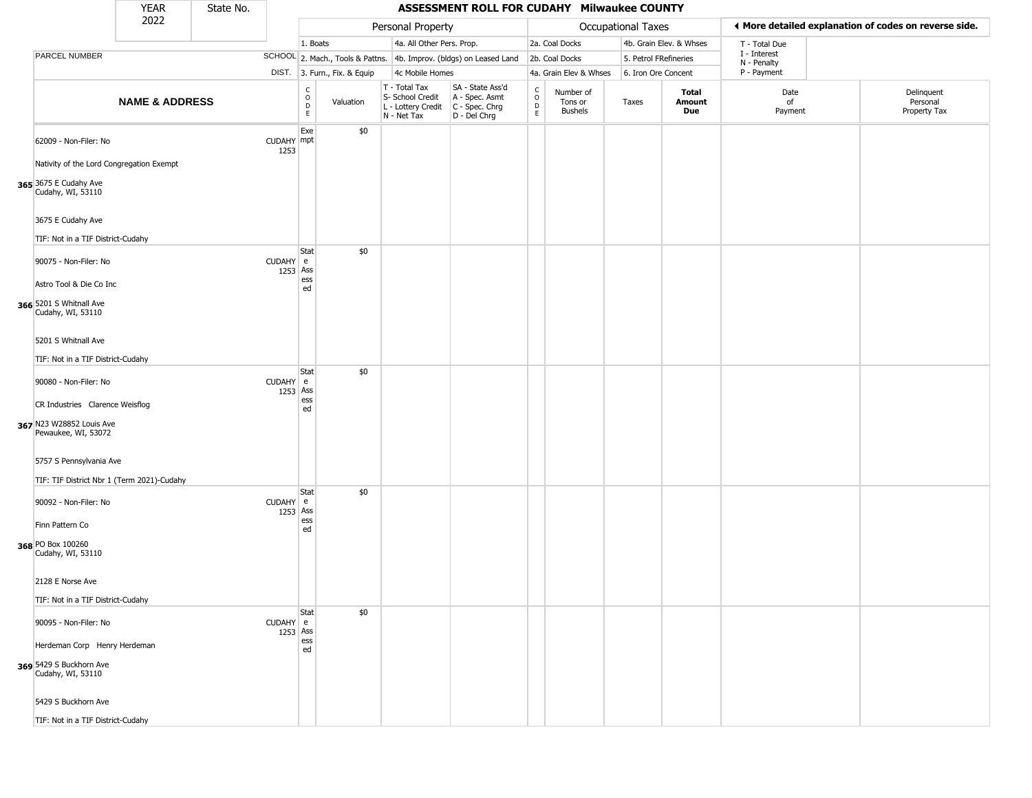|                                                                                        | <b>YEAR</b>               | State No. |                      |                                 |                              |                                                                        | ASSESSMENT ROLL FOR CUDAHY Milwaukee COUNTY                          |                                             |                                        |                       |                         |                             |                                                       |
|----------------------------------------------------------------------------------------|---------------------------|-----------|----------------------|---------------------------------|------------------------------|------------------------------------------------------------------------|----------------------------------------------------------------------|---------------------------------------------|----------------------------------------|-----------------------|-------------------------|-----------------------------|-------------------------------------------------------|
|                                                                                        | 2022                      |           |                      |                                 |                              | Personal Property                                                      |                                                                      |                                             |                                        | Occupational Taxes    |                         |                             | ◀ More detailed explanation of codes on reverse side. |
|                                                                                        |                           |           |                      | 1. Boats                        |                              | 4a. All Other Pers. Prop.                                              |                                                                      |                                             | 2a. Coal Docks                         |                       | 4b. Grain Elev. & Whses | T - Total Due               |                                                       |
| PARCEL NUMBER                                                                          |                           |           |                      |                                 |                              |                                                                        | SCHOOL 2. Mach., Tools & Pattns. 4b. Improv. (bldgs) on Leased Land  |                                             | 2b. Coal Docks                         | 5. Petrol FRefineries |                         | I - Interest<br>N - Penalty |                                                       |
|                                                                                        |                           |           |                      |                                 | DIST. 3. Furn., Fix. & Equip | 4c Mobile Homes                                                        |                                                                      |                                             | 4a. Grain Elev & Whses                 | 6. Iron Ore Concent   |                         | P - Payment                 |                                                       |
|                                                                                        | <b>NAME &amp; ADDRESS</b> |           |                      | $\rm _o^C$<br>$\mathsf D$<br>E. | Valuation                    | T - Total Tax<br>S- School Credit<br>L - Lottery Credit<br>N - Net Tax | SA - State Ass'd<br>A - Spec. Asmt<br>C - Spec. Chrg<br>D - Del Chrg | $\frac{c}{0}$<br>$\mathsf D$<br>$\mathsf E$ | Number of<br>Tons or<br><b>Bushels</b> | Taxes                 | Total<br>Amount<br>Due  | Date<br>of<br>Payment       | Delinquent<br>Personal<br>Property Tax                |
| 62009 - Non-Filer: No                                                                  |                           |           | CUDAHY mpt<br>1253   | Exe                             | \$0                          |                                                                        |                                                                      |                                             |                                        |                       |                         |                             |                                                       |
| Nativity of the Lord Congregation Exempt<br>365 3675 E Cudahy Ave<br>Cudahy, WI, 53110 |                           |           |                      |                                 |                              |                                                                        |                                                                      |                                             |                                        |                       |                         |                             |                                                       |
| 3675 E Cudahy Ave<br>TIF: Not in a TIF District-Cudahy                                 |                           |           |                      |                                 |                              |                                                                        |                                                                      |                                             |                                        |                       |                         |                             |                                                       |
| 90075 - Non-Filer: No                                                                  |                           |           | CUDAHY e<br>1253 Ass | Stat                            | \$0                          |                                                                        |                                                                      |                                             |                                        |                       |                         |                             |                                                       |
| Astro Tool & Die Co Inc<br>366 5201 S Whitnall Ave<br>Cudahy, WI, 53110                |                           |           |                      | ess<br>ed                       |                              |                                                                        |                                                                      |                                             |                                        |                       |                         |                             |                                                       |
| 5201 S Whitnall Ave<br>TIF: Not in a TIF District-Cudahy                               |                           |           |                      |                                 |                              |                                                                        |                                                                      |                                             |                                        |                       |                         |                             |                                                       |
| 90080 - Non-Filer: No                                                                  |                           |           | CUDAHY e<br>1253 Ass | Stat                            | \$0                          |                                                                        |                                                                      |                                             |                                        |                       |                         |                             |                                                       |
| CR Industries Clarence Weisflog<br>367 N23 W28852 Louis Ave<br>Pewaukee, WI, 53072     |                           |           |                      | ess<br>ed                       |                              |                                                                        |                                                                      |                                             |                                        |                       |                         |                             |                                                       |
| 5757 S Pennsylvania Ave<br>TIF: TIF District Nbr 1 (Term 2021)-Cudahy                  |                           |           |                      |                                 |                              |                                                                        |                                                                      |                                             |                                        |                       |                         |                             |                                                       |
| 90092 - Non-Filer: No                                                                  |                           |           | CUDAHY e<br>1253 Ass | <b>Stat</b>                     | \$0                          |                                                                        |                                                                      |                                             |                                        |                       |                         |                             |                                                       |
| Finn Pattern Co<br>368 PO Box 100260<br>Cudahy, WI, 53110                              |                           |           |                      | ess<br>ed                       |                              |                                                                        |                                                                      |                                             |                                        |                       |                         |                             |                                                       |
| 2128 E Norse Ave<br>TIF: Not in a TIF District-Cudahy                                  |                           |           |                      |                                 |                              |                                                                        |                                                                      |                                             |                                        |                       |                         |                             |                                                       |
| 90095 - Non-Filer: No                                                                  |                           |           | CUDAHY e<br>1253 Ass | Stat                            | \$0                          |                                                                        |                                                                      |                                             |                                        |                       |                         |                             |                                                       |
| Herdeman Corp Henry Herdeman                                                           |                           |           |                      | ess<br>ed                       |                              |                                                                        |                                                                      |                                             |                                        |                       |                         |                             |                                                       |
| 369 5429 S Buckhorn Ave<br>Cudahy, WI, 53110                                           |                           |           |                      |                                 |                              |                                                                        |                                                                      |                                             |                                        |                       |                         |                             |                                                       |
| 5429 S Buckhorn Ave                                                                    |                           |           |                      |                                 |                              |                                                                        |                                                                      |                                             |                                        |                       |                         |                             |                                                       |
| TIF: Not in a TIF District-Cudahy                                                      |                           |           |                      |                                 |                              |                                                                        |                                                                      |                                             |                                        |                       |                         |                             |                                                       |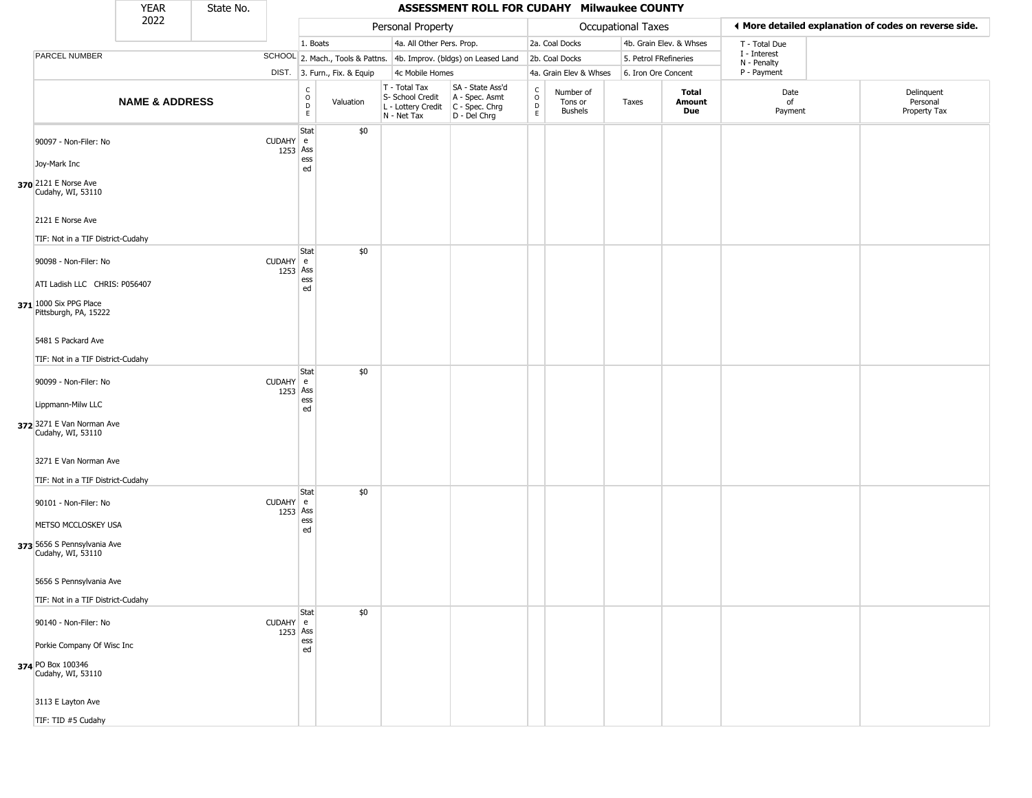|                                                                                                           | <b>YEAR</b>               | State No. |                      |                                            |                              |                                                                        | ASSESSMENT ROLL FOR CUDAHY Milwaukee COUNTY                          |                                             |                                        |                       |                         |                             |                                                       |
|-----------------------------------------------------------------------------------------------------------|---------------------------|-----------|----------------------|--------------------------------------------|------------------------------|------------------------------------------------------------------------|----------------------------------------------------------------------|---------------------------------------------|----------------------------------------|-----------------------|-------------------------|-----------------------------|-------------------------------------------------------|
|                                                                                                           | 2022                      |           |                      |                                            |                              | Personal Property                                                      |                                                                      |                                             |                                        | Occupational Taxes    |                         |                             | ♦ More detailed explanation of codes on reverse side. |
|                                                                                                           |                           |           |                      | 1. Boats                                   |                              | 4a. All Other Pers. Prop.                                              |                                                                      |                                             | 2a. Coal Docks                         |                       | 4b. Grain Elev. & Whses | T - Total Due               |                                                       |
| PARCEL NUMBER                                                                                             |                           |           |                      |                                            |                              |                                                                        | SCHOOL 2. Mach., Tools & Pattns. 4b. Improv. (bldgs) on Leased Land  |                                             | 2b. Coal Docks                         | 5. Petrol FRefineries |                         | I - Interest<br>N - Penalty |                                                       |
|                                                                                                           |                           |           |                      |                                            | DIST. 3. Furn., Fix. & Equip | 4c Mobile Homes                                                        |                                                                      |                                             | 4a. Grain Elev & Whses                 | 6. Iron Ore Concent   |                         | P - Payment                 |                                                       |
|                                                                                                           | <b>NAME &amp; ADDRESS</b> |           |                      | c<br>$\circ$<br>$\mathsf D$<br>$\mathsf E$ | Valuation                    | T - Total Tax<br>S- School Credit<br>L - Lottery Credit<br>N - Net Tax | SA - State Ass'd<br>A - Spec. Asmt<br>C - Spec. Chrg<br>D - Del Chrg | $\int_{0}^{c}$<br>$\mathsf{D}_{\mathsf{E}}$ | Number of<br>Tons or<br><b>Bushels</b> | Taxes                 | Total<br>Amount<br>Due  | Date<br>of<br>Payment       | Delinquent<br>Personal<br>Property Tax                |
| 90097 - Non-Filer: No<br>Joy-Mark Inc                                                                     |                           |           | CUDAHY e<br>1253 Ass | Stat<br>ess<br>ed                          | \$0                          |                                                                        |                                                                      |                                             |                                        |                       |                         |                             |                                                       |
| 370 2121 E Norse Ave<br>Cudahy, WI, 53110<br>2121 E Norse Ave                                             |                           |           |                      |                                            |                              |                                                                        |                                                                      |                                             |                                        |                       |                         |                             |                                                       |
| TIF: Not in a TIF District-Cudahy                                                                         |                           |           |                      |                                            |                              |                                                                        |                                                                      |                                             |                                        |                       |                         |                             |                                                       |
| 90098 - Non-Filer: No<br>ATI Ladish LLC CHRIS: P056407<br>371 1000 Six PPG Place<br>Pittsburgh, PA, 15222 |                           |           | CUDAHY e<br>1253 Ass | Stat<br>ess<br>ed                          | \$0                          |                                                                        |                                                                      |                                             |                                        |                       |                         |                             |                                                       |
| 5481 S Packard Ave<br>TIF: Not in a TIF District-Cudahy                                                   |                           |           |                      | Stat                                       | \$0                          |                                                                        |                                                                      |                                             |                                        |                       |                         |                             |                                                       |
| 90099 - Non-Filer: No<br>Lippmann-Milw LLC<br>372 3271 E Van Norman Ave<br>Cudahy, WI, 53110              |                           |           | CUDAHY e<br>1253 Ass | ess<br>ed                                  |                              |                                                                        |                                                                      |                                             |                                        |                       |                         |                             |                                                       |
| 3271 E Van Norman Ave<br>TIF: Not in a TIF District-Cudahy                                                |                           |           |                      |                                            |                              |                                                                        |                                                                      |                                             |                                        |                       |                         |                             |                                                       |
| 90101 - Non-Filer: No                                                                                     |                           |           | CUDAHY e<br>1253 Ass | Stat<br>ess                                | \$0                          |                                                                        |                                                                      |                                             |                                        |                       |                         |                             |                                                       |
| METSO MCCLOSKEY USA<br>373 5656 S Pennsylvania Ave<br>Cudahy, WI, 53110                                   |                           |           |                      | ed                                         |                              |                                                                        |                                                                      |                                             |                                        |                       |                         |                             |                                                       |
| 5656 S Pennsylvania Ave<br>TIF: Not in a TIF District-Cudahy                                              |                           |           |                      |                                            |                              |                                                                        |                                                                      |                                             |                                        |                       |                         |                             |                                                       |
| 90140 - Non-Filer: No                                                                                     |                           |           | CUDAHY e<br>1253 Ass | Stat                                       | \$0                          |                                                                        |                                                                      |                                             |                                        |                       |                         |                             |                                                       |
| Porkie Company Of Wisc Inc<br>374 PO Box 100346<br>Cudahy, WI, 53110                                      |                           |           |                      | ess<br>ed                                  |                              |                                                                        |                                                                      |                                             |                                        |                       |                         |                             |                                                       |
| 3113 E Layton Ave                                                                                         |                           |           |                      |                                            |                              |                                                                        |                                                                      |                                             |                                        |                       |                         |                             |                                                       |
| TIF: TID #5 Cudahy                                                                                        |                           |           |                      |                                            |                              |                                                                        |                                                                      |                                             |                                        |                       |                         |                             |                                                       |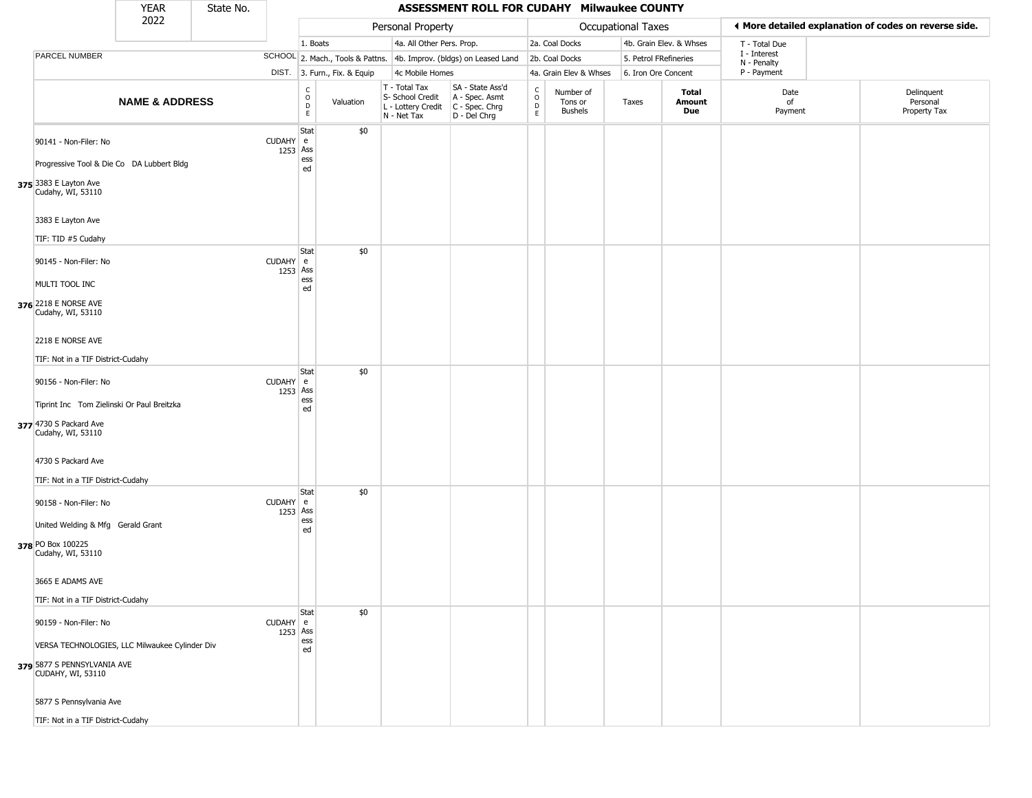|                                                                                                                                                                               | <b>YEAR</b>               | State No. |                      |                                       |                              |                                                                        | ASSESSMENT ROLL FOR CUDAHY Milwaukee COUNTY                          |                                             |                                        |                       |                         |                             |                                                       |
|-------------------------------------------------------------------------------------------------------------------------------------------------------------------------------|---------------------------|-----------|----------------------|---------------------------------------|------------------------------|------------------------------------------------------------------------|----------------------------------------------------------------------|---------------------------------------------|----------------------------------------|-----------------------|-------------------------|-----------------------------|-------------------------------------------------------|
|                                                                                                                                                                               | 2022                      |           |                      |                                       |                              | Personal Property                                                      |                                                                      |                                             |                                        | Occupational Taxes    |                         |                             | ◀ More detailed explanation of codes on reverse side. |
|                                                                                                                                                                               |                           |           |                      | 1. Boats                              |                              | 4a. All Other Pers. Prop.                                              |                                                                      |                                             | 2a. Coal Docks                         |                       | 4b. Grain Elev. & Whses | T - Total Due               |                                                       |
| <b>PARCEL NUMBER</b>                                                                                                                                                          |                           |           |                      |                                       |                              |                                                                        | SCHOOL 2. Mach., Tools & Pattns. 4b. Improv. (bldgs) on Leased Land  |                                             | 2b. Coal Docks                         | 5. Petrol FRefineries |                         | I - Interest<br>N - Penalty |                                                       |
|                                                                                                                                                                               |                           |           |                      |                                       | DIST. 3. Furn., Fix. & Equip | 4c Mobile Homes                                                        |                                                                      |                                             | 4a. Grain Elev & Whses                 | 6. Iron Ore Concent   |                         | P - Payment                 |                                                       |
|                                                                                                                                                                               | <b>NAME &amp; ADDRESS</b> |           |                      | c<br>$\mathsf O$<br>$\mathsf D$<br>E. | Valuation                    | T - Total Tax<br>S- School Credit<br>L - Lottery Credit<br>N - Net Tax | SA - State Ass'd<br>A - Spec. Asmt<br>C - Spec. Chrg<br>D - Del Chrg | $\frac{c}{0}$<br>$\mathsf D$<br>$\mathsf E$ | Number of<br>Tons or<br><b>Bushels</b> | Taxes                 | Total<br>Amount<br>Due  | Date<br>of<br>Payment       | Delinquent<br>Personal<br>Property Tax                |
| 90141 - Non-Filer: No<br>Progressive Tool & Die Co DA Lubbert Bldg<br>375 3383 E Layton Ave<br>Cudahy, WI, 53110                                                              |                           |           | CUDAHY e<br>1253 Ass | Stat<br>ess<br>ed                     | \$0                          |                                                                        |                                                                      |                                             |                                        |                       |                         |                             |                                                       |
| 3383 E Layton Ave<br>TIF: TID #5 Cudahy                                                                                                                                       |                           |           |                      |                                       |                              |                                                                        |                                                                      |                                             |                                        |                       |                         |                             |                                                       |
| 90145 - Non-Filer: No<br>MULTI TOOL INC<br>376 2218 E NORSE AVE<br>Cudahy, WI, 53110<br>2218 E NORSE AVE                                                                      |                           |           | CUDAHY e<br>1253 Ass | Stat<br>ess<br>ed                     | \$0                          |                                                                        |                                                                      |                                             |                                        |                       |                         |                             |                                                       |
| TIF: Not in a TIF District-Cudahy<br>90156 - Non-Filer: No<br>Tiprint Inc Tom Zielinski Or Paul Breitzka<br>377 4730 S Packard Ave<br>Cudahy, WI, 53110<br>4730 S Packard Ave |                           |           | CUDAHY e<br>1253 Ass | Stat<br>ess<br>ed                     | \$0                          |                                                                        |                                                                      |                                             |                                        |                       |                         |                             |                                                       |
| TIF: Not in a TIF District-Cudahy<br>90158 - Non-Filer: No<br>United Welding & Mfg Gerald Grant<br>378 PO Box 100225<br>Cudahy, WI, 53110<br>3665 E ADAMS AVE                 |                           |           | CUDAHY e<br>1253 Ass | Stat<br>ess<br>ed                     | \$0                          |                                                                        |                                                                      |                                             |                                        |                       |                         |                             |                                                       |
| TIF: Not in a TIF District-Cudahy                                                                                                                                             |                           |           |                      |                                       |                              |                                                                        |                                                                      |                                             |                                        |                       |                         |                             |                                                       |
| 90159 - Non-Filer: No<br>VERSA TECHNOLOGIES, LLC Milwaukee Cylinder Div<br>379 5877 S PENNSYLVANIA AVE<br>CUDAHY, WI, 53110<br>5877 S Pennsylvania Ave                        |                           |           | CUDAHY e<br>1253 Ass | Stat<br>ess<br>ed                     | \$0                          |                                                                        |                                                                      |                                             |                                        |                       |                         |                             |                                                       |
| TIF: Not in a TIF District-Cudahy                                                                                                                                             |                           |           |                      |                                       |                              |                                                                        |                                                                      |                                             |                                        |                       |                         |                             |                                                       |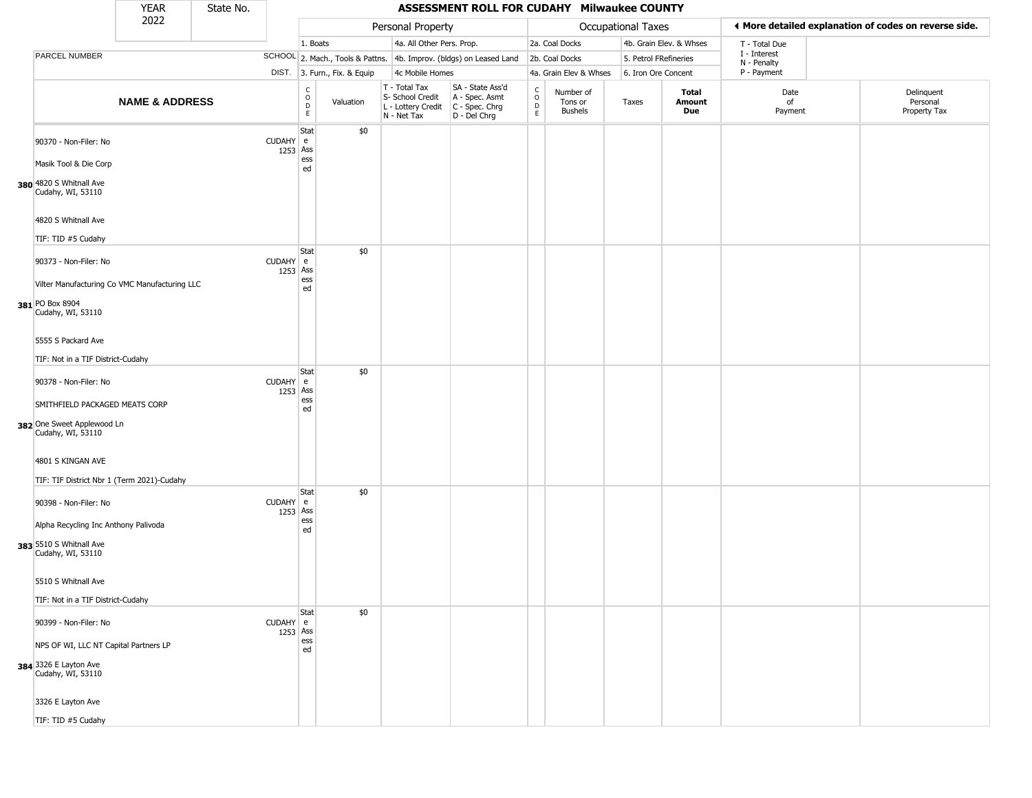|                                                                                      | <b>YEAR</b>               | State No. |                      |                                            |                              |                                                                        | ASSESSMENT ROLL FOR CUDAHY Milwaukee COUNTY                          |                                             |                                        |                       |                         |                             |                                                       |
|--------------------------------------------------------------------------------------|---------------------------|-----------|----------------------|--------------------------------------------|------------------------------|------------------------------------------------------------------------|----------------------------------------------------------------------|---------------------------------------------|----------------------------------------|-----------------------|-------------------------|-----------------------------|-------------------------------------------------------|
|                                                                                      | 2022                      |           |                      |                                            |                              | Personal Property                                                      |                                                                      |                                             |                                        | Occupational Taxes    |                         |                             | ♦ More detailed explanation of codes on reverse side. |
|                                                                                      |                           |           |                      | 1. Boats                                   |                              | 4a. All Other Pers. Prop.                                              |                                                                      |                                             | 2a. Coal Docks                         |                       | 4b. Grain Elev. & Whses | T - Total Due               |                                                       |
| PARCEL NUMBER                                                                        |                           |           |                      |                                            |                              |                                                                        | SCHOOL 2. Mach., Tools & Pattns. 4b. Improv. (bldgs) on Leased Land  |                                             | 2b. Coal Docks                         | 5. Petrol FRefineries |                         | I - Interest<br>N - Penalty |                                                       |
|                                                                                      |                           |           |                      |                                            | DIST. 3. Furn., Fix. & Equip | 4c Mobile Homes                                                        |                                                                      |                                             | 4a. Grain Elev & Whses                 | 6. Iron Ore Concent   |                         | P - Payment                 |                                                       |
|                                                                                      | <b>NAME &amp; ADDRESS</b> |           |                      | c<br>$\circ$<br>$\mathsf D$<br>$\mathsf E$ | Valuation                    | T - Total Tax<br>S- School Credit<br>L - Lottery Credit<br>N - Net Tax | SA - State Ass'd<br>A - Spec. Asmt<br>C - Spec. Chrg<br>D - Del Chrg | $\int_{0}^{c}$<br>$\mathsf{D}_{\mathsf{E}}$ | Number of<br>Tons or<br><b>Bushels</b> | Taxes                 | Total<br>Amount<br>Due  | Date<br>of<br>Payment       | Delinquent<br>Personal<br>Property Tax                |
| 90370 - Non-Filer: No<br>Masik Tool & Die Corp                                       |                           |           | CUDAHY e<br>1253 Ass | Stat<br>ess<br>ed                          | \$0                          |                                                                        |                                                                      |                                             |                                        |                       |                         |                             |                                                       |
| 380 4820 S Whitnall Ave<br>Cudahy, WI, 53110                                         |                           |           |                      |                                            |                              |                                                                        |                                                                      |                                             |                                        |                       |                         |                             |                                                       |
| 4820 S Whitnall Ave<br>TIF: TID #5 Cudahy                                            |                           |           |                      | Stat                                       | \$0                          |                                                                        |                                                                      |                                             |                                        |                       |                         |                             |                                                       |
| 90373 - Non-Filer: No<br>Vilter Manufacturing Co VMC Manufacturing LLC               |                           |           | CUDAHY e<br>1253 Ass | ess                                        |                              |                                                                        |                                                                      |                                             |                                        |                       |                         |                             |                                                       |
| 381 PO Box 8904<br>Cudahy, WI, 53110                                                 |                           |           |                      | ed                                         |                              |                                                                        |                                                                      |                                             |                                        |                       |                         |                             |                                                       |
| 5555 S Packard Ave<br>TIF: Not in a TIF District-Cudahy                              |                           |           |                      |                                            |                              |                                                                        |                                                                      |                                             |                                        |                       |                         |                             |                                                       |
| 90378 - Non-Filer: No                                                                |                           |           | CUDAHY e<br>1253 Ass | Stat                                       | \$0                          |                                                                        |                                                                      |                                             |                                        |                       |                         |                             |                                                       |
| SMITHFIELD PACKAGED MEATS CORP<br>382 One Sweet Applewood Ln<br>Cudahy, WI, 53110    |                           |           |                      | ess<br>ed                                  |                              |                                                                        |                                                                      |                                             |                                        |                       |                         |                             |                                                       |
| 4801 S KINGAN AVE<br>TIF: TIF District Nbr 1 (Term 2021)-Cudahy                      |                           |           |                      |                                            |                              |                                                                        |                                                                      |                                             |                                        |                       |                         |                             |                                                       |
| 90398 - Non-Filer: No                                                                |                           |           | CUDAHY e<br>1253 Ass | Stat                                       | \$0                          |                                                                        |                                                                      |                                             |                                        |                       |                         |                             |                                                       |
| Alpha Recycling Inc Anthony Palivoda<br>383 5510 S Whitnall Ave<br>Cudahy, WI, 53110 |                           |           |                      | ess<br>ed                                  |                              |                                                                        |                                                                      |                                             |                                        |                       |                         |                             |                                                       |
| 5510 S Whitnall Ave<br>TIF: Not in a TIF District-Cudahy                             |                           |           |                      |                                            |                              |                                                                        |                                                                      |                                             |                                        |                       |                         |                             |                                                       |
|                                                                                      |                           |           |                      | Stat                                       | \$0                          |                                                                        |                                                                      |                                             |                                        |                       |                         |                             |                                                       |
| 90399 - Non-Filer: No<br>NPS OF WI, LLC NT Capital Partners LP                       |                           |           | CUDAHY e<br>1253 Ass | ess                                        |                              |                                                                        |                                                                      |                                             |                                        |                       |                         |                             |                                                       |
| <b>384</b> 3326 E Layton Ave<br>Cudahy, WI, 53110                                    |                           |           |                      | ed                                         |                              |                                                                        |                                                                      |                                             |                                        |                       |                         |                             |                                                       |
| 3326 E Layton Ave                                                                    |                           |           |                      |                                            |                              |                                                                        |                                                                      |                                             |                                        |                       |                         |                             |                                                       |
| TIF: TID #5 Cudahy                                                                   |                           |           |                      |                                            |                              |                                                                        |                                                                      |                                             |                                        |                       |                         |                             |                                                       |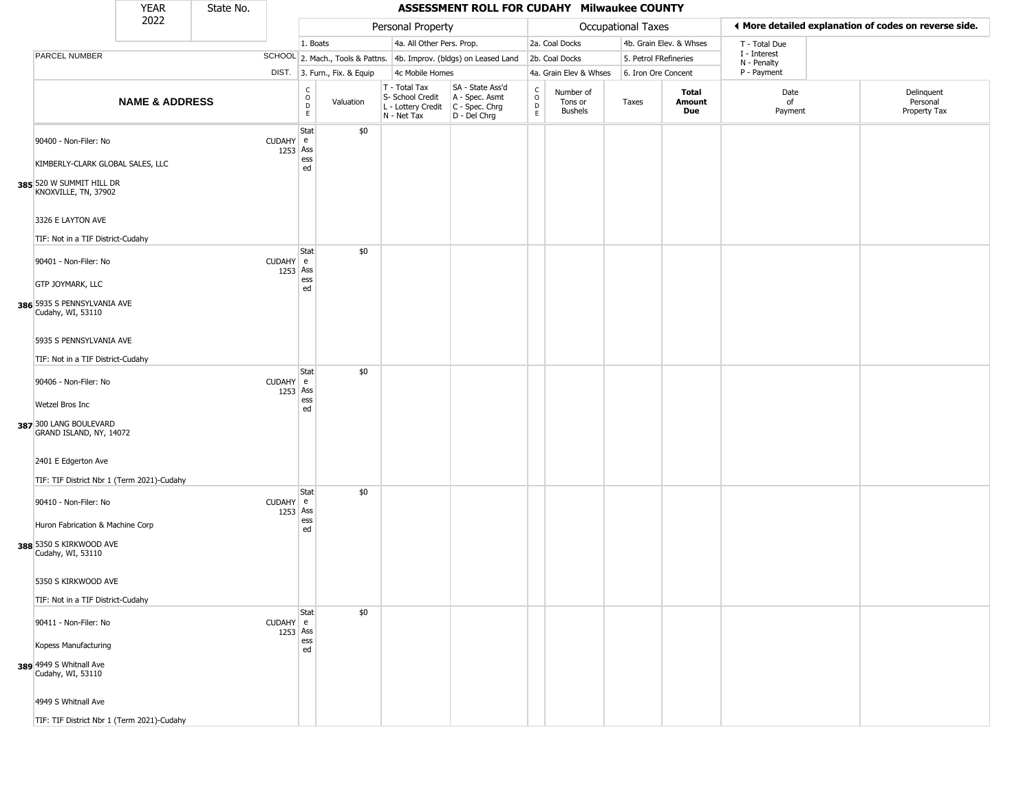|                                                                       | <b>YEAR</b>               | State No. |                      |                       |                              |                                                                        | ASSESSMENT ROLL FOR CUDAHY Milwaukee COUNTY                          |                                             |                                        |                       |                         |                             |                                                       |
|-----------------------------------------------------------------------|---------------------------|-----------|----------------------|-----------------------|------------------------------|------------------------------------------------------------------------|----------------------------------------------------------------------|---------------------------------------------|----------------------------------------|-----------------------|-------------------------|-----------------------------|-------------------------------------------------------|
|                                                                       | 2022                      |           |                      |                       |                              | Personal Property                                                      |                                                                      |                                             |                                        | Occupational Taxes    |                         |                             | ◀ More detailed explanation of codes on reverse side. |
|                                                                       |                           |           |                      | 1. Boats              |                              | 4a. All Other Pers. Prop.                                              |                                                                      |                                             | 2a. Coal Docks                         |                       | 4b. Grain Elev. & Whses | T - Total Due               |                                                       |
| PARCEL NUMBER                                                         |                           |           |                      |                       |                              |                                                                        | SCHOOL 2. Mach., Tools & Pattns. 4b. Improv. (bldgs) on Leased Land  |                                             | 2b. Coal Docks                         | 5. Petrol FRefineries |                         | I - Interest<br>N - Penalty |                                                       |
|                                                                       |                           |           |                      |                       | DIST. 3. Furn., Fix. & Equip | 4c Mobile Homes                                                        |                                                                      |                                             | 4a. Grain Elev & Whses                 | 6. Iron Ore Concent   |                         | P - Payment                 |                                                       |
|                                                                       | <b>NAME &amp; ADDRESS</b> |           |                      | $\rm _o^C$<br>D<br>E. | Valuation                    | T - Total Tax<br>S- School Credit<br>L - Lottery Credit<br>N - Net Tax | SA - State Ass'd<br>A - Spec. Asmt<br>C - Spec. Chrg<br>D - Del Chrg | $\frac{C}{O}$<br>$\mathsf D$<br>$\mathsf E$ | Number of<br>Tons or<br><b>Bushels</b> | Taxes                 | Total<br>Amount<br>Due  | Date<br>of<br>Payment       | Delinquent<br>Personal<br>Property Tax                |
| 90400 - Non-Filer: No<br>KIMBERLY-CLARK GLOBAL SALES, LLC             |                           |           | CUDAHY e<br>1253 Ass | Stat<br>ess<br>ed     | \$0                          |                                                                        |                                                                      |                                             |                                        |                       |                         |                             |                                                       |
| 385 520 W SUMMIT HILL DR<br>KNOXVILLE, TN, 37902<br>3326 E LAYTON AVE |                           |           |                      |                       |                              |                                                                        |                                                                      |                                             |                                        |                       |                         |                             |                                                       |
| TIF: Not in a TIF District-Cudahy                                     |                           |           |                      |                       |                              |                                                                        |                                                                      |                                             |                                        |                       |                         |                             |                                                       |
| 90401 - Non-Filer: No                                                 |                           |           | CUDAHY e<br>1253 Ass | Stat                  | \$0                          |                                                                        |                                                                      |                                             |                                        |                       |                         |                             |                                                       |
| GTP JOYMARK, LLC<br>386 5935 S PENNSYLVANIA AVE                       |                           |           |                      | ess<br>ed             |                              |                                                                        |                                                                      |                                             |                                        |                       |                         |                             |                                                       |
| Cudahy, WI, 53110                                                     |                           |           |                      |                       |                              |                                                                        |                                                                      |                                             |                                        |                       |                         |                             |                                                       |
| 5935 S PENNSYLVANIA AVE<br>TIF: Not in a TIF District-Cudahy          |                           |           |                      |                       |                              |                                                                        |                                                                      |                                             |                                        |                       |                         |                             |                                                       |
| 90406 - Non-Filer: No                                                 |                           |           | CUDAHY e<br>1253 Ass | Stat                  | \$0                          |                                                                        |                                                                      |                                             |                                        |                       |                         |                             |                                                       |
| Wetzel Bros Inc                                                       |                           |           |                      | ess<br>ed             |                              |                                                                        |                                                                      |                                             |                                        |                       |                         |                             |                                                       |
| 387 300 LANG BOULEVARD<br>GRAND ISLAND, NY, 14072                     |                           |           |                      |                       |                              |                                                                        |                                                                      |                                             |                                        |                       |                         |                             |                                                       |
| 2401 E Edgerton Ave<br>TIF: TIF District Nbr 1 (Term 2021)-Cudahy     |                           |           |                      |                       |                              |                                                                        |                                                                      |                                             |                                        |                       |                         |                             |                                                       |
| 90410 - Non-Filer: No                                                 |                           |           | CUDAHY e<br>1253 Ass | Stat                  | \$0                          |                                                                        |                                                                      |                                             |                                        |                       |                         |                             |                                                       |
| Huron Fabrication & Machine Corp                                      |                           |           |                      | ess<br>ed             |                              |                                                                        |                                                                      |                                             |                                        |                       |                         |                             |                                                       |
| 388 5350 S KIRKWOOD AVE<br>Cudahy, WI, 53110                          |                           |           |                      |                       |                              |                                                                        |                                                                      |                                             |                                        |                       |                         |                             |                                                       |
| 5350 S KIRKWOOD AVE                                                   |                           |           |                      |                       |                              |                                                                        |                                                                      |                                             |                                        |                       |                         |                             |                                                       |
| TIF: Not in a TIF District-Cudahy                                     |                           |           |                      | Stat                  | \$0                          |                                                                        |                                                                      |                                             |                                        |                       |                         |                             |                                                       |
| 90411 - Non-Filer: No                                                 |                           |           | CUDAHY e<br>1253 Ass | ess                   |                              |                                                                        |                                                                      |                                             |                                        |                       |                         |                             |                                                       |
| Kopess Manufacturing<br>389 4949 S Whitnall Ave                       |                           |           |                      | ed                    |                              |                                                                        |                                                                      |                                             |                                        |                       |                         |                             |                                                       |
| Cudahy, WI, 53110<br>4949 S Whitnall Ave                              |                           |           |                      |                       |                              |                                                                        |                                                                      |                                             |                                        |                       |                         |                             |                                                       |
| TIF: TIF District Nbr 1 (Term 2021)-Cudahy                            |                           |           |                      |                       |                              |                                                                        |                                                                      |                                             |                                        |                       |                         |                             |                                                       |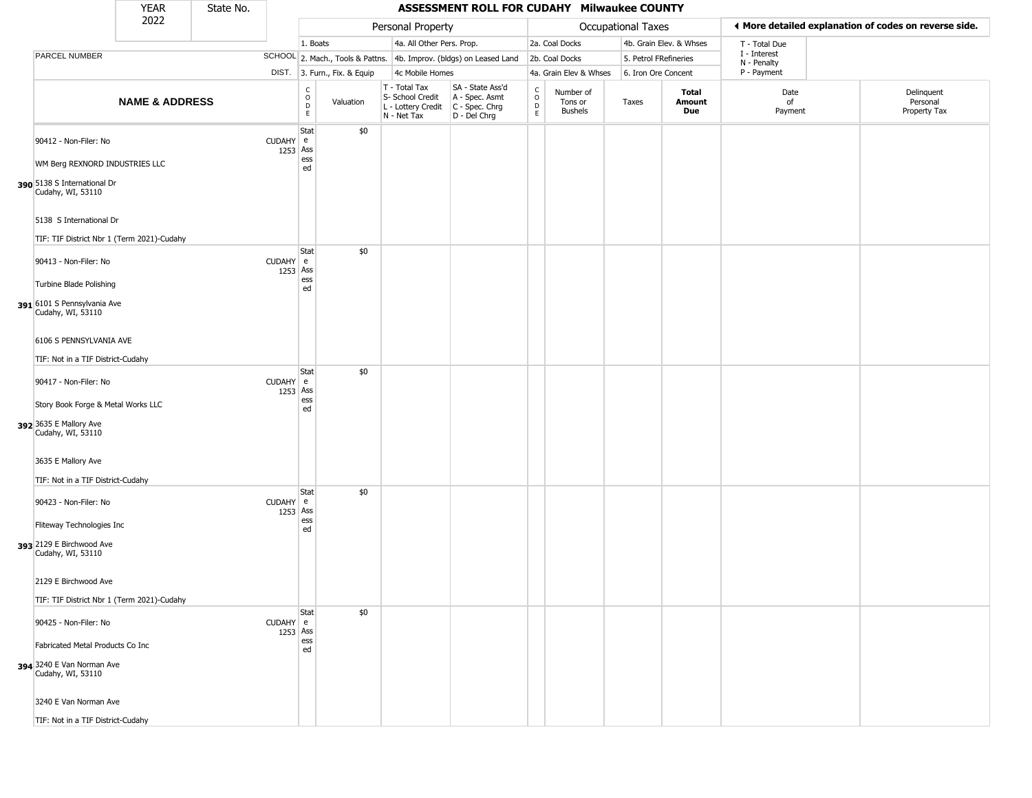|                                                                                                                                                                       | <b>YEAR</b>               | State No. |                        |                              |           |                                                                        | ASSESSMENT ROLL FOR CUDAHY Milwaukee COUNTY                          |                                             |                                 |                       |                         |                             |                                                       |
|-----------------------------------------------------------------------------------------------------------------------------------------------------------------------|---------------------------|-----------|------------------------|------------------------------|-----------|------------------------------------------------------------------------|----------------------------------------------------------------------|---------------------------------------------|---------------------------------|-----------------------|-------------------------|-----------------------------|-------------------------------------------------------|
|                                                                                                                                                                       | 2022                      |           |                        |                              |           | Personal Property                                                      |                                                                      |                                             |                                 | Occupational Taxes    |                         |                             | ◀ More detailed explanation of codes on reverse side. |
|                                                                                                                                                                       |                           |           |                        | 1. Boats                     |           | 4a. All Other Pers. Prop.                                              |                                                                      |                                             | 2a. Coal Docks                  |                       | 4b. Grain Elev. & Whses | T - Total Due               |                                                       |
| PARCEL NUMBER                                                                                                                                                         |                           |           |                        |                              |           |                                                                        | SCHOOL 2. Mach., Tools & Pattns. 4b. Improv. (bldgs) on Leased Land  |                                             | 2b. Coal Docks                  | 5. Petrol FRefineries |                         | I - Interest<br>N - Penalty |                                                       |
|                                                                                                                                                                       |                           |           |                        | DIST. 3. Furn., Fix. & Equip |           | 4c Mobile Homes                                                        |                                                                      |                                             | 4a. Grain Elev & Whses          | 6. Iron Ore Concent   |                         | P - Payment                 |                                                       |
|                                                                                                                                                                       | <b>NAME &amp; ADDRESS</b> |           |                        | $\rm _o^C$<br>D<br>E         | Valuation | T - Total Tax<br>S- School Credit<br>L - Lottery Credit<br>N - Net Tax | SA - State Ass'd<br>A - Spec. Asmt<br>C - Spec. Chrg<br>D - Del Chrg | $\frac{C}{O}$<br>$\mathsf D$<br>$\mathsf E$ | Number of<br>Tons or<br>Bushels | Taxes                 | Total<br>Amount<br>Due  | Date<br>of<br>Payment       | Delinquent<br>Personal<br>Property Tax                |
| 90412 - Non-Filer: No<br>WM Berg REXNORD INDUSTRIES LLC<br>390 5138 S International Dr<br>Cudahy, WI, 53110                                                           |                           |           | CUDAHY e<br>1253 Ass   | Stat<br>ess<br>ed            | \$0       |                                                                        |                                                                      |                                             |                                 |                       |                         |                             |                                                       |
| 5138 S International Dr<br>TIF: TIF District Nbr 1 (Term 2021)-Cudahy                                                                                                 |                           |           |                        |                              |           |                                                                        |                                                                      |                                             |                                 |                       |                         |                             |                                                       |
| 90413 - Non-Filer: No<br>Turbine Blade Polishing<br>391 6101 S Pennsylvania Ave<br>Cudahy, WI, 53110<br>6106 S PENNSYLVANIA AVE                                       |                           |           | CUDAHY e<br>1253 Ass   | Stat<br>ess<br>ed            | \$0       |                                                                        |                                                                      |                                             |                                 |                       |                         |                             |                                                       |
| TIF: Not in a TIF District-Cudahy<br>90417 - Non-Filer: No<br>Story Book Forge & Metal Works LLC<br>392 3635 E Mallory Ave<br>Cudahy, WI, 53110<br>3635 E Mallory Ave |                           |           | CUDAHY e<br>1253 Ass   | Stat<br>ess<br>ed            | \$0       |                                                                        |                                                                      |                                             |                                 |                       |                         |                             |                                                       |
| TIF: Not in a TIF District-Cudahy<br>90423 - Non-Filer: No<br>Fliteway Technologies Inc<br>393 2129 E Birchwood Ave<br>Cudahy, WI, 53110<br>2129 E Birchwood Ave      |                           |           | CUDAHY e<br>1253 Ass   | Stat<br>ess<br>ed            | \$0       |                                                                        |                                                                      |                                             |                                 |                       |                         |                             |                                                       |
| TIF: TIF District Nbr 1 (Term 2021)-Cudahy                                                                                                                            |                           |           |                        |                              |           |                                                                        |                                                                      |                                             |                                 |                       |                         |                             |                                                       |
| 90425 - Non-Filer: No<br>Fabricated Metal Products Co Inc<br>394 3240 E Van Norman Ave<br>Cudahy, WI, 53110<br>3240 E Van Norman Ave                                  |                           |           | $CUDAHY$ e<br>1253 Ass | Stat<br>ess<br>ed            | \$0       |                                                                        |                                                                      |                                             |                                 |                       |                         |                             |                                                       |
| TIF: Not in a TIF District-Cudahy                                                                                                                                     |                           |           |                        |                              |           |                                                                        |                                                                      |                                             |                                 |                       |                         |                             |                                                       |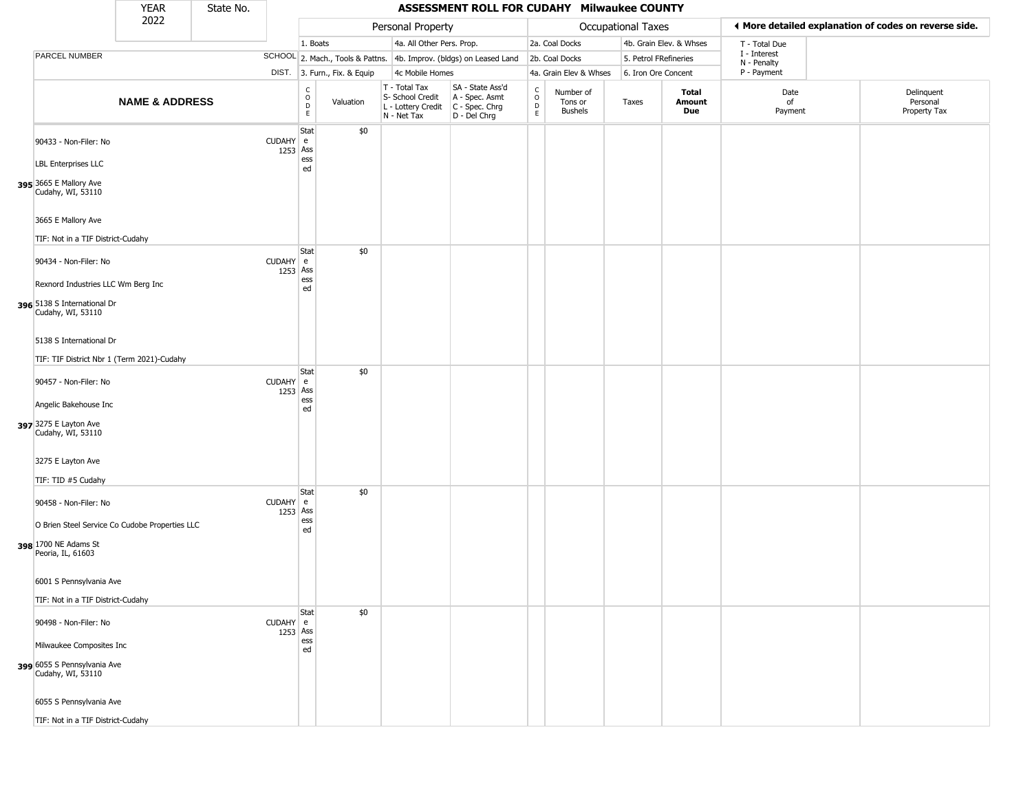|                                                                                             | <b>YEAR</b>               | State No. |                      |                                            |                              |                                                                        | ASSESSMENT ROLL FOR CUDAHY Milwaukee COUNTY                          |                                    |                                        |                       |                         |                             |                                                       |
|---------------------------------------------------------------------------------------------|---------------------------|-----------|----------------------|--------------------------------------------|------------------------------|------------------------------------------------------------------------|----------------------------------------------------------------------|------------------------------------|----------------------------------------|-----------------------|-------------------------|-----------------------------|-------------------------------------------------------|
|                                                                                             | 2022                      |           |                      |                                            |                              | Personal Property                                                      |                                                                      |                                    |                                        | Occupational Taxes    |                         |                             | ◀ More detailed explanation of codes on reverse side. |
|                                                                                             |                           |           |                      | 1. Boats                                   |                              | 4a. All Other Pers. Prop.                                              |                                                                      |                                    | 2a. Coal Docks                         |                       | 4b. Grain Elev. & Whses | T - Total Due               |                                                       |
| PARCEL NUMBER                                                                               |                           |           |                      |                                            |                              |                                                                        | SCHOOL 2. Mach., Tools & Pattns. 4b. Improv. (bldgs) on Leased Land  |                                    | 2b. Coal Docks                         | 5. Petrol FRefineries |                         | I - Interest<br>N - Penalty |                                                       |
|                                                                                             |                           |           |                      |                                            | DIST. 3. Furn., Fix. & Equip | 4c Mobile Homes                                                        |                                                                      |                                    | 4a. Grain Elev & Whses                 | 6. Iron Ore Concent   |                         | P - Payment                 |                                                       |
|                                                                                             | <b>NAME &amp; ADDRESS</b> |           |                      | c<br>$\circ$<br>$\mathsf D$<br>$\mathsf E$ | Valuation                    | T - Total Tax<br>S- School Credit<br>L - Lottery Credit<br>N - Net Tax | SA - State Ass'd<br>A - Spec. Asmt<br>C - Spec. Chrg<br>D - Del Chrg | $\int_{0}^{c}$<br>$\mathsf D$<br>E | Number of<br>Tons or<br><b>Bushels</b> | Taxes                 | Total<br>Amount<br>Due  | Date<br>of<br>Payment       | Delinquent<br>Personal<br>Property Tax                |
| 90433 - Non-Filer: No<br><b>LBL Enterprises LLC</b>                                         |                           |           | CUDAHY e<br>1253 Ass | Stat<br>ess<br>ed                          | \$0                          |                                                                        |                                                                      |                                    |                                        |                       |                         |                             |                                                       |
| 395 3665 E Mallory Ave<br>Cudahy, WI, 53110                                                 |                           |           |                      |                                            |                              |                                                                        |                                                                      |                                    |                                        |                       |                         |                             |                                                       |
| 3665 E Mallory Ave<br>TIF: Not in a TIF District-Cudahy                                     |                           |           |                      | Stat                                       | \$0                          |                                                                        |                                                                      |                                    |                                        |                       |                         |                             |                                                       |
| 90434 - Non-Filer: No<br>Rexnord Industries LLC Wm Berg Inc                                 |                           |           | CUDAHY e<br>1253 Ass | ess<br>ed                                  |                              |                                                                        |                                                                      |                                    |                                        |                       |                         |                             |                                                       |
| 396 5138 S International Dr<br>Cudahy, WI, 53110                                            |                           |           |                      |                                            |                              |                                                                        |                                                                      |                                    |                                        |                       |                         |                             |                                                       |
| 5138 S International Dr<br>TIF: TIF District Nbr 1 (Term 2021)-Cudahy                       |                           |           |                      |                                            |                              |                                                                        |                                                                      |                                    |                                        |                       |                         |                             |                                                       |
| 90457 - Non-Filer: No                                                                       |                           |           | CUDAHY e<br>1253 Ass | Stat<br>ess                                | \$0                          |                                                                        |                                                                      |                                    |                                        |                       |                         |                             |                                                       |
| Angelic Bakehouse Inc<br>397 3275 E Layton Ave<br>Cudahy, WI, 53110                         |                           |           |                      | ed                                         |                              |                                                                        |                                                                      |                                    |                                        |                       |                         |                             |                                                       |
| 3275 E Layton Ave<br>TIF: TID #5 Cudahy                                                     |                           |           |                      |                                            |                              |                                                                        |                                                                      |                                    |                                        |                       |                         |                             |                                                       |
| 90458 - Non-Filer: No                                                                       |                           |           | CUDAHY e<br>1253 Ass | Stat                                       | \$0                          |                                                                        |                                                                      |                                    |                                        |                       |                         |                             |                                                       |
| O Brien Steel Service Co Cudobe Properties LLC<br>398 1700 NE Adams St<br>Peoria, IL, 61603 |                           |           |                      | ess<br>ed                                  |                              |                                                                        |                                                                      |                                    |                                        |                       |                         |                             |                                                       |
| 6001 S Pennsylvania Ave<br>TIF: Not in a TIF District-Cudahy                                |                           |           |                      |                                            |                              |                                                                        |                                                                      |                                    |                                        |                       |                         |                             |                                                       |
| 90498 - Non-Filer: No                                                                       |                           |           | CUDAHY e<br>1253 Ass | Stat                                       | \$0                          |                                                                        |                                                                      |                                    |                                        |                       |                         |                             |                                                       |
| Milwaukee Composites Inc<br>399 6055 S Pennsylvania Ave<br>Cudahy, WI, 53110                |                           |           |                      | ess<br>ed                                  |                              |                                                                        |                                                                      |                                    |                                        |                       |                         |                             |                                                       |
| 6055 S Pennsylvania Ave<br>TIF: Not in a TIF District-Cudahy                                |                           |           |                      |                                            |                              |                                                                        |                                                                      |                                    |                                        |                       |                         |                             |                                                       |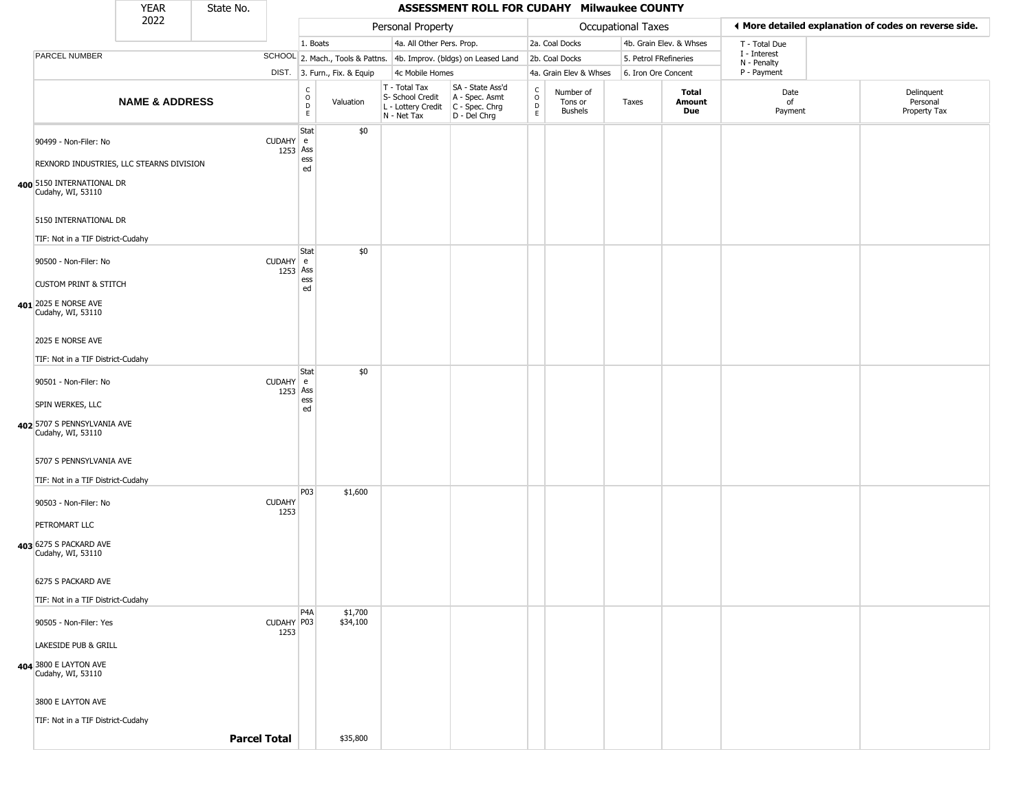|                                                                   | <b>YEAR</b>               | State No.           |                       |                                                          | ASSESSMENT ROLL FOR CUDAHY Milwaukee COUNTY |                                                                                         |                                                                     |                                   |                                 |                       |                                                       |                             |  |                                        |
|-------------------------------------------------------------------|---------------------------|---------------------|-----------------------|----------------------------------------------------------|---------------------------------------------|-----------------------------------------------------------------------------------------|---------------------------------------------------------------------|-----------------------------------|---------------------------------|-----------------------|-------------------------------------------------------|-----------------------------|--|----------------------------------------|
| 2022                                                              |                           |                     |                       |                                                          | Personal Property                           |                                                                                         |                                                                     | <b>Occupational Taxes</b>         |                                 |                       | ◀ More detailed explanation of codes on reverse side. |                             |  |                                        |
|                                                                   |                           |                     |                       | 1. Boats                                                 |                                             | 4a. All Other Pers. Prop.                                                               |                                                                     |                                   | 2a. Coal Docks                  |                       | 4b. Grain Elev. & Whses                               | T - Total Due               |  |                                        |
| PARCEL NUMBER                                                     |                           |                     |                       |                                                          |                                             |                                                                                         | SCHOOL 2. Mach., Tools & Pattns. 4b. Improv. (bldgs) on Leased Land |                                   | 2b. Coal Docks                  | 5. Petrol FRefineries |                                                       | I - Interest<br>N - Penalty |  |                                        |
|                                                                   |                           |                     |                       | DIST. 3. Furn., Fix. & Equip                             | 4c Mobile Homes                             |                                                                                         |                                                                     | 4a. Grain Elev & Whses            | 6. Iron Ore Concent             |                       | P - Payment                                           |                             |  |                                        |
|                                                                   | <b>NAME &amp; ADDRESS</b> |                     |                       | $\begin{matrix} 0 \\ 0 \\ D \end{matrix}$<br>$\mathsf E$ | Valuation                                   | T - Total Tax<br>S- School Credit<br>L - Lottery Credit   C - Spec. Chrg<br>N - Net Tax | SA - State Ass'd<br>A - Spec. Asmt<br>D - Del Chrg                  | $\frac{c}{0}$<br>$\mathsf D$<br>E | Number of<br>Tons or<br>Bushels | Taxes                 | Total<br>Amount<br>Due                                | Date<br>of<br>Payment       |  | Delinquent<br>Personal<br>Property Tax |
| 90499 - Non-Filer: No<br>REXNORD INDUSTRIES, LLC STEARNS DIVISION |                           |                     | CUDAHY e              | Stat<br>1253 Ass<br>ess<br>ed                            | \$0                                         |                                                                                         |                                                                     |                                   |                                 |                       |                                                       |                             |  |                                        |
| 400 5150 INTERNATIONAL DR<br>Cudahy, WI, 53110                    |                           |                     |                       |                                                          |                                             |                                                                                         |                                                                     |                                   |                                 |                       |                                                       |                             |  |                                        |
| 5150 INTERNATIONAL DR                                             |                           |                     |                       |                                                          |                                             |                                                                                         |                                                                     |                                   |                                 |                       |                                                       |                             |  |                                        |
| TIF: Not in a TIF District-Cudahy                                 |                           |                     |                       |                                                          |                                             |                                                                                         |                                                                     |                                   |                                 |                       |                                                       |                             |  |                                        |
| 90500 - Non-Filer: No<br><b>CUSTOM PRINT &amp; STITCH</b>         |                           |                     | CUDAHY e<br>1253 Ass  | Stat<br>ess                                              | \$0                                         |                                                                                         |                                                                     |                                   |                                 |                       |                                                       |                             |  |                                        |
|                                                                   |                           |                     |                       | ed                                                       |                                             |                                                                                         |                                                                     |                                   |                                 |                       |                                                       |                             |  |                                        |
| 401 2025 E NORSE AVE<br>Cudahy, WI, 53110                         |                           |                     |                       |                                                          |                                             |                                                                                         |                                                                     |                                   |                                 |                       |                                                       |                             |  |                                        |
| 2025 E NORSE AVE                                                  |                           |                     |                       |                                                          |                                             |                                                                                         |                                                                     |                                   |                                 |                       |                                                       |                             |  |                                        |
| TIF: Not in a TIF District-Cudahy                                 |                           |                     |                       | Stat                                                     | \$0                                         |                                                                                         |                                                                     |                                   |                                 |                       |                                                       |                             |  |                                        |
| 90501 - Non-Filer: No<br>SPIN WERKES, LLC                         |                           |                     | CUDAHY e              | 1253 Ass<br>ess                                          |                                             |                                                                                         |                                                                     |                                   |                                 |                       |                                                       |                             |  |                                        |
|                                                                   |                           |                     |                       | ed                                                       |                                             |                                                                                         |                                                                     |                                   |                                 |                       |                                                       |                             |  |                                        |
| 402 5707 S PENNSYLVANIA AVE<br>Cudahy, WI, 53110                  |                           |                     |                       |                                                          |                                             |                                                                                         |                                                                     |                                   |                                 |                       |                                                       |                             |  |                                        |
| 5707 S PENNSYLVANIA AVE                                           |                           |                     |                       |                                                          |                                             |                                                                                         |                                                                     |                                   |                                 |                       |                                                       |                             |  |                                        |
| TIF: Not in a TIF District-Cudahy                                 |                           |                     |                       | <b>P03</b>                                               |                                             |                                                                                         |                                                                     |                                   |                                 |                       |                                                       |                             |  |                                        |
| 90503 - Non-Filer: No                                             |                           |                     | <b>CUDAHY</b><br>1253 |                                                          | \$1,600                                     |                                                                                         |                                                                     |                                   |                                 |                       |                                                       |                             |  |                                        |
| PETROMART LLC                                                     |                           |                     |                       |                                                          |                                             |                                                                                         |                                                                     |                                   |                                 |                       |                                                       |                             |  |                                        |
| 403 6275 S PACKARD AVE<br>Cudahy, WI, 53110                       |                           |                     |                       |                                                          |                                             |                                                                                         |                                                                     |                                   |                                 |                       |                                                       |                             |  |                                        |
| 6275 S PACKARD AVE                                                |                           |                     |                       |                                                          |                                             |                                                                                         |                                                                     |                                   |                                 |                       |                                                       |                             |  |                                        |
| TIF: Not in a TIF District-Cudahy                                 |                           |                     |                       |                                                          |                                             |                                                                                         |                                                                     |                                   |                                 |                       |                                                       |                             |  |                                        |
| 90505 - Non-Filer: Yes                                            |                           |                     | CUDAHY P03<br>1253    | P <sub>4</sub> A                                         | \$1,700<br>\$34,100                         |                                                                                         |                                                                     |                                   |                                 |                       |                                                       |                             |  |                                        |
| LAKESIDE PUB & GRILL                                              |                           |                     |                       |                                                          |                                             |                                                                                         |                                                                     |                                   |                                 |                       |                                                       |                             |  |                                        |
| 404 3800 E LAYTON AVE<br>Cudahy, WI, 53110                        |                           |                     |                       |                                                          |                                             |                                                                                         |                                                                     |                                   |                                 |                       |                                                       |                             |  |                                        |
| 3800 E LAYTON AVE                                                 |                           |                     |                       |                                                          |                                             |                                                                                         |                                                                     |                                   |                                 |                       |                                                       |                             |  |                                        |
| TIF: Not in a TIF District-Cudahy                                 |                           |                     |                       |                                                          |                                             |                                                                                         |                                                                     |                                   |                                 |                       |                                                       |                             |  |                                        |
|                                                                   |                           | <b>Parcel Total</b> |                       |                                                          | \$35,800                                    |                                                                                         |                                                                     |                                   |                                 |                       |                                                       |                             |  |                                        |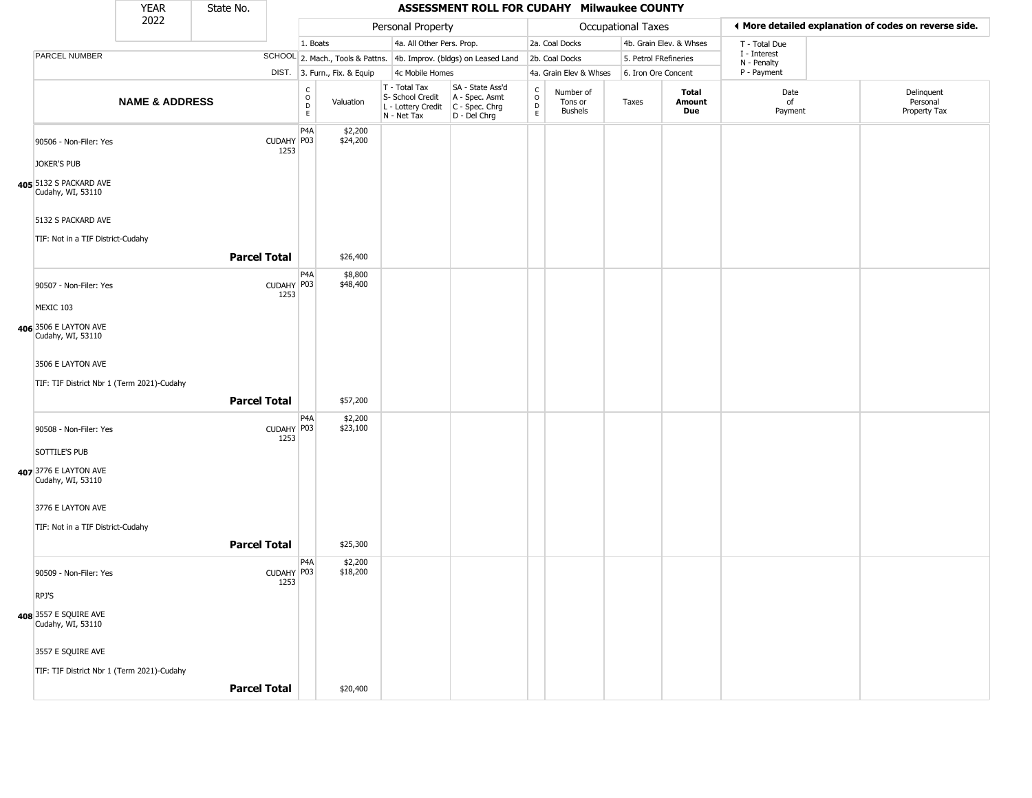|                                                  | <b>YEAR</b>               | State No.           |                    | ASSESSMENT ROLL FOR CUDAHY Milwaukee COUNTY     |                              |                                                                                         |                                                                     |                                |                                        |       |                                                       |                             |  |                                        |
|--------------------------------------------------|---------------------------|---------------------|--------------------|-------------------------------------------------|------------------------------|-----------------------------------------------------------------------------------------|---------------------------------------------------------------------|--------------------------------|----------------------------------------|-------|-------------------------------------------------------|-----------------------------|--|----------------------------------------|
|                                                  | 2022                      |                     |                    | Personal Property                               |                              |                                                                                         |                                                                     |                                | Occupational Taxes                     |       | ◀ More detailed explanation of codes on reverse side. |                             |  |                                        |
|                                                  |                           |                     |                    | 1. Boats                                        |                              | 4a. All Other Pers. Prop.                                                               |                                                                     |                                | 2a. Coal Docks                         |       | 4b. Grain Elev. & Whses                               | T - Total Due               |  |                                        |
| PARCEL NUMBER                                    |                           |                     |                    |                                                 |                              |                                                                                         | SCHOOL 2. Mach., Tools & Pattns. 4b. Improv. (bldgs) on Leased Land |                                | 2b. Coal Docks                         |       | 5. Petrol FRefineries                                 | I - Interest<br>N - Penalty |  |                                        |
|                                                  |                           |                     |                    |                                                 | DIST. 3. Furn., Fix. & Equip | 4c Mobile Homes                                                                         |                                                                     |                                | 4a. Grain Elev & Whses                 |       | 6. Iron Ore Concent                                   | P - Payment                 |  |                                        |
|                                                  | <b>NAME &amp; ADDRESS</b> |                     |                    | $\begin{array}{c} C \\ O \\ D \\ E \end{array}$ | Valuation                    | T - Total Tax<br>S- School Credit<br>L - Lottery Credit   C - Spec. Chrg<br>N - Net Tax | SA - State Ass'd<br>A - Spec. Asmt<br>D - Del Chrg                  | $\frac{c}{0}$<br>$\frac{D}{E}$ | Number of<br>Tons or<br><b>Bushels</b> | Taxes | Total<br>Amount<br>Due                                | Date<br>of<br>Payment       |  | Delinquent<br>Personal<br>Property Tax |
| 90506 - Non-Filer: Yes                           |                           |                     | CUDAHY P03<br>1253 | P <sub>4</sub> A                                | \$2,200<br>\$24,200          |                                                                                         |                                                                     |                                |                                        |       |                                                       |                             |  |                                        |
| JOKER'S PUB                                      |                           |                     |                    |                                                 |                              |                                                                                         |                                                                     |                                |                                        |       |                                                       |                             |  |                                        |
| 05 5132 S PACKARD AVE<br>Cudahy, WI, 53110       |                           |                     |                    |                                                 |                              |                                                                                         |                                                                     |                                |                                        |       |                                                       |                             |  |                                        |
| 5132 S PACKARD AVE                               |                           |                     |                    |                                                 |                              |                                                                                         |                                                                     |                                |                                        |       |                                                       |                             |  |                                        |
| TIF: Not in a TIF District-Cudahy                |                           |                     |                    |                                                 |                              |                                                                                         |                                                                     |                                |                                        |       |                                                       |                             |  |                                        |
|                                                  |                           | <b>Parcel Total</b> |                    |                                                 | \$26,400                     |                                                                                         |                                                                     |                                |                                        |       |                                                       |                             |  |                                        |
| 90507 - Non-Filer: Yes                           |                           |                     | CUDAHY P03<br>1253 | P4A                                             | \$8,800<br>\$48,400          |                                                                                         |                                                                     |                                |                                        |       |                                                       |                             |  |                                        |
| MEXIC 103                                        |                           |                     |                    |                                                 |                              |                                                                                         |                                                                     |                                |                                        |       |                                                       |                             |  |                                        |
| 06 3506 E LAYTON AVE<br>Cudahy, WI, 53110        |                           |                     |                    |                                                 |                              |                                                                                         |                                                                     |                                |                                        |       |                                                       |                             |  |                                        |
| 3506 E LAYTON AVE                                |                           |                     |                    |                                                 |                              |                                                                                         |                                                                     |                                |                                        |       |                                                       |                             |  |                                        |
| TIF: TIF District Nbr 1 (Term 2021)-Cudahy       |                           | <b>Parcel Total</b> |                    |                                                 | \$57,200                     |                                                                                         |                                                                     |                                |                                        |       |                                                       |                             |  |                                        |
|                                                  |                           |                     |                    | P4A                                             | \$2,200                      |                                                                                         |                                                                     |                                |                                        |       |                                                       |                             |  |                                        |
| 90508 - Non-Filer: Yes                           |                           |                     | CUDAHY P03<br>1253 |                                                 | \$23,100                     |                                                                                         |                                                                     |                                |                                        |       |                                                       |                             |  |                                        |
| SOTTILE'S PUB                                    |                           |                     |                    |                                                 |                              |                                                                                         |                                                                     |                                |                                        |       |                                                       |                             |  |                                        |
| 07 3776 E LAYTON AVE<br>Cudahy, WI, 53110        |                           |                     |                    |                                                 |                              |                                                                                         |                                                                     |                                |                                        |       |                                                       |                             |  |                                        |
| 3776 E LAYTON AVE                                |                           |                     |                    |                                                 |                              |                                                                                         |                                                                     |                                |                                        |       |                                                       |                             |  |                                        |
| TIF: Not in a TIF District-Cudahy                |                           |                     |                    |                                                 |                              |                                                                                         |                                                                     |                                |                                        |       |                                                       |                             |  |                                        |
|                                                  |                           | <b>Parcel Total</b> |                    |                                                 | \$25,300                     |                                                                                         |                                                                     |                                |                                        |       |                                                       |                             |  |                                        |
|                                                  |                           |                     |                    | P <sub>4</sub> A                                | \$2,200                      |                                                                                         |                                                                     |                                |                                        |       |                                                       |                             |  |                                        |
| 90509 - Non-Filer: Yes                           |                           |                     | CUDAHY P03<br>1253 |                                                 | \$18,200                     |                                                                                         |                                                                     |                                |                                        |       |                                                       |                             |  |                                        |
| RPJ'S                                            |                           |                     |                    |                                                 |                              |                                                                                         |                                                                     |                                |                                        |       |                                                       |                             |  |                                        |
| <b>08</b> 3557 E SQUIRE AVE<br>Cudahy, WI, 53110 |                           |                     |                    |                                                 |                              |                                                                                         |                                                                     |                                |                                        |       |                                                       |                             |  |                                        |
| 3557 E SQUIRE AVE                                |                           |                     |                    |                                                 |                              |                                                                                         |                                                                     |                                |                                        |       |                                                       |                             |  |                                        |
| TIF: TIF District Nbr 1 (Term 2021)-Cudahy       |                           |                     |                    |                                                 |                              |                                                                                         |                                                                     |                                |                                        |       |                                                       |                             |  |                                        |
|                                                  |                           | <b>Parcel Total</b> |                    |                                                 | \$20,400                     |                                                                                         |                                                                     |                                |                                        |       |                                                       |                             |  |                                        |

**405**

**406**

**407**

**408**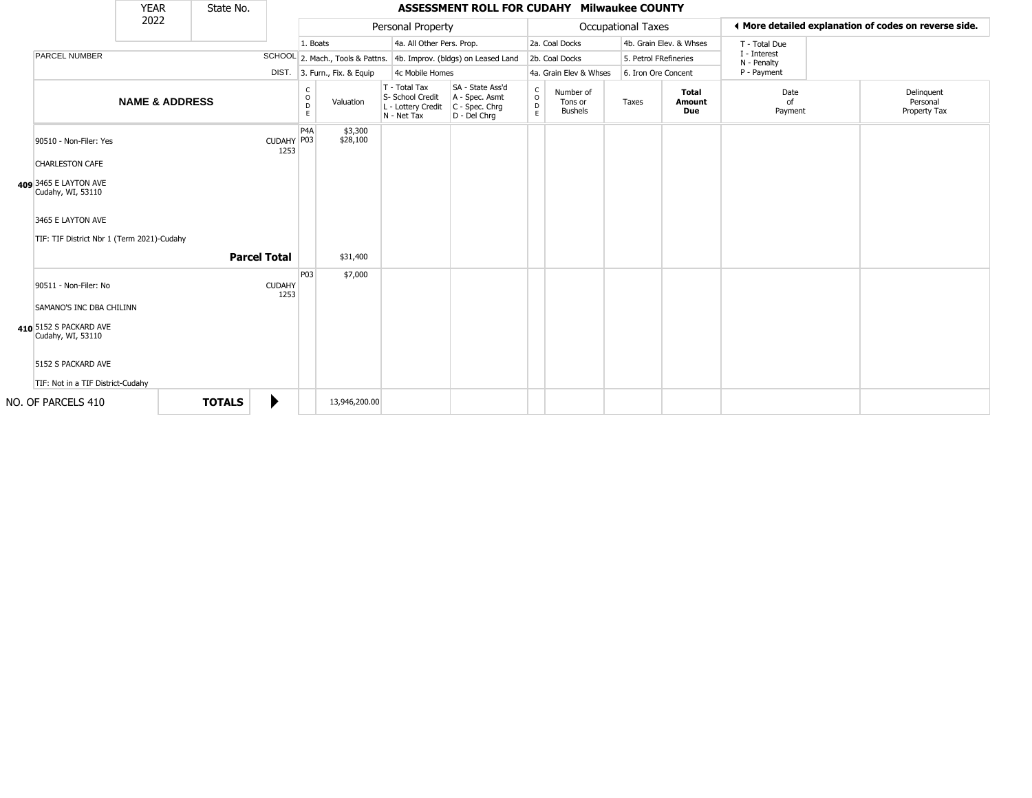|                                                                 | <b>YEAR</b>               | State No.     |                       |                        |                                  |                                                                        | ASSESSMENT ROLL FOR CUDAHY Milwaukee COUNTY                            |                                        |                                        |                       |                               |                             |                                                       |
|-----------------------------------------------------------------|---------------------------|---------------|-----------------------|------------------------|----------------------------------|------------------------------------------------------------------------|------------------------------------------------------------------------|----------------------------------------|----------------------------------------|-----------------------|-------------------------------|-----------------------------|-------------------------------------------------------|
|                                                                 | 2022                      |               |                       |                        |                                  | Personal Property                                                      |                                                                        |                                        |                                        | Occupational Taxes    |                               |                             | ♦ More detailed explanation of codes on reverse side. |
|                                                                 |                           |               |                       | 1. Boats               |                                  | 4a. All Other Pers. Prop.                                              |                                                                        |                                        | 2a. Coal Docks                         |                       | 4b. Grain Elev. & Whses       | T - Total Due               |                                                       |
| <b>PARCEL NUMBER</b>                                            |                           |               |                       |                        | SCHOOL 2. Mach., Tools & Pattns. |                                                                        | 4b. Improv. (bldgs) on Leased Land                                     |                                        | 2b. Coal Docks                         | 5. Petrol FRefineries |                               | I - Interest<br>N - Penalty |                                                       |
|                                                                 |                           |               |                       |                        | DIST. 3. Furn., Fix. & Equip     | 4c Mobile Homes                                                        |                                                                        |                                        | 4a. Grain Elev & Whses                 | 6. Iron Ore Concent   |                               | P - Payment                 |                                                       |
|                                                                 | <b>NAME &amp; ADDRESS</b> |               |                       | C<br>$\circ$<br>D<br>E | Valuation                        | T - Total Tax<br>S- School Credit<br>L - Lottery Credit<br>N - Net Tax | SA - State Ass'd<br>A - Spec. Asmt<br>$C - Spec. Chrg$<br>D - Del Chrq | $\mathsf{C}$<br>$\mathsf{O}$<br>D<br>E | Number of<br>Tons or<br><b>Bushels</b> | Taxes                 | <b>Total</b><br>Amount<br>Due | Date<br>of<br>Payment       | Delinquent<br>Personal<br>Property Tax                |
| 90510 - Non-Filer: Yes<br><b>CHARLESTON CAFE</b>                |                           |               | CUDAHY P03<br>1253    | P <sub>4</sub> A       | \$3,300<br>\$28,100              |                                                                        |                                                                        |                                        |                                        |                       |                               |                             |                                                       |
| 409 3465 E LAYTON AVE<br>Cudahy, WI, 53110                      |                           |               |                       |                        |                                  |                                                                        |                                                                        |                                        |                                        |                       |                               |                             |                                                       |
| 3465 E LAYTON AVE<br>TIF: TIF District Nbr 1 (Term 2021)-Cudahy |                           |               |                       |                        |                                  |                                                                        |                                                                        |                                        |                                        |                       |                               |                             |                                                       |
|                                                                 |                           |               | <b>Parcel Total</b>   |                        | \$31,400                         |                                                                        |                                                                        |                                        |                                        |                       |                               |                             |                                                       |
| 90511 - Non-Filer: No<br>SAMANO'S INC DBA CHILINN               |                           |               | <b>CUDAHY</b><br>1253 | <b>P03</b>             | \$7,000                          |                                                                        |                                                                        |                                        |                                        |                       |                               |                             |                                                       |
| 410 5152 S PACKARD AVE<br>Cudahy, WI, 53110                     |                           |               |                       |                        |                                  |                                                                        |                                                                        |                                        |                                        |                       |                               |                             |                                                       |
| 5152 S PACKARD AVE<br>TIF: Not in a TIF District-Cudahy         |                           |               |                       |                        |                                  |                                                                        |                                                                        |                                        |                                        |                       |                               |                             |                                                       |
| NO. OF PARCELS 410                                              |                           | <b>TOTALS</b> | ▶                     |                        | 13,946,200.00                    |                                                                        |                                                                        |                                        |                                        |                       |                               |                             |                                                       |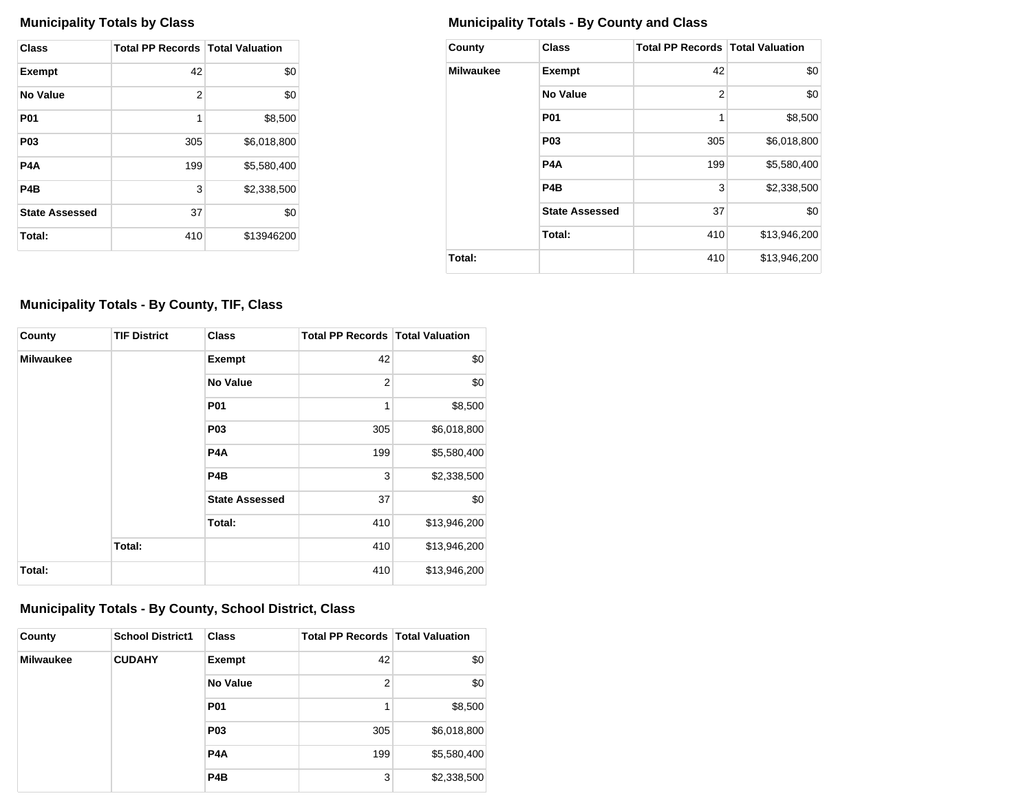| Class                 | <b>Total PP Records   Total Valuation</b> |             |
|-----------------------|-------------------------------------------|-------------|
| <b>Exempt</b>         | 42                                        | \$0         |
| <b>No Value</b>       | 2                                         | \$0         |
| <b>P01</b>            | 1                                         | \$8,500     |
| P <sub>0</sub> 3      | 305                                       | \$6,018,800 |
| P <sub>4</sub> A      | 199                                       | \$5,580,400 |
| P <sub>4</sub> B      | 3                                         | \$2,338,500 |
| <b>State Assessed</b> | 37                                        | \$0         |
| Total:                | 410                                       | \$13946200  |

## **Municipality Totals by Class Municipality Totals - By County and Class**

| County    | <b>Class</b>          | <b>Total PP Records   Total Valuation</b> |              |
|-----------|-----------------------|-------------------------------------------|--------------|
| Milwaukee | <b>Exempt</b>         | 42                                        | \$0          |
|           | No Value              | 2                                         | \$0          |
|           | <b>P01</b>            | 1                                         | \$8,500      |
|           | P <sub>0</sub> 3      | 305                                       | \$6,018,800  |
|           | P4A                   | 199                                       | \$5,580,400  |
|           | P4B                   | 3                                         | \$2,338,500  |
|           | <b>State Assessed</b> | 37                                        | \$0          |
|           | Total:                | 410                                       | \$13,946,200 |
| Total:    |                       | 410                                       | \$13,946,200 |

## **Municipality Totals - By County, TIF, Class**

| County           | <b>TIF District</b> | <b>Class</b>          | <b>Total PP Records   Total Valuation</b> |              |
|------------------|---------------------|-----------------------|-------------------------------------------|--------------|
| <b>Milwaukee</b> |                     | Exempt                | 42                                        | \$0          |
|                  |                     | <b>No Value</b>       | 2                                         | \$0          |
|                  |                     | <b>P01</b>            | 1                                         | \$8,500      |
|                  |                     | P <sub>03</sub>       | 305                                       | \$6,018,800  |
|                  |                     | P <sub>4</sub> A      | 199                                       | \$5,580,400  |
|                  |                     | P <sub>4</sub> B      | 3                                         | \$2,338,500  |
|                  |                     | <b>State Assessed</b> | 37                                        | \$0          |
|                  |                     | Total:                | 410                                       | \$13,946,200 |
|                  | Total:              |                       | 410                                       | \$13,946,200 |
| Total:           |                     |                       | 410                                       | \$13,946,200 |

## **Municipality Totals - By County, School District, Class**

| County           | <b>School District1</b> | <b>Class</b>     | <b>Total PP Records   Total Valuation</b> |             |
|------------------|-------------------------|------------------|-------------------------------------------|-------------|
| <b>Milwaukee</b> | <b>CUDAHY</b>           | <b>Exempt</b>    | 42                                        | \$0         |
|                  |                         | <b>No Value</b>  | 2                                         | \$0         |
|                  |                         | <b>P01</b>       | 1                                         | \$8,500     |
|                  |                         | <b>P03</b>       | 305                                       | \$6,018,800 |
|                  |                         | P <sub>4</sub> A | 199                                       | \$5,580,400 |
|                  |                         | P <sub>4</sub> B | 3                                         | \$2,338,500 |